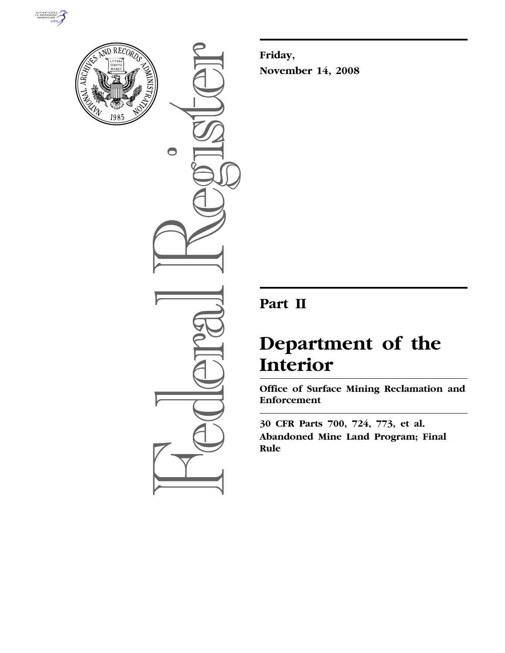



 $\bigcirc$ 

**Friday, November 14, 2008** 

# **Part II**

# **Department of the Interior**

**Office of Surface Mining Reclamation and Enforcement** 

**30 CFR Parts 700, 724, 773, et al. Abandoned Mine Land Program; Final Rule**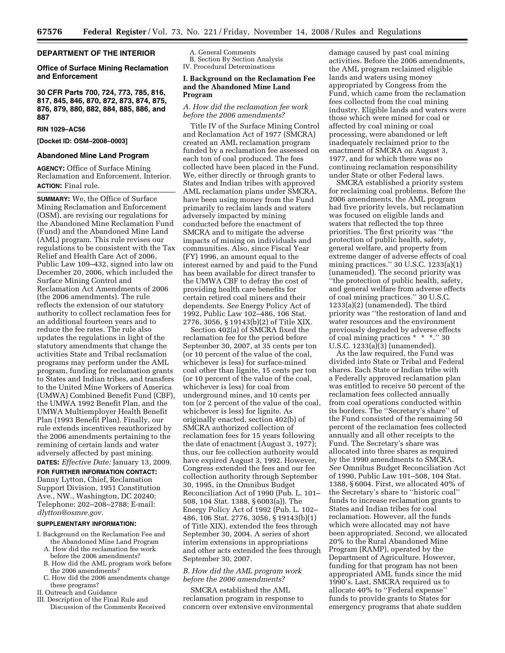# **DEPARTMENT OF THE INTERIOR**

# **Office of Surface Mining Reclamation and Enforcement**

**30 CFR Parts 700, 724, 773, 785, 816, 817, 845, 846, 870, 872, 873, 874, 875, 876, 879, 880, 882, 884, 885, 886, and 887** 

#### **RIN 1029–AC56**

# **[Docket ID: OSM–2008–0003]**

# **Abandoned Mine Land Program**

**AGENCY:** Office of Surface Mining Reclamation and Enforcement, Interior. **ACTION:** Final rule.

**SUMMARY:** We, the Office of Surface Mining Reclamation and Enforcement (OSM), are revising our regulations for the Abandoned Mine Reclamation Fund (Fund) and the Abandoned Mine Land (AML) program. This rule revises our regulations to be consistent with the Tax Relief and Health Care Act of 2006, Public Law 109–432, signed into law on December 20, 2006, which included the Surface Mining Control and Reclamation Act Amendments of 2006 (the 2006 amendments). The rule reflects the extension of our statutory authority to collect reclamation fees for an additional fourteen years and to reduce the fee rates. The rule also updates the regulations in light of the statutory amendments that change the activities State and Tribal reclamation programs may perform under the AML program, funding for reclamation grants to States and Indian tribes, and transfers to the United Mine Workers of America (UMWA) Combined Benefit Fund (CBF), the UMWA 1992 Benefit Plan, and the UMWA Multiemployer Health Benefit Plan (1993 Benefit Plan). Finally, our rule extends incentives reauthorized by the 2006 amendments pertaining to the remining of certain lands and water adversely affected by past mining. **DATES:** *Effective Date:* January 13, 2009.

**FOR FURTHER INFORMATION CONTACT:**  Danny Lytton, Chief, Reclamation Support Division, 1951 Constitution Ave., NW., Washington, DC 20240; Telephone: 202–208–2788; E-mail: *dlytton@osmre.gov.* 

#### **SUPPLEMENTARY INFORMATION:**

- I. Background on the Reclamation Fee and the Abandoned Mine Land Program
	- A. How did the reclamation fee work before the 2006 amendments?
	- B. How did the AML program work before the 2006 amendments?
	- C. How did the 2006 amendments change these programs?
- II. Outreach and Guidance
- III. Description of the Final Rule and
- Discussion of the Comments Received

A. General Comments B. Section By Section Analysis IV. Procedural Determinations

#### **I. Background on the Reclamation Fee and the Abandoned Mine Land Program**

# *A. How did the reclamation fee work before the 2006 amendments?*

Title IV of the Surface Mining Control and Reclamation Act of 1977 (SMCRA) created an AML reclamation program funded by a reclamation fee assessed on each ton of coal produced. The fees collected have been placed in the Fund. We, either directly or through grants to States and Indian tribes with approved AML reclamation plans under SMCRA, have been using money from the Fund primarily to reclaim lands and waters adversely impacted by mining conducted before the enactment of SMCRA and to mitigate the adverse impacts of mining on individuals and communities. Also, since Fiscal Year (FY) 1996, an amount equal to the interest earned by and paid to the Fund has been available for direct transfer to the UMWA CBF to defray the cost of providing health care benefits for certain retired coal miners and their dependents. *See* Energy Policy Act of 1992, Public Law 102–486, 106 Stat. 2776, 3056, § 19143(b)(2) of Title XIX.

Section 402(a) of SMCRA fixed the reclamation fee for the period before September 30, 2007, at 35 cents per ton (or 10 percent of the value of the coal, whichever is less) for surface-mined coal other than lignite, 15 cents per ton (or 10 percent of the value of the coal, whichever is less) for coal from underground mines, and 10 cents per ton (or 2 percent of the value of the coal, whichever is less) for lignite. As originally enacted, section 402(b) of SMCRA authorized collection of reclamation fees for 15 years following the date of enactment (August 3, 1977); thus, our fee collection authority would have expired August 3, 1992. However, Congress extended the fees and our fee collection authority through September 30, 1995, in the Omnibus Budget Reconciliation Act of 1990 (Pub. L. 101– 508, 104 Stat. 1388, § 6003(a)). The Energy Policy Act of 1992 (Pub. L. 102– 486, 106 Stat. 2776, 3056, § 19143(b)(1) of Title XIX), extended the fees through September 30, 2004. A series of short interim extensions in appropriations and other acts extended the fees through September 30, 2007.

# *B. How did the AML program work before the 2006 amendments?*

SMCRA established the AML reclamation program in response to concern over extensive environmental

damage caused by past coal mining activities. Before the 2006 amendments, the AML program reclaimed eligible lands and waters using money appropriated by Congress from the Fund, which came from the reclamation fees collected from the coal mining industry. Eligible lands and waters were those which were mined for coal or affected by coal mining or coal processing, were abandoned or left inadequately reclaimed prior to the enactment of SMCRA on August 3, 1977, and for which there was no continuing reclamation responsibility under State or other Federal laws.

SMCRA established a priority system for reclaiming coal problems. Before the 2006 amendments, the AML program had five priority levels, but reclamation was focused on eligible lands and waters that reflected the top three priorities. The first priority was ''the protection of public health, safety, general welfare, and property from extreme danger of adverse effects of coal mining practices.'' 30 U.S.C. 1233(a)(1) (unamended). The second priority was ''the protection of public health, safety, and general welfare from adverse effects of coal mining practices.'' 30 U.S.C. 1233(a)(2) (unamended). The third priority was ''the restoration of land and water resources and the environment previously degraded by adverse effects of coal mining practices \* \* \*.'' 30 U.S.C. 1233(a)(3) (unamended).

As the law required, the Fund was divided into State or Tribal and Federal shares. Each State or Indian tribe with a Federally approved reclamation plan was entitled to receive 50 percent of the reclamation fees collected annually from coal operations conducted within its borders. The ''Secretary's share'' of the Fund consisted of the remaining 50 percent of the reclamation fees collected annually and all other receipts to the Fund. The Secretary's share was allocated into three shares as required by the 1990 amendments to SMCRA. *See* Omnibus Budget Reconciliation Act of 1990, Public Law 101–508, 104 Stat. 1388, § 6004. First, we allocated 40% of the Secretary's share to ''historic coal'' funds to increase reclamation grants to States and Indian tribes for coal reclamation. However, all the funds which were allocated may not have been appropriated. Second, we allocated 20% to the Rural Abandoned Mine Program (RAMP), operated by the Department of Agriculture. However, funding for that program has not been appropriated AML funds since the mid 1990's. Last, SMCRA required us to allocate 40% to ''Federal expense'' funds to provide grants to States for emergency programs that abate sudden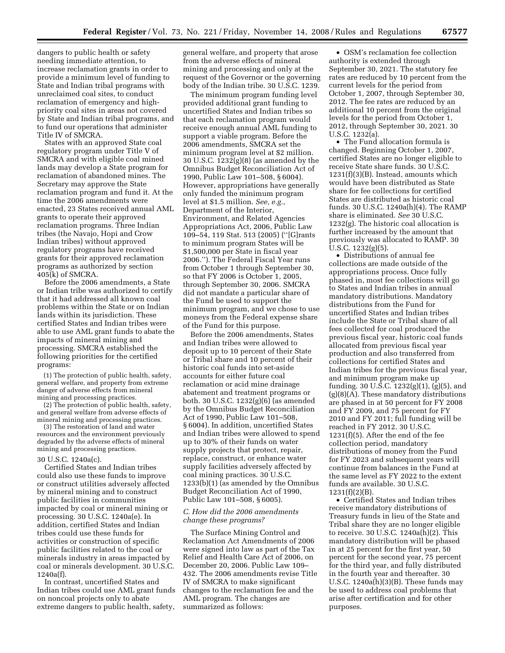dangers to public health or safety needing immediate attention, to increase reclamation grants in order to provide a minimum level of funding to State and Indian tribal programs with unreclaimed coal sites, to conduct reclamation of emergency and highpriority coal sites in areas not covered by State and Indian tribal programs, and to fund our operations that administer Title IV of SMCRA.

States with an approved State coal regulatory program under Title V of SMCRA and with eligible coal mined lands may develop a State program for reclamation of abandoned mines. The Secretary may approve the State reclamation program and fund it. At the time the 2006 amendments were enacted, 23 States received annual AML grants to operate their approved reclamation programs. Three Indian tribes (the Navajo, Hopi and Crow Indian tribes) without approved regulatory programs have received grants for their approved reclamation programs as authorized by section 405(k) of SMCRA.

Before the 2006 amendments, a State or Indian tribe was authorized to certify that it had addressed all known coal problems within the State or on Indian lands within its jurisdiction. These certified States and Indian tribes were able to use AML grant funds to abate the impacts of mineral mining and processing. SMCRA established the following priorities for the certified programs:

(1) The protection of public health, safety, general welfare, and property from extreme danger of adverse effects from mineral mining and processing practices.

(2) The protection of public health, safety, and general welfare from adverse effects of mineral mining and processing practices.

(3) The restoration of land and water resources and the environment previously degraded by the adverse effects of mineral mining and processing practices.

# 30 U.S.C. 1240a(c).

Certified States and Indian tribes could also use these funds to improve or construct utilities adversely affected by mineral mining and to construct public facilities in communities impacted by coal or mineral mining or processing. 30 U.S.C. 1240a(e). In addition, certified States and Indian tribes could use these funds for activities or construction of specific public facilities related to the coal or minerals industry in areas impacted by coal or minerals development. 30 U.S.C. 1240a(f).

In contrast, uncertified States and Indian tribes could use AML grant funds on noncoal projects only to abate extreme dangers to public health, safety,

general welfare, and property that arose from the adverse effects of mineral mining and processing and only at the request of the Governor or the governing body of the Indian tribe. 30 U.S.C. 1239.

The minimum program funding level provided additional grant funding to uncertified States and Indian tribes so that each reclamation program would receive enough annual AML funding to support a viable program. Before the 2006 amendments, SMCRA set the minimum program level at \$2 million. 30 U.S.C. 1232(g)(8) (as amended by the Omnibus Budget Reconciliation Act of 1990, Public Law 101–508, § 6004). However, appropriations have generally only funded the minimum program level at \$1.5 million. *See, e.g.*, Department of the Interior, Environment, and Related Agencies Appropriations Act, 2006, Public Law 109–54, 119 Stat. 513 (2005) (''[G]rants to minimum program States will be \$1,500,000 per State in fiscal year 2006.''). The Federal Fiscal Year runs from October 1 through September 30, so that FY 2006 is October 1, 2005, through September 30, 2006. SMCRA did not mandate a particular share of the Fund be used to support the minimum program, and we chose to use moneys from the Federal expense share of the Fund for this purpose.

Before the 2006 amendments, States and Indian tribes were allowed to deposit up to 10 percent of their State or Tribal share and 10 percent of their historic coal funds into set-aside accounts for either future coal reclamation or acid mine drainage abatement and treatment programs or both. 30 U.S.C. 1232(g)(6) (as amended by the Omnibus Budget Reconciliation Act of 1990, Public Law 101–508, § 6004). In addition, uncertified States and Indian tribes were allowed to spend up to 30% of their funds on water supply projects that protect, repair, replace, construct, or enhance water supply facilities adversely affected by coal mining practices. 30 U.S.C. 1233(b)(1) (as amended by the Omnibus Budget Reconciliation Act of 1990, Public Law 101–508, § 6005).

# *C. How did the 2006 amendments change these programs?*

The Surface Mining Control and Reclamation Act Amendments of 2006 were signed into law as part of the Tax Relief and Health Care Act of 2006, on December 20, 2006. Public Law 109– 432. The 2006 amendments revise Title IV of SMCRA to make significant changes to the reclamation fee and the AML program. The changes are summarized as follows:

• OSM's reclamation fee collection authority is extended through September 30, 2021. The statutory fee rates are reduced by 10 percent from the current levels for the period from October 1, 2007, through September 30, 2012. The fee rates are reduced by an additional 10 percent from the original levels for the period from October 1, 2012, through September 30, 2021. 30 U.S.C. 1232(a).

• The Fund allocation formula is changed. Beginning October 1, 2007, certified States are no longer eligible to receive State share funds. 30 U.S.C. 1231(f)(3)(B). Instead, amounts which would have been distributed as State share for fee collections for certified States are distributed as historic coal funds. 30 U.S.C. 1240a(h)(4). The RAMP share is eliminated. *See* 30 U.S.C. 1232(g). The historic coal allocation is further increased by the amount that previously was allocated to RAMP. 30 U.S.C. 1232(g)(5).

• Distributions of annual fee collections are made outside of the appropriations process. Once fully phased in, most fee collections will go to States and Indian tribes in annual mandatory distributions. Mandatory distributions from the Fund for uncertified States and Indian tribes include the State or Tribal share of all fees collected for coal produced the previous fiscal year, historic coal funds allocated from previous fiscal year production and also transferred from collections for certified States and Indian tribes for the previous fiscal year, and minimum program make up funding. 30 U.S.C.  $1232(g)(1)$ ,  $(g)(5)$ , and (g)(8)(A). These mandatory distributions are phased in at 50 percent for FY 2008 and FY 2009, and 75 percent for FY 2010 and FY 2011; full funding will be reached in FY 2012. 30 U.S.C. 1231(f)(5). After the end of the fee collection period, mandatory distributions of money from the Fund for FY 2023 and subsequent years will continue from balances in the Fund at the same level as FY 2022 to the extent funds are available. 30 U.S.C. 1231(f)(2)(B).

• Certified States and Indian tribes receive mandatory distributions of Treasury funds in lieu of the State and Tribal share they are no longer eligible to receive. 30 U.S.C. 1240a(h)(2). This mandatory distribution will be phased in at 25 percent for the first year, 50 percent for the second year, 75 percent for the third year, and fully distributed in the fourth year and thereafter. 30 U.S.C. 1240a(h)(3)(B). These funds may be used to address coal problems that arise after certification and for other purposes.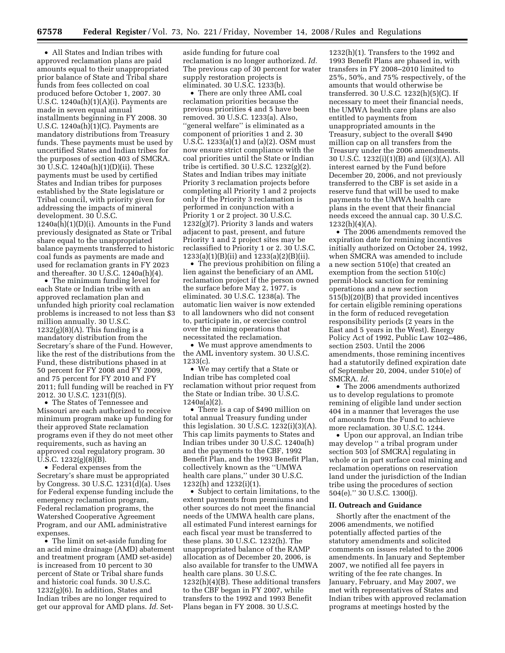• All States and Indian tribes with approved reclamation plans are paid amounts equal to their unappropriated prior balance of State and Tribal share funds from fees collected on coal produced before October 1, 2007. 30 U.S.C. 1240a(h)(1)(A)(i). Payments are made in seven equal annual installments beginning in FY 2008. 30 U.S.C. 1240a(h)(1)(C). Payments are mandatory distributions from Treasury funds. These payments must be used by uncertified States and Indian tribes for the purposes of section 403 of SMCRA. 30 U.S.C. 1240a(h)(1)(D)(ii). These payments must be used by certified States and Indian tribes for purposes established by the State legislature or Tribal council, with priority given for addressing the impacts of mineral development. 30 U.S.C.  $1240a(h)(1)(D)(i)$ . Amounts in the Fund previously designated as State or Tribal share equal to the unappropriated balance payments transferred to historic coal funds as payments are made and used for reclamation grants in FY 2023 and thereafter. 30 U.S.C. 1240a(h)(4).

• The minimum funding level for each State or Indian tribe with an approved reclamation plan and unfunded high priority coal reclamation problems is increased to not less than \$3 million annually. 30 U.S.C.  $1232(g)(8)(A)$ . This funding is a mandatory distribution from the Secretary's share of the Fund. However, like the rest of the distributions from the Fund, these distributions phased in at 50 percent for FY 2008 and FY 2009, and 75 percent for FY 2010 and FY 2011; full funding will be reached in FY 2012. 30 U.S.C. 1231(f)(5).

• The States of Tennessee and Missouri are each authorized to receive minimum program make up funding for their approved State reclamation programs even if they do not meet other requirements, such as having an approved coal regulatory program. 30  $\overline{U}$ .S.C. 1232(g)(8)(B).

• Federal expenses from the Secretary's share must be appropriated by Congress. 30 U.S.C. 1231(d)(a). Uses for Federal expense funding include the emergency reclamation program, Federal reclamation programs, the Watershed Cooperative Agreement Program, and our AML administrative expenses.

• The limit on set-aside funding for an acid mine drainage (AMD) abatement and treatment program (AMD set-aside) is increased from 10 percent to 30 percent of State or Tribal share funds and historic coal funds. 30 U.S.C. 1232(g)(6). In addition, States and Indian tribes are no longer required to get our approval for AMD plans. *Id.* Setaside funding for future coal reclamation is no longer authorized. *Id.*  The previous cap of 30 percent for water supply restoration projects is eliminated. 30 U.S.C. 1233(b).

• There are only three AML coal reclamation priorities because the previous priorities 4 and 5 have been removed. 30 U.S.C. 1233(a). Also, ''general welfare'' is eliminated as a component of priorities 1 and 2. 30 U.S.C. 1233(a)(1) and (a)(2). OSM must now ensure strict compliance with the coal priorities until the State or Indian tribe is certified. 30 U.S.C. 1232(g)(2). States and Indian tribes may initiate Priority 3 reclamation projects before completing all Priority 1 and 2 projects only if the Priority 3 reclamation is performed in conjunction with a Priority 1 or 2 project. 30 U.S.C. 1232(g)(7). Priority 3 lands and waters adjacent to past, present, and future Priority 1 and 2 project sites may be reclassified to Priority 1 or 2. 30 U.S.C. 1233(a)(1)(B)(ii) and 1233(a)(2)(B)(ii).

• The previous prohibition on filing a lien against the beneficiary of an AML reclamation project if the person owned the surface before May 2, 1977, is eliminated. 30 U.S.C. 1238(a). The automatic lien waiver is now extended to all landowners who did not consent to, participate in, or exercise control over the mining operations that necessitated the reclamation.

• We must approve amendments to the AML inventory system. 30 U.S.C. 1233(c).

• We may certify that a State or Indian tribe has completed coal reclamation without prior request from the State or Indian tribe. 30 U.S.C. 1240a(a)(2).

• There is a cap of \$490 million on total annual Treasury funding under this legislation. 30 U.S.C. 1232(i)(3)(A). This cap limits payments to States and Indian tribes under 30 U.S.C. 1240a(h) and the payments to the CBF, 1992 Benefit Plan, and the 1993 Benefit Plan, collectively known as the ''UMWA health care plans,'' under 30 U.S.C. 1232(h) and 1232(i)(1).

• Subject to certain limitations, to the extent payments from premiums and other sources do not meet the financial needs of the UMWA health care plans, all estimated Fund interest earnings for each fiscal year must be transferred to these plans. 30 U.S.C. 1232(h). The unappropriated balance of the RAMP allocation as of December 20, 2006, is also available for transfer to the UMWA health care plans. 30 U.S.C. 1232(h)(4)(B). These additional transfers to the CBF began in FY 2007, while transfers to the 1992 and 1993 Benefit Plans began in FY 2008. 30 U.S.C.

1232(h)(1). Transfers to the 1992 and 1993 Benefit Plans are phased in, with transfers in FY 2008–2010 limited to 25%, 50%, and 75% respectively, of the amounts that would otherwise be transferred. 30 U.S.C. 1232(h)(5)(C). If necessary to meet their financial needs, the UMWA health care plans are also entitled to payments from unappropriated amounts in the Treasury, subject to the overall \$490 million cap on all transfers from the Treasury under the 2006 amendments. 30 U.S.C. 1232(i)(1)(B) and (i)(3)(A). All interest earned by the Fund before December 20, 2006, and not previously transferred to the CBF is set aside in a reserve fund that will be used to make payments to the UMWA health care plans in the event that their financial needs exceed the annual cap. 30 U.S.C.  $1232(h)(4)(A)$ .

• The 2006 amendments removed the expiration date for remining incentives initially authorized on October 24, 1992, when SMCRA was amended to include a new section 510(e) that created an exemption from the section 510(c) permit-block sanction for remining operations and a new section 515(b)(20)(B) that provided incentives for certain eligible remining operations in the form of reduced revegetation responsibility periods (2 years in the East and 5 years in the West). Energy Policy Act of 1992, Public Law 102–486, section 2503. Until the 2006 amendments, those remining incentives had a statutorily defined expiration date of September 20, 2004, under 510(e) of SMCRA. *Id.* 

• The 2006 amendments authorized us to develop regulations to promote remining of eligible land under section 404 in a manner that leverages the use of amounts from the Fund to achieve more reclamation. 30 U.S.C. 1244.

• Upon our approval, an Indian tribe may develop '' a tribal program under section 503 [of SMCRA] regulating in whole or in part surface coal mining and reclamation operations on reservation land under the jurisdiction of the Indian tribe using the procedures of section 504(e).'' 30 U.S.C. 1300(j).

#### **II. Outreach and Guidance**

Shortly after the enactment of the 2006 amendments, we notified potentially affected parties of the statutory amendments and solicited comments on issues related to the 2006 amendments. In January and September 2007, we notified all fee payers in writing of the fee rate changes. In January, February, and May 2007, we met with representatives of States and Indian tribes with approved reclamation programs at meetings hosted by the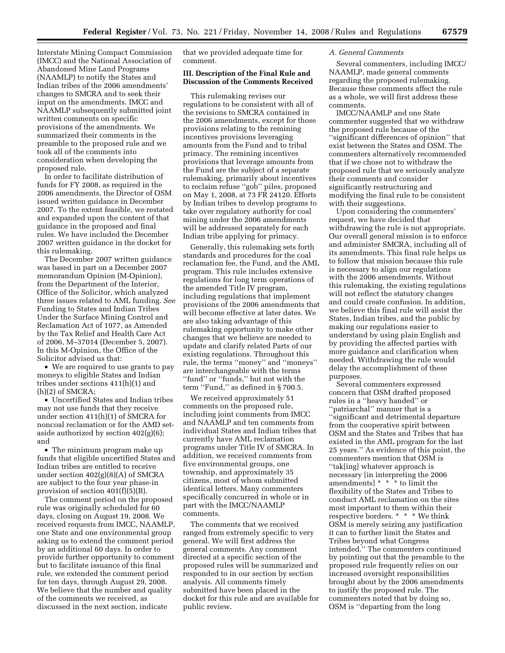Interstate Mining Compact Commission (IMCC) and the National Association of Abandoned Mine Land Programs (NAAMLP) to notify the States and Indian tribes of the 2006 amendments' changes to SMCRA and to seek their input on the amendments. IMCC and NAAMLP subsequently submitted joint written comments on specific provisions of the amendments. We summarized their comments in the preamble to the proposed rule and we took all of the comments into consideration when developing the proposed rule.

In order to facilitate distribution of funds for FY 2008, as required in the 2006 amendments, the Director of OSM issued written guidance in December 2007. To the extent feasible, we restated and expanded upon the content of that guidance in the proposed and final rules. We have included the December 2007 written guidance in the docket for this rulemaking.

The December 2007 written guidance was based in part on a December 2007 memorandum Opinion (M-Opinion), from the Department of the Interior, Office of the Solicitor, which analyzed three issues related to AML funding. *See*  Funding to States and Indian Tribes Under the Surface Mining Control and Reclamation Act of 1977, as Amended by the Tax Relief and Health Care Act of 2006, M–37014 (December 5, 2007). In this M-Opinion, the Office of the Solicitor advised us that:

• We are required to use grants to pay moneys to eligible States and Indian tribes under sections 411(h)(1) and (h)(2) of SMCRA;

• Uncertified States and Indian tribes may not use funds that they receive under section 411(h)(1) of SMCRA for noncoal reclamation or for the AMD setaside authorized by section 402(g)(6); and

• The minimum program make up funds that eligible uncertified States and Indian tribes are entitled to receive under section 402(g)(8)(A) of SMCRA are subject to the four year phase-in provision of section 401(f)(5)(B).

The comment period on the proposed rule was originally scheduled for 60 days, closing on August 19, 2008. We received requests from IMCC, NAAMLP, one State and one environmental group asking us to extend the comment period by an additional 60 days. In order to provide further opportunity to comment but to facilitate issuance of this final rule, we extended the comment period for ten days, through August 29, 2008. We believe that the number and quality of the comments we received, as discussed in the next section, indicate

that we provided adequate time for comment.

# **III. Description of the Final Rule and Discussion of the Comments Received**

This rulemaking revises our regulations to be consistent with all of the revisions to SMCRA contained in the 2006 amendments, except for those provisions relating to the remining incentives provisions leveraging amounts from the Fund and to tribal primacy. The remining incentives provisions that leverage amounts from the Fund are the subject of a separate rulemaking, primarily about incentives to reclaim refuse ''gob'' piles, proposed on May 1, 2008, at 73 FR 24120. Efforts by Indian tribes to develop programs to take over regulatory authority for coal mining under the 2006 amendments will be addressed separately for each Indian tribe applying for primacy.

Generally, this rulemaking sets forth standards and procedures for the coal reclamation fee, the Fund, and the AML program. This rule includes extensive regulations for long term operations of the amended Title IV program, including regulations that implement provisions of the 2006 amendments that will become effective at later dates. We are also taking advantage of this rulemaking opportunity to make other changes that we believe are needed to update and clarify related Parts of our existing regulations. Throughout this rule, the terms ''money'' and ''moneys'' are interchangeable with the terms ''fund'' or ''funds,'' but not with the term ''Fund,'' as defined in § 700.5.

We received approximately 51 comments on the proposed rule, including joint comments from IMCC and NAAMLP and ten comments from individual States and Indian tribes that currently have AML reclamation programs under Title IV of SMCRA. In addition, we received comments from five environmental groups, one township, and approximately 35 citizens, most of whom submitted identical letters. Many commenters specifically concurred in whole or in part with the IMCC/NAAMLP comments.

The comments that we received ranged from extremely specific to very general. We will first address the general comments. Any comment directed at a specific section of the proposed rules will be summarized and responded to in our section by section analysis. All comments timely submitted have been placed in the docket for this rule and are available for public review.

# *A. General Comments*

Several commenters, including IMCC/ NAAMLP, made general comments regarding the proposed rulemaking. Because these comments affect the rule as a whole, we will first address these comments.

IMCC/NAAMLP and one State commenter suggested that we withdraw the proposed rule because of the ''significant differences of opinion'' that exist between the States and OSM. The commenters alternatively recommended that if we chose not to withdraw the proposed rule that we seriously analyze their comments and consider significantly restructuring and modifying the final rule to be consistent with their suggestions.

Upon considering the commenters' request, we have decided that withdrawing the rule is not appropriate. Our overall general mission is to enforce and administer SMCRA, including all of its amendments. This final rule helps us to follow that mission because this rule is necessary to align our regulations with the 2006 amendments. Without this rulemaking, the existing regulations will not reflect the statutory changes and could create confusion. In addition, we believe this final rule will assist the States, Indian tribes, and the public by making our regulations easier to understand by using plain English and by providing the affected parties with more guidance and clarification when needed. Withdrawing the rule would delay the accomplishment of these purposes.

Several commenters expressed concern that OSM drafted proposed rules in a ''heavy handed'' or ''patriarchal'' manner that is a ''significant and detrimental departure from the cooperative spirit between OSM and the States and Tribes that has existed in the AML program for the last 25 years.'' As evidence of this point, the commenters mention that OSM is ''tak[ing] whatever approach is necessary [in interpreting the 2006 amendments] \* \* \* to limit the flexibility of the States and Tribes to conduct AML reclamation on the sites most important to them within their respective borders. \* \* \* We think OSM is merely seizing any justification it can to further limit the States and Tribes beyond what Congress intended.'' The commenters continued by pointing out that the preamble to the proposed rule frequently relies on our increased oversight responsibilities brought about by the 2006 amendments to justify the proposed rule. The commenters noted that by doing so, OSM is ''departing from the long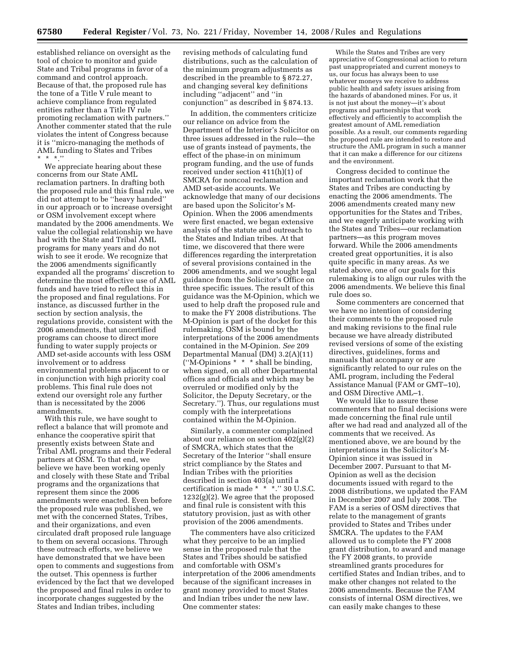established reliance on oversight as the tool of choice to monitor and guide State and Tribal programs in favor of a command and control approach. Because of that, the proposed rule has the tone of a Title V rule meant to achieve compliance from regulated entities rather than a Title IV rule promoting reclamation with partners.'' Another commenter stated that the rule violates the intent of Congress because it is ''micro-managing the methods of AML funding to States and Tribes \* \* \*.''

We appreciate hearing about these concerns from our State AML reclamation partners. In drafting both the proposed rule and this final rule, we did not attempt to be ''heavy handed'' in our approach or to increase oversight or OSM involvement except where mandated by the 2006 amendments. We value the collegial relationship we have had with the State and Tribal AML programs for many years and do not wish to see it erode. We recognize that the 2006 amendments significantly expanded all the programs' discretion to determine the most effective use of AML funds and have tried to reflect this in the proposed and final regulations. For instance, as discussed further in the section by section analysis, the regulations provide, consistent with the 2006 amendments, that uncertified programs can choose to direct more funding to water supply projects or AMD set-aside accounts with less OSM involvement or to address environmental problems adjacent to or in conjunction with high priority coal problems. This final rule does not extend our oversight role any further than is necessitated by the 2006 amendments.

With this rule, we have sought to reflect a balance that will promote and enhance the cooperative spirit that presently exists between State and Tribal AML programs and their Federal partners at OSM. To that end, we believe we have been working openly and closely with these State and Tribal programs and the organizations that represent them since the 2006 amendments were enacted. Even before the proposed rule was published, we met with the concerned States, Tribes, and their organizations, and even circulated draft proposed rule language to them on several occasions. Through these outreach efforts, we believe we have demonstrated that we have been open to comments and suggestions from the outset. This openness is further evidenced by the fact that we developed the proposed and final rules in order to incorporate changes suggested by the States and Indian tribes, including

revising methods of calculating fund distributions, such as the calculation of the minimum program adjustments as described in the preamble to § 872.27, and changing several key definitions including ''adjacent'' and ''in conjunction'' as described in § 874.13.

In addition, the commenters criticize our reliance on advice from the Department of the Interior's Solicitor on three issues addressed in the rule—the use of grants instead of payments, the effect of the phase-in on minimum program funding, and the use of funds received under section 411(h)(1) of SMCRA for noncoal reclamation and AMD set-aside accounts. We acknowledge that many of our decisions are based upon the Solicitor's M-Opinion. When the 2006 amendments were first enacted, we began extensive analysis of the statute and outreach to the States and Indian tribes. At that time, we discovered that there were differences regarding the interpretation of several provisions contained in the 2006 amendments, and we sought legal guidance from the Solicitor's Office on three specific issues. The result of this guidance was the M-Opinion, which we used to help draft the proposed rule and to make the FY 2008 distributions. The M-Opinion is part of the docket for this rulemaking. OSM is bound by the interpretations of the 2006 amendments contained in the M-Opinion. *See* 209 Departmental Manual (DM) 3.2(A)(11) (''M-Opinions \* \* \* shall be binding, when signed, on all other Departmental offices and officials and which may be overruled or modified only by the Solicitor, the Deputy Secretary, or the Secretary.''). Thus, our regulations must comply with the interpretations contained within the M-Opinion.

Similarly, a commenter complained about our reliance on section 402(g)(2) of SMCRA, which states that the Secretary of the Interior ''shall ensure strict compliance by the States and Indian Tribes with the priorities described in section 403(a) until a certification is made \* \* \*.'' 30 U.S.C. 1232(g)(2). We agree that the proposed and final rule is consistent with this statutory provision, just as with other provision of the 2006 amendments.

The commenters have also criticized what they perceive to be an implied sense in the proposed rule that the States and Tribes should be satisfied and comfortable with OSM's interpretation of the 2006 amendments because of the significant increases in grant money provided to most States and Indian tribes under the new law. One commenter states:

While the States and Tribes are very appreciative of Congressional action to return past unappropriated and current moneys to us, our focus has always been to use whatever moneys we receive to address public health and safety issues arising from the hazards of abandoned mines. For us, it is not just about the money—it's about programs and partnerships that work effectively and efficiently to accomplish the greatest amount of AML remediation possible. As a result, our comments regarding the proposed rule are intended to restore and structure the AML program in such a manner that it can make a difference for our citizens and the environment.

Congress decided to continue the important reclamation work that the States and Tribes are conducting by enacting the 2006 amendments. The 2006 amendments created many new opportunities for the States and Tribes, and we eagerly anticipate working with the States and Tribes—our reclamation partners—as this program moves forward. While the 2006 amendments created great opportunities, it is also quite specific in many areas. As we stated above, one of our goals for this rulemaking is to align our rules with the 2006 amendments. We believe this final rule does so.

Some commenters are concerned that we have no intention of considering their comments to the proposed rule and making revisions to the final rule because we have already distributed revised versions of some of the existing directives, guidelines, forms and manuals that accompany or are significantly related to our rules on the AML program, including the Federal Assistance Manual (FAM or GMT–10), and OSM Directive AML–1.

We would like to assure these commenters that no final decisions were made concerning the final rule until after we had read and analyzed all of the comments that we received. As mentioned above, we are bound by the interpretations in the Solicitor's M-Opinion since it was issued in December 2007. Pursuant to that M-Opinion as well as the decision documents issued with regard to the 2008 distributions, we updated the FAM in December 2007 and July 2008. The FAM is a series of OSM directives that relate to the management of grants provided to States and Tribes under SMCRA. The updates to the FAM allowed us to complete the FY 2008 grant distribution, to award and manage the FY 2008 grants, to provide streamlined grants procedures for certified States and Indian tribes, and to make other changes not related to the 2006 amendments. Because the FAM consists of internal OSM directives, we can easily make changes to these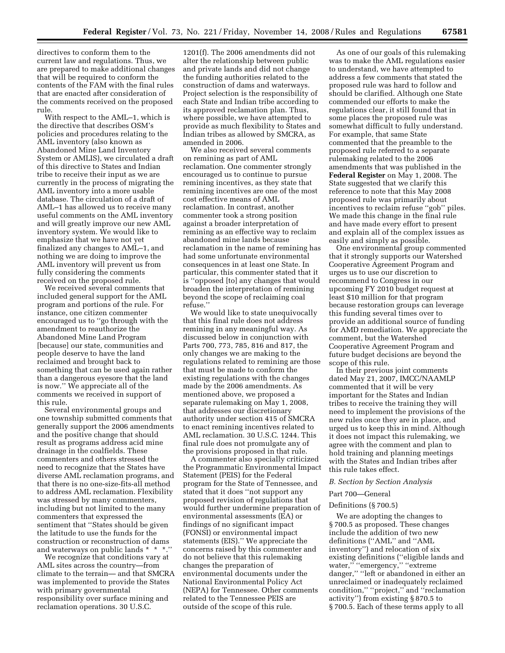directives to conform them to the current law and regulations. Thus, we are prepared to make additional changes that will be required to conform the contents of the FAM with the final rules that are enacted after consideration of the comments received on the proposed rule.

With respect to the AML–1, which is the directive that describes OSM's policies and procedures relating to the AML inventory (also known as Abandoned Mine Land Inventory System or AMLIS), we circulated a draft of this directive to States and Indian tribe to receive their input as we are currently in the process of migrating the AML inventory into a more usable database. The circulation of a draft of AML–1 has allowed us to receive many useful comments on the AML inventory and will greatly improve our new AML inventory system. We would like to emphasize that we have not yet finalized any changes to AML–1, and nothing we are doing to improve the AML inventory will prevent us from fully considering the comments received on the proposed rule.

We received several comments that included general support for the AML program and portions of the rule. For instance, one citizen commenter encouraged us to ''go through with the amendment to reauthorize the Abandoned Mine Land Program [because] our state, communities and people deserve to have the land reclaimed and brought back to something that can be used again rather than a dangerous eyesore that the land is now.'' We appreciate all of the comments we received in support of this rule.

Several environmental groups and one township submitted comments that generally support the 2006 amendments and the positive change that should result as programs address acid mine drainage in the coalfields. These commenters and others stressed the need to recognize that the States have diverse AML reclamation programs, and that there is no one-size-fits-all method to address AML reclamation. Flexibility was stressed by many commenters, including but not limited to the many commenters that expressed the sentiment that ''States should be given the latitude to use the funds for the construction or reconstruction of dams and waterways on public lands \* \* \*.''

We recognize that conditions vary at AML sites across the country—from climate to the terrain— and that SMCRA was implemented to provide the States with primary governmental responsibility over surface mining and reclamation operations. 30 U.S.C.

1201(f). The 2006 amendments did not alter the relationship between public and private lands and did not change the funding authorities related to the construction of dams and waterways. Project selection is the responsibility of each State and Indian tribe according to its approved reclamation plan. Thus, where possible, we have attempted to provide as much flexibility to States and Indian tribes as allowed by SMCRA, as amended in 2006.

We also received several comments on remining as part of AML reclamation. One commenter strongly encouraged us to continue to pursue remining incentives, as they state that remining incentives are one of the most cost effective means of AML reclamation. In contrast, another commenter took a strong position against a broader interpretation of remining as an effective way to reclaim abandoned mine lands because reclamation in the name of remining has had some unfortunate environmental consequences in at least one State. In particular, this commenter stated that it is ''opposed [to] any changes that would broaden the interpretation of remining beyond the scope of reclaiming coal refuse.''

We would like to state unequivocally that this final rule does not address remining in any meaningful way. As discussed below in conjunction with Parts 700, 773, 785, 816 and 817, the only changes we are making to the regulations related to remining are those that must be made to conform the existing regulations with the changes made by the 2006 amendments. As mentioned above, we proposed a separate rulemaking on May 1, 2008, that addresses our discretionary authority under section 415 of SMCRA to enact remining incentives related to AML reclamation. 30 U.S.C. 1244. This final rule does not promulgate any of the provisions proposed in that rule.

A commenter also specially criticized the Programmatic Environmental Impact Statement (PEIS) for the Federal program for the State of Tennessee, and stated that it does ''not support any proposed revision of regulations that would further undermine preparation of environmental assessments (EA) or findings of no significant impact (FONSI) or environmental impact statements (EIS).'' We appreciate the concerns raised by this commenter and do not believe that this rulemaking changes the preparation of environmental documents under the National Environmental Policy Act (NEPA) for Tennessee. Other comments related to the Tennessee PEIS are outside of the scope of this rule.

As one of our goals of this rulemaking was to make the AML regulations easier to understand, we have attempted to address a few comments that stated the proposed rule was hard to follow and should be clarified. Although one State commended our efforts to make the regulations clear, it still found that in some places the proposed rule was somewhat difficult to fully understand. For example, that same State commented that the preamble to the proposed rule referred to a separate rulemaking related to the 2006 amendments that was published in the **Federal Register** on May 1, 2008. The State suggested that we clarify this reference to note that this May 2008 proposed rule was primarily about incentives to reclaim refuse ''gob'' piles. We made this change in the final rule and have made every effort to present and explain all of the complex issues as easily and simply as possible.

One environmental group commented that it strongly supports our Watershed Cooperative Agreement Program and urges us to use our discretion to recommend to Congress in our upcoming FY 2010 budget request at least \$10 million for that program because restoration groups can leverage this funding several times over to provide an additional source of funding for AMD remediation. We appreciate the comment, but the Watershed Cooperative Agreement Program and future budget decisions are beyond the scope of this rule.

In their previous joint comments dated May 21, 2007, IMCC/NAAMLP commented that it will be very important for the States and Indian tribes to receive the training they will need to implement the provisions of the new rules once they are in place, and urged us to keep this in mind. Although it does not impact this rulemaking, we agree with the comment and plan to hold training and planning meetings with the States and Indian tribes after this rule takes effect.

#### *B. Section by Section Analysis*

#### Part 700—General

# Definitions (§ 700.5)

We are adopting the changes to § 700.5 as proposed. These changes include the addition of two new definitions (''AML'' and ''AML inventory'') and relocation of six existing definitions (''eligible lands and water,'' ''emergency,'' ''extreme danger,'' ''left or abandoned in either an unreclaimed or inadequately reclaimed condition,'' ''project,'' and ''reclamation activity'') from existing § 870.5 to § 700.5. Each of these terms apply to all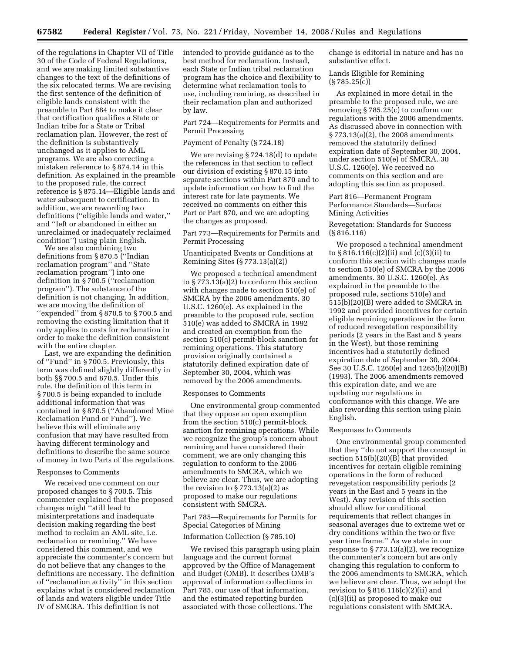of the regulations in Chapter VII of Title 30 of the Code of Federal Regulations, and we are making limited substantive changes to the text of the definitions of the six relocated terms. We are revising the first sentence of the definition of eligible lands consistent with the preamble to Part 884 to make it clear that certification qualifies a State or Indian tribe for a State or Tribal reclamation plan. However, the rest of the definition is substantively unchanged as it applies to AML programs. We are also correcting a mistaken reference to § 874.14 in this definition. As explained in the preamble to the proposed rule, the correct reference is § 875.14—Eligible lands and water subsequent to certification. In addition, we are rewording two definitions (''eligible lands and water,'' and ''left or abandoned in either an unreclaimed or inadequately reclaimed condition'') using plain English.

We are also combining two definitions from § 870.5 (''Indian reclamation program'' and ''State reclamation program'') into one definition in § 700.5 (''reclamation program''). The substance of the definition is not changing. In addition, we are moving the definition of "expended" from § 870.5 to § 700.5 and removing the existing limitation that it only applies to costs for reclamation in order to make the definition consistent with the entire chapter.

Last, we are expanding the definition of ''Fund'' in § 700.5. Previously, this term was defined slightly differently in both §§ 700.5 and 870.5. Under this rule, the definition of this term in § 700.5 is being expanded to include additional information that was contained in § 870.5 (''Abandoned Mine Reclamation Fund or Fund''). We believe this will eliminate any confusion that may have resulted from having different terminology and definitions to describe the same source of money in two Parts of the regulations.

#### Responses to Comments

We received one comment on our proposed changes to § 700.5. This commenter explained that the proposed changes might ''still lead to misinterpretations and inadequate decision making regarding the best method to reclaim an AML site, i.e. reclamation or remining.'' We have considered this comment, and we appreciate the commenter's concern but do not believe that any changes to the definitions are necessary. The definition of ''reclamation activity'' in this section explains what is considered reclamation of lands and waters eligible under Title IV of SMCRA. This definition is not

intended to provide guidance as to the best method for reclamation. Instead, each State or Indian tribal reclamation program has the choice and flexibility to determine what reclamation tools to use, including remining, as described in their reclamation plan and authorized by law.

Part 724—Requirements for Permits and Permit Processing

#### Payment of Penalty (§ 724.18)

We are revising § 724.18(d) to update the references in that section to reflect our division of existing § 870.15 into separate sections within Part 870 and to update information on how to find the interest rate for late payments. We received no comments on either this Part or Part 870, and we are adopting the changes as proposed.

Part 773—Requirements for Permits and Permit Processing

# Unanticipated Events or Conditions at Remining Sites (§ 773.13(a)(2))

We proposed a technical amendment to § 773.13(a)(2) to conform this section with changes made to section 510(e) of SMCRA by the 2006 amendments. 30 U.S.C. 1260(e). As explained in the preamble to the proposed rule, section 510(e) was added to SMCRA in 1992 and created an exemption from the section 510(c) permit-block sanction for remining operations. This statutory provision originally contained a statutorily defined expiration date of September 30, 2004, which was removed by the 2006 amendments.

# Responses to Comments

One environmental group commented that they oppose an open exemption from the section 510(c) permit-block sanction for remining operations. While we recognize the group's concern about remining and have considered their comment, we are only changing this regulation to conform to the 2006 amendments to SMCRA, which we believe are clear. Thus, we are adopting the revision to  $\S 773.13(a)(2)$  as proposed to make our regulations consistent with SMCRA.

# Part 785—Requirements for Permits for Special Categories of Mining

#### Information Collection (§ 785.10)

We revised this paragraph using plain language and the current format approved by the Office of Management and Budget (OMB). It describes OMB's approval of information collections in Part 785, our use of that information, and the estimated reporting burden associated with those collections. The

change is editorial in nature and has no substantive effect.

Lands Eligible for Remining (§ 785.25(c))

As explained in more detail in the preamble to the proposed rule, we are removing § 785.25(c) to conform our regulations with the 2006 amendments. As discussed above in connection with § 773.13(a)(2), the 2008 amendments removed the statutorily defined expiration date of September 30, 2004, under section 510(e) of SMCRA. 30 U.S.C. 1260(e). We received no comments on this section and are adopting this section as proposed.

# Part 816—Permanent Program Performance Standards—Surface Mining Activities

Revegetation: Standards for Success (§ 816.116)

We proposed a technical amendment to § 816.116(c)(2)(ii) and (c)(3)(ii) to conform this section with changes made to section 510(e) of SMCRA by the 2006 amendments. 30 U.S.C. 1260(e). As explained in the preamble to the proposed rule, sections 510(e) and 515(b)(20)(B) were added to SMCRA in 1992 and provided incentives for certain eligible remining operations in the form of reduced revegetation responsibility periods (2 years in the East and 5 years in the West), but those remining incentives had a statutorily defined expiration date of September 30, 2004. See 30 U.S.C. 1260(e) and 1265(b)(20)(B) (1993). The 2006 amendments removed this expiration date, and we are updating our regulations in conformance with this change. We are also rewording this section using plain English.

#### Responses to Comments

One environmental group commented that they ''do not support the concept in section 515(b)(20)(B) that provided incentives for certain eligible remining operations in the form of reduced revegetation responsibility periods (2 years in the East and 5 years in the West). Any revision of this section should allow for conditional requirements that reflect changes in seasonal averages due to extreme wet or dry conditions within the two or five year time frame.'' As we state in our response to  $\S 773.13(a)(2)$ , we recognize the commenter's concern but are only changing this regulation to conform to the 2006 amendments to SMCRA, which we believe are clear. Thus, we adopt the revision to  $\S 816.116(c)(2)(ii)$  and (c)(3)(ii) as proposed to make our regulations consistent with SMCRA.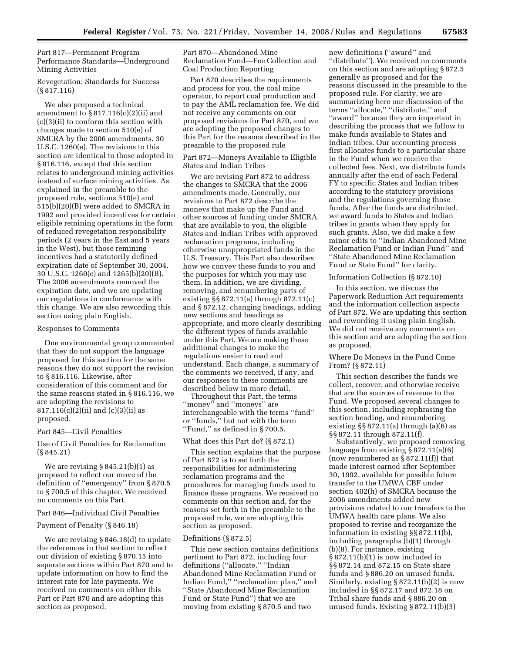Part 817—Permanent Program Performance Standards—Underground Mining Activities

# Revegetation: Standards for Success (§ 817.116)

We also proposed a technical amendment to  $\S 817.116(c)(2)(ii)$  and (c)(3)(ii) to conform this section with changes made to section 510(e) of SMCRA by the 2006 amendments. 30 U.S.C. 1260(e). The revisions to this section are identical to those adopted in § 816.116, except that this section relates to underground mining activities instead of surface mining activities. As explained in the preamble to the proposed rule, sections 510(e) and 515(b)(20)(B) were added to SMCRA in 1992 and provided incentives for certain eligible remining operations in the form of reduced revegetation responsibility periods (2 years in the East and 5 years in the West), but those remining incentives had a statutorily defined expiration date of September 30, 2004. 30 U.S.C. 1260(e) and 1265(b)(20)(B). The 2006 amendments removed the expiration date, and we are updating our regulations in conformance with this change. We are also rewording this section using plain English.

#### Responses to Comments

One environmental group commented that they do not support the language proposed for this section for the same reasons they do not support the revision to § 816.116. Likewise, after consideration of this comment and for the same reasons stated in § 816.116, we are adopting the revisions to 817.116(c)(2)(ii) and (c)(3)(ii) as proposed.

# Part 845—Civil Penalties

Use of Civil Penalties for Reclamation (§ 845.21)

We are revising  $§ 845.21(b)(1)$  as proposed to reflect our move of the definition of ''emergency'' from § 870.5 to § 700.5 of this chapter. We received no comments on this Part.

#### Part 846—Individual Civil Penalties

# Payment of Penalty (§ 846.18)

We are revising § 846.18(d) to update the references in that section to reflect our division of existing § 870.15 into separate sections within Part 870 and to update information on how to find the interest rate for late payments. We received no comments on either this Part or Part 870 and are adopting this section as proposed.

Part 870—Abandoned Mine Reclamation Fund—Fee Collection and Coal Production Reporting

Part 870 describes the requirements and process for you, the coal mine operator, to report coal production and to pay the AML reclamation fee. We did not receive any comments on our proposed revisions for Part 870, and we are adopting the proposed changes to this Part for the reasons described in the preamble to the proposed rule

Part 872—Moneys Available to Eligible States and Indian Tribes

We are revising Part 872 to address the changes to SMCRA that the 2006 amendments made. Generally, our revisions to Part 872 describe the moneys that make up the Fund and other sources of funding under SMCRA that are available to you, the eligible States and Indian Tribes with approved reclamation programs, including otherwise unappropriated funds in the U.S. Treasury. This Part also describes how we convey these funds to you and the purposes for which you may use them. In addition, we are dividing, removing, and renumbering parts of existing §§ 872.11(a) through 872.11(c) and § 872.12, changing headings, adding new sections and headings as appropriate, and more clearly describing the different types of funds available under this Part. We are making these additional changes to make the regulations easier to read and understand. Each change, a summary of the comments we received, if any, and our responses to these comments are described below in more detail.

Throughout this Part, the terms ''money'' and ''moneys'' are interchangeable with the terms ''fund'' or ''funds,'' but not with the term ''Fund,'' as defined in § 700.5.

#### What does this Part do? (§ 872.1)

This section explains that the purpose of Part 872 is to set forth the responsibilities for administering reclamation programs and the procedures for managing funds used to finance these programs. We received no comments on this section and, for the reasons set forth in the preamble to the proposed rule, we are adopting this section as proposed.

#### Definitions (§ 872.5)

This new section contains definitions pertinent to Part 872, including four definitions (''allocate,'' ''Indian Abandoned Mine Reclamation Fund or Indian Fund,'' ''reclamation plan,'' and ''State Abandoned Mine Reclamation Fund or State Fund'') that we are moving from existing § 870.5 and two

new definitions (''award'' and ''distribute''). We received no comments on this section and are adopting § 872.5 generally as proposed and for the reasons discussed in the preamble to the proposed rule. For clarity, we are summarizing here our discussion of the terms ''allocate,'' ''distribute,'' and ''award'' because they are important in describing the process that we follow to make funds available to States and Indian tribes. Our accounting process first allocates funds to a particular share in the Fund when we receive the collected fees. Next, we distribute funds annually after the end of each Federal FY to specific States and Indian tribes according to the statutory provisions and the regulations governing those funds. After the funds are distributed, we award funds to States and Indian tribes in grants when they apply for such grants. Also, we did make a few minor edits to ''Indian Abandoned Mine Reclamation Fund or Indian Fund'' and ''State Abandoned Mine Reclamation Fund or State Fund'' for clarity.

# Information Collection (§ 872.10)

In this section, we discuss the Paperwork Reduction Act requirements and the information collection aspects of Part 872. We are updating this section and rewording it using plain English. We did not receive any comments on this section and are adopting the section as proposed.

# Where Do Moneys in the Fund Come From? (§ 872.11)

This section describes the funds we collect, recover, and otherwise receive that are the sources of revenue to the Fund. We proposed several changes to this section, including rephrasing the section heading, and renumbering existing  $\S$  872.11(a) through (a)(6) as §§ 872.11 through 872.11(f).

Substantively, we proposed removing language from existing § 872.11(a)(6) (now renumbered as § 872.11(f)) that made interest earned after September 30, 1992, available for possible future transfer to the UMWA CBF under section 402(h) of SMCRA because the 2006 amendments added new provisions related to our transfers to the UMWA health care plans. We also proposed to revise and reorganize the information in existing §§ 872.11(b), including paragraphs (b)(1) through (b)(8). For instance, existing § 872.11(b)(1) is now included in §§ 872.14 and 872.15 on State share funds and § 886.20 on unused funds. Similarly, existing § 872.11(b)(2) is now included in §§ 872.17 and 872.18 on Tribal share funds and § 886.20 on unused funds. Existing § 872.11(b)(3)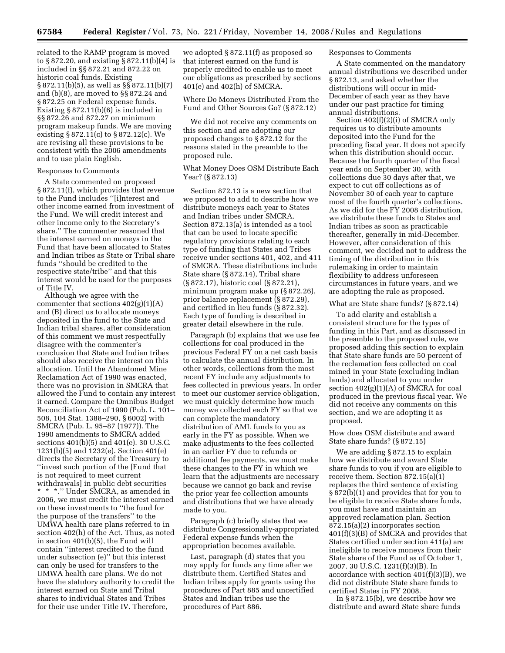related to the RAMP program is moved to § 872.20, and existing § 872.11(b)(4) is included in §§ 872.21 and 872.22 on historic coal funds. Existing § 872.11(b)(5), as well as §§ 872.11(b)(7) and (b)(8), are moved to §§ 872.24 and § 872.25 on Federal expense funds. Existing § 872.11(b)(6) is included in §§ 872.26 and 872.27 on minimum program makeup funds. We are moving existing § 872.11(c) to § 872.12(c). We are revising all these provisions to be consistent with the 2006 amendments and to use plain English.

# Responses to Comments

A State commented on proposed § 872.11(f), which provides that revenue to the Fund includes ''[i]nterest and other income earned from investment of the Fund. We will credit interest and other income only to the Secretary's share.'' The commenter reasoned that the interest earned on moneys in the Fund that have been allocated to States and Indian tribes as State or Tribal share funds ''should be credited to the respective state/tribe'' and that this interest would be used for the purposes of Title IV.

Although we agree with the commenter that sections  $402(g)(1)(A)$ and (B) direct us to allocate moneys deposited in the fund to the State and Indian tribal shares, after consideration of this comment we must respectfully disagree with the commenter's conclusion that State and Indian tribes should also receive the interest on this allocation. Until the Abandoned Mine Reclamation Act of 1990 was enacted, there was no provision in SMCRA that allowed the Fund to contain any interest it earned. Compare the Omnibus Budget Reconciliation Act of 1990 (Pub. L. 101– 508, 104 Stat. 1388–290, § 6002) with SMCRA (Pub. L. 95–87 (1977)). The 1990 amendments to SMCRA added sections 401(b)(5) and 401(e). 30 U.S.C. 1231(b)(5) and 1232(e). Section 401(e) directs the Secretary of the Treasury to ''invest such portion of the [Fund that is not required to meet current withdrawals] in public debt securities \* \* \*.'' Under SMCRA, as amended in 2006, we must credit the interest earned on these investments to ''the fund for the purpose of the transfers'' to the UMWA health care plans referred to in section 402(h) of the Act. Thus, as noted in section 401(b)(5), the Fund will contain ''interest credited to the fund under subsection (e)'' but this interest can only be used for transfers to the UMWA health care plans. We do not have the statutory authority to credit the interest earned on State and Tribal shares to individual States and Tribes for their use under Title IV. Therefore,

we adopted § 872.11(f) as proposed so that interest earned on the fund is properly credited to enable us to meet our obligations as prescribed by sections 401(e) and 402(h) of SMCRA.

Where Do Moneys Distributed From the Fund and Other Sources Go? (§ 872.12)

We did not receive any comments on this section and are adopting our proposed changes to § 872.12 for the reasons stated in the preamble to the proposed rule.

What Money Does OSM Distribute Each Year? (§ 872.13)

Section 872.13 is a new section that we proposed to add to describe how we distribute moneys each year to States and Indian tribes under SMCRA. Section 872.13(a) is intended as a tool that can be used to locate specific regulatory provisions relating to each type of funding that States and Tribes receive under sections 401, 402, and 411 of SMCRA. These distributions include State share (§ 872.14), Tribal share (§ 872.17), historic coal (§ 872.21), minimum program make up (§ 872.26), prior balance replacement (§ 872.29), and certified in lieu funds (§ 872.32). Each type of funding is described in greater detail elsewhere in the rule.

Paragraph (b) explains that we use fee collections for coal produced in the previous Federal FY on a net cash basis to calculate the annual distribution. In other words, collections from the most recent FY include any adjustments to fees collected in previous years. In order to meet our customer service obligation, we must quickly determine how much money we collected each FY so that we can complete the mandatory distribution of AML funds to you as early in the FY as possible. When we make adjustments to the fees collected in an earlier FY due to refunds or additional fee payments, we must make these changes to the FY in which we learn that the adjustments are necessary because we cannot go back and revise the prior year fee collection amounts and distributions that we have already made to you.

Paragraph (c) briefly states that we distribute Congressionally-appropriated Federal expense funds when the appropriation becomes available.

Last, paragraph (d) states that you may apply for funds any time after we distribute them. Certified States and Indian tribes apply for grants using the procedures of Part 885 and uncertified States and Indian tribes use the procedures of Part 886.

#### Responses to Comments

A State commented on the mandatory annual distributions we described under § 872.13, and asked whether the distributions will occur in mid-December of each year as they have under our past practice for timing annual distributions.

Section 402(f)(2)(i) of SMCRA only requires us to distribute amounts deposited into the Fund for the preceding fiscal year. It does not specify when this distribution should occur. Because the fourth quarter of the fiscal year ends on September 30, with collections due 30 days after that, we expect to cut off collections as of November 30 of each year to capture most of the fourth quarter's collections. As we did for the FY 2008 distribution, we distribute these funds to States and Indian tribes as soon as practicable thereafter, generally in mid-December. However, after consideration of this comment, we decided not to address the timing of the distribution in this rulemaking in order to maintain flexibility to address unforeseen circumstances in future years, and we are adopting the rule as proposed.

#### What are State share funds? (§ 872.14)

To add clarity and establish a consistent structure for the types of funding in this Part, and as discussed in the preamble to the proposed rule, we proposed adding this section to explain that State share funds are 50 percent of the reclamation fees collected on coal mined in your State (excluding Indian lands) and allocated to you under section 402(g)(1)(A) of SMCRA for coal produced in the previous fiscal year. We did not receive any comments on this section, and we are adopting it as proposed.

How does OSM distribute and award State share funds? (§ 872.15)

We are adding § 872.15 to explain how we distribute and award State share funds to you if you are eligible to receive them. Section  $872.15(a)\overline{(1)}$ replaces the third sentence of existing § 872(b)(1) and provides that for you to be eligible to receive State share funds, you must have and maintain an approved reclamation plan. Section 872.15(a)(2) incorporates section 401(f)(3)(B) of SMCRA and provides that States certified under section 411(a) are ineligible to receive moneys from their State share of the Fund as of October 1, 2007. 30 U.S.C. 1231(f)(3)(B). In accordance with section  $401(f)(3)(B)$ , we did not distribute State share funds to certified States in FY 2008.

In § 872.15(b), we describe how we distribute and award State share funds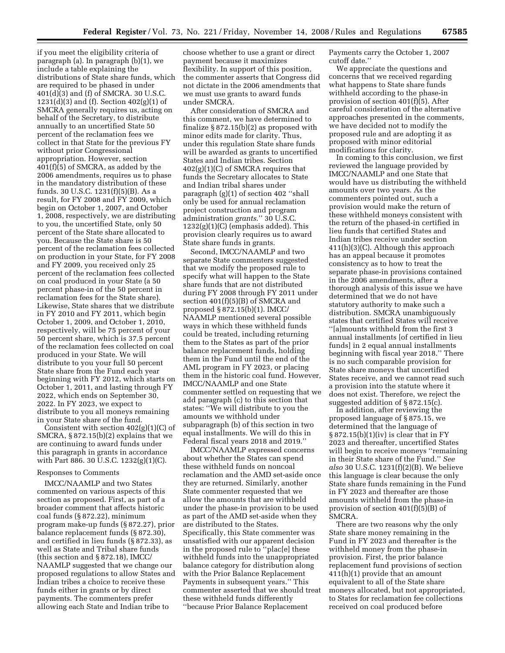if you meet the eligibility criteria of paragraph (a). In paragraph (b)(1), we include a table explaining the distributions of State share funds, which are required to be phased in under 401(d)(3) and (f) of SMCRA. 30 U.S.C.  $1231(d)(3)$  and (f). Section  $402(g)(1)$  of SMCRA generally requires us, acting on behalf of the Secretary, to distribute annually to an uncertified State 50 percent of the reclamation fees we collect in that State for the previous FY without prior Congressional appropriation. However, section 401(f)(5) of SMCRA, as added by the 2006 amendments, requires us to phase in the mandatory distribution of these funds. 30 U.S.C. 1231(f)(5)(B). As a result, for FY 2008 and FY 2009, which begin on October 1, 2007, and October 1, 2008, respectively, we are distributing to you, the uncertified State, only 50 percent of the State share allocated to you. Because the State share is 50 percent of the reclamation fees collected on production in your State, for FY 2008 and FY 2009, you received only 25 percent of the reclamation fees collected on coal produced in your State (a 50 percent phase-in of the 50 percent in reclamation fees for the State share). Likewise, State shares that we distribute in FY 2010 and FY 2011, which begin October 1, 2009, and October 1, 2010, respectively, will be 75 percent of your 50 percent share, which is 37.5 percent of the reclamation fees collected on coal produced in your State. We will distribute to you your full 50 percent State share from the Fund each year beginning with FY 2012, which starts on October 1, 2011, and lasting through FY 2022, which ends on September 30, 2022. In FY 2023, we expect to distribute to you all moneys remaining in your State share of the fund.

Consistent with section 402(g)(1)(C) of SMCRA, § 872.15(b)(2) explains that we are continuing to award funds under this paragraph in grants in accordance with Part 886. 30 U.S.C. 1232(g)(1)(C).

#### Responses to Comments

IMCC/NAAMLP and two States commented on various aspects of this section as proposed. First, as part of a broader comment that affects historic coal funds (§ 872.22), minimum program make-up funds (§ 872.27), prior balance replacement funds (§ 872.30), and certified in lieu funds (§ 872.33), as well as State and Tribal share funds (this section and § 872.18), IMCC/ NAAMLP suggested that we change our proposed regulations to allow States and Indian tribes a choice to receive these funds either in grants or by direct payments. The commenters prefer allowing each State and Indian tribe to

choose whether to use a grant or direct payment because it maximizes flexibility. In support of this position, the commenter asserts that Congress did not dictate in the 2006 amendments that we must use grants to award funds under SMCRA.

After consideration of SMCRA and this comment, we have determined to finalize § 872.15(b)(2) as proposed with minor edits made for clarity. Thus, under this regulation State share funds will be awarded as grants to uncertified States and Indian tribes. Section 402(g)(1)(C) of SMCRA requires that funds the Secretary allocates to State and Indian tribal shares under paragraph (g)(1) of section 402 ''shall only be used for annual reclamation project construction and program administration *grants*.'' 30 U.S.C.  $1232(g)(1)(C)$  (emphasis added). This provision clearly requires us to award State share funds in grants.

Second, IMCC/NAAMLP and two separate State commenters suggested that we modify the proposed rule to specify what will happen to the State share funds that are not distributed during FY 2008 through FY 2011 under section 401(f)(5)(B) of SMCRA and proposed § 872.15(b)(1). IMCC/ NAAMLP mentioned several possible ways in which these withheld funds could be treated, including returning them to the States as part of the prior balance replacement funds, holding them in the Fund until the end of the AML program in FY 2023, or placing them in the historic coal fund. However, IMCC/NAAMLP and one State commenter settled on requesting that we add paragraph (c) to this section that states: ''We will distribute to you the amounts we withhold under subparagraph (b) of this section in two equal installments. We will do this in Federal fiscal years 2018 and 2019.''

IMCC/NAAMLP expressed concerns about whether the States can spend these withheld funds on noncoal reclamation and the AMD set-aside once they are returned. Similarly, another State commenter requested that we allow the amounts that are withheld under the phase-in provision to be used as part of the AMD set-aside when they are distributed to the States. Specifically, this State commenter was unsatisfied with our apparent decision in the proposed rule to ''plac[e] these withheld funds into the unappropriated balance category for distribution along with the Prior Balance Replacement Payments in subsequent years.'' This commenter asserted that we should treat these withheld funds differently ''because Prior Balance Replacement

Payments carry the October 1, 2007 cutoff date.''

We appreciate the questions and concerns that we received regarding what happens to State share funds withheld according to the phase-in provision of section 401(f)(5). After careful consideration of the alternative approaches presented in the comments, we have decided not to modify the proposed rule and are adopting it as proposed with minor editorial modifications for clarity.

In coming to this conclusion, we first reviewed the language provided by IMCC/NAAMLP and one State that would have us distributing the withheld amounts over two years. As the commenters pointed out, such a provision would make the return of these withheld moneys consistent with the return of the phased-in certified in lieu funds that certified States and Indian tribes receive under section 411(h)(3)(C). Although this approach has an appeal because it promotes consistency as to how to treat the separate phase-in provisions contained in the 2006 amendments, after a thorough analysis of this issue we have determined that we do not have statutory authority to make such a distribution. SMCRA unambiguously states that certified States will receive ''[a]mounts withheld from the first 3 annual installments [of certified in lieu funds] in 2 equal annual installments beginning with fiscal year 2018.'' There is no such comparable provision for State share moneys that uncertified States receive, and we cannot read such a provision into the statute where it does not exist. Therefore, we reject the suggested addition of § 872.15(c).

In addition, after reviewing the proposed language of § 875.15, we determined that the language of § 872.15(b)(1)(iv) is clear that in FY 2023 and thereafter, uncertified States will begin to receive moneys ''remaining in their State share of the Fund.'' *See also* 30 U.S.C. 1231(f)(2)(B). We believe this language is clear because the only State share funds remaining in the Fund in FY 2023 and thereafter are those amounts withheld from the phase-in provision of section 401(f)(5)(B) of SMCRA.

There are two reasons why the only State share money remaining in the Fund in FY 2023 and thereafter is the withheld money from the phase-in provision. First, the prior balance replacement fund provisions of section 411(h)(1) provide that an amount equivalent to all of the State share moneys allocated, but not appropriated, to States for reclamation fee collections received on coal produced before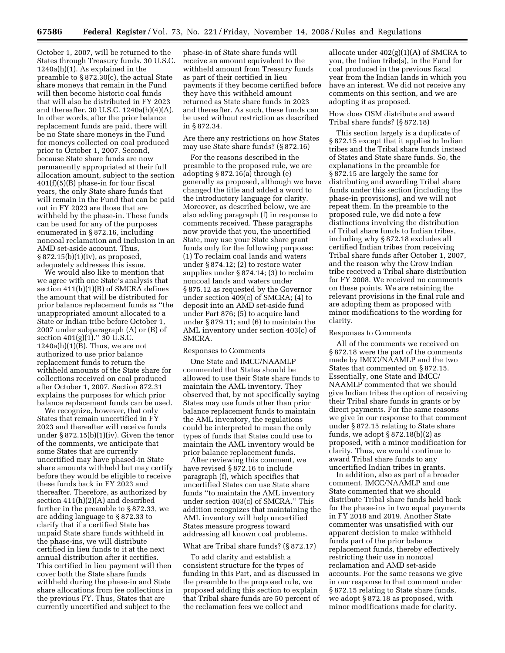October 1, 2007, will be returned to the States through Treasury funds. 30 U.S.C. 1240a(h)(1). As explained in the preamble to § 872.30(c), the actual State share moneys that remain in the Fund will then become historic coal funds that will also be distributed in FY 2023 and thereafter. 30 U.S.C. 1240a(h)(4)(A). In other words, after the prior balance replacement funds are paid, there will be no State share moneys in the Fund for moneys collected on coal produced prior to October 1, 2007. Second, because State share funds are now permanently appropriated at their full allocation amount, subject to the section 401(f)(5)(B) phase-in for four fiscal years, the only State share funds that will remain in the Fund that can be paid out in FY 2023 are those that are withheld by the phase-in. These funds can be used for any of the purposes enumerated in § 872.16, including noncoal reclamation and inclusion in an AMD set-aside account. Thus, § 872.15(b)(1)(iv), as proposed, adequately addresses this issue.

We would also like to mention that we agree with one State's analysis that section 411(h)(1)(B) of SMCRA defines the amount that will be distributed for prior balance replacement funds as ''the unappropriated amount allocated to a State or Indian tribe before October 1, 2007 under subparagraph (A) or (B) of section  $401(g)(1)$ ." 30 U.S.C.  $1240a(h)(1)(B)$ . Thus, we are not authorized to use prior balance replacement funds to return the withheld amounts of the State share for collections received on coal produced after October 1, 2007. Section 872.31 explains the purposes for which prior balance replacement funds can be used.

We recognize, however, that only States that remain uncertified in FY 2023 and thereafter will receive funds under § 872.15(b)(1)(iv). Given the tenor of the comments, we anticipate that some States that are currently uncertified may have phased-in State share amounts withheld but may certify before they would be eligible to receive these funds back in FY 2023 and thereafter. Therefore, as authorized by section 411(h)(2)(A) and described further in the preamble to § 872.33, we are adding language to § 872.33 to clarify that if a certified State has unpaid State share funds withheld in the phase-ins, we will distribute certified in lieu funds to it at the next annual distribution after it certifies. This certified in lieu payment will then cover both the State share funds withheld during the phase-in and State share allocations from fee collections in the previous FY. Thus, States that are currently uncertified and subject to the

phase-in of State share funds will receive an amount equivalent to the withheld amount from Treasury funds as part of their certified in lieu payments if they become certified before they have this withheld amount returned as State share funds in 2023 and thereafter. As such, these funds can be used without restriction as described in § 872.34.

Are there any restrictions on how States may use State share funds? (§ 872.16)

For the reasons described in the preamble to the proposed rule, we are adopting § 872.16(a) through (e) generally as proposed, although we have changed the title and added a word to the introductory language for clarity. Moreover, as described below, we are also adding paragraph (f) in response to comments received. These paragraphs now provide that you, the uncertified State, may use your State share grant funds only for the following purposes: (1) To reclaim coal lands and waters under § 874.12; (2) to restore water supplies under § 874.14; (3) to reclaim noncoal lands and waters under § 875.12 as requested by the Governor under section 409(c) of SMCRA; (4) to deposit into an AMD set-aside fund under Part 876; (5) to acquire land under § 879.11; and (6) to maintain the AML inventory under section 403(c) of SMCRA.

# Responses to Comments

One State and IMCC/NAAMLP commented that States should be allowed to use their State share funds to maintain the AML inventory. They observed that, by not specifically saying States may use funds other than prior balance replacement funds to maintain the AML inventory, the regulations could be interpreted to mean the only types of funds that States could use to maintain the AML inventory would be prior balance replacement funds.

After reviewing this comment, we have revised § 872.16 to include paragraph (f), which specifies that uncertified States can use State share funds ''to maintain the AML inventory under section 403(c) of SMCRA.'' This addition recognizes that maintaining the AML inventory will help uncertified States measure progress toward addressing all known coal problems.

# What are Tribal share funds? (§ 872.17)

To add clarity and establish a consistent structure for the types of funding in this Part, and as discussed in the preamble to the proposed rule, we proposed adding this section to explain that Tribal share funds are 50 percent of the reclamation fees we collect and

allocate under 402(g)(1)(A) of SMCRA to you, the Indian tribe(s), in the Fund for coal produced in the previous fiscal year from the Indian lands in which you have an interest. We did not receive any comments on this section, and we are adopting it as proposed.

# How does OSM distribute and award Tribal share funds? (§ 872.18)

This section largely is a duplicate of § 872.15 except that it applies to Indian tribes and the Tribal share funds instead of States and State share funds. So, the explanations in the preamble for § 872.15 are largely the same for distributing and awarding Tribal share funds under this section (including the phase-in provisions), and we will not repeat them. In the preamble to the proposed rule, we did note a few distinctions involving the distribution of Tribal share funds to Indian tribes, including why § 872.18 excludes all certified Indian tribes from receiving Tribal share funds after October 1, 2007, and the reason why the Crow Indian tribe received a Tribal share distribution for FY 2008. We received no comments on these points. We are retaining the relevant provisions in the final rule and are adopting them as proposed with minor modifications to the wording for clarity.

#### Responses to Comments

All of the comments we received on § 872.18 were the part of the comments made by IMCC/NAAMLP and the two States that commented on § 872.15. Essentially, one State and IMCC/ NAAMLP commented that we should give Indian tribes the option of receiving their Tribal share funds in grants or by direct payments. For the same reasons we give in our response to that comment under § 872.15 relating to State share funds, we adopt  $\S 872.18(b)(2)$  as proposed, with a minor modification for clarity. Thus, we would continue to award Tribal share funds to any uncertified Indian tribes in grants.

In addition, also as part of a broader comment, IMCC/NAAMLP and one State commented that we should distribute Tribal share funds held back for the phase-ins in two equal payments in FY 2018 and 2019. Another State commenter was unsatisfied with our apparent decision to make withheld funds part of the prior balance replacement funds, thereby effectively restricting their use in noncoal reclamation and AMD set-aside accounts. For the same reasons we give in our response to that comment under § 872.15 relating to State share funds, we adopt § 872.18 as proposed, with minor modifications made for clarity.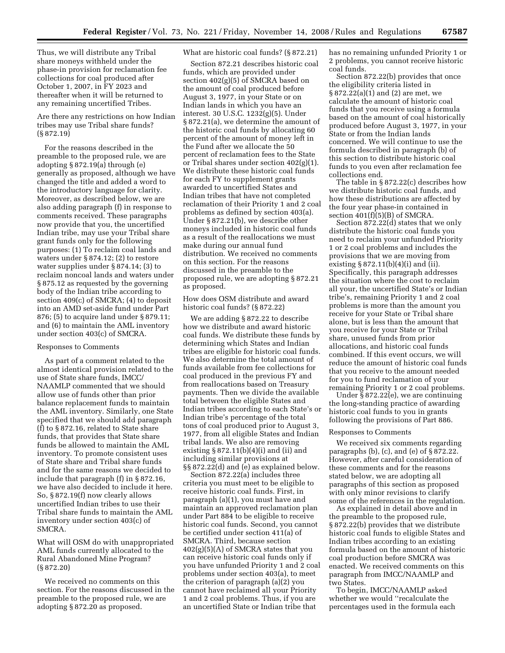Thus, we will distribute any Tribal share moneys withheld under the phase-in provision for reclamation fee collections for coal produced after October 1, 2007, in FY 2023 and thereafter when it will be returned to any remaining uncertified Tribes.

Are there any restrictions on how Indian tribes may use Tribal share funds? (§ 872.19)

For the reasons described in the preamble to the proposed rule, we are adopting § 872.19(a) through (e) generally as proposed, although we have changed the title and added a word to the introductory language for clarity. Moreover, as described below, we are also adding paragraph (f) in response to comments received. These paragraphs now provide that you, the uncertified Indian tribe, may use your Tribal share grant funds only for the following purposes: (1) To reclaim coal lands and waters under § 874.12; (2) to restore water supplies under § 874.14; (3) to reclaim noncoal lands and waters under § 875.12 as requested by the governing body of the Indian tribe according to section 409(c) of SMCRA; (4) to deposit into an AMD set-aside fund under Part 876; (5) to acquire land under § 879.11; and (6) to maintain the AML inventory under section 403(c) of SMCRA.

#### Responses to Comments

As part of a comment related to the almost identical provision related to the use of State share funds, IMCC/ NAAMLP commented that we should allow use of funds other than prior balance replacement funds to maintain the AML inventory. Similarly, one State specified that we should add paragraph (f) to § 872.16, related to State share funds, that provides that State share funds be allowed to maintain the AML inventory. To promote consistent uses of State share and Tribal share funds and for the same reasons we decided to include that paragraph (f) in § 872.16, we have also decided to include it here. So, § 872.19(f) now clearly allows uncertified Indian tribes to use their Tribal share funds to maintain the AML inventory under section 403(c) of SMCRA.

What will OSM do with unappropriated AML funds currently allocated to the Rural Abandoned Mine Program? (§ 872.20)

We received no comments on this section. For the reasons discussed in the preamble to the proposed rule, we are adopting § 872.20 as proposed.

# What are historic coal funds? (§ 872.21)

Section 872.21 describes historic coal funds, which are provided under section 402(g)(5) of SMCRA based on the amount of coal produced before August 3, 1977, in your State or on Indian lands in which you have an interest. 30 U.S.C. 1232(g)(5). Under § 872.21(a), we determine the amount of the historic coal funds by allocating 60 percent of the amount of money left in the Fund after we allocate the 50 percent of reclamation fees to the State or Tribal shares under section  $402(g)(1)$ . We distribute these historic coal funds for each FY to supplement grants awarded to uncertified States and Indian tribes that have not completed reclamation of their Priority 1 and 2 coal problems as defined by section 403(a). Under § 872.21(b), we describe other moneys included in historic coal funds as a result of the reallocations we must make during our annual fund distribution. We received no comments on this section. For the reasons discussed in the preamble to the proposed rule, we are adopting § 872.21 as proposed.

How does OSM distribute and award historic coal funds? (§ 872.22)

We are adding § 872.22 to describe how we distribute and award historic coal funds. We distribute these funds by determining which States and Indian tribes are eligible for historic coal funds. We also determine the total amount of funds available from fee collections for coal produced in the previous FY and from reallocations based on Treasury payments. Then we divide the available total between the eligible States and Indian tribes according to each State's or Indian tribe's percentage of the total tons of coal produced prior to August 3, 1977, from all eligible States and Indian tribal lands. We also are removing existing  $§ 872.11(b)(4)(i)$  and (ii) and including similar provisions at §§ 872.22(d) and (e) as explained below.

Section 872.22(a) includes three criteria you must meet to be eligible to receive historic coal funds. First, in paragraph (a)(1), you must have and maintain an approved reclamation plan under Part 884 to be eligible to receive historic coal funds. Second, you cannot be certified under section 411(a) of SMCRA. Third, because section  $402(g)(5)(A)$  of SMCRA states that you can receive historic coal funds only if you have unfunded Priority 1 and 2 coal problems under section 403(a), to meet the criterion of paragraph (a)(2) you cannot have reclaimed all your Priority 1 and 2 coal problems. Thus, if you are an uncertified State or Indian tribe that

has no remaining unfunded Priority 1 or 2 problems, you cannot receive historic coal funds.

Section 872.22(b) provides that once the eligibility criteria listed in § 872.22(a)(1) and (2) are met, we calculate the amount of historic coal funds that you receive using a formula based on the amount of coal historically produced before August 3, 1977, in your State or from the Indian lands concerned. We will continue to use the formula described in paragraph (b) of this section to distribute historic coal funds to you even after reclamation fee collections end.

The table in § 872.22(c) describes how we distribute historic coal funds, and how these distributions are affected by the four year phase-in contained in section  $401(f)(5)(B)$  of SMCRA.

Section 872.22(d) states that we only distribute the historic coal funds you need to reclaim your unfunded Priority 1 or 2 coal problems and includes the provisions that we are moving from existing  $\S 872.11(b)(4)(i)$  and (ii). Specifically, this paragraph addresses the situation where the cost to reclaim all your, the uncertified State's or Indian tribe's, remaining Priority 1 and 2 coal problems is more than the amount you receive for your State or Tribal share alone, but is less than the amount that you receive for your State or Tribal share, unused funds from prior allocations, and historic coal funds combined. If this event occurs, we will reduce the amount of historic coal funds that you receive to the amount needed for you to fund reclamation of your remaining Priority 1 or 2 coal problems.

Under § 872.22(e), we are continuing the long-standing practice of awarding historic coal funds to you in grants following the provisions of Part 886.

#### Responses to Comments

We received six comments regarding paragraphs (b), (c), and (e) of § 872.22. However, after careful consideration of these comments and for the reasons stated below, we are adopting all paragraphs of this section as proposed with only minor revisions to clarify some of the references in the regulation.

As explained in detail above and in the preamble to the proposed rule, § 872.22(b) provides that we distribute historic coal funds to eligible States and Indian tribes according to an existing formula based on the amount of historic coal production before SMCRA was enacted. We received comments on this paragraph from IMCC/NAAMLP and two States.

To begin, IMCC/NAAMLP asked whether we would ''recalculate the percentages used in the formula each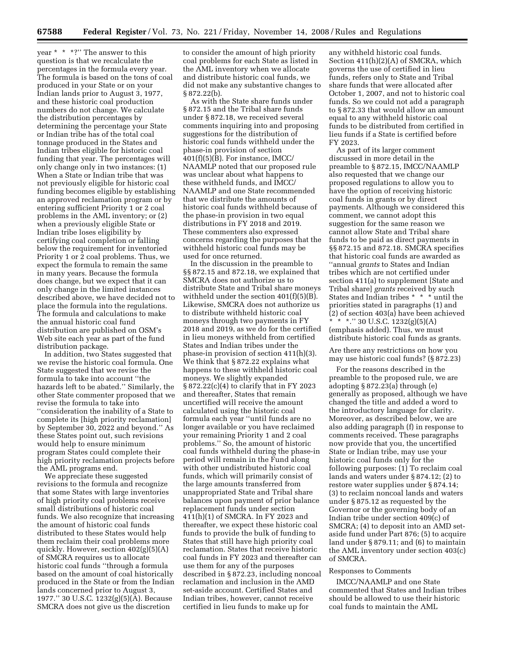year \* \* \*?'' The answer to this question is that we recalculate the percentages in the formula every year. The formula is based on the tons of coal produced in your State or on your Indian lands prior to August 3, 1977, and these historic coal production numbers do not change. We calculate the distribution percentages by determining the percentage your State or Indian tribe has of the total coal tonnage produced in the States and Indian tribes eligible for historic coal funding that year. The percentages will only change only in two instances: (1) When a State or Indian tribe that was not previously eligible for historic coal funding becomes eligible by establishing an approved reclamation program or by entering sufficient Priority 1 or 2 coal problems in the AML inventory; or (2) when a previously eligible State or Indian tribe loses eligibility by certifying coal completion or falling below the requirement for inventoried Priority 1 or 2 coal problems. Thus, we expect the formula to remain the same in many years. Because the formula does change, but we expect that it can only change in the limited instances described above, we have decided not to place the formula into the regulations. The formula and calculations to make the annual historic coal fund distribution are published on OSM's Web site each year as part of the fund distribution package.

In addition, two States suggested that we revise the historic coal formula. One State suggested that we revise the formula to take into account ''the hazards left to be abated.'' Similarly, the other State commenter proposed that we revise the formula to take into ''consideration the inability of a State to complete its [high priority reclamation] by September 30, 2022 and beyond.'' As these States point out, such revisions would help to ensure minimum program States could complete their high priority reclamation projects before the AML programs end.

We appreciate these suggested revisions to the formula and recognize that some States with large inventories of high priority coal problems receive small distributions of historic coal funds. We also recognize that increasing the amount of historic coal funds distributed to these States would help them reclaim their coal problems more quickly. However, section 402(g)(5)(A) of SMCRA requires us to allocate historic coal funds ''through a formula based on the amount of coal historically produced in the State or from the Indian lands concerned prior to August 3, 1977.'' 30 U.S.C. 1232(g)(5)(A). Because SMCRA does not give us the discretion

to consider the amount of high priority coal problems for each State as listed in the AML inventory when we allocate and distribute historic coal funds, we did not make any substantive changes to § 872.22(b).

As with the State share funds under § 872.15 and the Tribal share funds under § 872.18, we received several comments inquiring into and proposing suggestions for the distribution of historic coal funds withheld under the phase-in provision of section  $401(f)(5)(B)$ . For instance, IMCC/ NAAMLP noted that our proposed rule was unclear about what happens to these withheld funds, and IMCC/ NAAMLP and one State recommended that we distribute the amounts of historic coal funds withheld because of the phase-in provision in two equal distributions in FY 2018 and 2019. These commenters also expressed concerns regarding the purposes that the withheld historic coal funds may be used for once returned.

In the discussion in the preamble to §§ 872.15 and 872.18, we explained that SMCRA does not authorize us to distribute State and Tribal share moneys withheld under the section 401(f)(5)(B). Likewise, SMCRA does not authorize us to distribute withheld historic coal moneys through two payments in FY 2018 and 2019, as we do for the certified in lieu moneys withheld from certified States and Indian tribes under the phase-in provision of section 411(h)(3). We think that § 872.22 explains what happens to these withheld historic coal moneys. We slightly expanded § 872.22(c)(4) to clarify that in FY 2023 and thereafter, States that remain uncertified will receive the amount calculated using the historic coal formula each year ''until funds are no longer available or you have reclaimed your remaining Priority 1 and 2 coal problems.'' So, the amount of historic coal funds withheld during the phase-in period will remain in the Fund along with other undistributed historic coal funds, which will primarily consist of the large amounts transferred from unappropriated State and Tribal share balances upon payment of prior balance replacement funds under section 411(h)(1) of SMCRA. In FY 2023 and thereafter, we expect these historic coal funds to provide the bulk of funding to States that still have high priority coal reclamation. States that receive historic coal funds in FY 2023 and thereafter can use them for any of the purposes described in § 872.23, including noncoal reclamation and inclusion in the AMD set-aside account. Certified States and Indian tribes, however, cannot receive certified in lieu funds to make up for

any withheld historic coal funds. Section 411(h)(2)(A) of SMCRA, which governs the use of certified in lieu funds, refers only to State and Tribal share funds that were allocated after October 1, 2007, and not to historic coal funds. So we could not add a paragraph to § 872.33 that would allow an amount equal to any withheld historic coal funds to be distributed from certified in lieu funds if a State is certified before FY 2023.

As part of its larger comment discussed in more detail in the preamble to § 872.15, IMCC/NAAMLP also requested that we change our proposed regulations to allow you to have the option of receiving historic coal funds in grants or by direct payments. Although we considered this comment, we cannot adopt this suggestion for the same reason we cannot allow State and Tribal share funds to be paid as direct payments in §§ 872.15 and 872.18. SMCRA specifies that historic coal funds are awarded as ''annual *grants* to States and Indian tribes which are not certified under section 411(a) to supplement [State and Tribal share] *grants* received by such States and Indian tribes \* \* \* until the priorities stated in paragraphs (1) and (2) of section 403(a) have been achieved \* \* \*.'' 30 U.S.C. 1232(g)(5)(A) (emphasis added). Thus, we must distribute historic coal funds as grants.

Are there any restrictions on how you may use historic coal funds? (§ 872.23)

For the reasons described in the preamble to the proposed rule, we are adopting § 872.23(a) through (e) generally as proposed, although we have changed the title and added a word to the introductory language for clarity. Moreover, as described below, we are also adding paragraph (f) in response to comments received. These paragraphs now provide that you, the uncertified State or Indian tribe, may use your historic coal funds only for the following purposes: (1) To reclaim coal lands and waters under § 874.12; (2) to restore water supplies under § 874.14; (3) to reclaim noncoal lands and waters under § 875.12 as requested by the Governor or the governing body of an Indian tribe under section 409(c) of SMCRA; (4) to deposit into an AMD setaside fund under Part 876; (5) to acquire land under § 879.11; and (6) to maintain the AML inventory under section 403(c) of SMCRA.

#### Responses to Comments

IMCC/NAAMLP and one State commented that States and Indian tribes should be allowed to use their historic coal funds to maintain the AML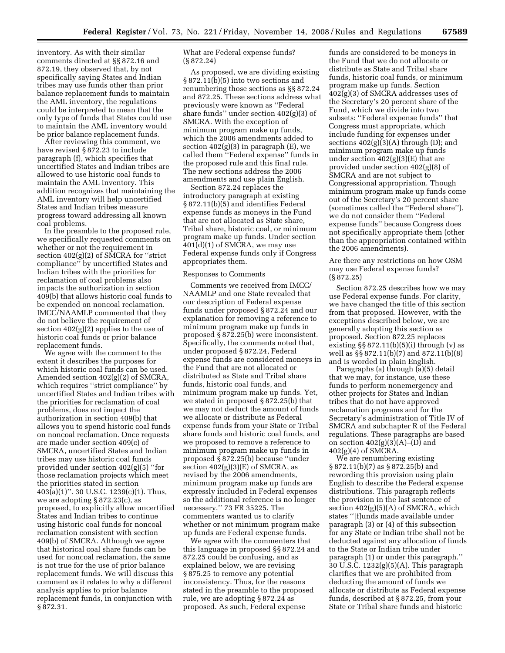inventory. As with their similar comments directed at §§ 872.16 and 872.19, they observed that, by not specifically saying States and Indian tribes may use funds other than prior balance replacement funds to maintain the AML inventory, the regulations could be interpreted to mean that the only type of funds that States could use to maintain the AML inventory would be prior balance replacement funds.

After reviewing this comment, we have revised § 872.23 to include paragraph (f), which specifies that uncertified States and Indian tribes are allowed to use historic coal funds to maintain the AML inventory. This addition recognizes that maintaining the AML inventory will help uncertified States and Indian tribes measure progress toward addressing all known coal problems.

In the preamble to the proposed rule, we specifically requested comments on whether or not the requirement in section 402(g)(2) of SMCRA for ''strict compliance'' by uncertified States and Indian tribes with the priorities for reclamation of coal problems also impacts the authorization in section 409(b) that allows historic coal funds to be expended on noncoal reclamation. IMCC/NAAMLP commented that they do not believe the requirement of section 402(g)(2) applies to the use of historic coal funds or prior balance replacement funds.

We agree with the comment to the extent it describes the purposes for which historic coal funds can be used. Amended section 402(g)(2) of SMCRA, which requires "strict compliance" by uncertified States and Indian tribes with the priorities for reclamation of coal problems, does not impact the authorization in section 409(b) that allows you to spend historic coal funds on noncoal reclamation. Once requests are made under section 409(c) of SMCRA, uncertified States and Indian tribes may use historic coal funds provided under section 402(g)(5) ''for those reclamation projects which meet the priorities stated in section 403(a)(1)''. 30 U.S.C. 1239(c)(1). Thus, we are adopting § 872.23(c), as proposed, to explicitly allow uncertified States and Indian tribes to continue using historic coal funds for noncoal reclamation consistent with section 409(b) of SMCRA. Although we agree that historical coal share funds can be used for noncoal reclamation, the same is not true for the use of prior balance replacement funds. We will discuss this comment as it relates to why a different analysis applies to prior balance replacement funds, in conjunction with § 872.31.

What are Federal expense funds? (§ 872.24)

As proposed, we are dividing existing § 872.11(b)(5) into two sections and renumbering those sections as §§ 872.24 and 872.25. These sections address what previously were known as ''Federal share funds'' under section 402(g)(3) of SMCRA. With the exception of minimum program make up funds, which the 2006 amendments added to section  $402(g)(3)$  in paragraph (E), we called them ''Federal expense'' funds in the proposed rule and this final rule. The new sections address the 2006 amendments and use plain English.

Section 872.24 replaces the introductory paragraph at existing § 872.11(b)(5) and identifies Federal expense funds as moneys in the Fund that are not allocated as State share, Tribal share, historic coal, or minimum program make up funds. Under section 401(d)(1) of SMCRA, we may use Federal expense funds only if Congress appropriates them.

### Responses to Comments

Comments we received from IMCC/ NAAMLP and one State revealed that our description of Federal expense funds under proposed § 872.24 and our explanation for removing a reference to minimum program make up funds in proposed § 872.25(b) were inconsistent. Specifically, the comments noted that, under proposed § 872.24, Federal expense funds are considered moneys in the Fund that are not allocated or distributed as State and Tribal share funds, historic coal funds, and minimum program make up funds. Yet, we stated in proposed § 872.25(b) that we may not deduct the amount of funds we allocate or distribute as Federal expense funds from your State or Tribal share funds and historic coal funds, and we proposed to remove a reference to minimum program make up funds in proposed § 872.25(b) because ''under section  $402(g)(3)(E)$  of SMCRA, as revised by the 2006 amendments, minimum program make up funds are expressly included in Federal expenses so the additional reference is no longer necessary.'' 73 FR 35225. The commenters wanted us to clarify whether or not minimum program make up funds are Federal expense funds.

We agree with the commenters that this language in proposed §§ 872.24 and 872.25 could be confusing, and as explained below, we are revising § 875.25 to remove any potential inconsistency. Thus, for the reasons stated in the preamble to the proposed rule, we are adopting § 872.24 as proposed. As such, Federal expense

funds are considered to be moneys in the Fund that we do not allocate or distribute as State and Tribal share funds, historic coal funds, or minimum program make up funds. Section 402(g)(3) of SMCRA addresses uses of the Secretary's 20 percent share of the Fund, which we divide into two subsets: ''Federal expense funds'' that Congress must appropriate, which include funding for expenses under sections 402(g)(3)(A) through (D); and minimum program make up funds under section  $402(g)(3)(E)$  that are provided under section 402(g)(8) of SMCRA and are not subject to Congressional appropriation. Though minimum program make up funds come out of the Secretary's 20 percent share (sometimes called the ''Federal share''), we do not consider them ''Federal expense funds'' because Congress does not specifically appropriate them (other than the appropriation contained within the 2006 amendments).

Are there any restrictions on how OSM may use Federal expense funds? (§ 872.25)

Section 872.25 describes how we may use Federal expense funds. For clarity, we have changed the title of this section from that proposed. However, with the exceptions described below, we are generally adopting this section as proposed. Section 872.25 replaces existing  $\S$  872.11(b)(5)(i) through (v) as well as §§ 872.11(b)(7) and 872.11(b)(8) and is worded in plain English.

Paragraphs (a) through (a)(5) detail that we may, for instance, use these funds to perform nonemergency and other projects for States and Indian tribes that do not have approved reclamation programs and for the Secretary's administration of Title IV of SMCRA and subchapter R of the Federal regulations. These paragraphs are based on section  $402(g)(3)(A)$ –(D) and 402(g)(4) of SMCRA.

We are renumbering existing § 872.11(b)(7) as § 872.25(b) and rewording this provision using plain English to describe the Federal expense distributions. This paragraph reflects the provision in the last sentence of section 402(g)(5)(A) of SMCRA, which states ''[f]unds made available under paragraph (3) or (4) of this subsection for any State or Indian tribe shall not be deducted against any allocation of funds to the State or Indian tribe under paragraph (1) or under this paragraph.'' 30 U.S.C. 1232(g)(5)(A). This paragraph clarifies that we are prohibited from deducting the amount of funds we allocate or distribute as Federal expense funds, described at § 872.25, from your State or Tribal share funds and historic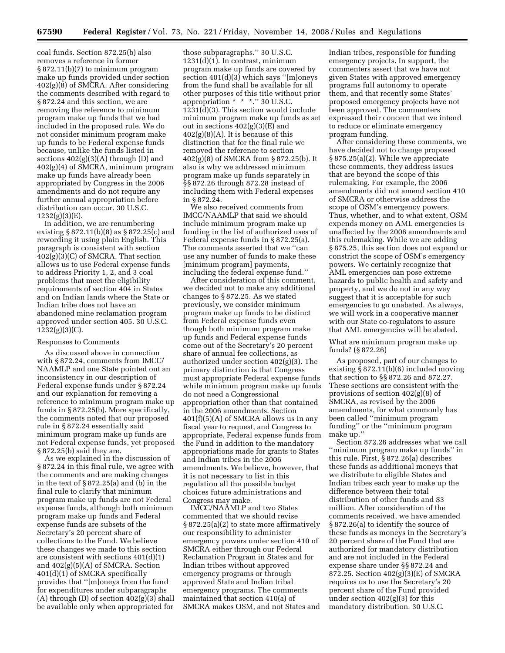coal funds. Section 872.25(b) also removes a reference in former § 872.11(b)(7) to minimum program make up funds provided under section  $402(g)(\overline{8})$  of SMCRA. After considering the comments described with regard to § 872.24 and this section, we are removing the reference to minimum program make up funds that we had included in the proposed rule. We do not consider minimum program make up funds to be Federal expense funds because, unlike the funds listed in sections  $402(g)(3)(A)$  through (D) and 402(g)(4) of SMCRA, minimum program make up funds have already been appropriated by Congress in the 2006 amendments and do not require any further annual appropriation before distribution can occur. 30 U.S.C. 1232(g)(3)(E).

In addition, we are renumbering existing § 872.11(b)(8) as § 872.25(c) and rewording it using plain English. This paragraph is consistent with section 402(g)(3)(C) of SMCRA. That section allows us to use Federal expense funds to address Priority 1, 2, and 3 coal problems that meet the eligibility requirements of section 404 in States and on Indian lands where the State or Indian tribe does not have an abandoned mine reclamation program approved under section 405. 30 U.S.C.  $1232(g)(3)(C)$ .

#### Responses to Comments

As discussed above in connection with § 872.24, comments from IMCC/ NAAMLP and one State pointed out an inconsistency in our description of Federal expense funds under § 872.24 and our explanation for removing a reference to minimum program make up funds in § 872.25(b). More specifically, the comments noted that our proposed rule in § 872.24 essentially said minimum program make up funds are not Federal expense funds, yet proposed § 872.25(b) said they are.

As we explained in the discussion of § 872.24 in this final rule, we agree with the comments and are making changes in the text of § 872.25(a) and (b) in the final rule to clarify that minimum program make up funds are not Federal expense funds, although both minimum program make up funds and Federal expense funds are subsets of the Secretary's 20 percent share of collections to the Fund. We believe these changes we made to this section are consistent with sections 401(d)(1) and 402(g)(5)(A) of SMCRA. Section 401(d)(1) of SMCRA specifically provides that ''[m]oneys from the fund for expenditures under subparagraphs  $(A)$  through  $(D)$  of section  $402(g)(3)$  shall be available only when appropriated for

those subparagraphs.'' 30 U.S.C. 1231(d)(1). In contrast, minimum program make up funds are covered by section 401(d)(3) which says ''[m]oneys from the fund shall be available for all other purposes of this title without prior appropriation \* \* \*.'' 30 U.S.C. 1231(d)(3). This section would include minimum program make up funds as set out in sections  $402(g)(3)(E)$  and  $402(g)(8)(A)$ . It is because of this distinction that for the final rule we removed the reference to section 402(g)(8) of SMCRA from § 872.25(b). It also is why we addressed minimum program make up funds separately in §§ 872.26 through 872.28 instead of including them with Federal expenses in § 872.24.

We also received comments from IMCC/NAAMLP that said we should include minimum program make up funding in the list of authorized uses of Federal expense funds in § 872.25(a). The comments asserted that we ''can use any number of funds to make these [minimum program] payments, including the federal expense fund.''

After consideration of this comment, we decided not to make any additional changes to § 872.25. As we stated previously, we consider minimum program make up funds to be distinct from Federal expense funds even though both minimum program make up funds and Federal expense funds come out of the Secretary's 20 percent share of annual fee collections, as authorized under section 402(g)(3). The primary distinction is that Congress must appropriate Federal expense funds while minimum program make up funds do not need a Congressional appropriation other than that contained in the 2006 amendments. Section  $401(f)(5)(A)$  of SMCRA allows us in any fiscal year to request, and Congress to appropriate, Federal expense funds from the Fund in addition to the mandatory appropriations made for grants to States and Indian tribes in the 2006 amendments. We believe, however, that it is not necessary to list in this regulation all the possible budget choices future administrations and Congress may make.

IMCC/NAAMLP and two States commented that we should revise § 872.25(a)(2) to state more affirmatively our responsibility to administer emergency powers under section 410 of SMCRA either through our Federal Reclamation Program in States and for Indian tribes without approved emergency programs or through approved State and Indian tribal emergency programs. The comments maintained that section 410(a) of SMCRA makes OSM, and not States and

Indian tribes, responsible for funding emergency projects. In support, the commenters assert that we have not given States with approved emergency programs full autonomy to operate them, and that recently some States' proposed emergency projects have not been approved. The commenters expressed their concern that we intend to reduce or eliminate emergency program funding.

After considering these comments, we have decided not to change proposed § 875.25(a)(2). While we appreciate these comments, they address issues that are beyond the scope of this rulemaking. For example, the 2006 amendments did not amend section 410 of SMCRA or otherwise address the scope of OSM's emergency powers. Thus, whether, and to what extent, OSM expends money on AML emergencies is unaffected by the 2006 amendments and this rulemaking. While we are adding § 875.25, this section does not expand or constrict the scope of OSM's emergency powers. We certainly recognize that AML emergencies can pose extreme hazards to public health and safety and property, and we do not in any way suggest that it is acceptable for such emergencies to go unabated. As always, we will work in a cooperative manner with our State co-regulators to assure that AML emergencies will be abated.

What are minimum program make up funds? (§ 872.26)

As proposed, part of our changes to existing § 872.11(b)(6) included moving that section to §§ 872.26 and 872.27. These sections are consistent with the provisions of section 402(g)(8) of SMCRA, as revised by the 2006 amendments, for what commonly has been called ''minimum program funding'' or the ''minimum program make up.''

Section 872.26 addresses what we call ''minimum program make up funds'' in this rule. First, § 872.26(a) describes these funds as additional moneys that we distribute to eligible States and Indian tribes each year to make up the difference between their total distribution of other funds and \$3 million. After consideration of the comments received, we have amended § 872.26(a) to identify the source of these funds as moneys in the Secretary's 20 percent share of the Fund that are authorized for mandatory distribution and are not included in the Federal expense share under §§ 872.24 and 872.25. Section 402(g)(3)(E) of SMCRA requires us to use the Secretary's 20 percent share of the Fund provided under section 402(g)(3) for this mandatory distribution. 30 U.S.C.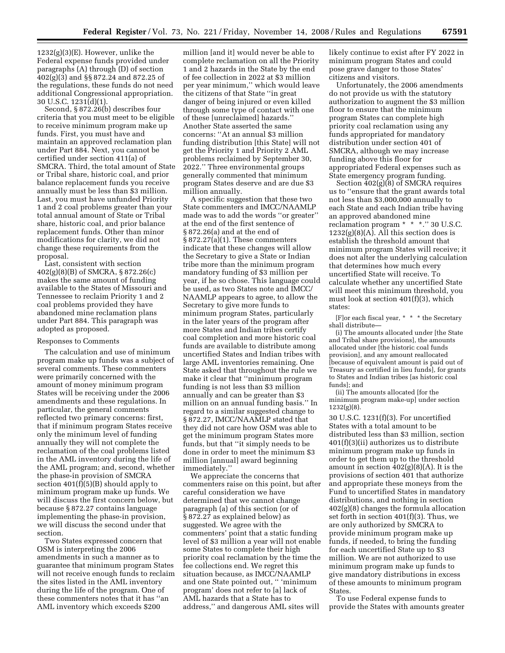$1232(g)(3)(E)$ . However, unlike the Federal expense funds provided under paragraphs (A) through (D) of section 402(g)(3) and §§ 872.24 and 872.25 of the regulations, these funds do not need additional Congressional appropriation. 30 U.S.C. 1231(d)(1).

Second, § 872.26(b) describes four criteria that you must meet to be eligible to receive minimum program make up funds. First, you must have and maintain an approved reclamation plan under Part 884. Next, you cannot be certified under section 411(a) of SMCRA. Third, the total amount of State or Tribal share, historic coal, and prior balance replacement funds you receive annually must be less than \$3 million. Last, you must have unfunded Priority 1 and 2 coal problems greater than your total annual amount of State or Tribal share, historic coal, and prior balance replacement funds. Other than minor modifications for clarity, we did not change these requirements from the proposal.

Last, consistent with section 402(g)(8)(B) of SMCRA, § 872.26(c) makes the same amount of funding available to the States of Missouri and Tennessee to reclaim Priority 1 and 2 coal problems provided they have abandoned mine reclamation plans under Part 884. This paragraph was adopted as proposed.

#### Responses to Comments

The calculation and use of minimum program make up funds was a subject of several comments. These commenters were primarily concerned with the amount of money minimum program States will be receiving under the 2006 amendments and these regulations. In particular, the general comments reflected two primary concerns: first, that if minimum program States receive only the minimum level of funding annually they will not complete the reclamation of the coal problems listed in the AML inventory during the life of the AML program; and, second, whether the phase-in provision of SMCRA section 401(f)(5)(B) should apply to minimum program make up funds. We will discuss the first concern below, but because § 872.27 contains language implementing the phase-in provision, we will discuss the second under that section.

Two States expressed concern that OSM is interpreting the 2006 amendments in such a manner as to guarantee that minimum program States will not receive enough funds to reclaim the sites listed in the AML inventory during the life of the program. One of these commenters notes that it has ''an AML inventory which exceeds \$200

million [and it] would never be able to complete reclamation on all the Priority 1 and 2 hazards in the State by the end of fee collection in 2022 at \$3 million per year minimum,'' which would leave the citizens of that State ''in great danger of being injured or even killed through some type of contact with one of these [unreclaimed] hazards.'' Another State asserted the same concerns: ''At an annual \$3 million funding distribution [this State] will not get the Priority 1 and Priority 2 AML problems reclaimed by September 30, 2022.'' Three environmental groups generally commented that minimum program States deserve and are due \$3 million annually.

A specific suggestion that these two State commenters and IMCC/NAAMLP made was to add the words ''or greater'' at the end of the first sentence of § 872.26(a) and at the end of § 872.27(a)(1). These commenters indicate that these changes will allow the Secretary to give a State or Indian tribe more than the minimum program mandatory funding of \$3 million per year, if he so chose. This language could be used, as two States note and IMCC/ NAAMLP appears to agree, to allow the Secretary to give more funds to minimum program States, particularly in the later years of the program after more States and Indian tribes certify coal completion and more historic coal funds are available to distribute among uncertified States and Indian tribes with large AML inventories remaining. One State asked that throughout the rule we make it clear that ''minimum program funding is not less than \$3 million annually and can be greater than \$3 million on an annual funding basis.'' In regard to a similar suggested change to § 872.27, IMCC/NAAMLP stated that they did not care how OSM was able to get the minimum program States more funds, but that ''it simply needs to be done in order to meet the minimum \$3 million [annual] award beginning immediately.''

We appreciate the concerns that commenters raise on this point, but after careful consideration we have determined that we cannot change paragraph (a) of this section (or of § 872.27 as explained below) as suggested. We agree with the commenters' point that a static funding level of \$3 million a year will not enable some States to complete their high priority coal reclamation by the time the fee collections end. We regret this situation because, as IMCC/NAAMLP and one State pointed out, '' 'minimum program' does not refer to [a] lack of AML hazards that a State has to address,'' and dangerous AML sites will

likely continue to exist after FY 2022 in minimum program States and could pose grave danger to those States' citizens and visitors.

Unfortunately, the 2006 amendments do not provide us with the statutory authorization to augment the \$3 million floor to ensure that the minimum program States can complete high priority coal reclamation using any funds appropriated for mandatory distribution under section 401 of SMCRA, although we may increase funding above this floor for appropriated Federal expenses such as State emergency program funding.

Section 402(g)(8) of SMCRA requires us to ''ensure that the grant awards total not less than \$3,000,000 annually to each State and each Indian tribe having an approved abandoned mine reclamation program \* \* \*.'' 30 U.S.C. 1232(g)(8)(A). All this section does is establish the threshold amount that minimum program States will receive; it does not alter the underlying calculation that determines how much every uncertified State will receive. To calculate whether any uncertified State will meet this minimum threshold, you must look at section 401(f)(3), which states:

[F]or each fiscal year, \* \* \* the Secretary shall distribute—

(i) The amounts allocated under [the State and Tribal share provisions], the amounts allocated under [the historic coal funds provision], and any amount reallocated [because of equivalent amount is paid out of Treasury as certified in lieu funds], for grants to States and Indian tribes [as historic coal funds]; and

(ii) The amounts allocated [for the minimum program make-up] under section 1232(g)(8).

30 U.S.C. 1231(f)(3). For uncertified States with a total amount to be distributed less than \$3 million, section 401(f)(3)(ii) authorizes us to distribute minimum program make up funds in order to get them up to the threshold amount in section  $402(g)(8)(A)$ . It is the provisions of section 401 that authorize and appropriate these moneys from the Fund to uncertified States in mandatory distributions, and nothing in section 402(g)(8) changes the formula allocation set forth in section 401(f)(3). Thus, we are only authorized by SMCRA to provide minimum program make up funds, if needed, to bring the funding for each uncertified State up to \$3 million. We are not authorized to use minimum program make up funds to give mandatory distributions in excess of these amounts to minimum program States.

To use Federal expense funds to provide the States with amounts greater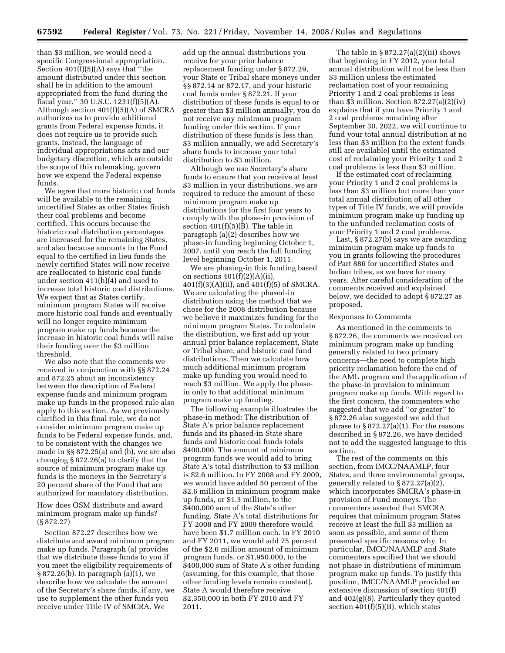than \$3 million, we would need a specific Congressional appropriation. Section 401(f)(5)(A) says that ''the amount distributed under this section shall be in addition to the amount appropriated from the fund during the fiscal year.'' 30 U.S.C. 1231(f)(5)(A). Although section 401(f)(5)(A) of SMCRA authorizes us to provide additional grants from Federal expense funds, it does not require us to provide such grants. Instead, the language of individual appropriations acts and our budgetary discretion, which are outside the scope of this rulemaking, govern how we expend the Federal expense funds.

We agree that more historic coal funds will be available to the remaining uncertified States as other States finish their coal problems and become certified. This occurs because the historic coal distribution percentages are increased for the remaining States, and also because amounts in the Fund equal to the certified in lieu funds the newly certified States will now receive are reallocated to historic coal funds under section 411(h)(4) and used to increase total historic coal distributions. We expect that as States certify, minimum program States will receive more historic coal funds and eventually will no longer require minimum program make up funds because the increase in historic coal funds will raise their funding over the \$3 million threshold.

We also note that the comments we received in conjunction with §§ 872.24 and 872.25 about an inconsistency between the description of Federal expense funds and minimum program make up funds in the proposed rule also apply to this section. As we previously clarified in this final rule, we do not consider minimum program make up funds to be Federal expense funds, and, to be consistent with the changes we made in §§ 872.25(a) and (b), we are also changing § 872.26(a) to clarify that the source of minimum program make up funds is the moneys in the Secretary's 20 percent share of the Fund that are authorized for mandatory distribution.

How does OSM distribute and award minimum program make up funds? (§ 872.27)

Section 872.27 describes how we distribute and award minimum program make up funds. Paragraph (a) provides that we distribute these funds to you if you meet the eligibility requirements of § 872.26(b). In paragraph (a)(1), we describe how we calculate the amount of the Secretary's share funds, if any, we use to supplement the other funds you receive under Title IV of SMCRA. We

add up the annual distributions you receive for your prior balance replacement funding under § 872.29, your State or Tribal share moneys under §§ 872.14 or 872.17, and your historic coal funds under § 872.21. If your distribution of these funds is equal to or greater than \$3 million annually, you do not receive any minimum program funding under this section. If your distribution of these funds is less than \$3 million annually, we add Secretary's share funds to increase your total distribution to \$3 million.

Although we use Secretary's share funds to ensure that you receive at least \$3 million in your distributions, we are required to reduce the amount of these minimum program make up distributions for the first four years to comply with the phase-in provision of section  $401(f)(5)(B)$ . The table in paragraph (a)(2) describes how we phase-in funding beginning October 1, 2007, until you reach the full funding level beginning October 1, 2011.

We are phasing-in this funding based on sections  $401(f)(2)(A)(ii)$ , 401(f)(3)(A)(ii), and 401(f)(5) of SMCRA. We are calculating the phased-in distribution using the method that we chose for the 2008 distribution because we believe it maximizes funding for the minimum program States. To calculate the distribution, we first add up your annual prior balance replacement, State or Tribal share, and historic coal fund distributions. Then we calculate how much additional minimum program make up funding you would need to reach \$3 million. We apply the phasein only to that additional minimum program make up funding.

The following example illustrates the phase-in method: The distribution of State A's prior balance replacement funds and its phased-in State share funds and historic coal funds totals \$400,000. The amount of minimum program funds we would add to bring State A's total distribution to \$3 million is \$2.6 million. In FY 2008 and FY 2009, we would have added 50 percent of the \$2.6 million in minimum program make up funds, or \$1.3 million, to the \$400,000 sum of the State's other funding. State A's total distributions for FY 2008 and FY 2009 therefore would have been \$1.7 million each. In FY 2010 and FY 2011, we would add 75 percent of the \$2.6 million amount of minimum program funds, or \$1,950,000, to the \$400,000 sum of State A's other funding (assuming, for this example, that those other funding levels remain constant). State A would therefore receive \$2,350,000 in both FY 2010 and FY 2011.

The table in  $\S 872.27(a)(2)(iii)$  shows that beginning in FY 2012, your total annual distribution will not be less than \$3 million unless the estimated reclamation cost of your remaining Priority 1 and 2 coal problems is less than \$3 million. Section  $872.27(a)(2)(iv)$ explains that if you have Priority 1 and 2 coal problems remaining after September 30, 2022, we will continue to fund your total annual distribution at no less than \$3 million (to the extent funds still are available) until the estimated cost of reclaiming your Priority 1 and 2 coal problems is less than \$3 million.

If the estimated cost of reclaiming your Priority 1 and 2 coal problems is less than \$3 million but more than your total annual distribution of all other types of Title IV funds, we will provide minimum program make up funding up to the unfunded reclamation costs of your Priority 1 and 2 coal problems.

Last,  $\S 872.27(b)$  says we are awarding minimum program make up funds to you in grants following the procedures of Part 886 for uncertified States and Indian tribes, as we have for many years. After careful consideration of the comments received and explained below, we decided to adopt § 872.27 as proposed.

#### Responses to Comments

As mentioned in the comments to § 872.26, the comments we received on minimum program make up funding generally related to two primary concerns—the need to complete high priority reclamation before the end of the AML program and the application of the phase-in provision to minimum program make up funds. With regard to the first concern, the commenters who suggested that we add ''or greater'' to § 872.26 also suggested we add that phrase to  $\S 872.27(a)(1)$ . For the reasons described in § 872.26, we have decided not to add the suggested language to this section.

The rest of the comments on this section, from IMCC/NAAMLP, four States, and three environmental groups, generally related to § 872.27(a)(2), which incorporates SMCRA's phase-in provision of Fund moneys. The commenters asserted that SMCRA requires that minimum program States receive at least the full \$3 million as soon as possible, and some of them presented specific reasons why. In particular, IMCC/NAAMLP and State commenters specified that we should not phase in distributions of minimum program make up funds. To justify this position, IMCC/NAAMLP provided an extensive discussion of section 401(f) and 402(g)(8). Particularly they quoted section  $401(f)(5)(B)$ , which states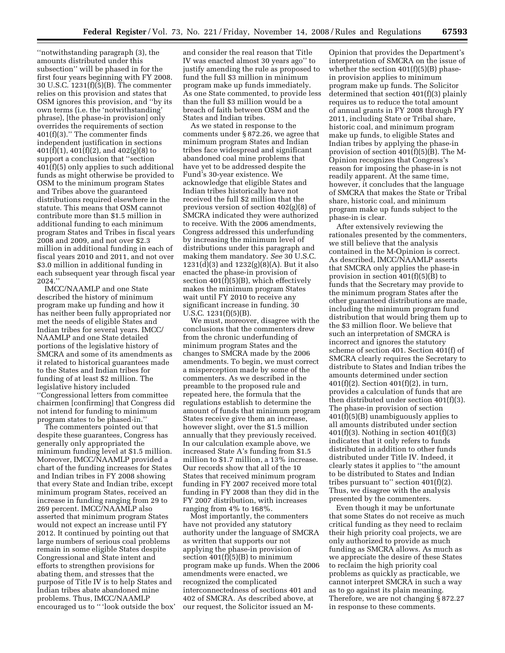''notwithstanding paragraph (3), the amounts distributed under this subsection'' will be phased in for the first four years beginning with FY 2008. 30 U.S.C. 1231(f)(5)(B). The commenter relies on this provision and states that OSM ignores this provision, and ''by its own terms (i.e. the 'notwithstanding' phrase), [the phase-in provision] only overrides the requirements of section 401(f)(3).'' The commenter finds independent justification in sections 401(f)(1), 401(f)(2), and 402(g)(8) to support a conclusion that ''section 401(f)(5) only applies to such additional funds as might otherwise be provided to OSM to the minimum program States and Tribes above the guaranteed distributions required elsewhere in the statute. This means that OSM cannot contribute more than \$1.5 million in additional funding to each minimum program States and Tribes in fiscal years 2008 and 2009, and not over \$2.3 million in additional funding in each of fiscal years 2010 and 2011, and not over \$3.0 million in additional funding in each subsequent year through fiscal year 2024.''

IMCC/NAAMLP and one State described the history of minimum program make up funding and how it has neither been fully appropriated nor met the needs of eligible States and Indian tribes for several years. IMCC/ NAAMLP and one State detailed portions of the legislative history of SMCRA and some of its amendments as it related to historical guarantees made to the States and Indian tribes for funding of at least \$2 million. The legislative history included ''Congressional letters from committee chairmen [confirming] that Congress did not intend for funding to minimum program states to be phased-in.''

The commenters pointed out that despite these guarantees, Congress has generally only appropriated the minimum funding level at \$1.5 million. Moreover, IMCC/NAAMLP provided a chart of the funding increases for States and Indian tribes in FY 2008 showing that every State and Indian tribe, except minimum program States, received an increase in funding ranging from 29 to 269 percent. IMCC/NAAMLP also asserted that minimum program States would not expect an increase until FY 2012. It continued by pointing out that large numbers of serious coal problems remain in some eligible States despite Congressional and State intent and efforts to strengthen provisions for abating them, and stresses that the purpose of Title IV is to help States and Indian tribes abate abandoned mine problems. Thus, IMCC/NAAMLP encouraged us to '' 'look outside the box' and consider the real reason that Title IV was enacted almost 30 years ago'' to justify amending the rule as proposed to fund the full \$3 million in minimum program make up funds immediately. As one State commented, to provide less than the full \$3 million would be a breach of faith between OSM and the States and Indian tribes.

As we stated in response to the comments under § 872.26, we agree that minimum program States and Indian tribes face widespread and significant abandoned coal mine problems that have yet to be addressed despite the Fund's 30-year existence. We acknowledge that eligible States and Indian tribes historically have not received the full \$2 million that the previous version of section 402(g)(8) of SMCRA indicated they were authorized to receive. With the 2006 amendments, Congress addressed this underfunding by increasing the minimum level of distributions under this paragraph and making them mandatory. *See* 30 U.S.C. 1231(d)(3) and 1232(g)(8)(A). But it also enacted the phase-in provision of section 401(f)(5)(B), which effectively makes the minimum program States wait until FY 2010 to receive any significant increase in funding. 30 U.S.C. 1231(f)(5)(B).

We must, moreover, disagree with the conclusions that the commenters drew from the chronic underfunding of minimum program States and the changes to SMCRA made by the 2006 amendments. To begin, we must correct a misperception made by some of the commenters. As we described in the preamble to the proposed rule and repeated here, the formula that the regulations establish to determine the amount of funds that minimum program States receive give them an increase, however slight, over the \$1.5 million annually that they previously received. In our calculation example above, we increased State A's funding from \$1.5 million to \$1.7 million, a 13% increase. Our records show that all of the 10 States that received minimum program funding in FY 2007 received more total funding in FY 2008 than they did in the FY 2007 distribution, with increases ranging from 4% to 168%.

Most importantly, the commenters have not provided any statutory authority under the language of SMCRA as written that supports our not applying the phase-in provision of section  $401(f)(5)(B)$  to minimum program make up funds. When the 2006 amendments were enacted, we recognized the complicated interconnectedness of sections 401 and 402 of SMCRA. As described above, at our request, the Solicitor issued an M-

Opinion that provides the Department's interpretation of SMCRA on the issue of whether the section  $401(f)(5)(B)$  phasein provision applies to minimum program make up funds. The Solicitor determined that section 401(f)(3) plainly requires us to reduce the total amount of annual grants in FY 2008 through FY 2011, including State or Tribal share, historic coal, and minimum program make up funds, to eligible States and Indian tribes by applying the phase-in provision of section 401(f)(5)(B). The M-Opinion recognizes that Congress's reason for imposing the phase-in is not readily apparent. At the same time, however, it concludes that the language of SMCRA that makes the State or Tribal share, historic coal, and minimum program make up funds subject to the phase-in is clear.

After extensively reviewing the rationales presented by the commenters, we still believe that the analysis contained in the M-Opinion is correct. As described, IMCC/NAAMLP asserts that SMCRA only applies the phase-in provision in section  $401(f)(5)(B)$  to funds that the Secretary may provide to the minimum program States after the other guaranteed distributions are made, including the minimum program fund distribution that would bring them up to the \$3 million floor. We believe that such an interpretation of SMCRA is incorrect and ignores the statutory scheme of section 401. Section 401(f) of SMCRA clearly requires the Secretary to distribute to States and Indian tribes the amounts determined under section 401(f)(2). Section 401(f)(2), in turn, provides a calculation of funds that are then distributed under section 401(f)(3). The phase-in provision of section 401(f)(5)(B) unambiguously applies to all amounts distributed under section  $401(f)(3)$ . Nothing in section  $401(f)(3)$ indicates that it only refers to funds distributed in addition to other funds distributed under Title IV. Indeed, it clearly states it applies to ''the amount to be distributed to States and Indian tribes pursuant to" section  $401(f)(2)$ . Thus, we disagree with the analysis presented by the commenters.

Even though it may be unfortunate that some States do not receive as much critical funding as they need to reclaim their high priority coal projects, we are only authorized to provide as much funding as SMCRA allows. As much as we appreciate the desire of these States to reclaim the high priority coal problems as quickly as practicable, we cannot interpret SMCRA in such a way as to go against its plain meaning. Therefore, we are not changing § 872.27 in response to these comments.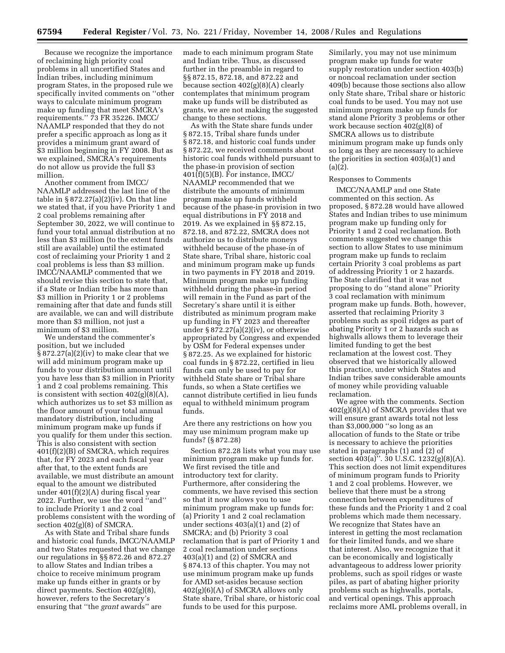Because we recognize the importance of reclaiming high priority coal problems in all uncertified States and Indian tribes, including minimum program States, in the proposed rule we specifically invited comments on ''other ways to calculate minimum program make up funding that meet SMCRA's requirements.'' 73 FR 35226. IMCC/ NAAMLP responded that they do not prefer a specific approach as long as it provides a minimum grant award of \$3 million beginning in FY 2008. But as we explained, SMCRA's requirements do not allow us provide the full \$3 million.

Another comment from IMCC/ NAAMLP addressed the last line of the table in  $\S 872.27(a)(2)(iv)$ . On that line we stated that, if you have Priority 1 and 2 coal problems remaining after September 30, 2022, we will continue to fund your total annual distribution at no less than \$3 million (to the extent funds still are available) until the estimated cost of reclaiming your Priority 1 and 2 coal problems is less than \$3 million. IMCC/NAAMLP commented that we should revise this section to state that, if a State or Indian tribe has more than \$3 million in Priority 1 or 2 problems remaining after that date and funds still are available, we can and will distribute more than \$3 million, not just a minimum of \$3 million.

We understand the commenter's position, but we included § 872.27(a)(2)(iv) to make clear that we will add minimum program make up funds to your distribution amount until you have less than \$3 million in Priority 1 and 2 coal problems remaining. This is consistent with section  $402(g)(8)(A)$ , which authorizes us to set \$3 million as the floor amount of your total annual mandatory distribution, including minimum program make up funds if you qualify for them under this section. This is also consistent with section 401(f)(2)(B) of SMCRA, which requires that, for FY 2023 and each fiscal year after that, to the extent funds are available, we must distribute an amount equal to the amount we distributed under 401(f)(2)(A) during fiscal year 2022. Further, we use the word ''and'' to include Priority 1 and 2 coal problems consistent with the wording of section 402(g)(8) of SMCRA.

As with State and Tribal share funds and historic coal funds, IMCC/NAAMLP and two States requested that we change our regulations in §§ 872.26 and 872.27 to allow States and Indian tribes a choice to receive minimum program make up funds either in grants or by direct payments. Section 402(g)(8), however, refers to the Secretary's ensuring that ''the *grant* awards'' are

made to each minimum program State and Indian tribe. Thus, as discussed further in the preamble in regard to §§ 872.15, 872.18, and 872.22 and because section 402(g)(8)(A) clearly contemplates that minimum program make up funds will be distributed as grants, we are not making the suggested change to these sections.

As with the State share funds under § 872.15, Tribal share funds under § 872.18, and historic coal funds under § 872.22, we received comments about historic coal funds withheld pursuant to the phase-in provision of section 401(f)(5)(B). For instance, IMCC/ NAAMLP recommended that we distribute the amounts of minimum program make up funds withheld because of the phase-in provision in two equal distributions in FY 2018 and 2019. As we explained in §§ 872.15, 872.18, and 872.22, SMCRA does not authorize us to distribute moneys withheld because of the phase-in of State share, Tribal share, historic coal and minimum program make up funds in two payments in FY 2018 and 2019. Minimum program make up funding withheld during the phase-in period will remain in the Fund as part of the Secretary's share until it is either distributed as minimum program make up funding in FY 2023 and thereafter under  $\S 872.27(a)(2)(iv)$ , or otherwise appropriated by Congress and expended by OSM for Federal expenses under § 872.25. As we explained for historic coal funds in § 872.22, certified in lieu funds can only be used to pay for withheld State share or Tribal share funds, so when a State certifies we cannot distribute certified in lieu funds equal to withheld minimum program funds.

Are there any restrictions on how you may use minimum program make up funds? (§ 872.28)

Section 872.28 lists what you may use minimum program make up funds for. We first revised the title and introductory text for clarity. Furthermore, after considering the comments, we have revised this section so that it now allows you to use minimum program make up funds for: (a) Priority 1 and 2 coal reclamation under sections 403(a)(1) and (2) of SMCRA; and (b) Priority 3 coal reclamation that is part of Priority 1 and 2 coal reclamation under sections 403(a)(1) and (2) of SMCRA and § 874.13 of this chapter. You may not use minimum program make up funds for AMD set-asides because section 402(g)(6)(A) of SMCRA allows only State share, Tribal share, or historic coal funds to be used for this purpose.

Similarly, you may not use minimum program make up funds for water supply restoration under section 403(b) or noncoal reclamation under section 409(b) because those sections also allow only State share, Tribal share or historic coal funds to be used. You may not use minimum program make up funds for stand alone Priority 3 problems or other work because section  $402(g)(8)$  of SMCRA allows us to distribute minimum program make up funds only so long as they are necessary to achieve the priorities in section 403(a)(1) and (a)(2).

# Responses to Comments

IMCC/NAAMLP and one State commented on this section. As proposed, § 872.28 would have allowed States and Indian tribes to use minimum program make up funding only for Priority 1 and 2 coal reclamation. Both comments suggested we change this section to allow States to use minimum program make up funds to reclaim certain Priority 3 coal problems as part of addressing Priority 1 or 2 hazards. The State clarified that it was not proposing to do ''stand alone'' Priority 3 coal reclamation with minimum program make up funds. Both, however, asserted that reclaiming Priority 3 problems such as spoil ridges as part of abating Priority 1 or 2 hazards such as highwalls allows them to leverage their limited funding to get the best reclamation at the lowest cost. They observed that we historically allowed this practice, under which States and Indian tribes save considerable amounts of money while providing valuable reclamation.

We agree with the comments. Section  $402(g)(8)(A)$  of SMCRA provides that we will ensure grant awards total not less than \$3,000,000 ''so long as an allocation of funds to the State or tribe is necessary to achieve the priorities stated in paragraphs (1) and (2) of section 403(a)''. 30 U.S.C. 1232(g)(8)(A). This section does not limit expenditures of minimum program funds to Priority 1 and 2 coal problems. However, we believe that there must be a strong connection between expenditures of these funds and the Priority 1 and 2 coal problems which made them necessary. We recognize that States have an interest in getting the most reclamation for their limited funds, and we share that interest. Also, we recognize that it can be economically and logistically advantageous to address lower priority problems, such as spoil ridges or waste piles, as part of abating higher priority problems such as highwalls, portals, and vertical openings. This approach reclaims more AML problems overall, in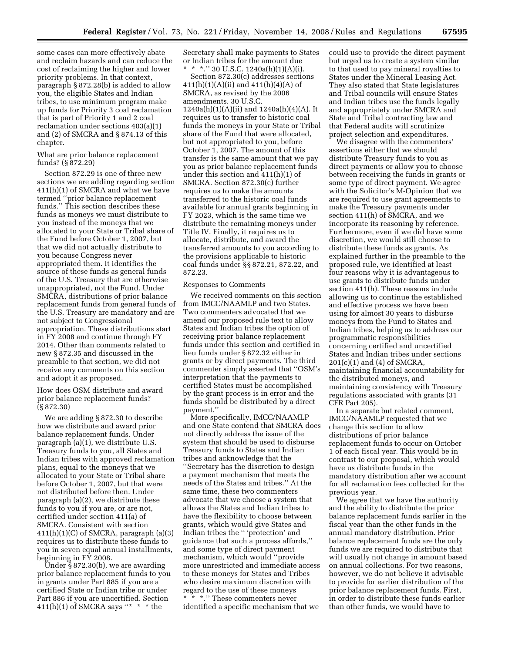some cases can more effectively abate and reclaim hazards and can reduce the cost of reclaiming the higher and lower priority problems. In that context, paragraph § 872.28(b) is added to allow you, the eligible States and Indian tribes, to use minimum program make up funds for Priority 3 coal reclamation that is part of Priority 1 and 2 coal reclamation under sections 403(a)(1) and (2) of SMCRA and § 874.13 of this chapter.

# What are prior balance replacement funds? (§ 872.29)

Section 872.29 is one of three new sections we are adding regarding section 411(h)(1) of SMCRA and what we have termed ''prior balance replacement funds.'' This section describes these funds as moneys we must distribute to you instead of the moneys that we allocated to your State or Tribal share of the Fund before October 1, 2007, but that we did not actually distribute to you because Congress never appropriated them. It identifies the source of these funds as general funds of the U.S. Treasury that are otherwise unappropriated, not the Fund. Under SMCRA, distributions of prior balance replacement funds from general funds of the U.S. Treasury are mandatory and are not subject to Congressional appropriation. These distributions start in FY 2008 and continue through FY 2014. Other than comments related to new § 872.35 and discussed in the preamble to that section, we did not receive any comments on this section and adopt it as proposed.

How does OSM distribute and award prior balance replacement funds? (§ 872.30)

We are adding § 872.30 to describe how we distribute and award prior balance replacement funds. Under paragraph (a)(1), we distribute U.S. Treasury funds to you, all States and Indian tribes with approved reclamation plans, equal to the moneys that we allocated to your State or Tribal share before October 1, 2007, but that were not distributed before then. Under paragraph (a)(2), we distribute these funds to you if you are, or are not, certified under section 411(a) of SMCRA. Consistent with section  $411(h)(1)(C)$  of SMCRA, paragraph  $(a)(3)$ requires us to distribute these funds to you in seven equal annual installments, beginning in FY 2008.

Under § 872.30(b), we are awarding prior balance replacement funds to you in grants under Part 885 if you are a certified State or Indian tribe or under Part 886 if you are uncertified. Section 411(h)(1) of SMCRA says "\* \* \* the

Secretary shall make payments to States or Indian tribes for the amount due \* \*.'' 30 U.S.C. 1240a(h)(1)(A)(i).

Section 872.30(c) addresses sections  $411(h)(1)(A)(ii)$  and  $411(h)(4)(A)$  of SMCRA, as revised by the 2006 amendments. 30 U.S.C.  $1240a(h)(1)(A)(ii)$  and  $1240a(h)(4)(A)$ . It requires us to transfer to historic coal funds the moneys in your State or Tribal share of the Fund that were allocated, but not appropriated to you, before October 1, 2007. The amount of this transfer is the same amount that we pay you as prior balance replacement funds under this section and 411(h)(1) of SMCRA. Section 872.30(c) further requires us to make the amounts transferred to the historic coal funds available for annual grants beginning in FY 2023, which is the same time we distribute the remaining moneys under Title IV. Finally, it requires us to allocate, distribute, and award the transferred amounts to you according to the provisions applicable to historic coal funds under §§ 872.21, 872.22, and 872.23.

#### Responses to Comments

We received comments on this section from IMCC/NAAMLP and two States. Two commenters advocated that we amend our proposed rule text to allow States and Indian tribes the option of receiving prior balance replacement funds under this section and certified in lieu funds under § 872.32 either in grants or by direct payments. The third commenter simply asserted that ''OSM's interpretation that the payments to certified States must be accomplished by the grant process is in error and the funds should be distributed by a direct payment.''

More specifically, IMCC/NAAMLP and one State contend that SMCRA does not directly address the issue of the system that should be used to disburse Treasury funds to States and Indian tribes and acknowledge that the ''Secretary has the discretion to design a payment mechanism that meets the needs of the States and tribes.'' At the same time, these two commenters advocate that we choose a system that allows the States and Indian tribes to have the flexibility to choose between grants, which would give States and Indian tribes the '' 'protection' and guidance that such a process affords,'' and some type of direct payment mechanism, which would ''provide more unrestricted and immediate access to these moneys for States and Tribes who desire maximum discretion with regard to the use of these moneys \* \* \*.'' These commenters never identified a specific mechanism that we

could use to provide the direct payment but urged us to create a system similar to that used to pay mineral royalties to States under the Mineral Leasing Act. They also stated that State legislatures and Tribal councils will ensure States and Indian tribes use the funds legally and appropriately under SMCRA and State and Tribal contracting law and that Federal audits will scrutinize project selection and expenditures.

We disagree with the commenters' assertions either that we should distribute Treasury funds to you as direct payments or allow you to choose between receiving the funds in grants or some type of direct payment. We agree with the Solicitor's M-Opinion that we are required to use grant agreements to make the Treasury payments under section 411(h) of SMCRA, and we incorporate its reasoning by reference. Furthermore, even if we did have some discretion, we would still choose to distribute these funds as grants. As explained further in the preamble to the proposed rule, we identified at least four reasons why it is advantageous to use grants to distribute funds under section 411(h). These reasons include allowing us to continue the established and effective process we have been using for almost 30 years to disburse moneys from the Fund to States and Indian tribes, helping us to address our programmatic responsibilities concerning certified and uncertified States and Indian tribes under sections 201(c)(1) and (4) of SMCRA, maintaining financial accountability for the distributed moneys, and maintaining consistency with Treasury regulations associated with grants (31 CFR Part 205).

In a separate but related comment, IMCC/NAAMLP requested that we change this section to allow distributions of prior balance replacement funds to occur on October 1 of each fiscal year. This would be in contrast to our proposal, which would have us distribute funds in the mandatory distribution after we account for all reclamation fees collected for the previous year.

We agree that we have the authority and the ability to distribute the prior balance replacement funds earlier in the fiscal year than the other funds in the annual mandatory distribution. Prior balance replacement funds are the only funds we are required to distribute that will usually not change in amount based on annual collections. For two reasons, however, we do not believe it advisable to provide for earlier distribution of the prior balance replacement funds. First, in order to distribute these funds earlier than other funds, we would have to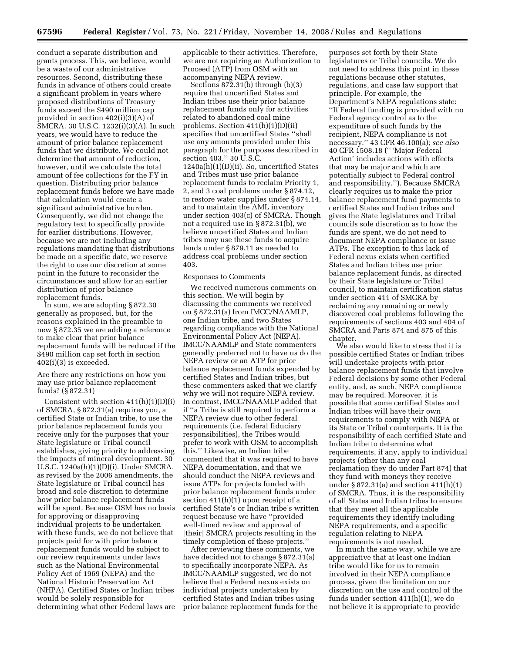conduct a separate distribution and grants process. This, we believe, would be a waste of our administrative resources. Second, distributing these funds in advance of others could create a significant problem in years where proposed distributions of Treasury funds exceed the \$490 million cap provided in section 402(i)(3)(A) of SMCRA. 30 U.S.C. 1232(i)(3)(A). In such years, we would have to reduce the amount of prior balance replacement funds that we distribute. We could not determine that amount of reduction, however, until we calculate the total amount of fee collections for the FY in question. Distributing prior balance replacement funds before we have made that calculation would create a significant administrative burden. Consequently, we did not change the regulatory text to specifically provide for earlier distributions. However, because we are not including any regulations mandating that distributions be made on a specific date, we reserve the right to use our discretion at some point in the future to reconsider the circumstances and allow for an earlier distribution of prior balance replacement funds.

In sum, we are adopting § 872.30 generally as proposed, but, for the reasons explained in the preamble to new § 872.35 we are adding a reference to make clear that prior balance replacement funds will be reduced if the \$490 million cap set forth in section 402(i)(3) is exceeded.

Are there any restrictions on how you may use prior balance replacement funds? (§ 872.31)

Consistent with section  $411(h)(1)(D)(i)$ of SMCRA, § 872.31(a) requires you, a certified State or Indian tribe, to use the prior balance replacement funds you receive only for the purposes that your State legislature or Tribal council establishes, giving priority to addressing the impacts of mineral development. 30 U.S.C. 1240a(h)(1)(D)(i). Under SMCRA, as revised by the 2006 amendments, the State legislature or Tribal council has broad and sole discretion to determine how prior balance replacement funds will be spent. Because OSM has no basis for approving or disapproving individual projects to be undertaken with these funds, we do not believe that projects paid for with prior balance replacement funds would be subject to our review requirements under laws such as the National Environmental Policy Act of 1969 (NEPA) and the National Historic Preservation Act (NHPA). Certified States or Indian tribes would be solely responsible for determining what other Federal laws are

applicable to their activities. Therefore, we are not requiring an Authorization to Proceed (ATP) from OSM with an accompanying NEPA review.

Sections  $872.31(b)$  through  $(b)(3)$ require that uncertified States and Indian tribes use their prior balance replacement funds only for activities related to abandoned coal mine problems. Section 411(h)(1)(D)(ii) specifies that uncertified States ''shall use any amounts provided under this paragraph for the purposes described in section 403.'' 30 U.S.C. 1240a(h)(1)(D)(ii). So, uncertified States and Tribes must use prior balance replacement funds to reclaim Priority 1, 2, and 3 coal problems under § 874.12, to restore water supplies under § 874.14, and to maintain the AML inventory under section 403(c) of SMCRA. Though not a required use in § 872.31(b), we believe uncertified States and Indian tribes may use these funds to acquire lands under § 879.11 as needed to address coal problems under section 403.

#### Responses to Comments

We received numerous comments on this section. We will begin by discussing the comments we received on § 872.31(a) from IMCC/NAAMLP, one Indian tribe, and two States regarding compliance with the National Environmental Policy Act (NEPA). IMCC/NAAMLP and State commenters generally preferred not to have us do the NEPA review or an ATP for prior balance replacement funds expended by certified States and Indian tribes, but these commenters asked that we clarify why we will not require NEPA review. In contrast, IMCC/NAAMLP added that if ''a Tribe is still required to perform a NEPA review due to other federal requirements (i.e. federal fiduciary responsibilities), the Tribes would prefer to work with OSM to accomplish this.'' Likewise, an Indian tribe commented that it was required to have NEPA documentation, and that we should conduct the NEPA reviews and issue ATPs for projects funded with prior balance replacement funds under section 411(h)(1) upon receipt of a certified State's or Indian tribe's written request because we have ''provided well-timed review and approval of [their] SMCRA projects resulting in the timely completion of these projects.''

After reviewing these comments, we have decided not to change § 872.31(a) to specifically incorporate NEPA. As IMCC/NAAMLP suggested, we do not believe that a Federal nexus exists on individual projects undertaken by certified States and Indian tribes using prior balance replacement funds for the

purposes set forth by their State legislatures or Tribal councils. We do not need to address this point in these regulations because other statutes, regulations, and case law support that principle. For example, the Department's NEPA regulations state: ''If Federal funding is provided with no Federal agency control as to the expenditure of such funds by the recipient, NEPA compliance is not necessary.'' 43 CFR 46.100(a); *see also*  40 CFR 1508.18 ('' 'Major Federal Action' includes actions with effects that may be major and which are potentially subject to Federal control and responsibility.''). Because SMCRA clearly requires us to make the prior balance replacement fund payments to certified States and Indian tribes and gives the State legislatures and Tribal councils sole discretion as to how the funds are spent, we do not need to document NEPA compliance or issue ATPs. The exception to this lack of Federal nexus exists when certified States and Indian tribes use prior balance replacement funds, as directed by their State legislature or Tribal council, to maintain certification status under section 411 of SMCRA by reclaiming any remaining or newly discovered coal problems following the requirements of sections 403 and 404 of SMCRA and Parts 874 and 875 of this chapter.

We also would like to stress that it is possible certified States or Indian tribes will undertake projects with prior balance replacement funds that involve Federal decisions by some other Federal entity, and, as such, NEPA compliance may be required. Moreover, it is possible that some certified States and Indian tribes will have their own requirements to comply with NEPA or its State or Tribal counterparts. It is the responsibility of each certified State and Indian tribe to determine what requirements, if any, apply to individual projects (other than any coal reclamation they do under Part 874) that they fund with moneys they receive under § 872.31(a) and section 411(h)(1) of SMCRA. Thus, it is the responsibility of all States and Indian tribes to ensure that they meet all the applicable requirements they identify including NEPA requirements, and a specific regulation relating to NEPA requirements is not needed.

In much the same way, while we are appreciative that at least one Indian tribe would like for us to remain involved in their NEPA compliance process, given the limitation on our discretion on the use and control of the funds under section 411(h)(1), we do not believe it is appropriate to provide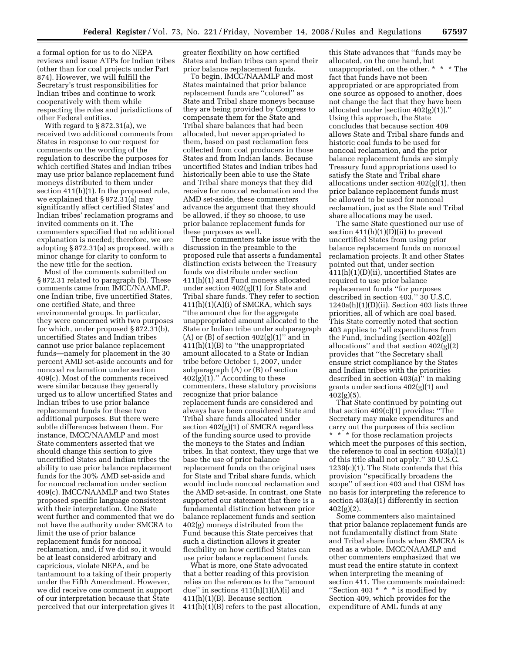a formal option for us to do NEPA reviews and issue ATPs for Indian tribes (other than for coal projects under Part 874). However, we will fulfill the Secretary's trust responsibilities for Indian tribes and continue to work cooperatively with them while respecting the roles and jurisdictions of other Federal entities.

With regard to § 872.31(a), we received two additional comments from States in response to our request for comments on the wording of the regulation to describe the purposes for which certified States and Indian tribes may use prior balance replacement fund moneys distributed to them under section 411(h)(1). In the proposed rule, we explained that § 872.31(a) may significantly affect certified States' and Indian tribes' reclamation programs and invited comments on it. The commenters specified that no additional explanation is needed; therefore, we are adopting § 872.31(a) as proposed, with a minor change for clarity to conform to the new title for the section.

Most of the comments submitted on § 872.31 related to paragraph (b). These comments came from IMCC/NAAMLP, one Indian tribe, five uncertified States, one certified State, and three environmental groups. In particular, they were concerned with two purposes for which, under proposed § 872.31(b), uncertified States and Indian tribes cannot use prior balance replacement funds—namely for placement in the 30 percent AMD set-aside accounts and for noncoal reclamation under section 409(c). Most of the comments received were similar because they generally urged us to allow uncertified States and Indian tribes to use prior balance replacement funds for these two additional purposes. But there were subtle differences between them. For instance, IMCC/NAAMLP and most State commenters asserted that we should change this section to give uncertified States and Indian tribes the ability to use prior balance replacement funds for the 30% AMD set-aside and for noncoal reclamation under section 409(c). IMCC/NAAMLP and two States proposed specific language consistent with their interpretation. One State went further and commented that we do not have the authority under SMCRA to limit the use of prior balance replacement funds for noncoal reclamation, and, if we did so, it would be at least considered arbitrary and capricious, violate NEPA, and be tantamount to a taking of their property under the Fifth Amendment. However, we did receive one comment in support of our interpretation because that State perceived that our interpretation gives it greater flexibility on how certified States and Indian tribes can spend their prior balance replacement funds.

To begin, IMCC/NAAMLP and most States maintained that prior balance replacement funds are ''colored'' as State and Tribal share moneys because they are being provided by Congress to compensate them for the State and Tribal share balances that had been allocated, but never appropriated to them, based on past reclamation fees collected from coal producers in those States and from Indian lands. Because uncertified States and Indian tribes had historically been able to use the State and Tribal share moneys that they did receive for noncoal reclamation and the AMD set-aside, these commenters advance the argument that they should be allowed, if they so choose, to use prior balance replacement funds for these purposes as well.

These commenters take issue with the discussion in the preamble to the proposed rule that asserts a fundamental distinction exists between the Treasury funds we distribute under section 411(h)(1) and Fund moneys allocated under section 402(g)(1) for State and Tribal share funds. They refer to section  $411(h)(1)(A)(i)$  of SMCRA, which says ''the amount due for the aggregate unappropriated amount allocated to the State or Indian tribe under subparagraph  $(A)$  or  $(B)$  of section  $402(g)(1)$ " and in 411(h)(1)(B) to ''the unappropriated amount allocated to a State or Indian tribe before October 1, 2007, under subparagraph (A) or (B) of section  $402(g)(1)$ ." According to these commenters, these statutory provisions recognize that prior balance replacement funds are considered and always have been considered State and Tribal share funds allocated under section 402(g)(1) of SMCRA regardless of the funding source used to provide the moneys to the States and Indian tribes. In that context, they urge that we base the use of prior balance replacement funds on the original uses for State and Tribal share funds, which would include noncoal reclamation and the AMD set-aside. In contrast, one State supported our statement that there is a fundamental distinction between prior balance replacement funds and section 402(g) moneys distributed from the Fund because this State perceives that such a distinction allows it greater flexibility on how certified States can use prior balance replacement funds.

What is more, one State advocated that a better reading of this provision relies on the references to the ''amount due'' in sections 411(h)(1)(A)(i) and 411(h)(1)(B). Because section 411(h)(1)(B) refers to the past allocation,

this State advances that ''funds may be allocated, on the one hand, but unappropriated, on the other. \* \* \* The fact that funds have not been appropriated or are appropriated from one source as opposed to another, does not change the fact that they have been allocated under [section 402(g)(1)].'' Using this approach, the State concludes that because section 409 allows State and Tribal share funds and historic coal funds to be used for noncoal reclamation, and the prior balance replacement funds are simply Treasury fund appropriations used to satisfy the State and Tribal share allocations under section 402(g)(1), then prior balance replacement funds must be allowed to be used for noncoal reclamation, just as the State and Tribal share allocations may be used.

The same State questioned our use of section  $411(h)(1)(D)(ii)$  to prevent uncertified States from using prior balance replacement funds on noncoal reclamation projects. It and other States pointed out that, under section 411(h)(1)(D)(ii), uncertified States are required to use prior balance replacement funds ''for purposes described in section 403.'' 30 U.S.C.  $1240a(h)(1)(D)(ii)$ . Section 403 lists three priorities, all of which are coal based. This State correctly noted that section 403 applies to ''all expenditures from the Fund, including [section 402(g)] allocations'' and that section 402(g)(2) provides that ''the Secretary shall ensure strict compliance by the States and Indian tribes with the priorities described in section 403(a)'' in making grants under sections 402(g)(1) and  $402(g)(5)$ .

That State continued by pointing out that section 409(c)(1) provides: ''The Secretary may make expenditures and carry out the purposes of this section

\* \* \* for those reclamation projects which meet the purposes of this section, the reference to coal in section 403(a)(1) of this title shall not apply.'' 30 U.S.C. 1239(c)(1). The State contends that this provision ''specifically broadens the scope'' of section 403 and that OSM has no basis for interpreting the reference to section 403(a)(1) differently in section 402(g)(2).

Some commenters also maintained that prior balance replacement funds are not fundamentally distinct from State and Tribal share funds when SMCRA is read as a whole. IMCC/NAAMLP and other commenters emphasized that we must read the entire statute in context when interpreting the meaning of section 411. The comments maintained: ''Section 403 \* \* \* is modified by Section 409, which provides for the expenditure of AML funds at any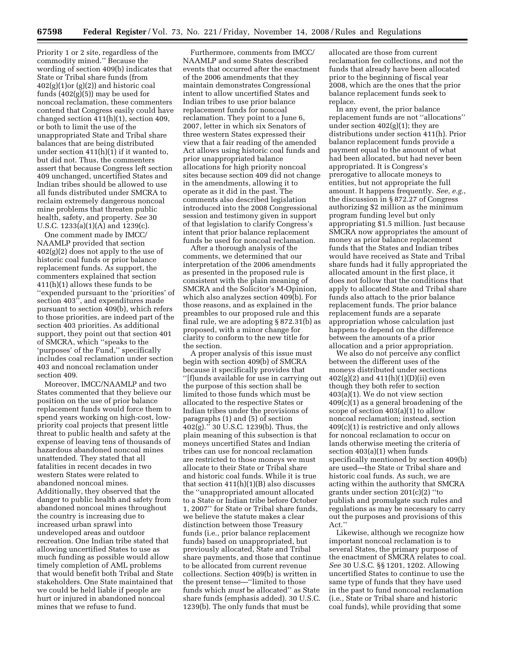Priority 1 or 2 site, regardless of the commodity mined.'' Because the wording of section 409(b) indicates that State or Tribal share funds (from  $402(g)(1)$ or  $(g)(2)$ ) and historic coal funds (402(g)(5)) may be used for noncoal reclamation, these commenters contend that Congress easily could have changed section 411(h)(1), section 409, or both to limit the use of the unappropriated State and Tribal share balances that are being distributed under section 411(h)(1) if it wanted to, but did not. Thus, the commenters assert that because Congress left section 409 unchanged, uncertified States and Indian tribes should be allowed to use all funds distributed under SMCRA to reclaim extremely dangerous noncoal mine problems that threaten public health, safety, and property. *See* 30 U.S.C. 1233(a)(1)(A) and 1239(c).

One comment made by IMCC/ NAAMLP provided that section 402(g)(2) does not apply to the use of historic coal funds or prior balance replacement funds. As support, the commenters explained that section 411(h)(1) allows these funds to be ''expended pursuant to the 'priorities' of section 403'', and expenditures made pursuant to section 409(b), which refers to those priorities, are indeed part of the section 403 priorities. As additional support, they point out that section 401 of SMCRA, which ''speaks to the 'purposes' of the Fund,'' specifically includes coal reclamation under section 403 and noncoal reclamation under section 409.

Moreover, IMCC/NAAMLP and two States commented that they believe our position on the use of prior balance replacement funds would force them to spend years working on high-cost, lowpriority coal projects that present little threat to public health and safety at the expense of leaving tens of thousands of hazardous abandoned noncoal mines unattended. They stated that all fatalities in recent decades in two western States were related to abandoned noncoal mines. Additionally, they observed that the danger to public health and safety from abandoned noncoal mines throughout the country is increasing due to increased urban sprawl into undeveloped areas and outdoor recreation. One Indian tribe stated that allowing uncertified States to use as much funding as possible would allow timely completion of AML problems that would benefit both Tribal and State stakeholders. One State maintained that we could be held liable if people are hurt or injured in abandoned noncoal mines that we refuse to fund.

Furthermore, comments from IMCC/ NAAMLP and some States described events that occurred after the enactment of the 2006 amendments that they maintain demonstrates Congressional intent to allow uncertified States and Indian tribes to use prior balance replacement funds for noncoal reclamation. They point to a June 6, 2007, letter in which six Senators of three western States expressed their view that a fair reading of the amended Act allows using historic coal funds and prior unappropriated balance allocations for high priority noncoal sites because section 409 did not change in the amendments, allowing it to operate as it did in the past. The comments also described legislation introduced into the 2008 Congressional session and testimony given in support of that legislation to clarify Congress's intent that prior balance replacement funds be used for noncoal reclamation.

After a thorough analysis of the comments, we determined that our interpretation of the 2006 amendments as presented in the proposed rule is consistent with the plain meaning of SMCRA and the Solicitor's M-Opinion, which also analyzes section 409(b). For those reasons, and as explained in the preambles to our proposed rule and this final rule, we are adopting § 872.31(b) as proposed, with a minor change for clarity to conform to the new title for the section.

A proper analysis of this issue must begin with section 409(b) of SMCRA because it specifically provides that ''[f]unds available for use in carrying out the purpose of this section shall be limited to those funds which must be allocated to the respective States or Indian tribes under the provisions of paragraphs (1) and (5) of section  $402(g).$ " 30 U.S.C. 1239(b). Thus, the plain meaning of this subsection is that moneys uncertified States and Indian tribes can use for noncoal reclamation are restricted to those moneys we must allocate to their State or Tribal share and historic coal funds. While it is true that section  $411(h)(1)(B)$  also discusses the ''unappropriated amount allocated to a State or Indian tribe before October 1, 2007'' for State or Tribal share funds, we believe the statute makes a clear distinction between those Treasury funds (i.e., prior balance replacement funds) based on unappropriated, but previously allocated, State and Tribal share payments, and those that continue to be allocated from current revenue collections. Section 409(b) is written in the present tense—''limited to those funds which *must* be allocated'' as State share funds (emphasis added). 30 U.S.C. 1239(b). The only funds that must be

allocated are those from current reclamation fee collections, and not the funds that already have been allocated prior to the beginning of fiscal year 2008, which are the ones that the prior balance replacement funds seek to replace.

In any event, the prior balance replacement funds are not ''allocations'' under section  $402(g)(1)$ ; they are distributions under section 411(h). Prior balance replacement funds provide a payment equal to the amount of what had been allocated, but had never been appropriated. It is Congress's prerogative to allocate moneys to entities, but not appropriate the full amount. It happens frequently. *See, e.g.*, the discussion in § 872.27 of Congress authorizing \$2 million as the minimum program funding level but only appropriating \$1.5 million. Just because SMCRA now appropriates the amount of money as prior balance replacement funds that the States and Indian tribes would have received as State and Tribal share funds had it fully appropriated the allocated amount in the first place, it does not follow that the conditions that apply to allocated State and Tribal share funds also attach to the prior balance replacement funds. The prior balance replacement funds are a separate appropriation whose calculation just happens to depend on the difference between the amounts of a prior allocation and a prior appropriation.

We also do not perceive any conflict between the different uses of the moneys distributed under sections  $402(g)(2)$  and  $411(h)(1)(D)(ii)$  even though they both refer to section 403(a)(1). We do not view section 409(c)(1) as a general broadening of the scope of section 403(a)(1) to allow noncoal reclamation; instead, section 409(c)(1) is restrictive and only allows for noncoal reclamation to occur on lands otherwise meeting the criteria of section 403(a)(1) when funds specifically mentioned by section 409(b) are used—the State or Tribal share and historic coal funds. As such, we are acting within the authority that SMCRA grants under section 201(c)(2) ''to publish and promulgate such rules and regulations as may be necessary to carry out the purposes and provisions of this Act.''

Likewise, although we recognize how important noncoal reclamation is to several States, the primary purpose of the enactment of SMCRA relates to coal. *See* 30 U.S.C. §§ 1201, 1202. Allowing uncertified States to continue to use the same type of funds that they have used in the past to fund noncoal reclamation (i.e., State or Tribal share and historic coal funds), while providing that some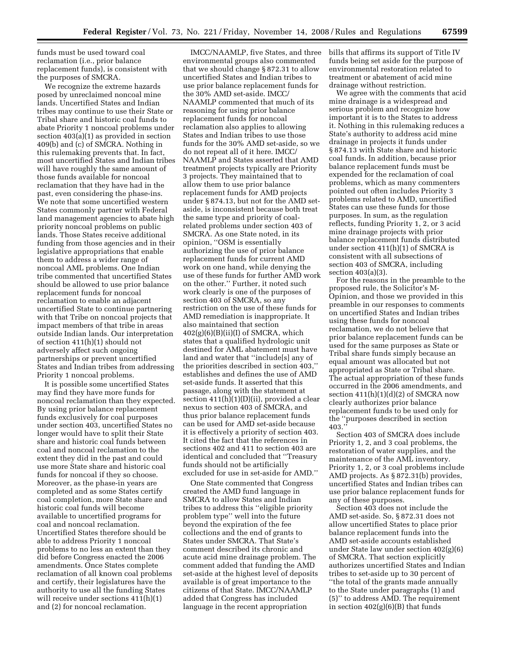funds must be used toward coal reclamation (i.e., prior balance replacement funds), is consistent with the purposes of SMCRA.

We recognize the extreme hazards posed by unreclaimed noncoal mine lands. Uncertified States and Indian tribes may continue to use their State or Tribal share and historic coal funds to abate Priority 1 noncoal problems under section 403(a)(1) as provided in section 409(b) and (c) of SMCRA. Nothing in this rulemaking prevents that. In fact, most uncertified States and Indian tribes will have roughly the same amount of those funds available for noncoal reclamation that they have had in the past, even considering the phase-ins. We note that some uncertified western States commonly partner with Federal land management agencies to abate high priority noncoal problems on public lands. Those States receive additional funding from those agencies and in their legislative appropriations that enable them to address a wider range of noncoal AML problems. One Indian tribe commented that uncertified States should be allowed to use prior balance replacement funds for noncoal reclamation to enable an adjacent uncertified State to continue partnering with that Tribe on noncoal projects that impact members of that tribe in areas outside Indian lands. Our interpretation of section 411(h)(1) should not adversely affect such ongoing partnerships or prevent uncertified States and Indian tribes from addressing Priority 1 noncoal problems.

It is possible some uncertified States may find they have more funds for noncoal reclamation than they expected. By using prior balance replacement funds exclusively for coal purposes under section 403, uncertified States no longer would have to split their State share and historic coal funds between coal and noncoal reclamation to the extent they did in the past and could use more State share and historic coal funds for noncoal if they so choose. Moreover, as the phase-in years are completed and as some States certify coal completion, more State share and historic coal funds will become available to uncertified programs for coal and noncoal reclamation. Uncertified States therefore should be able to address Priority 1 noncoal problems to no less an extent than they did before Congress enacted the 2006 amendments. Once States complete reclamation of all known coal problems and certify, their legislatures have the authority to use all the funding States will receive under sections 411(h)(1) and (2) for noncoal reclamation.

IMCC/NAAMLP, five States, and three environmental groups also commented that we should change § 872.31 to allow uncertified States and Indian tribes to use prior balance replacement funds for the 30% AMD set-aside. IMCC/ NAAMLP commented that much of its reasoning for using prior balance replacement funds for noncoal reclamation also applies to allowing States and Indian tribes to use those funds for the 30% AMD set-aside, so we do not repeat all of it here. IMCC/ NAAMLP and States asserted that AMD treatment projects typically are Priority 3 projects. They maintained that to allow them to use prior balance replacement funds for AMD projects under § 874.13, but not for the AMD setaside, is inconsistent because both treat the same type and priority of coalrelated problems under section 403 of SMCRA. As one State noted, in its opinion, ''OSM is essentially authorizing the use of prior balance replacement funds for current AMD work on one hand, while denying the use of these funds for further AMD work on the other.'' Further, it noted such work clearly is one of the purposes of section 403 of SMCRA, so any restriction on the use of these funds for AMD remediation is inappropriate. It also maintained that section  $402(g)(6)(B)(ii)(I)$  of SMCRA, which states that a qualified hydrologic unit destined for AML abatement must have land and water that ''include[s] any of the priorities described in section 403,'' establishes and defines the use of AMD set-aside funds. It asserted that this passage, along with the statement at section 411(h)(1)(D)(ii), provided a clear nexus to section 403 of SMCRA, and thus prior balance replacement funds can be used for AMD set-aside because it is effectively a priority of section 403. It cited the fact that the references in sections 402 and 411 to section 403 are identical and concluded that ''Treasury funds should not be artificially excluded for use in set-aside for AMD.''

One State commented that Congress created the AMD fund language in SMCRA to allow States and Indian tribes to address this ''eligible priority problem type'' well into the future beyond the expiration of the fee collections and the end of grants to States under SMCRA. That State's comment described its chronic and acute acid mine drainage problem. The comment added that funding the AMD set-aside at the highest level of deposits available is of great importance to the citizens of that State. IMCC/NAAMLP added that Congress has included language in the recent appropriation

bills that affirms its support of Title IV funds being set aside for the purpose of environmental restoration related to treatment or abatement of acid mine drainage without restriction.

We agree with the comments that acid mine drainage is a widespread and serious problem and recognize how important it is to the States to address it. Nothing in this rulemaking reduces a State's authority to address acid mine drainage in projects it funds under § 874.13 with State share and historic coal funds. In addition, because prior balance replacement funds must be expended for the reclamation of coal problems, which as many commenters pointed out often includes Priority 3 problems related to AMD, uncertified States can use these funds for those purposes. In sum, as the regulation reflects, funding Priority 1, 2, or 3 acid mine drainage projects with prior balance replacement funds distributed under section 411(h)(1) of SMCRA is consistent with all subsections of section 403 of SMCRA, including section 403(a)(3).

For the reasons in the preamble to the proposed rule, the Solicitor's M-Opinion, and those we provided in this preamble in our responses to comments on uncertified States and Indian tribes using these funds for noncoal reclamation, we do not believe that prior balance replacement funds can be used for the same purposes as State or Tribal share funds simply because an equal amount was allocated but not appropriated as State or Tribal share. The actual appropriation of these funds occurred in the 2006 amendments, and section  $411(h)(1)(d)(2)$  of SMCRA now clearly authorizes prior balance replacement funds to be used only for the ''purposes described in section 403.''

Section 403 of SMCRA does include Priority 1, 2, and 3 coal problems, the restoration of water supplies, and the maintenance of the AML inventory. Priority 1, 2, or 3 coal problems include AMD projects. As § 872.31(b) provides, uncertified States and Indian tribes can use prior balance replacement funds for any of these purposes.

Section 403 does not include the AMD set-aside. So, § 872.31 does not allow uncertified States to place prior balance replacement funds into the AMD set-aside accounts established under State law under section 402(g)(6) of SMCRA. That section explicitly authorizes uncertified States and Indian tribes to set-aside up to 30 percent of ''the total of the grants made annually to the State under paragraphs (1) and (5)'' to address AMD. The requirement in section  $402(g)(6)(B)$  that funds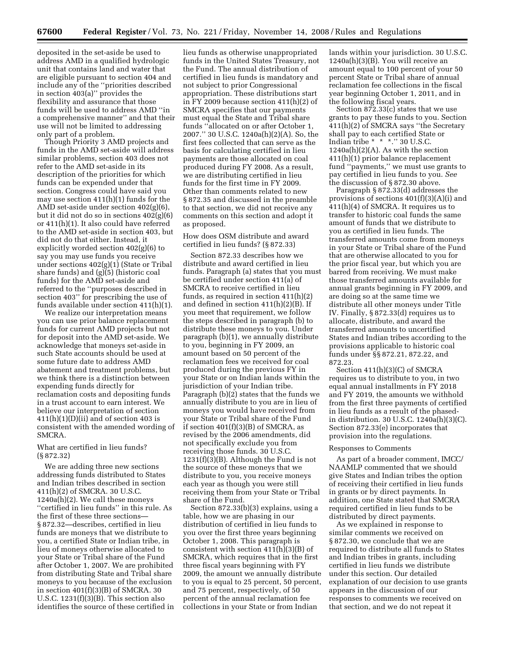deposited in the set-aside be used to address AMD in a qualified hydrologic unit that contains land and water that are eligible pursuant to section 404 and include any of the ''priorities described in section 403(a)'' provides the flexibility and assurance that those funds will be used to address AMD ''in a comprehensive manner'' and that their use will not be limited to addressing only part of a problem.

Though Priority 3 AMD projects and funds in the AMD set-aside will address similar problems, section 403 does not refer to the AMD set-aside in its description of the priorities for which funds can be expended under that section. Congress could have said you may use section 411(h)(1) funds for the AMD set-aside under section 402(g)(6), but it did not do so in sections 402(g)(6) or 411(h)(1). It also could have referred to the AMD set-aside in section 403, but did not do that either. Instead, it explicitly worded section 402(g)(6) to say you may use funds you receive under sections 402(g)(1) (State or Tribal share funds) and  $(g)(5)$  (historic coal funds) for the AMD set-aside and referred to the ''purposes described in section 403'' for prescribing the use of funds available under section 411(h)(1).

We realize our interpretation means you can use prior balance replacement funds for current AMD projects but not for deposit into the AMD set-aside. We acknowledge that moneys set-aside in such State accounts should be used at some future date to address AMD abatement and treatment problems, but we think there is a distinction between expending funds directly for reclamation costs and depositing funds in a trust account to earn interest. We believe our interpretation of section  $411(h)(1)(D)(ii)$  and of section 403 is consistent with the amended wording of SMCRA.

# What are certified in lieu funds? (§ 872.32)

We are adding three new sections addressing funds distributed to States and Indian tribes described in section 411(h)(2) of SMCRA. 30 U.S.C. 1240a(h)(2). We call these moneys ''certified in lieu funds'' in this rule. As the first of these three sections— § 872.32—describes, certified in lieu funds are moneys that we distribute to you, a certified State or Indian tribe, in lieu of moneys otherwise allocated to your State or Tribal share of the Fund after October 1, 2007. We are prohibited from distributing State and Tribal share moneys to you because of the exclusion in section  $401(f)(3)(B)$  of SMCRA. 30 U.S.C. 1231(f)(3)(B). This section also identifies the source of these certified in

lieu funds as otherwise unappropriated funds in the United States Treasury, not the Fund. The annual distribution of certified in lieu funds is mandatory and not subject to prior Congressional appropriation. These distributions start in FY 2009 because section 411(h)(2) of SMCRA specifies that our payments must equal the State and Tribal share funds ''allocated on or after October 1, 2007.'' 30 U.S.C. 1240a(h)(2)(A). So, the first fees collected that can serve as the basis for calculating certified in lieu payments are those allocated on coal produced during FY 2008. As a result, we are distributing certified in lieu funds for the first time in FY 2009. Other than comments related to new § 872.35 and discussed in the preamble to that section, we did not receive any comments on this section and adopt it as proposed.

# How does OSM distribute and award certified in lieu funds? (§ 872.33)

Section 872.33 describes how we distribute and award certified in lieu funds. Paragraph (a) states that you must be certified under section 411(a) of SMCRA to receive certified in lieu funds, as required in section 411(h)(2) and defined in section 411(h)(2)(B). If you meet that requirement, we follow the steps described in paragraph (b) to distribute these moneys to you. Under paragraph (b)(1), we annually distribute to you, beginning in FY 2009, an amount based on 50 percent of the reclamation fees we received for coal produced during the previous FY in your State or on Indian lands within the jurisdiction of your Indian tribe. Paragraph (b)(2) states that the funds we annually distribute to you are in lieu of moneys you would have received from your State or Tribal share of the Fund if section  $401(f)(3)(B)$  of SMCRA, as revised by the 2006 amendments, did not specifically exclude you from receiving those funds. 30 U.S.C. 1231(f)(3)(B). Although the Fund is not the source of these moneys that we distribute to you, you receive moneys each year as though you were still receiving them from your State or Tribal share of the Fund.

Section 872.33(b)(3) explains, using a table, how we are phasing in our distribution of certified in lieu funds to you over the first three years beginning October 1, 2008. This paragraph is consistent with section 411(h)(3)(B) of SMCRA, which requires that in the first three fiscal years beginning with FY 2009, the amount we annually distribute to you is equal to 25 percent, 50 percent, and 75 percent, respectively, of 50 percent of the annual reclamation fee collections in your State or from Indian

lands within your jurisdiction. 30 U.S.C. 1240a(h)(3)(B). You will receive an amount equal to 100 percent of your 50 percent State or Tribal share of annual reclamation fee collections in the fiscal year beginning October 1, 2011, and in the following fiscal years.

Section 872.33(c) states that we use grants to pay these funds to you. Section 411(h)(2) of SMCRA says ''the Secretary shall pay to each certified State or Indian tribe \* \* \*.'' 30 U.S.C.  $1240a(h)(2)(A)$ . As with the section 411(h)(1) prior balance replacement fund ''payments,'' we must use grants to pay certified in lieu funds to you. *See*  the discussion of § 872.30 above.

Paragraph § 872.33(d) addresses the provisions of sections 401(f)(3)(A)(i) and 411(h)(4) of SMCRA. It requires us to transfer to historic coal funds the same amount of funds that we distribute to you as certified in lieu funds. The transferred amounts come from moneys in your State or Tribal share of the Fund that are otherwise allocated to you for the prior fiscal year, but which you are barred from receiving. We must make those transferred amounts available for annual grants beginning in FY 2009, and are doing so at the same time we distribute all other moneys under Title IV. Finally, § 872.33(d) requires us to allocate, distribute, and award the transferred amounts to uncertified States and Indian tribes according to the provisions applicable to historic coal funds under §§ 872.21, 872.22, and 872.23.

Section 411(h)(3)(C) of SMCRA requires us to distribute to you, in two equal annual installments in FY 2018 and FY 2019, the amounts we withhold from the first three payments of certified in lieu funds as a result of the phasedin distribution. 30 U.S.C. 1240a(h)(3)(C). Section 872.33(e) incorporates that provision into the regulations.

#### Responses to Comments

As part of a broader comment, IMCC/ NAAMLP commented that we should give States and Indian tribes the option of receiving their certified in lieu funds in grants or by direct payments. In addition, one State stated that SMCRA required certified in lieu funds to be distributed by direct payments.

As we explained in response to similar comments we received on § 872.30, we conclude that we are required to distribute all funds to States and Indian tribes in grants, including certified in lieu funds we distribute under this section. Our detailed explanation of our decision to use grants appears in the discussion of our responses to comments we received on that section, and we do not repeat it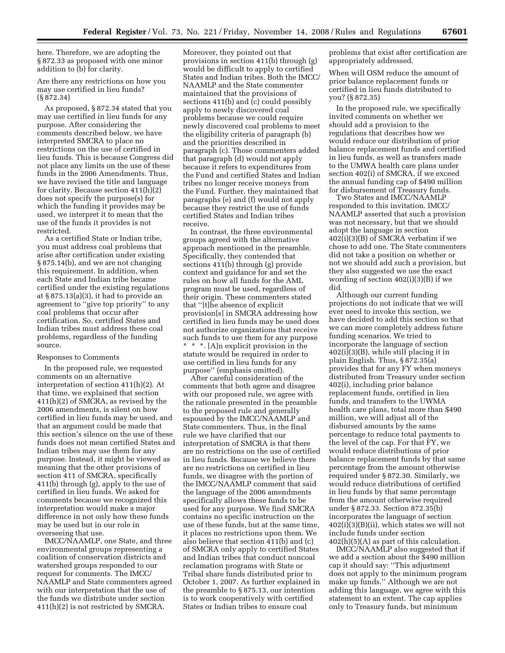here. Therefore, we are adopting the § 872.33 as proposed with one minor addition to (b) for clarity.

Are there any restrictions on how you may use certified in lieu funds? (§ 872.34)

As proposed, § 872.34 stated that you may use certified in lieu funds for any purpose. After considering the comments described below, we have interpreted SMCRA to place no restrictions on the use of certified in lieu funds. This is because Congress did not place any limits on the use of these funds in the 2006 Amendments. Thus, we have revised the title and language for clarity. Because section  $411(h)(2)$ does not specify the purpose(s) for which the funding it provides may be used, we interpret it to mean that the use of the funds it provides is not restricted.

As a certified State or Indian tribe, you must address coal problems that arise after certification under existing § 875.14(b), and we are not changing this requirement. In addition, when each State and Indian tribe became certified under the existing regulations at  $\S 875.13(a)(3)$ , it had to provide an agreement to ''give top priority'' to any coal problems that occur after certification. So, certified States and Indian tribes must address these coal problems, regardless of the funding source.

#### Responses to Comments

In the proposed rule, we requested comments on an alternative interpretation of section 411(h)(2). At that time, we explained that section 411(h)(2) of SMCRA, as revised by the 2006 amendments, is silent on how certified in lieu funds may be used, and that an argument could be made that this section's silence on the use of these funds does not mean certified States and Indian tribes may use them for any purpose. Instead, it might be viewed as meaning that the other provisions of section 411 of SMCRA, specifically 411(b) through (g), apply to the use of certified in lieu funds. We asked for comments because we recognized this interpretation would make a major difference in not only how these funds may be used but in our role in overseeing that use.

IMCC/NAAMLP, one State, and three environmental groups representing a coalition of conservation districts and watershed groups responded to our request for comments. The IMCC/ NAAMLP and State commenters agreed with our interpretation that the use of the funds we distribute under section 411(h)(2) is not restricted by SMCRA.

Moreover, they pointed out that provisions in section 411(b) through (g) would be difficult to apply to certified States and Indian tribes. Both the IMCC/ NAAMLP and the State commenter maintained that the provisions of sections 411(b) and (c) could possibly apply to newly discovered coal problems because we could require newly discovered coal problems to meet the eligibility criteria of paragraph (b) and the priorities described in paragraph (c). Those commenters added that paragraph (d) would not apply because it refers to expenditures from the Fund and certified States and Indian tribes no longer receive moneys from the Fund. Further, they maintained that paragraphs (e) and (f) would not apply because they restrict the use of funds certified States and Indian tribes receive.

In contrast, the three environmental groups agreed with the alternative approach mentioned in the preamble. Specifically, they contended that sections 411(b) through (g) provide context and guidance for and set the rules on how all funds for the AML program must be used, regardless of their origin. These commenters stated that ''[t]he absence of explicit provision[s] in SMCRA addressing how certified in lieu funds may be used does not authorize organizations that receive such funds to use them for any purpose \* \* \*. [A]n explicit provision in the statute would be required in order to use certified in lieu funds for any purpose'' (emphasis omitted).

After careful consideration of the comments that both agree and disagree with our proposed rule, we agree with the rationale presented in the preamble to the proposed rule and generally espoused by the IMCC/NAAMLP and State commenters. Thus, in the final rule we have clarified that our interpretation of SMCRA is that there are no restrictions on the use of certified in lieu funds. Because we believe there are no restrictions on certified in lieu funds, we disagree with the portion of the IMCC/NAAMLP comment that said the language of the 2006 amendments specifically allows these funds to be used for any purpose. We find SMCRA contains no specific instruction on the use of these funds, but at the same time, it places no restrictions upon them. We also believe that section 411(b) and (c) of SMCRA only apply to certified States and Indian tribes that conduct noncoal reclamation programs with State or Tribal share funds distributed prior to October 1, 2007. As further explained in the preamble to § 875.13, our intention is to work cooperatively with certified States or Indian tribes to ensure coal

problems that exist after certification are appropriately addressed.

When will OSM reduce the amount of prior balance replacement funds or certified in lieu funds distributed to you? (§ 872.35)

In the proposed rule, we specifically invited comments on whether we should add a provision to the regulations that describes how we would reduce our distribution of prior balance replacement funds and certified in lieu funds, as well as transfers made to the UMWA health care plans under section 402(i) of SMCRA, if we exceed the annual funding cap of \$490 million for disbursement of Treasury funds.

Two States and IMCC/NAAMLP responded to this invitation. IMCC/ NAAMLP asserted that such a provision was not necessary, but that we should adopt the language in section 402(i)(3)(B) of SMCRA verbatim if we chose to add one. The State commenters did not take a position on whether or not we should add such a provision, but they also suggested we use the exact wording of section 402(i)(3)(B) if we did.

Although our current funding projections do not indicate that we will ever need to invoke this section, we have decided to add this section so that we can more completely address future funding scenarios. We tried to incorporate the language of section  $402(i)(3)(B)$ , while still placing it in plain English. Thus, § 872.35(a) provides that for any FY when moneys distributed from Treasury under section 402(i), including prior balance replacement funds, certified in lieu funds, and transfers to the UWMA health care plans, total more than \$490 million, we will adjust all of the disbursed amounts by the same percentage to reduce total payments to the level of the cap. For that FY, we would reduce distributions of prior balance replacement funds by that same percentage from the amount otherwise required under § 872.30. Similarly, we would reduce distributions of certified in lieu funds by that same percentage from the amount otherwise required under § 872.33. Section 872.35(b) incorporates the language of section  $402(i)(3)(B)(ii)$ , which states we will not include funds under section 402(h)(5)(A) as part of this calculation.

IMCC/NAAMLP also suggested that if we add a section about the \$490 million cap it should say: ''This adjustment does not apply to the minimum program make up funds.'' Although we are not adding this language, we agree with this statement to an extent. The cap applies only to Treasury funds, but minimum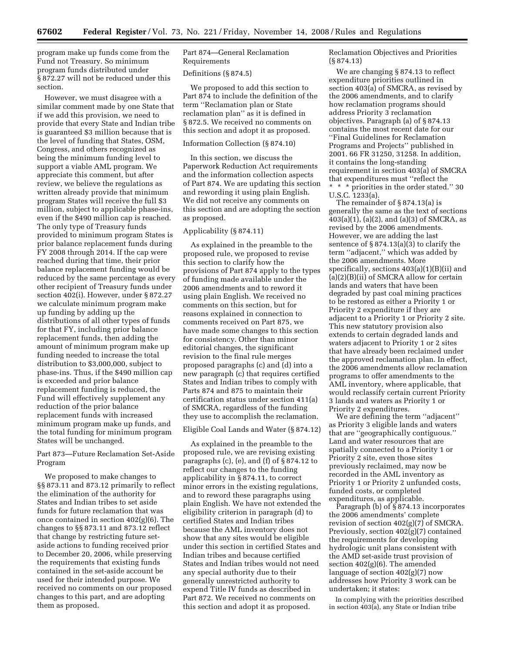program make up funds come from the Fund not Treasury. So minimum program funds distributed under § 872.27 will not be reduced under this section.

However, we must disagree with a similar comment made by one State that if we add this provision, we need to provide that every State and Indian tribe is guaranteed \$3 million because that is the level of funding that States, OSM, Congress, and others recognized as being the minimum funding level to support a viable AML program. We appreciate this comment, but after review, we believe the regulations as written already provide that minimum program States will receive the full \$3 million, subject to applicable phase-ins, even if the \$490 million cap is reached. The only type of Treasury funds provided to minimum program States is prior balance replacement funds during FY 2008 through 2014. If the cap were reached during that time, their prior balance replacement funding would be reduced by the same percentage as every other recipient of Treasury funds under section 402(i). However, under § 872.27 we calculate minimum program make up funding by adding up the distributions of all other types of funds for that FY, including prior balance replacement funds, then adding the amount of minimum program make up funding needed to increase the total distribution to \$3,000,000, subject to phase-ins. Thus, if the \$490 million cap is exceeded and prior balance replacement funding is reduced, the Fund will effectively supplement any reduction of the prior balance replacement funds with increased minimum program make up funds, and the total funding for minimum program States will be unchanged.

# Part 873—Future Reclamation Set-Aside Program

We proposed to make changes to §§ 873.11 and 873.12 primarily to reflect the elimination of the authority for States and Indian tribes to set aside funds for future reclamation that was once contained in section 402(g)(6). The changes to §§ 873.11 and 873.12 reflect that change by restricting future setaside actions to funding received prior to December 20, 2006, while preserving the requirements that existing funds contained in the set-aside account be used for their intended purpose. We received no comments on our proposed changes to this part, and are adopting them as proposed.

Part 874—General Reclamation Requirements

# Definitions (§ 874.5)

We proposed to add this section to Part 874 to include the definition of the term ''Reclamation plan or State reclamation plan'' as it is defined in § 872.5. We received no comments on this section and adopt it as proposed.

# Information Collection (§ 874.10)

In this section, we discuss the Paperwork Reduction Act requirements and the information collection aspects of Part 874. We are updating this section and rewording it using plain English. We did not receive any comments on this section and are adopting the section as proposed.

# Applicability (§ 874.11)

As explained in the preamble to the proposed rule, we proposed to revise this section to clarify how the provisions of Part 874 apply to the types of funding made available under the 2006 amendments and to reword it using plain English. We received no comments on this section, but for reasons explained in connection to comments received on Part 875, we have made some changes to this section for consistency. Other than minor editorial changes, the significant revision to the final rule merges proposed paragraphs (c) and (d) into a new paragraph (c) that requires certified States and Indian tribes to comply with Parts 874 and 875 to maintain their certification status under section 411(a) of SMCRA, regardless of the funding they use to accomplish the reclamation.

# Eligible Coal Lands and Water (§ 874.12)

As explained in the preamble to the proposed rule, we are revising existing paragraphs (c), (e), and (f) of § 874.12 to reflect our changes to the funding applicability in § 874.11, to correct minor errors in the existing regulations, and to reword these paragraphs using plain English. We have not extended the eligibility criterion in paragraph (d) to certified States and Indian tribes because the AML inventory does not show that any sites would be eligible under this section in certified States and Indian tribes and because certified States and Indian tribes would not need any special authority due to their generally unrestricted authority to expend Title IV funds as described in Part 872. We received no comments on this section and adopt it as proposed.

Reclamation Objectives and Priorities (§ 874.13)

We are changing § 874.13 to reflect expenditure priorities outlined in section 403(a) of SMCRA, as revised by the 2006 amendments, and to clarify how reclamation programs should address Priority 3 reclamation objectives. Paragraph (a) of § 874.13 contains the most recent date for our ''Final Guidelines for Reclamation Programs and Projects'' published in 2001. 66 FR 31250, 31258. In addition, it contains the long-standing requirement in section 403(a) of SMCRA that expenditures must ''reflect the \* \* \* priorities in the order stated.'' 30 U.S.C. 1233(a).

The remainder of § 874.13(a) is generally the same as the text of sections 403(a)(1), (a)(2), and (a)(3) of SMCRA, as revised by the 2006 amendments. However, we are adding the last sentence of § 874.13(a)(3) to clarify the term ''adjacent,'' which was added by the 2006 amendments. More specifically, sections 403(a)(1)(B)(ii) and  $(a)(2)(B)(ii)$  of SMCRA allow for certain lands and waters that have been degraded by past coal mining practices to be restored as either a Priority 1 or Priority 2 expenditure if they are adjacent to a Priority 1 or Priority 2 site. This new statutory provision also extends to certain degraded lands and waters adjacent to Priority 1 or 2 sites that have already been reclaimed under the approved reclamation plan. In effect, the 2006 amendments allow reclamation programs to offer amendments to the AML inventory, where applicable, that would reclassify certain current Priority 3 lands and waters as Priority 1 or Priority 2 expenditures.

We are defining the term ''adjacent'' as Priority 3 eligible lands and waters that are ''geographically contiguous.'' Land and water resources that are spatially connected to a Priority 1 or Priority 2 site, even those sites previously reclaimed, may now be recorded in the AML inventory as Priority 1 or Priority 2 unfunded costs, funded costs, or completed expenditures, as applicable.

Paragraph (b) of § 874.13 incorporates the 2006 amendments' complete revision of section 402(g)(7) of SMCRA. Previously, section 402(g)(7) contained the requirements for developing hydrologic unit plans consistent with the AMD set-aside trust provision of section 402(g)(6). The amended language of section 402(g)(7) now addresses how Priority 3 work can be undertaken; it states:

In complying with the priorities described in section 403(a), any State or Indian tribe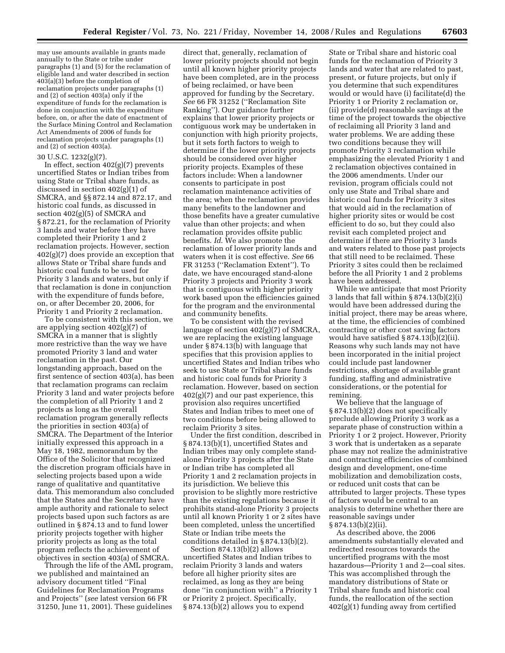may use amounts available in grants made annually to the State or tribe under paragraphs (1) and (5) for the reclamation of eligible land and water described in section 403(a)(3) before the completion of reclamation projects under paragraphs (1) and (2) of section 403(a) only if the expenditure of funds for the reclamation is done in conjunction with the expenditure before, on, or after the date of enactment of the Surface Mining Control and Reclamation Act Amendments of 2006 of funds for reclamation projects under paragraphs (1) and (2) of section 403(a).

# 30 U.S.C. 1232(g)(7).

In effect, section  $402(g)(7)$  prevents uncertified States or Indian tribes from using State or Tribal share funds, as discussed in section 402(g)(1) of SMCRA, and §§ 872.14 and 872.17, and historic coal funds, as discussed in section 402(g)(5) of SMCRA and § 872.21, for the reclamation of Priority 3 lands and water before they have completed their Priority 1 and 2 reclamation projects. However, section 402(g)(7) does provide an exception that allows State or Tribal share funds and historic coal funds to be used for Priority 3 lands and waters, but only if that reclamation is done in conjunction with the expenditure of funds before, on, or after December 20, 2006, for Priority 1 and Priority 2 reclamation.

To be consistent with this section, we are applying section 402(g)(7) of SMCRA in a manner that is slightly more restrictive than the way we have promoted Priority 3 land and water reclamation in the past. Our longstanding approach, based on the first sentence of section 403(a), has been that reclamation programs can reclaim Priority 3 land and water projects before the completion of all Priority 1 and 2 projects as long as the overall reclamation program generally reflects the priorities in section 403(a) of SMCRA. The Department of the Interior initially expressed this approach in a May 18, 1982, memorandum by the Office of the Solicitor that recognized the discretion program officials have in selecting projects based upon a wide range of qualitative and quantitative data. This memorandum also concluded that the States and the Secretary have ample authority and rationale to select projects based upon such factors as are outlined in § 874.13 and to fund lower priority projects together with higher priority projects as long as the total program reflects the achievement of objectives in section 403(a) of SMCRA.

Through the life of the AML program, we published and maintained an advisory document titled ''Final Guidelines for Reclamation Programs and Projects'' (*see* latest version 66 FR 31250, June 11, 2001). These guidelines

direct that, generally, reclamation of lower priority projects should not begin until all known higher priority projects have been completed, are in the process of being reclaimed, or have been approved for funding by the Secretary. *See* 66 FR 31252 (''Reclamation Site Ranking''). Our guidance further explains that lower priority projects or contiguous work may be undertaken in conjunction with high priority projects, but it sets forth factors to weigh to determine if the lower priority projects should be considered over higher priority projects. Examples of these factors include: When a landowner consents to participate in post reclamation maintenance activities of the area; when the reclamation provides many benefits to the landowner and those benefits have a greater cumulative value than other projects; and when reclamation provides offsite public benefits. *Id*. We also promote the reclamation of lower priority lands and waters when it is cost effective. *See* 66 FR 31253 (''Reclamation Extent''). To date, we have encouraged stand-alone Priority 3 projects and Priority 3 work that is contiguous with higher priority work based upon the efficiencies gained for the program and the environmental and community benefits.

To be consistent with the revised language of section 402(g)(7) of SMCRA, we are replacing the existing language under § 874.13(b) with language that specifies that this provision applies to uncertified States and Indian tribes who seek to use State or Tribal share funds and historic coal funds for Priority 3 reclamation. However, based on section  $402(g)(7)$  and our past experience, this provision also requires uncertified States and Indian tribes to meet one of two conditions before being allowed to reclaim Priority 3 sites.

Under the first condition, described in § 874.13(b)(1), uncertified States and Indian tribes may only complete standalone Priority 3 projects after the State or Indian tribe has completed all Priority 1 and 2 reclamation projects in its jurisdiction. We believe this provision to be slightly more restrictive than the existing regulations because it prohibits stand-alone Priority 3 projects until all known Priority 1 or 2 sites have been completed, unless the uncertified State or Indian tribe meets the conditions detailed in § 874.13(b)(2).

Section 874.13(b)(2) allows uncertified States and Indian tribes to reclaim Priority 3 lands and waters before all higher priority sites are reclaimed, as long as they are being done ''in conjunction with'' a Priority 1 or Priority 2 project. Specifically, § 874.13(b)(2) allows you to expend

State or Tribal share and historic coal funds for the reclamation of Priority 3 lands and water that are related to past, present, or future projects, but only if you determine that such expenditures would or would have (i) facilitate(d) the Priority 1 or Priority 2 reclamation or, (ii) provide(d) reasonable savings at the time of the project towards the objective of reclaiming all Priority 3 land and water problems. We are adding these two conditions because they will promote Priority 3 reclamation while emphasizing the elevated Priority 1 and 2 reclamation objectives contained in the 2006 amendments. Under our revision, program officials could not only use State and Tribal share and historic coal funds for Priority 3 sites that would aid in the reclamation of higher priority sites or would be cost efficient to do so, but they could also revisit each completed project and determine if there are Priority 3 lands and waters related to those past projects that still need to be reclaimed. These Priority 3 sites could then be reclaimed before the all Priority 1 and 2 problems have been addressed.

While we anticipate that most Priority 3 lands that fall within § 874.13(b)(2)(i) would have been addressed during the initial project, there may be areas where, at the time, the efficiencies of combined contracting or other cost saving factors would have satisfied § 874.13(b)(2)(ii). Reasons why such lands may not have been incorporated in the initial project could include past landowner restrictions, shortage of available grant funding, staffing and administrative considerations, or the potential for remining.

We believe that the language of § 874.13(b)(2) does not specifically preclude allowing Priority 3 work as a separate phase of construction within a Priority 1 or 2 project. However, Priority 3 work that is undertaken as a separate phase may not realize the administrative and contracting efficiencies of combined design and development, one-time mobilization and demobilization costs, or reduced unit costs that can be attributed to larger projects. These types of factors would be central to an analysis to determine whether there are reasonable savings under  $§ 874.13(b)(2)(ii).$ 

As described above, the 2006 amendments substantially elevated and redirected resources towards the uncertified programs with the most hazardous—Priority 1 and 2—coal sites. This was accomplished through the mandatory distributions of State or Tribal share funds and historic coal funds, the reallocation of the section 402(g)(1) funding away from certified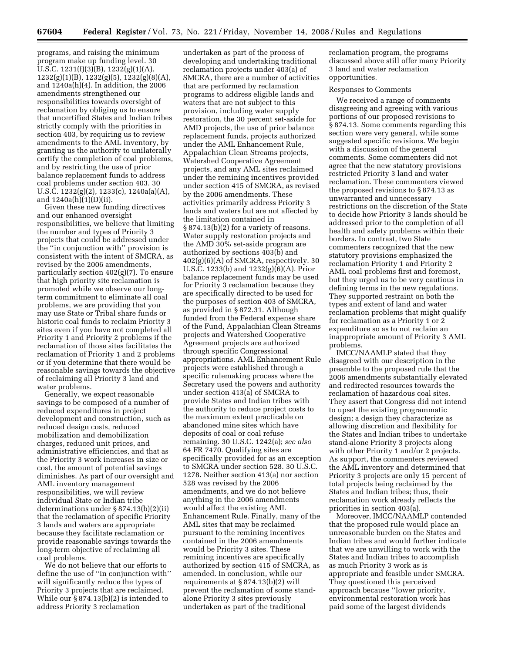programs, and raising the minimum program make up funding level. 30 U.S.C. 1231(f)(3)(B), 1232(g)(1)(A), 1232(g)(1)(B), 1232(g)(5), 1232(g)(8)(A), and 1240a(h)(4). In addition, the 2006 amendments strengthened our responsibilities towards oversight of reclamation by obliging us to ensure that uncertified States and Indian tribes strictly comply with the priorities in section 403, by requiring us to review amendments to the AML inventory, by granting us the authority to unilaterally certify the completion of coal problems, and by restricting the use of prior balance replacement funds to address coal problems under section 403. 30 U.S.C. 1232(g)(2), 1233(c), 1240a(a)(A), and 1240a(h)(1)(D)(ii).

Given these new funding directives and our enhanced oversight responsibilities, we believe that limiting the number and types of Priority 3 projects that could be addressed under the ''in conjunction with'' provision is consistent with the intent of SMCRA, as revised by the 2006 amendments, particularly section 402(g)(7). To ensure that high priority site reclamation is promoted while we observe our longterm commitment to eliminate all coal problems, we are providing that you may use State or Tribal share funds or historic coal funds to reclaim Priority 3 sites even if you have not completed all Priority 1 and Priority 2 problems if the reclamation of those sites facilitates the reclamation of Priority 1 and 2 problems or if you determine that there would be reasonable savings towards the objective of reclaiming all Priority 3 land and water problems.

Generally, we expect reasonable savings to be composed of a number of reduced expenditures in project development and construction, such as reduced design costs, reduced mobilization and demobilization charges, reduced unit prices, and administrative efficiencies, and that as the Priority 3 work increases in size or cost, the amount of potential savings diminishes. As part of our oversight and AML inventory management responsibilities, we will review individual State or Indian tribe determinations under § 874.13(b)(2)(ii) that the reclamation of specific Priority 3 lands and waters are appropriate because they facilitate reclamation or provide reasonable savings towards the long-term objective of reclaiming all coal problems.

We do not believe that our efforts to define the use of ''in conjunction with'' will significantly reduce the types of Priority 3 projects that are reclaimed. While our § 874.13(b)(2) is intended to address Priority 3 reclamation

undertaken as part of the process of developing and undertaking traditional reclamation projects under 403(a) of SMCRA, there are a number of activities that are performed by reclamation programs to address eligible lands and waters that are not subject to this provision, including water supply restoration, the 30 percent set-aside for AMD projects, the use of prior balance replacement funds, projects authorized under the AML Enhancement Rule, Appalachian Clean Streams projects, Watershed Cooperative Agreement projects, and any AML sites reclaimed under the remining incentives provided under section 415 of SMCRA, as revised by the 2006 amendments. These activities primarily address Priority 3 lands and waters but are not affected by the limitation contained in § 874.13(b)(2) for a variety of reasons. Water supply restoration projects and the AMD 30% set-aside program are authorized by sections 403(b) and 402(g)(6)(A) of SMCRA, respectively. 30 U.S.C. 1233(b) and 1232(g)(6)(A). Prior balance replacement funds may be used for Priority 3 reclamation because they are specifically directed to be used for the purposes of section 403 of SMCRA, as provided in § 872.31. Although funded from the Federal expense share of the Fund, Appalachian Clean Streams projects and Watershed Cooperative Agreement projects are authorized through specific Congressional appropriations. AML Enhancement Rule projects were established through a specific rulemaking process where the Secretary used the powers and authority under section 413(a) of SMCRA to provide States and Indian tribes with the authority to reduce project costs to the maximum extent practicable on abandoned mine sites which have deposits of coal or coal refuse remaining. 30 U.S.C. 1242(a); *see also*  64 FR 7470. Qualifying sites are specifically provided for as an exception to SMCRA under section 528. 30 U.S.C. 1278. Neither section 413(a) nor section 528 was revised by the 2006 amendments, and we do not believe anything in the 2006 amendments would affect the existing AML Enhancement Rule. Finally, many of the AML sites that may be reclaimed pursuant to the remining incentives contained in the 2006 amendments would be Priority 3 sites. These remining incentives are specifically authorized by section 415 of SMCRA, as amended. In conclusion, while our requirements at § 874.13(b)(2) will prevent the reclamation of some standalone Priority 3 sites previously undertaken as part of the traditional

reclamation program, the programs discussed above still offer many Priority 3 land and water reclamation opportunities.

#### Responses to Comments

We received a range of comments disagreeing and agreeing with various portions of our proposed revisions to § 874.13. Some comments regarding this section were very general, while some suggested specific revisions. We begin with a discussion of the general comments. Some commenters did not agree that the new statutory provisions restricted Priority 3 land and water reclamation. These commenters viewed the proposed revisions to § 874.13 as unwarranted and unnecessary restrictions on the discretion of the State to decide how Priority 3 lands should be addressed prior to the completion of all health and safety problems within their borders. In contrast, two State commenters recognized that the new statutory provisions emphasized the reclamation Priority 1 and Priority 2 AML coal problems first and foremost, but they urged us to be very cautious in defining terms in the new regulations. They supported restraint on both the types and extent of land and water reclamation problems that might qualify for reclamation as a Priority 1 or 2 expenditure so as to not reclaim an inappropriate amount of Priority 3 AML problems.

IMCC/NAAMLP stated that they disagreed with our description in the preamble to the proposed rule that the 2006 amendments substantially elevated and redirected resources towards the reclamation of hazardous coal sites. They assert that Congress did not intend to upset the existing programmatic design; a design they characterize as allowing discretion and flexibility for the States and Indian tribes to undertake stand-alone Priority 3 projects along with other Priority 1 and/or 2 projects. As support, the commenters reviewed the AML inventory and determined that Priority 3 projects are only 15 percent of total projects being reclaimed by the States and Indian tribes; thus, their reclamation work already reflects the priorities in section 403(a).

Moreover, IMCC/NAAMLP contended that the proposed rule would place an unreasonable burden on the States and Indian tribes and would further indicate that we are unwilling to work with the States and Indian tribes to accomplish as much Priority 3 work as is appropriate and feasible under SMCRA. They questioned this perceived approach because ''lower priority, environmental restoration work has paid some of the largest dividends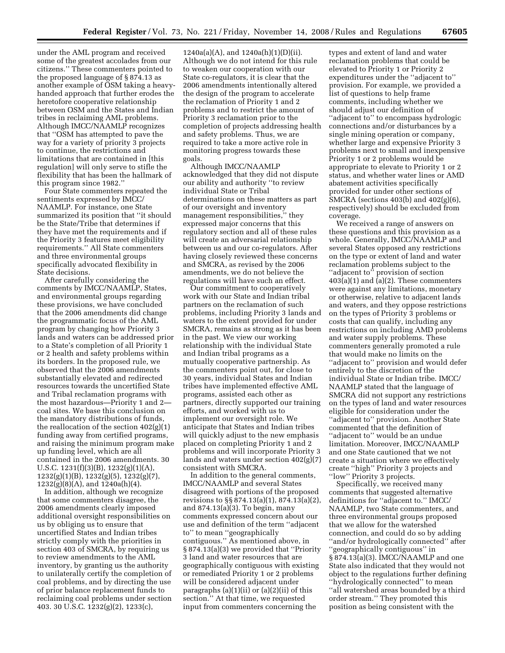under the AML program and received some of the greatest accolades from our citizens.'' These commenters pointed to the proposed language of § 874.13 as another example of OSM taking a heavyhanded approach that further erodes the heretofore cooperative relationship between OSM and the States and Indian tribes in reclaiming AML problems. Although IMCC/NAAMLP recognizes that ''OSM has attempted to pave the way for a variety of priority 3 projects to continue, the restrictions and limitations that are contained in [this regulation] will only serve to stifle the flexibility that has been the hallmark of this program since 1982.''

Four State commenters repeated the sentiments expressed by IMCC/ NAAMLP. For instance, one State summarized its position that ''it should be the State/Tribe that determines if they have met the requirements and if the Priority 3 features meet eligibility requirements.'' All State commenters and three environmental groups specifically advocated flexibility in State decisions.

After carefully considering the comments by IMCC/NAAMLP, States, and environmental groups regarding these provisions, we have concluded that the 2006 amendments did change the programmatic focus of the AML program by changing how Priority 3 lands and waters can be addressed prior to a State's completion of all Priority 1 or 2 health and safety problems within its borders. In the proposed rule, we observed that the 2006 amendments substantially elevated and redirected resources towards the uncertified State and Tribal reclamation programs with the most hazardous—Priority 1 and 2 coal sites. We base this conclusion on the mandatory distributions of funds, the reallocation of the section 402(g)(1) funding away from certified programs, and raising the minimum program make up funding level, which are all contained in the 2006 amendments. 30 U.S.C. 1231(f)(3)(B), 1232(g)(1)(A), 1232(g)(1)(B), 1232(g)(5), 1232(g)(7), 1232(g)(8)(A), and 1240a(h)(4).

In addition, although we recognize that some commenters disagree, the 2006 amendments clearly imposed additional oversight responsibilities on us by obliging us to ensure that uncertified States and Indian tribes strictly comply with the priorities in section 403 of SMCRA, by requiring us to review amendments to the AML inventory, by granting us the authority to unilaterally certify the completion of coal problems, and by directing the use of prior balance replacement funds to reclaiming coal problems under section 403. 30 U.S.C. 1232(g)(2), 1233(c),

1240a(a)(A), and 1240a(h)(1)(D)(ii). Although we do not intend for this rule to weaken our cooperation with our State co-regulators, it is clear that the 2006 amendments intentionally altered the design of the program to accelerate the reclamation of Priority 1 and 2 problems and to restrict the amount of Priority 3 reclamation prior to the completion of projects addressing health and safety problems. Thus, we are required to take a more active role in monitoring progress towards these goals.

Although IMCC/NAAMLP acknowledged that they did not dispute our ability and authority ''to review individual State or Tribal determinations on these matters as part of our oversight and inventory management responsibilities,'' they expressed major concerns that this regulatory section and all of these rules will create an adversarial relationship between us and our co-regulators. After having closely reviewed these concerns and SMCRA, as revised by the 2006 amendments, we do not believe the regulations will have such an effect.

Our commitment to cooperatively work with our State and Indian tribal partners on the reclamation of such problems, including Priority 3 lands and waters to the extent provided for under SMCRA, remains as strong as it has been in the past. We view our working relationship with the individual State and Indian tribal programs as a mutually cooperative partnership. As the commenters point out, for close to 30 years, individual States and Indian tribes have implemented effective AML programs, assisted each other as partners, directly supported our training efforts, and worked with us to implement our oversight role. We anticipate that States and Indian tribes will quickly adjust to the new emphasis placed on completing Priority 1 and 2 problems and will incorporate Priority 3 lands and waters under section 402(g)(7) consistent with SMCRA.

In addition to the general comments, IMCC/NAAMLP and several States disagreed with portions of the proposed revisions to §§ 874.13(a)(1), 874.13(a)(2), and 874.13(a)(3). To begin, many comments expressed concern about our use and definition of the term ''adjacent to'' to mean ''geographically contiguous.'' As mentioned above, in § 874.13(a)(3) we provided that ''Priority 3 land and water resources that are geographically contiguous with existing or remediated Priority 1 or 2 problems will be considered adjacent under paragraphs (a)(1)(ii) or (a)(2)(ii) of this section.'' At that time, we requested input from commenters concerning the

types and extent of land and water reclamation problems that could be elevated to Priority 1 or Priority 2 expenditures under the ''adjacent to'' provision. For example, we provided a list of questions to help frame comments, including whether we should adjust our definition of ''adjacent to'' to encompass hydrologic connections and/or disturbances by a single mining operation or company, whether large and expensive Priority 3 problems next to small and inexpensive Priority 1 or 2 problems would be appropriate to elevate to Priority 1 or 2 status, and whether water lines or AMD abatement activities specifically provided for under other sections of SMCRA (sections 403(b) and 402(g)(6), respectively) should be excluded from coverage.

We received a range of answers on these questions and this provision as a whole. Generally, IMCC/NAAMLP and several States opposed any restrictions on the type or extent of land and water reclamation problems subject to the ''adjacent to'' provision of section  $403(a)(1)$  and  $(a)(2)$ . These commenters were against any limitations, monetary or otherwise, relative to adjacent lands and waters, and they oppose restrictions on the types of Priority 3 problems or costs that can qualify, including any restrictions on including AMD problems and water supply problems. These commenters generally promoted a rule that would make no limits on the ''adjacent to'' provision and would defer entirely to the discretion of the individual State or Indian tribe. IMCC/ NAAMLP stated that the language of SMCRA did not support any restrictions on the types of land and water resources eligible for consideration under the ''adjacent to'' provision. Another State commented that the definition of ''adjacent to'' would be an undue limitation. Moreover, IMCC/NAAMLP and one State cautioned that we not create a situation where we effectively create ''high'' Priority 3 projects and ''low'' Priority 3 projects.

Specifically, we received many comments that suggested alternative definitions for ''adjacent to.'' IMCC/ NAAMLP, two State commenters, and three environmental groups proposed that we allow for the watershed connection, and could do so by adding ''and/or hydrologically connected'' after ''geographically contiguous'' in § 874.13(a)(3). IMCC/NAAMLP and one State also indicated that they would not object to the regulations further defining ''hydrologically connected'' to mean ''all watershed areas bounded by a third order stream.'' They promoted this position as being consistent with the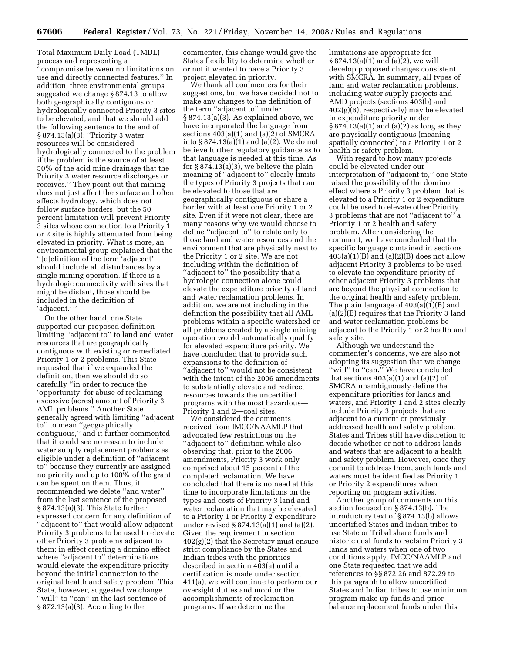Total Maximum Daily Load (TMDL) process and representing a

''compromise between no limitations on use and directly connected features.'' In addition, three environmental groups suggested we change § 874.13 to allow both geographically contiguous or hydrologically connected Priority 3 sites to be elevated, and that we should add the following sentence to the end of § 874.13(a)(3): ''Priority 3 water resources will be considered hydrologically connected to the problem if the problem is the source of at least 50% of the acid mine drainage that the Priority 3 water resource discharges or receives.'' They point out that mining does not just affect the surface and often affects hydrology, which does not follow surface borders, but the 50 percent limitation will prevent Priority 3 sites whose connection to a Priority 1 or 2 site is highly attenuated from being elevated in priority. What is more, an environmental group explained that the ''[d]efinition of the term 'adjacent' should include all disturbances by a single mining operation. If there is a hydrologic connectivity with sites that might be distant, those should be included in the definition of 'adjacent.' ''

On the other hand, one State supported our proposed definition limiting ''adjacent to'' to land and water resources that are geographically contiguous with existing or remediated Priority 1 or 2 problems. This State requested that if we expanded the definition, then we should do so carefully ''in order to reduce the 'opportunity' for abuse of reclaiming excessive (acres) amount of Priority 3 AML problems.'' Another State generally agreed with limiting ''adjacent to'' to mean ''geographically contiguous,'' and it further commented that it could see no reason to include water supply replacement problems as eligible under a definition of ''adjacent to'' because they currently are assigned no priority and up to 100% of the grant can be spent on them. Thus, it recommended we delete ''and water'' from the last sentence of the proposed § 874.13(a)(3). This State further expressed concern for any definition of ''adjacent to'' that would allow adjacent Priority 3 problems to be used to elevate other Priority 3 problems adjacent to them; in effect creating a domino effect where ''adjacent to'' determinations would elevate the expenditure priority beyond the initial connection to the original health and safety problem. This State, however, suggested we change "will" to "can" in the last sentence of § 872.13(a)(3). According to the

commenter, this change would give the States flexibility to determine whether or not it wanted to have a Priority 3 project elevated in priority.

We thank all commenters for their suggestions, but we have decided not to make any changes to the definition of the term ''adjacent to'' under § 874.13(a)(3). As explained above, we have incorporated the language from sections 403(a)(1) and (a)(2) of SMCRA into § 874.13(a)(1) and (a)(2). We do not believe further regulatory guidance as to that language is needed at this time. As for  $\S 874.13(a)(3)$ , we believe the plain meaning of ''adjacent to'' clearly limits the types of Priority 3 projects that can be elevated to those that are geographically contiguous or share a border with at least one Priority 1 or 2 site. Even if it were not clear, there are many reasons why we would choose to define ''adjacent to'' to relate only to those land and water resources and the environment that are physically next to the Priority 1 or 2 site. We are not including within the definition of ''adjacent to'' the possibility that a hydrologic connection alone could elevate the expenditure priority of land and water reclamation problems. In addition, we are not including in the definition the possibility that all AML problems within a specific watershed or all problems created by a single mining operation would automatically qualify for elevated expenditure priority. We have concluded that to provide such expansions to the definition of ''adjacent to'' would not be consistent with the intent of the 2006 amendments to substantially elevate and redirect resources towards the uncertified programs with the most hazardous— Priority 1 and 2—coal sites.

We considered the comments received from IMCC/NAAMLP that advocated few restrictions on the ''adjacent to'' definition while also observing that, prior to the 2006 amendments, Priority 3 work only comprised about 15 percent of the completed reclamation. We have concluded that there is no need at this time to incorporate limitations on the types and costs of Priority 3 land and water reclamation that may be elevated to a Priority 1 or Priority 2 expenditure under revised § 874.13(a)(1) and (a)(2). Given the requirement in section 402(g)(2) that the Secretary must ensure strict compliance by the States and Indian tribes with the priorities described in section 403(a) until a certification is made under section 411(a), we will continue to perform our oversight duties and monitor the accomplishments of reclamation programs. If we determine that

limitations are appropriate for § 874.13(a)(1) and (a)(2), we will develop proposed changes consistent with SMCRA. In summary, all types of land and water reclamation problems, including water supply projects and AMD projects (sections 403(b) and 402(g)(6), respectively) may be elevated in expenditure priority under § 874.13(a)(1) and (a)(2) as long as they are physically contiguous (meaning spatially connected) to a Priority 1 or 2 health or safety problem.

With regard to how many projects could be elevated under our interpretation of ''adjacent to,'' one State raised the possibility of the domino effect where a Priority 3 problem that is elevated to a Priority 1 or 2 expenditure could be used to elevate other Priority 3 problems that are not ''adjacent to'' a Priority 1 or 2 health and safety problem. After considering the comment, we have concluded that the specific language contained in sections  $403(a)(1)(B)$  and  $(a)(2)(B)$  does not allow adjacent Priority 3 problems to be used to elevate the expenditure priority of other adjacent Priority 3 problems that are beyond the physical connection to the original health and safety problem. The plain language of 403(a)(1)(B) and (a)(2)(B) requires that the Priority 3 land and water reclamation problems be adjacent to the Priority 1 or 2 health and safety site.

Although we understand the commenter's concerns, we are also not adopting its suggestion that we change ''will'' to ''can.'' We have concluded that sections  $403(a)(1)$  and  $(a)(2)$  of SMCRA unambiguously define the expenditure priorities for lands and waters, and Priority 1 and 2 sites clearly include Priority 3 projects that are adjacent to a current or previously addressed health and safety problem. States and Tribes still have discretion to decide whether or not to address lands and waters that are adjacent to a health and safety problem. However, once they commit to address them, such lands and waters must be identified as Priority 1 or Priority 2 expenditures when reporting on program activities.

Another group of comments on this section focused on § 874.13(b). The introductory text of § 874.13(b) allows uncertified States and Indian tribes to use State or Tribal share funds and historic coal funds to reclaim Priority 3 lands and waters when one of two conditions apply. IMCC/NAAMLP and one State requested that we add references to §§ 872.26 and 872.29 to this paragraph to allow uncertified States and Indian tribes to use minimum program make up funds and prior balance replacement funds under this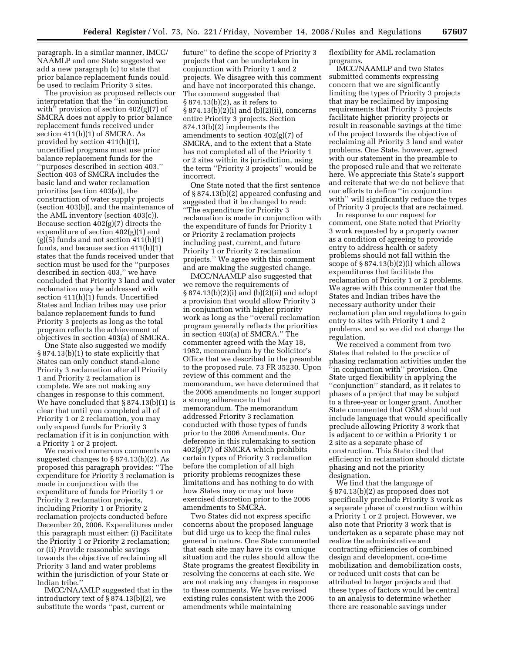paragraph. In a similar manner, IMCC/ NAAMLP and one State suggested we add a new paragraph (c) to state that prior balance replacement funds could be used to reclaim Priority 3 sites.

The provision as proposed reflects our interpretation that the ''in conjunction with'' provision of section 402(g)(7) of SMCRA does not apply to prior balance replacement funds received under section 411(h)(1) of SMCRA. As provided by section 411(h)(1), uncertified programs must use prior balance replacement funds for the ''purposes described in section 403.'' Section 403 of SMCRA includes the basic land and water reclamation priorities (section 403(a)), the construction of water supply projects (section 403(b)), and the maintenance of the AML inventory (section 403(c)). Because section 402(g)(7) directs the expenditure of section 402(g)(1) and  $(g)(5)$  funds and not section 411 $(h)(1)$ funds, and because section 411(h)(1) states that the funds received under that section must be used for the ''purposes described in section 403,'' we have concluded that Priority 3 land and water reclamation may be addressed with section 411(h)(1) funds. Uncertified States and Indian tribes may use prior balance replacement funds to fund Priority 3 projects as long as the total program reflects the achievement of objectives in section 403(a) of SMCRA.

One State also suggested we modify § 874.13(b)(1) to state explicitly that States can only conduct stand-alone Priority 3 reclamation after all Priority 1 and Priority 2 reclamation is complete. We are not making any changes in response to this comment. We have concluded that § 874.13(b)(1) is clear that until you completed all of Priority 1 or 2 reclamation, you may only expend funds for Priority 3 reclamation if it is in conjunction with a Priority 1 or 2 project.

We received numerous comments on suggested changes to § 874.13(b)(2). As proposed this paragraph provides: ''The expenditure for Priority 3 reclamation is made in conjunction with the expenditure of funds for Priority 1 or Priority 2 reclamation projects, including Priority 1 or Priority 2 reclamation projects conducted before December 20, 2006. Expenditures under this paragraph must either: (i) Facilitate the Priority 1 or Priority 2 reclamation; or (ii) Provide reasonable savings towards the objective of reclaiming all Priority 3 land and water problems within the jurisdiction of your State or Indian tribe.''

IMCC/NAAMLP suggested that in the introductory text of § 874.13(b)(2), we substitute the words ''past, current or

future'' to define the scope of Priority 3 projects that can be undertaken in conjunction with Priority 1 and 2 projects. We disagree with this comment and have not incorporated this change. The comment suggested that § 874.13(b)(2), as it refers to § 874.13(b)(2)(i) and (b)(2)(ii), concerns entire Priority 3 projects. Section 874.13(b)(2) implements the amendments to section 402(g)(7) of SMCRA, and to the extent that a State has not completed all of the Priority 1 or 2 sites within its jurisdiction, using the term ''Priority 3 projects'' would be incorrect.

One State noted that the first sentence of § 874.13(b)(2) appeared confusing and suggested that it be changed to read: ''The expenditure for Priority 3 reclamation is made in conjunction with the expenditure of funds for Priority 1 or Priority 2 reclamation projects including past, current, and future Priority 1 or Priority 2 reclamation projects.'' We agree with this comment and are making the suggested change.

IMCC/NAAMLP also suggested that we remove the requirements of § 874.13(b)(2)(i) and (b)(2)(ii) and adopt a provision that would allow Priority 3 in conjunction with higher priority work as long as the ''overall reclamation program generally reflects the priorities in section 403(a) of SMCRA.'' The commenter agreed with the May 18, 1982, memorandum by the Solicitor's Office that we described in the preamble to the proposed rule. 73 FR 35230. Upon review of this comment and the memorandum, we have determined that the 2006 amendments no longer support a strong adherence to that memorandum. The memorandum addressed Priority 3 reclamation conducted with those types of funds prior to the 2006 Amendments. Our deference in this rulemaking to section 402(g)(7) of SMCRA which prohibits certain types of Priority 3 reclamation before the completion of all high priority problems recognizes these limitations and has nothing to do with how States may or may not have exercised discretion prior to the 2006 amendments to SMCRA.

Two States did not express specific concerns about the proposed language but did urge us to keep the final rules general in nature. One State commented that each site may have its own unique situation and the rules should allow the State programs the greatest flexibility in resolving the concerns at each site. We are not making any changes in response to these comments. We have revised existing rules consistent with the 2006 amendments while maintaining

flexibility for AML reclamation programs.

IMCC/NAAMLP and two States submitted comments expressing concern that we are significantly limiting the types of Priority 3 projects that may be reclaimed by imposing requirements that Priority 3 projects facilitate higher priority projects or result in reasonable savings at the time of the project towards the objective of reclaiming all Priority 3 land and water problems. One State, however, agreed with our statement in the preamble to the proposed rule and that we reiterate here. We appreciate this State's support and reiterate that we do not believe that our efforts to define ''in conjunction with'' will significantly reduce the types of Priority 3 projects that are reclaimed.

In response to our request for comment, one State noted that Priority 3 work requested by a property owner as a condition of agreeing to provide entry to address health or safety problems should not fall within the scope of § 874.13(b)(2)(i) which allows expenditures that facilitate the reclamation of Priority 1 or 2 problems. We agree with this commenter that the States and Indian tribes have the necessary authority under their reclamation plan and regulations to gain entry to sites with Priority 1 and 2 problems, and so we did not change the regulation.

We received a comment from two States that related to the practice of phasing reclamation activities under the ''in conjunction with'' provision. One State urged flexibility in applying the ''conjunction'' standard, as it relates to phases of a project that may be subject to a three-year or longer grant. Another State commented that OSM should not include language that would specifically preclude allowing Priority 3 work that is adjacent to or within a Priority 1 or 2 site as a separate phase of construction. This State cited that efficiency in reclamation should dictate phasing and not the priority designation.

We find that the language of § 874.13(b)(2) as proposed does not specifically preclude Priority 3 work as a separate phase of construction within a Priority 1 or 2 project. However, we also note that Priority 3 work that is undertaken as a separate phase may not realize the administrative and contracting efficiencies of combined design and development, one-time mobilization and demobilization costs, or reduced unit costs that can be attributed to larger projects and that these types of factors would be central to an analysis to determine whether there are reasonable savings under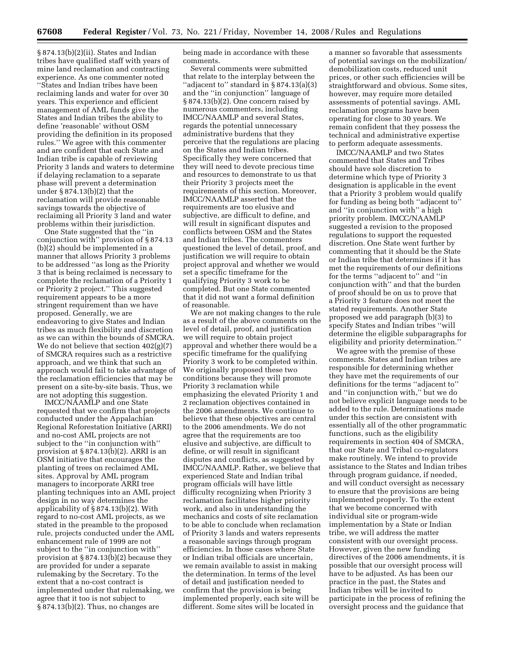§ 874.13(b)(2)(ii). States and Indian tribes have qualified staff with years of mine land reclamation and contracting experience. As one commenter noted ''States and Indian tribes have been reclaiming lands and water for over 30 years. This experience and efficient management of AML funds give the States and Indian tribes the ability to define 'reasonable' without OSM providing the definition in its proposed rules.'' We agree with this commenter and are confident that each State and Indian tribe is capable of reviewing Priority 3 lands and waters to determine if delaying reclamation to a separate phase will prevent a determination under § 874.13(b)(2) that the reclamation will provide reasonable savings towards the objective of reclaiming all Priority 3 land and water problems within their jurisdiction.

One State suggested that the ''in conjunction with'' provision of § 874.13 (b)(2) should be implemented in a manner that allows Priority 3 problems to be addressed ''as long as the Priority 3 that is being reclaimed is necessary to complete the reclamation of a Priority 1 or Priority 2 project.'' This suggested requirement appears to be a more stringent requirement than we have proposed. Generally, we are endeavoring to give States and Indian tribes as much flexibility and discretion as we can within the bounds of SMCRA. We do not believe that section 402(g)(7) of SMCRA requires such as a restrictive approach, and we think that such an approach would fail to take advantage of the reclamation efficiencies that may be present on a site-by-site basis. Thus, we are not adopting this suggestion.

IMCC/NAAMLP and one State requested that we confirm that projects conducted under the Appalachian Regional Reforestation Initiative (ARRI) and no-cost AML projects are not subject to the ''in conjunction with'' provision at  $\S 874.13(b)(2)$ . ARRI is an OSM initiative that encourages the planting of trees on reclaimed AML sites. Approval by AML program managers to incorporate ARRI tree planting techniques into an AML project design in no way determines the applicability of § 874.13(b)(2). With regard to no-cost AML projects, as we stated in the preamble to the proposed rule, projects conducted under the AML enhancement rule of 1999 are not subject to the ''in conjunction with'' provision at § 874.13(b)(2) because they are provided for under a separate rulemaking by the Secretary. To the extent that a no-cost contract is implemented under that rulemaking, we agree that it too is not subject to § 874.13(b)(2). Thus, no changes are

being made in accordance with these comments.

Several comments were submitted that relate to the interplay between the ''adjacent to'' standard in § 874.13(a)(3) and the ''in conjunction'' language of § 874.13(b)(2). One concern raised by numerous commenters, including IMCC/NAAMLP and several States, regards the potential unnecessary administrative burdens that they perceive that the regulations are placing on the States and Indian tribes. Specifically they were concerned that they will need to devote precious time and resources to demonstrate to us that their Priority 3 projects meet the requirements of this section. Moreover, IMCC/NAAMLP asserted that the requirements are too elusive and subjective, are difficult to define, and will result in significant disputes and conflicts between OSM and the States and Indian tribes. The commenters questioned the level of detail, proof, and justification we will require to obtain project approval and whether we would set a specific timeframe for the qualifying Priority 3 work to be completed. But one State commented that it did not want a formal definition of reasonable.

We are not making changes to the rule as a result of the above comments on the level of detail, proof, and justification we will require to obtain project approval and whether there would be a specific timeframe for the qualifying Priority 3 work to be completed within. We originally proposed these two conditions because they will promote Priority 3 reclamation while emphasizing the elevated Priority 1 and 2 reclamation objectives contained in the 2006 amendments. We continue to believe that these objectives are central to the 2006 amendments. We do not agree that the requirements are too elusive and subjective, are difficult to define, or will result in significant disputes and conflicts, as suggested by IMCC/NAAMLP. Rather, we believe that experienced State and Indian tribal program officials will have little difficulty recognizing when Priority 3 reclamation facilitates higher priority work, and also in understanding the mechanics and costs of site reclamation to be able to conclude when reclamation of Priority 3 lands and waters represents a reasonable savings through program efficiencies. In those cases where State or Indian tribal officials are uncertain, we remain available to assist in making the determination. In terms of the level of detail and justification needed to confirm that the provision is being implemented properly, each site will be different. Some sites will be located in

a manner so favorable that assessments of potential savings on the mobilization/ demobilization costs, reduced unit prices, or other such efficiencies will be straightforward and obvious. Some sites, however, may require more detailed assessments of potential savings. AML reclamation programs have been operating for close to 30 years. We remain confident that they possess the technical and administrative expertise to perform adequate assessments.

IMCC/NAAMLP and two States commented that States and Tribes should have sole discretion to determine which type of Priority 3 designation is applicable in the event that a Priority 3 problem would qualify for funding as being both ''adjacent to'' and ''in conjunction with'' a high priority problem. IMCC/NAAMLP suggested a revision to the proposed regulations to support the requested discretion. One State went further by commenting that it should be the State or Indian tribe that determines if it has met the requirements of our definitions for the terms ''adjacent to'' and ''in conjunction with'' and that the burden of proof should be on us to prove that a Priority 3 feature does not meet the stated requirements. Another State proposed we add paragraph (b)(3) to specify States and Indian tribes ''will determine the eligible subparagraphs for eligibility and priority determination.''

We agree with the premise of these comments. States and Indian tribes are responsible for determining whether they have met the requirements of our definitions for the terms ''adjacent to'' and ''in conjunction with,'' but we do not believe explicit language needs to be added to the rule. Determinations made under this section are consistent with essentially all of the other programmatic functions, such as the eligibility requirements in section 404 of SMCRA, that our State and Tribal co-regulators make routinely. We intend to provide assistance to the States and Indian tribes through program guidance, if needed, and will conduct oversight as necessary to ensure that the provisions are being implemented properly. To the extent that we become concerned with individual site or program-wide implementation by a State or Indian tribe, we will address the matter consistent with our oversight process. However, given the new funding directives of the 2006 amendments, it is possible that our oversight process will have to be adjusted. As has been our practice in the past, the States and Indian tribes will be invited to participate in the process of refining the oversight process and the guidance that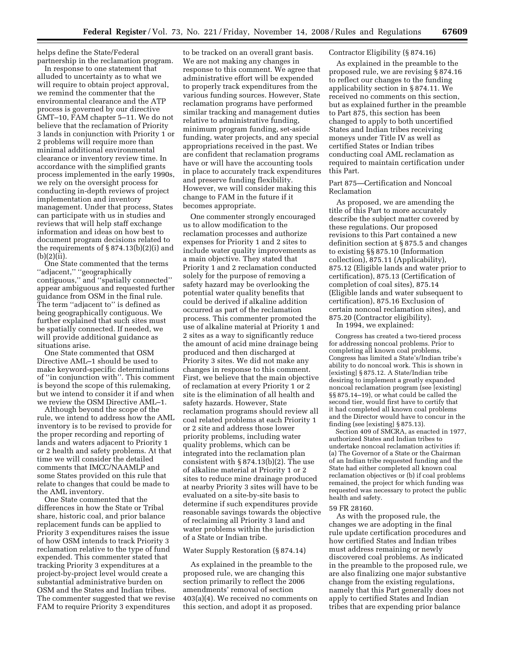helps define the State/Federal partnership in the reclamation program.

In response to one statement that alluded to uncertainty as to what we will require to obtain project approval, we remind the commenter that the environmental clearance and the ATP process is governed by our directive GMT–10, FAM chapter 5–11. We do not believe that the reclamation of Priority 3 lands in conjunction with Priority 1 or 2 problems will require more than minimal additional environmental clearance or inventory review time. In accordance with the simplified grants process implemented in the early 1990s, we rely on the oversight process for conducting in-depth reviews of project implementation and inventory management. Under that process, States can participate with us in studies and reviews that will help staff exchange information and ideas on how best to document program decisions related to the requirements of  $\S 874.13(b)(2)(i)$  and (b)(2)(ii).

One State commented that the terms ''adjacent,'' ''geographically contiguous,'' and ''spatially connected'' appear ambiguous and requested further guidance from OSM in the final rule. The term ''adjacent to'' is defined as being geographically contiguous. We further explained that such sites must be spatially connected. If needed, we will provide additional guidance as situations arise.

One State commented that OSM Directive AML–1 should be used to make keyword-specific determinations of ''in conjunction with''. This comment is beyond the scope of this rulemaking, but we intend to consider it if and when we review the OSM Directive AML–1.

Although beyond the scope of the rule, we intend to address how the AML inventory is to be revised to provide for the proper recording and reporting of lands and waters adjacent to Priority 1 or 2 health and safety problems. At that time we will consider the detailed comments that IMCC/NAAMLP and some States provided on this rule that relate to changes that could be made to the AML inventory.

One State commented that the differences in how the State or Tribal share, historic coal, and prior balance replacement funds can be applied to Priority 3 expenditures raises the issue of how OSM intends to track Priority 3 reclamation relative to the type of fund expended. This commenter stated that tracking Priority 3 expenditures at a project-by-project level would create a substantial administrative burden on OSM and the States and Indian tribes. The commenter suggested that we revise FAM to require Priority 3 expenditures

to be tracked on an overall grant basis. We are not making any changes in response to this comment. We agree that administrative effort will be expended to properly track expenditures from the various funding sources. However, State reclamation programs have performed similar tracking and management duties relative to administrative funding, minimum program funding, set-aside funding, water projects, and any special appropriations received in the past. We are confident that reclamation programs have or will have the accounting tools in place to accurately track expenditures and preserve funding flexibility. However, we will consider making this change to FAM in the future if it becomes appropriate.

One commenter strongly encouraged us to allow modification to the reclamation processes and authorize expenses for Priority 1 and 2 sites to include water quality improvements as a main objective. They stated that Priority 1 and 2 reclamation conducted solely for the purpose of removing a safety hazard may be overlooking the potential water quality benefits that could be derived if alkaline addition occurred as part of the reclamation process. This commenter promoted the use of alkaline material at Priority 1 and 2 sites as a way to significantly reduce the amount of acid mine drainage being produced and then discharged at Priority 3 sites. We did not make any changes in response to this comment. First, we believe that the main objective of reclamation at every Priority 1 or 2 site is the elimination of all health and safety hazards. However, State reclamation programs should review all coal related problems at each Priority 1 or 2 site and address those lower priority problems, including water quality problems, which can be integrated into the reclamation plan consistent with § 874.13(b)(2). The use of alkaline material at Priority 1 or 2 sites to reduce mine drainage produced at nearby Priority 3 sites will have to be evaluated on a site-by-site basis to determine if such expenditures provide reasonable savings towards the objective of reclaiming all Priority 3 land and water problems within the jurisdiction of a State or Indian tribe.

#### Water Supply Restoration (§ 874.14)

As explained in the preamble to the proposed rule, we are changing this section primarily to reflect the 2006 amendments' removal of section 403(a)(4). We received no comments on this section, and adopt it as proposed.

# Contractor Eligibility (§ 874.16)

As explained in the preamble to the proposed rule, we are revising § 874.16 to reflect our changes to the funding applicability section in § 874.11. We received no comments on this section, but as explained further in the preamble to Part 875, this section has been changed to apply to both uncertified States and Indian tribes receiving moneys under Title IV as well as certified States or Indian tribes conducting coal AML reclamation as required to maintain certification under this Part.

Part 875—Certification and Noncoal Reclamation

As proposed, we are amending the title of this Part to more accurately describe the subject matter covered by these regulations. Our proposed revisions to this Part contained a new definition section at § 875.5 and changes to existing §§ 875.10 (Information collection), 875.11 (Applicability), 875.12 (Eligible lands and water prior to certification), 875.13 (Certification of completion of coal sites), 875.14 (Eligible lands and water subsequent to certification), 875.16 Exclusion of certain noncoal reclamation sites), and 875.20 (Contractor eligibility).

In 1994, we explained:

Congress has created a two-tiered process for addressing noncoal problems. Prior to completing all known coal problems, Congress has limited a State's/Indian tribe's ability to do noncoal work. This is shown in [existing] § 875.12. A State/Indian tribe desiring to implement a greatly expanded noncoal reclamation program (see [existing] §§ 875.14–19), or what could be called the second tier, would first have to certify that it had completed all known coal problems and the Director would have to concur in the finding (see [existing] § 875.13).

Section 409 of SMCRA, as enacted in 1977, authorized States and Indian tribes to undertake noncoal reclamation activities if: (a) The Governor of a State or the Chairman of an Indian tribe requested funding and the State had either completed all known coal reclamation objectives or (b) if coal problems remained, the project for which funding was requested was necessary to protect the public health and safety.

# 59 FR 28160.

As with the proposed rule, the changes we are adopting in the final rule update certification procedures and how certified States and Indian tribes must address remaining or newly discovered coal problems. As indicated in the preamble to the proposed rule, we are also finalizing one major substantive change from the existing regulations, namely that this Part generally does not apply to certified States and Indian tribes that are expending prior balance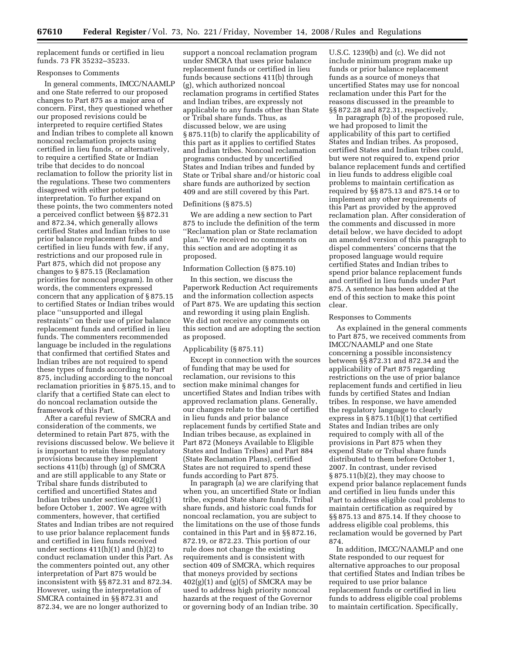replacement funds or certified in lieu funds. 73 FR 35232–35233.

#### Responses to Comments

In general comments, IMCC/NAAMLP and one State referred to our proposed changes to Part 875 as a major area of concern. First, they questioned whether our proposed revisions could be interpreted to require certified States and Indian tribes to complete all known noncoal reclamation projects using certified in lieu funds, or alternatively, to require a certified State or Indian tribe that decides to do noncoal reclamation to follow the priority list in the regulations. These two commenters disagreed with either potential interpretation. To further expand on these points, the two commenters noted a perceived conflict between §§ 872.31 and 872.34, which generally allows certified States and Indian tribes to use prior balance replacement funds and certified in lieu funds with few, if any, restrictions and our proposed rule in Part 875, which did not propose any changes to § 875.15 (Reclamation priorities for noncoal program). In other words, the commenters expressed concern that any application of § 875.15 to certified States or Indian tribes would place ''unsupported and illegal restraints'' on their use of prior balance replacement funds and certified in lieu funds. The commenters recommended language be included in the regulations that confirmed that certified States and Indian tribes are not required to spend these types of funds according to Part 875, including according to the noncoal reclamation priorities in § 875.15, and to clarify that a certified State can elect to do noncoal reclamation outside the framework of this Part.

After a careful review of SMCRA and consideration of the comments, we determined to retain Part 875, with the revisions discussed below. We believe it is important to retain these regulatory provisions because they implement sections 411(b) through (g) of SMCRA and are still applicable to any State or Tribal share funds distributed to certified and uncertified States and Indian tribes under section 402(g)(1) before October 1, 2007. We agree with commenters, however, that certified States and Indian tribes are not required to use prior balance replacement funds and certified in lieu funds received under sections  $411(h)(1)$  and  $(h)(2)$  to conduct reclamation under this Part. As the commenters pointed out, any other interpretation of Part 875 would be inconsistent with §§ 872.31 and 872.34. However, using the interpretation of SMCRA contained in §§ 872.31 and 872.34, we are no longer authorized to

support a noncoal reclamation program under SMCRA that uses prior balance replacement funds or certified in lieu funds because sections 411(b) through (g), which authorized noncoal reclamation programs in certified States and Indian tribes, are expressly not applicable to any funds other than State or Tribal share funds. Thus, as discussed below, we are using § 875.11(b) to clarify the applicability of this part as it applies to certified States and Indian tribes. Noncoal reclamation programs conducted by uncertified States and Indian tribes and funded by State or Tribal share and/or historic coal share funds are authorized by section 409 and are still covered by this Part.

# Definitions (§ 875.5)

We are adding a new section to Part 875 to include the definition of the term ''Reclamation plan or State reclamation plan.'' We received no comments on this section and are adopting it as proposed.

#### Information Collection (§ 875.10)

In this section, we discuss the Paperwork Reduction Act requirements and the information collection aspects of Part 875. We are updating this section and rewording it using plain English. We did not receive any comments on this section and are adopting the section as proposed.

#### Applicability (§ 875.11)

Except in connection with the sources of funding that may be used for reclamation, our revisions to this section make minimal changes for uncertified States and Indian tribes with approved reclamation plans. Generally, our changes relate to the use of certified in lieu funds and prior balance replacement funds by certified State and Indian tribes because, as explained in Part 872 (Moneys Available to Eligible States and Indian Tribes) and Part 884 (State Reclamation Plans), certified States are not required to spend these funds according to Part 875.

In paragraph (a) we are clarifying that when you, an uncertified State or Indian tribe, expend State share funds, Tribal share funds, and historic coal funds for noncoal reclamation, you are subject to the limitations on the use of those funds contained in this Part and in §§ 872.16, 872.19, or 872.23. This portion of our rule does not change the existing requirements and is consistent with section 409 of SMCRA, which requires that moneys provided by sections  $402(g)(1)$  and  $(g)(5)$  of SMCRA may be used to address high priority noncoal hazards at the request of the Governor or governing body of an Indian tribe. 30

U.S.C. 1239(b) and (c). We did not include minimum program make up funds or prior balance replacement funds as a source of moneys that uncertified States may use for noncoal reclamation under this Part for the reasons discussed in the preamble to §§ 872.28 and 872.31, respectively.

In paragraph (b) of the proposed rule, we had proposed to limit the applicability of this part to certified States and Indian tribes. As proposed, certified States and Indian tribes could, but were not required to, expend prior balance replacement funds and certified in lieu funds to address eligible coal problems to maintain certification as required by §§ 875.13 and 875.14 or to implement any other requirements of this Part as provided by the approved reclamation plan. After consideration of the comments and discussed in more detail below, we have decided to adopt an amended version of this paragraph to dispel commenters' concerns that the proposed language would require certified States and Indian tribes to spend prior balance replacement funds and certified in lieu funds under Part 875. A sentence has been added at the end of this section to make this point clear.

#### Responses to Comments

As explained in the general comments to Part 875, we received comments from IMCC/NAAMLP and one State concerning a possible inconsistency between §§ 872.31 and 872.34 and the applicability of Part 875 regarding restrictions on the use of prior balance replacement funds and certified in lieu funds by certified States and Indian tribes. In response, we have amended the regulatory language to clearly express in § 875.11(b)(1) that certified States and Indian tribes are only required to comply with all of the provisions in Part 875 when they expend State or Tribal share funds distributed to them before October 1, 2007. In contrast, under revised § 875.11(b)(2), they may choose to expend prior balance replacement funds and certified in lieu funds under this Part to address eligible coal problems to maintain certification as required by §§ 875.13 and 875.14. If they choose to address eligible coal problems, this reclamation would be governed by Part 874.

In addition, IMCC/NAAMLP and one State responded to our request for alternative approaches to our proposal that certified States and Indian tribes be required to use prior balance replacement funds or certified in lieu funds to address eligible coal problems to maintain certification. Specifically,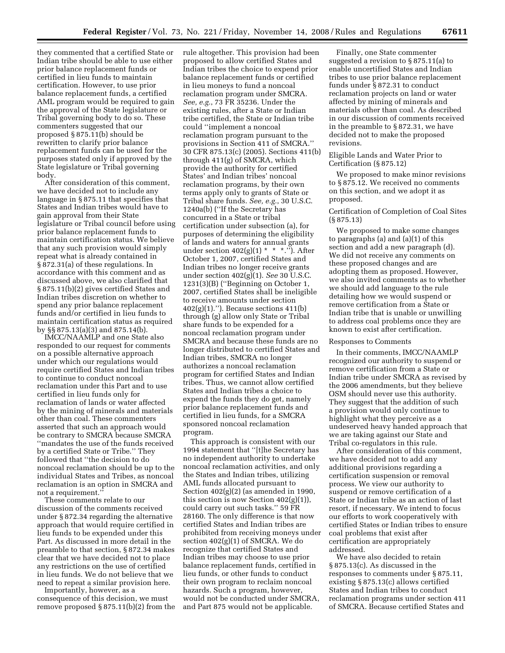they commented that a certified State or Indian tribe should be able to use either prior balance replacement funds or certified in lieu funds to maintain certification. However, to use prior balance replacement funds, a certified AML program would be required to gain the approval of the State legislature or Tribal governing body to do so. These commenters suggested that our proposed § 875.11(b) should be rewritten to clarify prior balance replacement funds can be used for the purposes stated only if approved by the State legislature or Tribal governing body.

After consideration of this comment, we have decided not to include any language in § 875.11 that specifies that States and Indian tribes would have to gain approval from their State legislature or Tribal council before using prior balance replacement funds to maintain certification status. We believe that any such provision would simply repeat what is already contained in § 872.31(a) of these regulations. In accordance with this comment and as discussed above, we also clarified that § 875.11(b)(2) gives certified States and Indian tribes discretion on whether to spend any prior balance replacement funds and/or certified in lieu funds to maintain certification status as required by §§ 875.13(a)(3) and 875.14(b).

IMCC/NAAMLP and one State also responded to our request for comments on a possible alternative approach under which our regulations would require certified States and Indian tribes to continue to conduct noncoal reclamation under this Part and to use certified in lieu funds only for reclamation of lands or water affected by the mining of minerals and materials other than coal. These commenters asserted that such an approach would be contrary to SMCRA because SMCRA ''mandates the use of the funds received by a certified State or Tribe.'' They followed that ''the decision to do noncoal reclamation should be up to the individual States and Tribes, as noncoal reclamation is an option in SMCRA and not a requirement.''

These comments relate to our discussion of the comments received under § 872.34 regarding the alternative approach that would require certified in lieu funds to be expended under this Part. As discussed in more detail in the preamble to that section, § 872.34 makes clear that we have decided not to place any restrictions on the use of certified in lieu funds. We do not believe that we need to repeat a similar provision here.

Importantly, however, as a consequence of this decision, we must remove proposed § 875.11(b)(2) from the rule altogether. This provision had been proposed to allow certified States and Indian tribes the choice to expend prior balance replacement funds or certified in lieu moneys to fund a noncoal reclamation program under SMCRA. *See, e.g.*, 73 FR 35236. Under the existing rules, after a State or Indian tribe certified, the State or Indian tribe could ''implement a noncoal reclamation program pursuant to the provisions in Section 411 of SMCRA.'' 30 CFR 875.13(c) (2005). Sections 411(b) through 411(g) of SMCRA, which provide the authority for certified States' and Indian tribes' noncoal reclamation programs, by their own terms apply only to grants of State or Tribal share funds. *See, e.g.*, 30 U.S.C. 1240a(b) (''If the Secretary has concurred in a State or tribal certification under subsection (a), for purposes of determining the eligibility of lands and waters for annual grants under section  $402(g)(1) * * *$ ."). After October 1, 2007, certified States and Indian tribes no longer receive grants under section 402(g)(1). *See* 30 U.S.C. 1231(3)(B) (''Beginning on October 1, 2007, certified States shall be ineligible to receive amounts under section 402(g)(1).''). Because sections 411(b) through (g) allow only State or Tribal share funds to be expended for a noncoal reclamation program under SMCRA and because these funds are no longer distributed to certified States and Indian tribes, SMCRA no longer authorizes a noncoal reclamation program for certified States and Indian tribes. Thus, we cannot allow certified States and Indian tribes a choice to expend the funds they do get, namely prior balance replacement funds and certified in lieu funds, for a SMCRA sponsored noncoal reclamation program.

This approach is consistent with our 1994 statement that ''[t]he Secretary has no independent authority to undertake noncoal reclamation activities, and only the States and Indian tribes, utilizing AML funds allocated pursuant to Section  $402(g)(2)$  (as amended in 1990, this section is now Section 402(g)(1)), could carry out such tasks.'' 59 FR 28160. The only difference is that now certified States and Indian tribes are prohibited from receiving moneys under section 402(g)(1) of SMCRA. We do recognize that certified States and Indian tribes may choose to use prior balance replacement funds, certified in lieu funds, or other funds to conduct their own program to reclaim noncoal hazards. Such a program, however, would not be conducted under SMCRA, and Part 875 would not be applicable.

Finally, one State commenter suggested a revision to § 875.11(a) to enable uncertified States and Indian tribes to use prior balance replacement funds under § 872.31 to conduct reclamation projects on land or water affected by mining of minerals and materials other than coal. As described in our discussion of comments received in the preamble to § 872.31, we have decided not to make the proposed revisions.

Eligible Lands and Water Prior to Certification (§ 875.12)

We proposed to make minor revisions to § 875.12. We received no comments on this section, and we adopt it as proposed.

## Certification of Completion of Coal Sites (§ 875.13)

We proposed to make some changes to paragraphs (a) and (a)(1) of this section and add a new paragraph (d). We did not receive any comments on these proposed changes and are adopting them as proposed. However, we also invited comments as to whether we should add language to the rule detailing how we would suspend or remove certification from a State or Indian tribe that is unable or unwilling to address coal problems once they are known to exist after certification.

## Responses to Comments

In their comments, IMCC/NAAMLP recognized our authority to suspend or remove certification from a State or Indian tribe under SMCRA as revised by the 2006 amendments, but they believe OSM should never use this authority. They suggest that the addition of such a provision would only continue to highlight what they perceive as a undeserved heavy handed approach that we are taking against our State and Tribal co-regulators in this rule.

After consideration of this comment, we have decided not to add any additional provisions regarding a certification suspension or removal process. We view our authority to suspend or remove certification of a State or Indian tribe as an action of last resort, if necessary. We intend to focus our efforts to work cooperatively with certified States or Indian tribes to ensure coal problems that exist after certification are appropriately addressed.

We have also decided to retain § 875.13(c). As discussed in the responses to comments under § 875.11, existing § 875.13(c) allows certified States and Indian tribes to conduct reclamation programs under section 411 of SMCRA. Because certified States and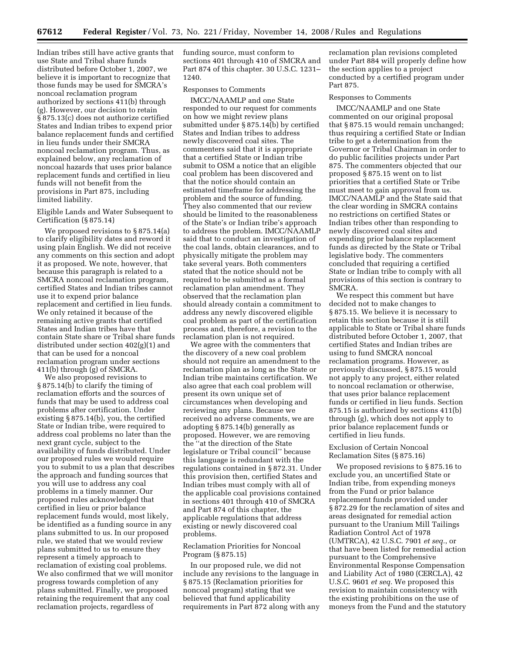Indian tribes still have active grants that use State and Tribal share funds distributed before October 1, 2007, we believe it is important to recognize that those funds may be used for SMCRA's noncoal reclamation program authorized by sections 411(b) through (g). However, our decision to retain § 875.13(c) does not authorize certified States and Indian tribes to expend prior balance replacement funds and certified in lieu funds under their SMCRA noncoal reclamation program. Thus, as explained below, any reclamation of noncoal hazards that uses prior balance replacement funds and certified in lieu funds will not benefit from the provisions in Part 875, including limited liability.

Eligible Lands and Water Subsequent to Certification (§ 875.14)

We proposed revisions to § 875.14(a) to clarify eligibility dates and reword it using plain English. We did not receive any comments on this section and adopt it as proposed. We note, however, that because this paragraph is related to a SMCRA noncoal reclamation program, certified States and Indian tribes cannot use it to expend prior balance replacement and certified in lieu funds. We only retained it because of the remaining active grants that certified States and Indian tribes have that contain State share or Tribal share funds distributed under section 402(g)(1) and that can be used for a noncoal reclamation program under sections 411(b) through (g) of SMCRA.

We also proposed revisions to § 875.14(b) to clarify the timing of reclamation efforts and the sources of funds that may be used to address coal problems after certification. Under existing § 875.14(b), you, the certified State or Indian tribe, were required to address coal problems no later than the next grant cycle, subject to the availability of funds distributed. Under our proposed rules we would require you to submit to us a plan that describes the approach and funding sources that you will use to address any coal problems in a timely manner. Our proposed rules acknowledged that certified in lieu or prior balance replacement funds would, most likely, be identified as a funding source in any plans submitted to us. In our proposed rule, we stated that we would review plans submitted to us to ensure they represent a timely approach to reclamation of existing coal problems. We also confirmed that we will monitor progress towards completion of any plans submitted. Finally, we proposed retaining the requirement that any coal reclamation projects, regardless of

funding source, must conform to sections 401 through 410 of SMCRA and Part 874 of this chapter. 30 U.S.C. 1231– 1240.

## Responses to Comments

IMCC/NAAMLP and one State responded to our request for comments on how we might review plans submitted under § 875.14(b) by certified States and Indian tribes to address newly discovered coal sites. The commenters said that it is appropriate that a certified State or Indian tribe submit to OSM a notice that an eligible coal problem has been discovered and that the notice should contain an estimated timeframe for addressing the problem and the source of funding. They also commented that our review should be limited to the reasonableness of the State's or Indian tribe's approach to address the problem. IMCC/NAAMLP said that to conduct an investigation of the coal lands, obtain clearances, and to physically mitigate the problem may take several years. Both commenters stated that the notice should not be required to be submitted as a formal reclamation plan amendment. They observed that the reclamation plan should already contain a commitment to address any newly discovered eligible coal problem as part of the certification process and, therefore, a revision to the reclamation plan is not required.

We agree with the commenters that the discovery of a new coal problem should not require an amendment to the reclamation plan as long as the State or Indian tribe maintains certification. We also agree that each coal problem will present its own unique set of circumstances when developing and reviewing any plans. Because we received no adverse comments, we are adopting § 875.14(b) generally as proposed. However, we are removing the ''at the direction of the State legislature or Tribal council'' because this language is redundant with the regulations contained in § 872.31. Under this provision then, certified States and Indian tribes must comply with all of the applicable coal provisions contained in sections 401 through 410 of SMCRA and Part 874 of this chapter, the applicable regulations that address existing or newly discovered coal problems.

## Reclamation Priorities for Noncoal Program (§ 875.15)

In our proposed rule, we did not include any revisions to the language in § 875.15 (Reclamation priorities for noncoal program) stating that we believed that fund applicability requirements in Part 872 along with any reclamation plan revisions completed under Part 884 will properly define how the section applies to a project conducted by a certified program under Part 875.

### Responses to Comments

IMCC/NAAMLP and one State commented on our original proposal that § 875.15 would remain unchanged; thus requiring a certified State or Indian tribe to get a determination from the Governor or Tribal Chairman in order to do public facilities projects under Part 875. The commenters objected that our proposed § 875.15 went on to list priorities that a certified State or Tribe must meet to gain approval from us. IMCC/NAAMLP and the State said that the clear wording in SMCRA contains no restrictions on certified States or Indian tribes other than responding to newly discovered coal sites and expending prior balance replacement funds as directed by the State or Tribal legislative body. The commenters concluded that requiring a certified State or Indian tribe to comply with all provisions of this section is contrary to SMCRA.

We respect this comment but have decided not to make changes to § 875.15. We believe it is necessary to retain this section because it is still applicable to State or Tribal share funds distributed before October 1, 2007, that certified States and Indian tribes are using to fund SMCRA noncoal reclamation programs. However, as previously discussed, § 875.15 would not apply to any project, either related to noncoal reclamation or otherwise, that uses prior balance replacement funds or certified in lieu funds. Section 875.15 is authorized by sections 411(b) through (g), which does not apply to prior balance replacement funds or certified in lieu funds.

Exclusion of Certain Noncoal Reclamation Sites (§ 875.16)

We proposed revisions to § 875.16 to exclude you, an uncertified State or Indian tribe, from expending moneys from the Fund or prior balance replacement funds provided under § 872.29 for the reclamation of sites and areas designated for remedial action pursuant to the Uranium Mill Tailings Radiation Control Act of 1978 (UMTRCA), 42 U.S.C. 7901 *et seq.*, or that have been listed for remedial action pursuant to the Comprehensive Environmental Response Compensation and Liability Act of 1980 (CERCLA), 42 U.S.C. 9601 *et seq.* We proposed this revision to maintain consistency with the existing prohibitions on the use of moneys from the Fund and the statutory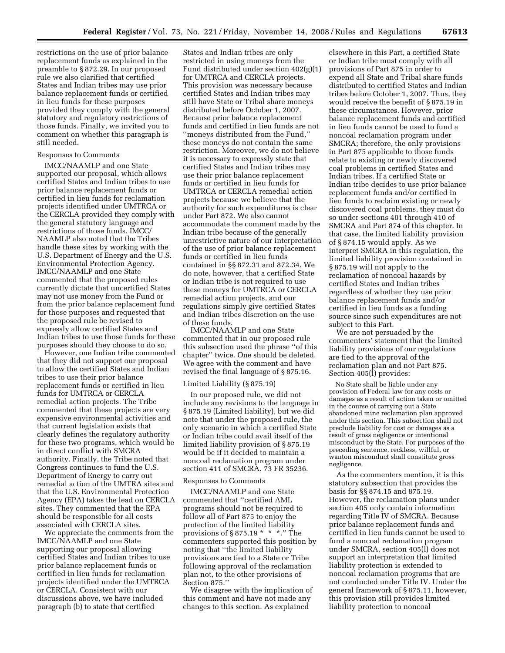restrictions on the use of prior balance replacement funds as explained in the preamble to § 872.29. In our proposed rule we also clarified that certified States and Indian tribes may use prior balance replacement funds or certified in lieu funds for these purposes provided they comply with the general statutory and regulatory restrictions of those funds. Finally, we invited you to comment on whether this paragraph is still needed.

## Responses to Comments

IMCC/NAAMLP and one State supported our proposal, which allows certified States and Indian tribes to use prior balance replacement funds or certified in lieu funds for reclamation projects identified under UMTRCA or the CERCLA provided they comply with the general statutory language and restrictions of those funds. IMCC/ NAAMLP also noted that the Tribes handle these sites by working with the U.S. Department of Energy and the U.S. Environmental Protection Agency. IMCC/NAAMLP and one State commented that the proposed rules currently dictate that uncertified States may not use money from the Fund or from the prior balance replacement fund for those purposes and requested that the proposed rule be revised to expressly allow certified States and Indian tribes to use those funds for these purposes should they choose to do so.

However, one Indian tribe commented that they did not support our proposal to allow the certified States and Indian tribes to use their prior balance replacement funds or certified in lieu funds for UMTRCA or CERCLA remedial action projects. The Tribe commented that these projects are very expensive environmental activities and that current legislation exists that clearly defines the regulatory authority for these two programs, which would be in direct conflict with SMCRA authority. Finally, the Tribe noted that Congress continues to fund the U.S. Department of Energy to carry out remedial action of the UMTRA sites and that the U.S. Environmental Protection Agency (EPA) takes the lead on CERCLA sites. They commented that the EPA should be responsible for all costs associated with CERCLA sites.

We appreciate the comments from the IMCC/NAAMLP and one State supporting our proposal allowing certified States and Indian tribes to use prior balance replacement funds or certified in lieu funds for reclamation projects identified under the UMTRCA or CERCLA. Consistent with our discussions above, we have included paragraph (b) to state that certified

States and Indian tribes are only restricted in using moneys from the Fund distributed under section 402(g)(1) for UMTRCA and CERCLA projects. This provision was necessary because certified States and Indian tribes may still have State or Tribal share moneys distributed before October 1, 2007. Because prior balance replacement funds and certified in lieu funds are not ''moneys distributed from the Fund,'' these moneys do not contain the same restriction. Moreover, we do not believe it is necessary to expressly state that certified States and Indian tribes may use their prior balance replacement funds or certified in lieu funds for UMTRCA or CERCLA remedial action projects because we believe that the authority for such expenditures is clear under Part 872. We also cannot accommodate the comment made by the Indian tribe because of the generally unrestrictive nature of our interpretation of the use of prior balance replacement funds or certified in lieu funds contained in §§ 872.31 and 872.34. We do note, however, that a certified State or Indian tribe is not required to use these moneys for UMTRCA or CERCLA remedial action projects, and our regulations simply give certified States and Indian tribes discretion on the use of these funds.

IMCC/NAAMLP and one State commented that in our proposed rule this subsection used the phrase ''of this chapter'' twice. One should be deleted. We agree with the comment and have revised the final language of § 875.16.

### Limited Liability (§ 875.19)

In our proposed rule, we did not include any revisions to the language in § 875.19 (Limited liability), but we did note that under the proposed rule, the only scenario in which a certified State or Indian tribe could avail itself of the limited liability provision of § 875.19 would be if it decided to maintain a noncoal reclamation program under section 411 of SMCRA. 73 FR 35236.

## Responses to Comments

IMCC/NAAMLP and one State commented that ''certified AML programs should not be required to follow all of Part 875 to enjoy the protection of the limited liability provisions of  $§ 875.19$  \* \* \*.'' The commenters supported this position by noting that ''the limited liability provisions are tied to a State or Tribe following approval of the reclamation plan not, to the other provisions of Section 875.''

We disagree with the implication of this comment and have not made any changes to this section. As explained

elsewhere in this Part, a certified State or Indian tribe must comply with all provisions of Part 875 in order to expend all State and Tribal share funds distributed to certified States and Indian tribes before October 1, 2007. Thus, they would receive the benefit of § 875.19 in these circumstances. However, prior balance replacement funds and certified in lieu funds cannot be used to fund a noncoal reclamation program under SMCRA; therefore, the only provisions in Part 875 applicable to those funds relate to existing or newly discovered coal problems in certified States and Indian tribes. If a certified State or Indian tribe decides to use prior balance replacement funds and/or certified in lieu funds to reclaim existing or newly discovered coal problems, they must do so under sections 401 through 410 of SMCRA and Part 874 of this chapter. In that case, the limited liability provision of § 874.15 would apply. As we interpret SMCRA in this regulation, the limited liability provision contained in § 875.19 will not apply to the reclamation of noncoal hazards by certified States and Indian tribes regardless of whether they use prior balance replacement funds and/or certified in lieu funds as a funding source since such expenditures are not subject to this Part.

We are not persuaded by the commenters' statement that the limited liability provisions of our regulations are tied to the approval of the reclamation plan and not Part 875. Section 405(l) provides:

No State shall be liable under any provision of Federal law for any costs or damages as a result of action taken or omitted in the course of carrying out a State abandoned mine reclamation plan approved under this section. This subsection shall not preclude liability for cost or damages as a result of gross negligence or intentional misconduct by the State. For purposes of the preceding sentence, reckless, willful, or wanton misconduct shall constitute gross negligence.

As the commenters mention, it is this statutory subsection that provides the basis for §§ 874.15 and 875.19. However, the reclamation plans under section 405 only contain information regarding Title IV of SMCRA. Because prior balance replacement funds and certified in lieu funds cannot be used to fund a noncoal reclamation program under SMCRA, section 405(l) does not support an interpretation that limited liability protection is extended to noncoal reclamation programs that are not conducted under Title IV. Under the general framework of § 875.11, however, this provision still provides limited liability protection to noncoal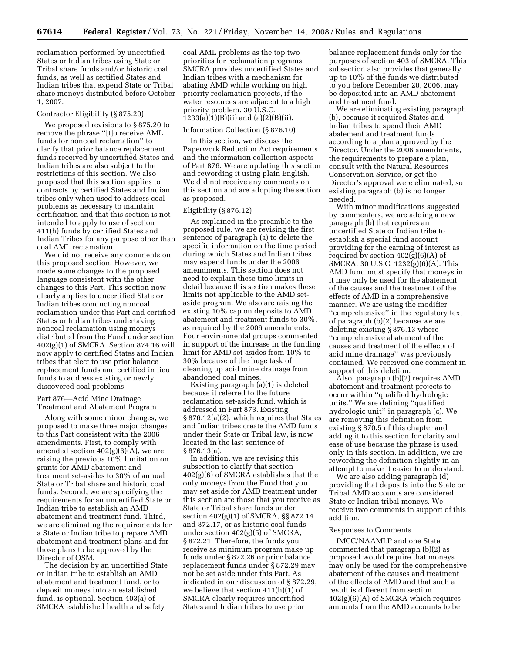reclamation performed by uncertified States or Indian tribes using State or Tribal share funds and/or historic coal funds, as well as certified States and Indian tribes that expend State or Tribal share moneys distributed before October 1, 2007.

### Contractor Eligibility (§ 875.20)

We proposed revisions to § 875.20 to remove the phrase ''[t]o receive AML funds for noncoal reclamation'' to clarify that prior balance replacement funds received by uncertified States and Indian tribes are also subject to the restrictions of this section. We also proposed that this section applies to contracts by certified States and Indian tribes only when used to address coal problems as necessary to maintain certification and that this section is not intended to apply to use of section 411(h) funds by certified States and Indian Tribes for any purpose other than coal AML reclamation.

We did not receive any comments on this proposed section. However, we made some changes to the proposed language consistent with the other changes to this Part. This section now clearly applies to uncertified State or Indian tribes conducting noncoal reclamation under this Part and certified States or Indian tribes undertaking noncoal reclamation using moneys distributed from the Fund under section 402(g)(1) of SMCRA. Section 874.16 will now apply to certified States and Indian tribes that elect to use prior balance replacement funds and certified in lieu funds to address existing or newly discovered coal problems.

## Part 876—Acid Mine Drainage Treatment and Abatement Program

Along with some minor changes, we proposed to make three major changes to this Part consistent with the 2006 amendments. First, to comply with amended section  $402(g)(6)(A)$ , we are raising the previous 10% limitation on grants for AMD abatement and treatment set-asides to 30% of annual State or Tribal share and historic coal funds. Second, we are specifying the requirements for an uncertified State or Indian tribe to establish an AMD abatement and treatment fund. Third, we are eliminating the requirements for a State or Indian tribe to prepare AMD abatement and treatment plans and for those plans to be approved by the Director of OSM.

The decision by an uncertified State or Indian tribe to establish an AMD abatement and treatment fund, or to deposit moneys into an established fund, is optional. Section 403(a) of SMCRA established health and safety

coal AML problems as the top two priorities for reclamation programs. SMCRA provides uncertified States and Indian tribes with a mechanism for abating AMD while working on high priority reclamation projects, if the water resources are adjacent to a high priority problem. 30 U.S.C. 1233(a)(1)(B)(ii) and (a)(2)(B)(ii).

### Information Collection (§ 876.10)

In this section, we discuss the Paperwork Reduction Act requirements and the information collection aspects of Part 876. We are updating this section and rewording it using plain English. We did not receive any comments on this section and are adopting the section as proposed.

### Eligibility (§ 876.12)

As explained in the preamble to the proposed rule, we are revising the first sentence of paragraph (a) to delete the specific information on the time period during which States and Indian tribes may expend funds under the 2006 amendments. This section does not need to explain these time limits in detail because this section makes these limits not applicable to the AMD setaside program. We also are raising the existing 10% cap on deposits to AMD abatement and treatment funds to 30%, as required by the 2006 amendments. Four environmental groups commented in support of the increase in the funding limit for AMD set-asides from 10% to 30% because of the huge task of cleaning up acid mine drainage from abandoned coal mines.

Existing paragraph (a)(1) is deleted because it referred to the future reclamation set-aside fund, which is addressed in Part 873. Existing § 876.12(a)(2), which requires that States and Indian tribes create the AMD funds under their State or Tribal law, is now located in the last sentence of § 876.13(a).

In addition, we are revising this subsection to clarify that section 402(g)(6) of SMCRA establishes that the only moneys from the Fund that you may set aside for AMD treatment under this section are those that you receive as State or Tribal share funds under section 402(g)(1) of SMCRA, §§ 872.14 and 872.17, or as historic coal funds under section 402(g)(5) of SMCRA, § 872.21. Therefore, the funds you receive as minimum program make up funds under § 872.26 or prior balance replacement funds under § 872.29 may not be set aside under this Part. As indicated in our discussion of § 872.29, we believe that section 411(h)(1) of SMCRA clearly requires uncertified States and Indian tribes to use prior

balance replacement funds only for the purposes of section 403 of SMCRA. This subsection also provides that generally up to 10% of the funds we distributed to you before December 20, 2006, may be deposited into an AMD abatement and treatment fund.

We are eliminating existing paragraph (b), because it required States and Indian tribes to spend their AMD abatement and treatment funds according to a plan approved by the Director. Under the 2006 amendments, the requirements to prepare a plan, consult with the Natural Resources Conservation Service, or get the Director's approval were eliminated, so existing paragraph (b) is no longer needed.

With minor modifications suggested by commenters, we are adding a new paragraph (b) that requires an uncertified State or Indian tribe to establish a special fund account providing for the earning of interest as required by section  $402(g)(6)(A)$  of SMCRA. 30 U.S.C. 1232(g)(6)(A). This AMD fund must specify that moneys in it may only be used for the abatement of the causes and the treatment of the effects of AMD in a comprehensive manner. We are using the modifier ''comprehensive'' in the regulatory text of paragraph (b)(2) because we are deleting existing § 876.13 where ''comprehensive abatement of the causes and treatment of the effects of acid mine drainage'' was previously contained. We received one comment in support of this deletion.

Also, paragraph (b)(2) requires AMD abatement and treatment projects to occur within ''qualified hydrologic units.'' We are defining ''qualified hydrologic unit'' in paragraph (c). We are removing this definition from existing § 870.5 of this chapter and adding it to this section for clarity and ease of use because the phrase is used only in this section. In addition, we are rewording the definition slightly in an attempt to make it easier to understand.

We are also adding paragraph (d) providing that deposits into the State or Tribal AMD accounts are considered State or Indian tribal moneys. We receive two comments in support of this addition.

### Responses to Comments

IMCC/NAAMLP and one State commented that paragraph (b)(2) as proposed would require that moneys may only be used for the comprehensive abatement of the causes and treatment of the effects of AMD and that such a result is different from section 402(g)(6)(A) of SMCRA which requires amounts from the AMD accounts to be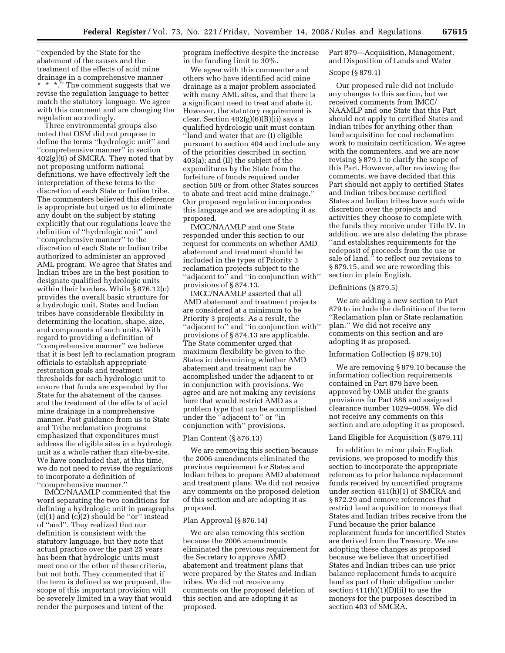''expended by the State for the abatement of the causes and the treatment of the effects of acid mine drainage in a comprehensive manner \* \* \*.'' The comment suggests that we revise the regulation language to better match the statutory language. We agree with this comment and are changing the regulation accordingly.

Three environmental groups also noted that OSM did not propose to define the terms ''hydrologic unit'' and ''comprehensive manner'' in section 402(g)(6) of SMCRA. They noted that by not proposing uniform national definitions, we have effectively left the interpretation of these terms to the discretion of each State or Indian tribe. The commenters believed this deference is appropriate but urged us to eliminate any doubt on the subject by stating explicitly that our regulations leave the definition of ''hydrologic unit'' and ''comprehensive manner'' to the discretion of each State or Indian tribe authorized to administer an approved AML program. We agree that States and Indian tribes are in the best position to designate qualified hydrologic units within their borders. While § 876.12(c) provides the overall basic structure for a hydrologic unit, States and Indian tribes have considerable flexibility in determining the location, shape, size, and components of such units. With regard to providing a definition of ''comprehensive manner'' we believe that it is best left to reclamation program officials to establish appropriate restoration goals and treatment thresholds for each hydrologic unit to ensure that funds are expended by the State for the abatement of the causes and the treatment of the effects of acid mine drainage in a comprehensive manner. Past guidance from us to State and Tribe reclamation programs emphasized that expenditures must address the eligible sites in a hydrologic unit as a whole rather than site-by-site. We have concluded that, at this time, we do not need to revise the regulations to incorporate a definition of ''comprehensive manner.''

IMCC/NAAMLP commented that the word separating the two conditions for defining a hydrologic unit in paragraphs  $(c)(1)$  and  $(c)(2)$  should be "or" instead of ''and''. They realized that our definition is consistent with the statutory language, but they note that actual practice over the past 25 years has been that hydrologic units must meet one or the other of these criteria, but not both. They commented that if the term is defined as we proposed, the scope of this important provision will be severely limited in a way that would render the purposes and intent of the

program ineffective despite the increase in the funding limit to 30%.

We agree with this commenter and others who have identified acid mine drainage as a major problem associated with many AML sites, and that there is a significant need to treat and abate it. However, the statutory requirement is clear. Section  $402(g)(6)(B)(ii)$  says a qualified hydrologic unit must contain ''land and water that are (I) eligible pursuant to section 404 and include any of the priorities described in section 403(a); and (II) the subject of the expenditures by the State from the forfeiture of bonds required under section 509 or from other States sources to abate and treat acid mine drainage.'' Our proposed regulation incorporates this language and we are adopting it as proposed.

IMCC/NAAMLP and one State responded under this section to our request for comments on whether AMD abatement and treatment should be included in the types of Priority 3 reclamation projects subject to the ''adjacent to'' and ''in conjunction with'' provisions of § 874.13.

IMCC/NAAMLP asserted that all AMD abatement and treatment projects are considered at a minimum to be Priority 3 projects. As a result, the ''adjacent to'' and ''in conjunction with'' provisions of § 874.13 are applicable. The State commenter urged that maximum flexibility be given to the States in determining whether AMD abatement and treatment can be accomplished under the adjacent to or in conjunction with provisions. We agree and are not making any revisions here that would restrict AMD as a problem type that can be accomplished under the ''adjacent to'' or ''in conjunction with'' provisions.

### Plan Content (§ 876.13)

We are removing this section because the 2006 amendments eliminated the previous requirement for States and Indian tribes to prepare AMD abatement and treatment plans. We did not receive any comments on the proposed deletion of this section and are adopting it as proposed.

# Plan Approval (§ 876.14)

We are also removing this section because the 2006 amendments eliminated the previous requirement for the Secretary to approve AMD abatement and treatment plans that were prepared by the States and Indian tribes. We did not receive any comments on the proposed deletion of this section and are adopting it as proposed.

Part 879—Acquisition, Management, and Disposition of Lands and Water

# Scope (§ 879.1)

Our proposed rule did not include any changes to this section, but we received comments from IMCC/ NAAMLP and one State that this Part should not apply to certified States and Indian tribes for anything other than land acquisition for coal reclamation work to maintain certification. We agree with the commenters, and we are now revising § 879.1 to clarify the scope of this Part. However, after reviewing the comments, we have decided that this Part should not apply to certified States and Indian tribes because certified States and Indian tribes have such wide discretion over the projects and activities they choose to complete with the funds they receive under Title IV. In addition, we are also deleting the phrase ''and establishes requirements for the redeposit of proceeds from the use or sale of land.'' to reflect our revisions to § 879.15, and we are rewording this section in plain English.

## Definitions (§ 879.5)

We are adding a new section to Part 879 to include the definition of the term ''Reclamation plan or State reclamation plan.'' We did not receive any comments on this section and are adopting it as proposed.

### Information Collection (§ 879.10)

We are removing § 879.10 because the information collection requirements contained in Part 879 have been approved by OMB under the grants provisions for Part 886 and assigned clearance number 1029–0059. We did not receive any comments on this section and are adopting it as proposed.

### Land Eligible for Acquisition (§ 879.11)

In addition to minor plain English revisions, we proposed to modify this section to incorporate the appropriate references to prior balance replacement funds received by uncertified programs under section 411(h)(1) of SMCRA and § 872.29 and remove references that restrict land acquisition to moneys that States and Indian tribes receive from the Fund because the prior balance replacement funds for uncertified States are derived from the Treasury. We are adopting these changes as proposed because we believe that uncertified States and Indian tribes can use prior balance replacement funds to acquire land as part of their obligation under section  $411(h)(1)(D)(ii)$  to use the moneys for the purposes described in section 403 of SMCRA.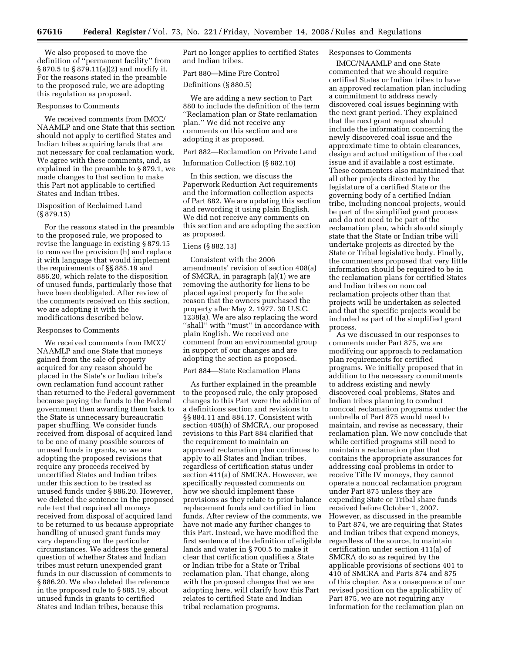We also proposed to move the definition of ''permanent facility'' from § 870.5 to § 879.11(a)(2) and modify it. For the reasons stated in the preamble to the proposed rule, we are adopting this regulation as proposed.

### Responses to Comments

We received comments from IMCC/ NAAMLP and one State that this section should not apply to certified States and Indian tribes acquiring lands that are not necessary for coal reclamation work. We agree with these comments, and, as explained in the preamble to § 879.1, we made changes to that section to make this Part not applicable to certified States and Indian tribes.

### Disposition of Reclaimed Land (§ 879.15)

For the reasons stated in the preamble to the proposed rule, we proposed to revise the language in existing § 879.15 to remove the provision (h) and replace it with language that would implement the requirements of §§ 885.19 and 886.20, which relate to the disposition of unused funds, particularly those that have been deobligated. After review of the comments received on this section, we are adopting it with the modifications described below.

## Responses to Comments

We received comments from IMCC/ NAAMLP and one State that moneys gained from the sale of property acquired for any reason should be placed in the State's or Indian tribe's own reclamation fund account rather than returned to the Federal government because paying the funds to the Federal government then awarding them back to the State is unnecessary bureaucratic paper shuffling. We consider funds received from disposal of acquired land to be one of many possible sources of unused funds in grants, so we are adopting the proposed revisions that require any proceeds received by uncertified States and Indian tribes under this section to be treated as unused funds under § 886.20. However, we deleted the sentence in the proposed rule text that required all moneys received from disposal of acquired land to be returned to us because appropriate handling of unused grant funds may vary depending on the particular circumstances. We address the general question of whether States and Indian tribes must return unexpended grant funds in our discussion of comments to § 886.20. We also deleted the reference in the proposed rule to § 885.19, about unused funds in grants to certified States and Indian tribes, because this

Part no longer applies to certified States and Indian tribes.

# Part 880—Mine Fire Control

Definitions (§ 880.5)

We are adding a new section to Part 880 to include the definition of the term ''Reclamation plan or State reclamation plan.'' We did not receive any comments on this section and are adopting it as proposed.

### Part 882—Reclamation on Private Land

# Information Collection (§ 882.10)

In this section, we discuss the Paperwork Reduction Act requirements and the information collection aspects of Part 882. We are updating this section and rewording it using plain English. We did not receive any comments on this section and are adopting the section as proposed.

### Liens (§ 882.13)

Consistent with the 2006 amendments' revision of section 408(a) of SMCRA, in paragraph (a)(1) we are removing the authority for liens to be placed against property for the sole reason that the owners purchased the property after May 2, 1977. 30 U.S.C. 1238(a). We are also replacing the word "shall" with "must" in accordance with plain English. We received one comment from an environmental group in support of our changes and are adopting the section as proposed.

## Part 884—State Reclamation Plans

As further explained in the preamble to the proposed rule, the only proposed changes to this Part were the addition of a definitions section and revisions to §§ 884.11 and 884.17. Consistent with section 405(h) of SMCRA, our proposed revisions to this Part 884 clarified that the requirement to maintain an approved reclamation plan continues to apply to all States and Indian tribes, regardless of certification status under section 411(a) of SMCRA. However, we specifically requested comments on how we should implement these provisions as they relate to prior balance replacement funds and certified in lieu funds. After review of the comments, we have not made any further changes to this Part. Instead, we have modified the first sentence of the definition of eligible lands and water in § 700.5 to make it clear that certification qualifies a State or Indian tribe for a State or Tribal reclamation plan. That change, along with the proposed changes that we are adopting here, will clarify how this Part relates to certified State and Indian tribal reclamation programs.

# Responses to Comments

IMCC/NAAMLP and one State commented that we should require certified States or Indian tribes to have an approved reclamation plan including a commitment to address newly discovered coal issues beginning with the next grant period. They explained that the next grant request should include the information concerning the newly discovered coal issue and the approximate time to obtain clearances, design and actual mitigation of the coal issue and if available a cost estimate. These commenters also maintained that all other projects directed by the legislature of a certified State or the governing body of a certified Indian tribe, including noncoal projects, would be part of the simplified grant process and do not need to be part of the reclamation plan, which should simply state that the State or Indian tribe will undertake projects as directed by the State or Tribal legislative body. Finally, the commenters proposed that very little information should be required to be in the reclamation plans for certified States and Indian tribes on noncoal reclamation projects other than that projects will be undertaken as selected and that the specific projects would be included as part of the simplified grant process.

As we discussed in our responses to comments under Part 875, we are modifying our approach to reclamation plan requirements for certified programs. We initially proposed that in addition to the necessary commitments to address existing and newly discovered coal problems, States and Indian tribes planning to conduct noncoal reclamation programs under the umbrella of Part 875 would need to maintain, and revise as necessary, their reclamation plan. We now conclude that while certified programs still need to maintain a reclamation plan that contains the appropriate assurances for addressing coal problems in order to receive Title IV moneys, they cannot operate a noncoal reclamation program under Part 875 unless they are expending State or Tribal share funds received before October 1, 2007. However, as discussed in the preamble to Part 874, we are requiring that States and Indian tribes that expend moneys, regardless of the source, to maintain certification under section 411(a) of SMCRA do so as required by the applicable provisions of sections 401 to 410 of SMCRA and Parts 874 and 875 of this chapter. As a consequence of our revised position on the applicability of Part 875, we are not requiring any information for the reclamation plan on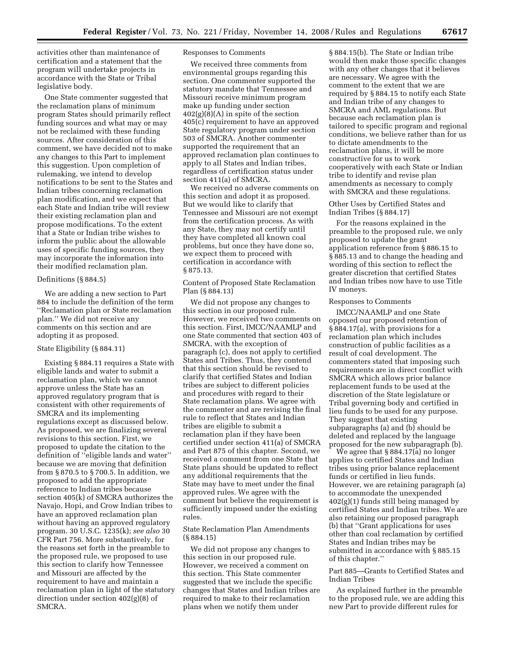activities other than maintenance of certification and a statement that the program will undertake projects in accordance with the State or Tribal legislative body.

One State commenter suggested that the reclamation plans of minimum program States should primarily reflect funding sources and what may or may not be reclaimed with these funding sources. After consideration of this comment, we have decided not to make any changes to this Part to implement this suggestion. Upon completion of rulemaking, we intend to develop notifications to be sent to the States and Indian tribes concerning reclamation plan modification, and we expect that each State and Indian tribe will review their existing reclamation plan and propose modifications. To the extent that a State or Indian tribe wishes to inform the public about the allowable uses of specific funding sources, they may incorporate the information into their modified reclamation plan.

### Definitions (§ 884.5)

We are adding a new section to Part 884 to include the definition of the term ''Reclamation plan or State reclamation plan.'' We did not receive any comments on this section and are adopting it as proposed.

## State Eligibility (§ 884.11)

Existing § 884.11 requires a State with eligible lands and water to submit a reclamation plan, which we cannot approve unless the State has an approved regulatory program that is consistent with other requirements of SMCRA and its implementing regulations except as discussed below. As proposed, we are finalizing several revisions to this section. First, we proposed to update the citation to the definition of ''eligible lands and water'' because we are moving that definition from § 870.5 to § 700.5. In addition, we proposed to add the appropriate reference to Indian tribes because section 405(k) of SMCRA authorizes the Navajo, Hopi, and Crow Indian tribes to have an approved reclamation plan without having an approved regulatory program. 30 U.S.C. 1235(k); *see also* 30 CFR Part 756. More substantively, for the reasons set forth in the preamble to the proposed rule, we proposed to use this section to clarify how Tennessee and Missouri are affected by the requirement to have and maintain a reclamation plan in light of the statutory direction under section 402(g)(8) of SMCRA.

## Responses to Comments

We received three comments from environmental groups regarding this section. One commenter supported the statutory mandate that Tennessee and Missouri receive minimum program make up funding under section  $402(g)(8)(A)$  in spite of the section 405(c) requirement to have an approved State regulatory program under section 503 of SMCRA. Another commenter supported the requirement that an approved reclamation plan continues to apply to all States and Indian tribes, regardless of certification status under section 411(a) of SMCRA.

We received no adverse comments on this section and adopt it as proposed. But we would like to clarify that Tennessee and Missouri are not exempt from the certification process. As with any State, they may not certify until they have completed all known coal problems, but once they have done so, we expect them to proceed with certification in accordance with § 875.13.

## Content of Proposed State Reclamation Plan (§ 884.13)

We did not propose any changes to this section in our proposed rule. However, we received two comments on this section. First, IMCC/NAAMLP and one State commented that section 403 of SMCRA, with the exception of paragraph (c), does not apply to certified States and Tribes. Thus, they contend that this section should be revised to clarify that certified States and Indian tribes are subject to different policies and procedures with regard to their State reclamation plans. We agree with the commenter and are revising the final rule to reflect that States and Indian tribes are eligible to submit a reclamation plan if they have been certified under section 411(a) of SMCRA and Part 875 of this chapter. Second, we received a comment from one State that State plans should be updated to reflect any additional requirements that the State may have to meet under the final approved rules. We agree with the comment but believe the requirement is sufficiently imposed under the existing rules.

State Reclamation Plan Amendments (§ 884.15)

We did not propose any changes to this section in our proposed rule. However, we received a comment on this section. This State commenter suggested that we include the specific changes that States and Indian tribes are required to make to their reclamation plans when we notify them under

§ 884.15(b). The State or Indian tribe would then make those specific changes with any other changes that it believes are necessary. We agree with the comment to the extent that we are required by § 884.15 to notify each State and Indian tribe of any changes to SMCRA and AML regulations. But because each reclamation plan is tailored to specific program and regional conditions, we believe rather than for us to dictate amendments to the reclamation plans, it will be more constructive for us to work cooperatively with each State or Indian tribe to identify and revise plan amendments as necessary to comply with SMCRA and these regulations.

Other Uses by Certified States and Indian Tribes (§ 884.17)

For the reasons explained in the preamble to the proposed rule, we only proposed to update the grant application reference from § 886.15 to § 885.13 and to change the heading and wording of this section to reflect the greater discretion that certified States and Indian tribes now have to use Title IV moneys.

### Responses to Comments

IMCC/NAAMLP and one State opposed our proposed retention of § 884.17(a), with provisions for a reclamation plan which includes construction of public facilities as a result of coal development. The commenters stated that imposing such requirements are in direct conflict with SMCRA which allows prior balance replacement funds to be used at the discretion of the State legislature or Tribal governing body and certified in lieu funds to be used for any purpose. They suggest that existing subparagraphs (a) and (b) should be deleted and replaced by the language proposed for the new subparagraph (b).

We agree that § 884.17(a) no longer applies to certified States and Indian tribes using prior balance replacement funds or certified in lieu funds. However, we are retaining paragraph (a) to accommodate the unexpended 402(g)(1) funds still being managed by certified States and Indian tribes. We are also retaining our proposed paragraph (b) that ''Grant applications for uses other than coal reclamation by certified States and Indian tribes may be submitted in accordance with § 885.15 of this chapter.''

Part 885—Grants to Certified States and Indian Tribes

As explained further in the preamble to the proposed rule, we are adding this new Part to provide different rules for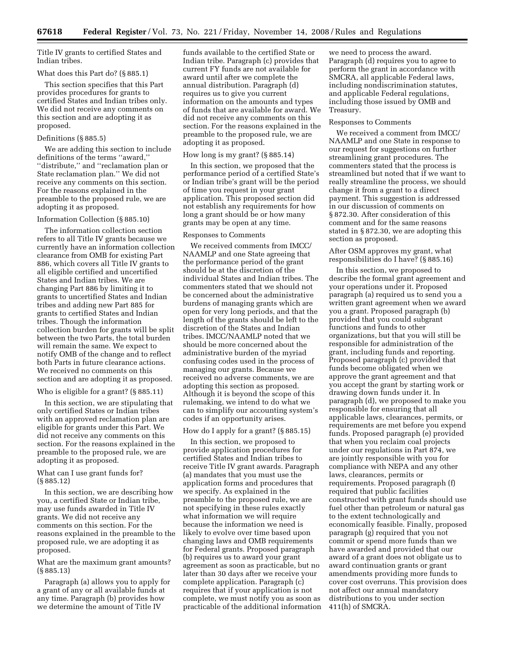Title IV grants to certified States and Indian tribes.

### What does this Part do? (§ 885.1)

This section specifies that this Part provides procedures for grants to certified States and Indian tribes only. We did not receive any comments on this section and are adopting it as proposed.

### Definitions (§ 885.5)

We are adding this section to include definitions of the terms ''award,'' ''distribute,'' and ''reclamation plan or State reclamation plan.'' We did not receive any comments on this section. For the reasons explained in the preamble to the proposed rule, we are adopting it as proposed.

### Information Collection (§ 885.10)

The information collection section refers to all Title IV grants because we currently have an information collection clearance from OMB for existing Part 886, which covers all Title IV grants to all eligible certified and uncertified States and Indian tribes. We are changing Part 886 by limiting it to grants to uncertified States and Indian tribes and adding new Part 885 for grants to certified States and Indian tribes. Though the information collection burden for grants will be split between the two Parts, the total burden will remain the same. We expect to notify OMB of the change and to reflect both Parts in future clearance actions. We received no comments on this section and are adopting it as proposed.

Who is eligible for a grant? (§ 885.11)

In this section, we are stipulating that only certified States or Indian tribes with an approved reclamation plan are eligible for grants under this Part. We did not receive any comments on this section. For the reasons explained in the preamble to the proposed rule, we are adopting it as proposed.

## What can I use grant funds for? (§ 885.12)

In this section, we are describing how you, a certified State or Indian tribe, may use funds awarded in Title IV grants. We did not receive any comments on this section. For the reasons explained in the preamble to the proposed rule, we are adopting it as proposed.

What are the maximum grant amounts? (§ 885.13)

Paragraph (a) allows you to apply for a grant of any or all available funds at any time. Paragraph (b) provides how we determine the amount of Title IV

funds available to the certified State or Indian tribe. Paragraph (c) provides that current FY funds are not available for award until after we complete the annual distribution. Paragraph (d) requires us to give you current information on the amounts and types of funds that are available for award. We did not receive any comments on this section. For the reasons explained in the preamble to the proposed rule, we are adopting it as proposed.

## How long is my grant? (§ 885.14)

In this section, we proposed that the performance period of a certified State's or Indian tribe's grant will be the period of time you request in your grant application. This proposed section did not establish any requirements for how long a grant should be or how many grants may be open at any time.

### Responses to Comments

We received comments from IMCC/ NAAMLP and one State agreeing that the performance period of the grant should be at the discretion of the individual States and Indian tribes. The commenters stated that we should not be concerned about the administrative burdens of managing grants which are open for very long periods, and that the length of the grants should be left to the discretion of the States and Indian tribes. IMCC/NAAMLP noted that we should be more concerned about the administrative burden of the myriad confusing codes used in the process of managing our grants. Because we received no adverse comments, we are adopting this section as proposed. Although it is beyond the scope of this rulemaking, we intend to do what we can to simplify our accounting system's codes if an opportunity arises.

## How do I apply for a grant? (§ 885.15)

In this section, we proposed to provide application procedures for certified States and Indian tribes to receive Title IV grant awards. Paragraph (a) mandates that you must use the application forms and procedures that we specify. As explained in the preamble to the proposed rule, we are not specifying in these rules exactly what information we will require because the information we need is likely to evolve over time based upon changing laws and OMB requirements for Federal grants. Proposed paragraph (b) requires us to award your grant agreement as soon as practicable, but no later than 30 days after we receive your complete application. Paragraph (c) requires that if your application is not complete, we must notify you as soon as practicable of the additional information

we need to process the award. Paragraph (d) requires you to agree to perform the grant in accordance with SMCRA, all applicable Federal laws, including nondiscrimination statutes, and applicable Federal regulations, including those issued by OMB and Treasury.

### Responses to Comments

We received a comment from IMCC/ NAAMLP and one State in response to our request for suggestions on further streamlining grant procedures. The commenters stated that the process is streamlined but noted that if we want to really streamline the process, we should change it from a grant to a direct payment. This suggestion is addressed in our discussion of comments on § 872.30. After consideration of this comment and for the same reasons stated in § 872.30, we are adopting this section as proposed.

# After OSM approves my grant, what responsibilities do I have? (§ 885.16)

In this section, we proposed to describe the formal grant agreement and your operations under it. Proposed paragraph (a) required us to send you a written grant agreement when we award you a grant. Proposed paragraph (b) provided that you could subgrant functions and funds to other organizations, but that you will still be responsible for administration of the grant, including funds and reporting. Proposed paragraph (c) provided that funds become obligated when we approve the grant agreement and that you accept the grant by starting work or drawing down funds under it. In paragraph (d), we proposed to make you responsible for ensuring that all applicable laws, clearances, permits, or requirements are met before you expend funds. Proposed paragraph (e) provided that when you reclaim coal projects under our regulations in Part 874, we are jointly responsible with you for compliance with NEPA and any other laws, clearances, permits or requirements. Proposed paragraph (f) required that public facilities constructed with grant funds should use fuel other than petroleum or natural gas to the extent technologically and economically feasible. Finally, proposed paragraph (g) required that you not commit or spend more funds than we have awarded and provided that our award of a grant does not obligate us to award continuation grants or grant amendments providing more funds to cover cost overruns. This provision does not affect our annual mandatory distributions to you under section 411(h) of SMCRA.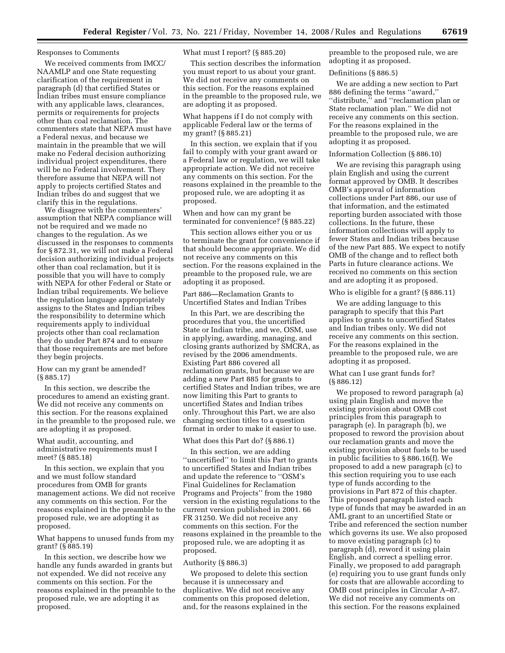### Responses to Comments

We received comments from IMCC/ NAAMLP and one State requesting clarification of the requirement in paragraph (d) that certified States or Indian tribes must ensure compliance with any applicable laws, clearances, permits or requirements for projects other than coal reclamation. The commenters state that NEPA must have a Federal nexus, and because we maintain in the preamble that we will make no Federal decision authorizing individual project expenditures, there will be no Federal involvement. They therefore assume that NEPA will not apply to projects certified States and Indian tribes do and suggest that we clarify this in the regulations.

We disagree with the commenters' assumption that NEPA compliance will not be required and we made no changes to the regulation. As we discussed in the responses to comments for § 872.31, we will not make a Federal decision authorizing individual projects other than coal reclamation, but it is possible that you will have to comply with NEPA for other Federal or State or Indian tribal requirements. We believe the regulation language appropriately assigns to the States and Indian tribes the responsibility to determine which requirements apply to individual projects other than coal reclamation they do under Part 874 and to ensure that those requirements are met before they begin projects.

How can my grant be amended? (§ 885.17)

In this section, we describe the procedures to amend an existing grant. We did not receive any comments on this section. For the reasons explained in the preamble to the proposed rule, we are adopting it as proposed.

## What audit, accounting, and administrative requirements must I meet? (§ 885.18)

In this section, we explain that you and we must follow standard procedures from OMB for grants management actions. We did not receive any comments on this section. For the reasons explained in the preamble to the proposed rule, we are adopting it as proposed.

What happens to unused funds from my grant? (§ 885.19)

In this section, we describe how we handle any funds awarded in grants but not expended. We did not receive any comments on this section. For the reasons explained in the preamble to the proposed rule, we are adopting it as proposed.

What must I report? (§ 885.20)

This section describes the information you must report to us about your grant. We did not receive any comments on this section. For the reasons explained in the preamble to the proposed rule, we are adopting it as proposed.

What happens if I do not comply with applicable Federal law or the terms of my grant? (§ 885.21)

In this section, we explain that if you fail to comply with your grant award or a Federal law or regulation, we will take appropriate action. We did not receive any comments on this section. For the reasons explained in the preamble to the proposed rule, we are adopting it as proposed.

When and how can my grant be terminated for convenience? (§ 885.22)

This section allows either you or us to terminate the grant for convenience if that should become appropriate. We did not receive any comments on this section. For the reasons explained in the preamble to the proposed rule, we are adopting it as proposed.

Part 886—Reclamation Grants to Uncertified States and Indian Tribes

In this Part, we are describing the procedures that you, the uncertified State or Indian tribe, and we, OSM, use in applying, awarding, managing, and closing grants authorized by SMCRA, as revised by the 2006 amendments. Existing Part 886 covered all reclamation grants, but because we are adding a new Part 885 for grants to certified States and Indian tribes, we are now limiting this Part to grants to uncertified States and Indian tribes only. Throughout this Part, we are also changing section titles to a question format in order to make it easier to use.

### What does this Part do? (§ 886.1)

In this section, we are adding ''uncertified'' to limit this Part to grants to uncertified States and Indian tribes and update the reference to ''OSM's Final Guidelines for Reclamation Programs and Projects'' from the 1980 version in the existing regulations to the current version published in 2001. 66 FR 31250. We did not receive any comments on this section. For the reasons explained in the preamble to the proposed rule, we are adopting it as proposed.

### Authority (§ 886.3)

We proposed to delete this section because it is unnecessary and duplicative. We did not receive any comments on this proposed deletion, and, for the reasons explained in the

preamble to the proposed rule, we are adopting it as proposed.

## Definitions (§ 886.5)

We are adding a new section to Part 886 defining the terms ''award,'' "distribute," and "reclamation plan or State reclamation plan.'' We did not receive any comments on this section. For the reasons explained in the preamble to the proposed rule, we are adopting it as proposed.

### Information Collection (§ 886.10)

We are revising this paragraph using plain English and using the current format approved by OMB. It describes OMB's approval of information collections under Part 886, our use of that information, and the estimated reporting burden associated with those collections. In the future, these information collections will apply to fewer States and Indian tribes because of the new Part 885. We expect to notify OMB of the change and to reflect both Parts in future clearance actions. We received no comments on this section and are adopting it as proposed.

### Who is eligible for a grant? (§ 886.11)

We are adding language to this paragraph to specify that this Part applies to grants to uncertified States and Indian tribes only. We did not receive any comments on this section. For the reasons explained in the preamble to the proposed rule, we are adopting it as proposed.

### What can I use grant funds for? (§ 886.12)

We proposed to reword paragraph (a) using plain English and move the existing provision about OMB cost principles from this paragraph to paragraph (e). In paragraph (b), we proposed to reword the provision about our reclamation grants and move the existing provision about fuels to be used in public facilities to § 886.16(f). We proposed to add a new paragraph (c) to this section requiring you to use each type of funds according to the provisions in Part 872 of this chapter. This proposed paragraph listed each type of funds that may be awarded in an AML grant to an uncertified State or Tribe and referenced the section number which governs its use. We also proposed to move existing paragraph (c) to paragraph (d), reword it using plain English, and correct a spelling error. Finally, we proposed to add paragraph (e) requiring you to use grant funds only for costs that are allowable according to OMB cost principles in Circular A–87. We did not receive any comments on this section. For the reasons explained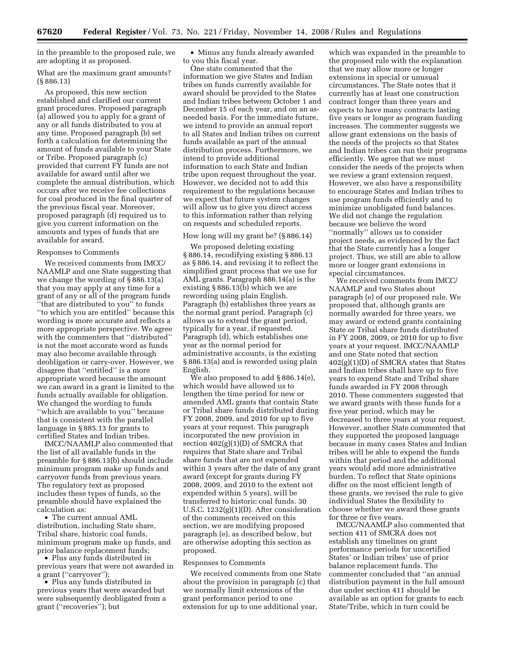in the preamble to the proposed rule, we are adopting it as proposed.

What are the maximum grant amounts? (§ 886.13)

As proposed, this new section established and clarified our current grant procedures. Proposed paragraph (a) allowed you to apply for a grant of any or all funds distributed to you at any time. Proposed paragraph (b) set forth a calculation for determining the amount of funds available to your State or Tribe. Proposed paragraph (c) provided that current FY funds are not available for award until after we complete the annual distribution, which occurs after we receive fee collections for coal produced in the final quarter of the previous fiscal year. Moreover, proposed paragraph (d) required us to give you current information on the amounts and types of funds that are available for award.

### Responses to Comments

We received comments from IMCC/ NAAMLP and one State suggesting that we change the wording of § 886.13(a) that you may apply at any time for a grant of any or all of the program funds ''that are distributed to you'' to funds ''to which you are entitled'' because this wording is more accurate and reflects a more appropriate perspective. We agree with the commenters that ''distributed'' is not the most accurate word as funds may also become available through deobligation or carry-over. However, we disagree that ''entitled'' is a more appropriate word because the amount we can award in a grant is limited to the funds actually available for obligation. We changed the wording to funds ''which are available to you'' because that is consistent with the parallel language in § 885.13 for grants to certified States and Indian tribes.

IMCC/NAAMLP also commented that the list of all available funds in the preamble for § 886.13(b) should include minimum program make up funds and carryover funds from previous years. The regulatory text as proposed includes these types of funds, so the preamble should have explained the calculation as:

• The current annual AML distribution, including State share, Tribal share, historic coal funds, minimum program make up funds, and prior balance replacement funds;

• Plus any funds distributed in previous years that were not awarded in a grant (''carryover'');

• Plus any funds distributed in previous years that were awarded but were subsequently deobligated from a grant (''recoveries''); but

• Minus any funds already awarded to you this fiscal year.

One state commented that the information we give States and Indian tribes on funds currently available for award should be provided to the States and Indian tribes between October 1 and December 15 of each year, and on an asneeded basis. For the immediate future, we intend to provide an annual report to all States and Indian tribes on current funds available as part of the annual distribution process. Furthermore, we intend to provide additional information to each State and Indian tribe upon request throughout the year. However, we decided not to add this requirement to the regulations because we expect that future system changes will allow us to give you direct access to this information rather than relying on requests and scheduled reports.

# How long will my grant be? (§ 886.14)

We proposed deleting existing § 886.14, recodifying existing § 886.13 as § 886.14, and revising it to reflect the simplified grant process that we use for AML grants. Paragraph 886.14(a) is the existing § 886.13(b) which we are rewording using plain English. Paragraph (b) establishes three years as the normal grant period. Paragraph (c) allows us to extend the grant period, typically for a year, if requested. Paragraph (d), which establishes one year as the normal period for administrative accounts, is the existing § 886.13(a) and is reworded using plain English.

We also proposed to add § 886.14(e), which would have allowed us to lengthen the time period for new or amended AML grants that contain State or Tribal share funds distributed during FY 2008, 2009, and 2010 for up to five years at your request. This paragraph incorporated the new provision in section  $402(g)(1)(D)$  of SMCRA that requires that State share and Tribal share funds that are not expended within 3 years after the date of any grant award (except for grants during FY 2008, 2009, and 2010 to the extent not expended within 5 years), will be transferred to historic coal funds. 30 U.S.C. 1232(g)(1)(D). After consideration of the comments received on this section, we are modifying proposed paragraph (e), as described below, but are otherwise adopting this section as proposed.

### Responses to Comments

We received comments from one State about the provision in paragraph (c) that we normally limit extensions of the grant performance period to one extension for up to one additional year,

which was expanded in the preamble to the proposed rule with the explanation that we may allow more or longer extensions in special or unusual circumstances. The State notes that it currently has at least one construction contract longer than three years and expects to have many contracts lasting five years or longer as program funding increases. The commenter suggests we allow grant extensions on the basis of the needs of the projects so that States and Indian tribes can run their programs efficiently. We agree that we must consider the needs of the projects when we review a grant extension request. However, we also have a responsibility to encourage States and Indian tribes to use program funds efficiently and to minimize unobligated fund balances. We did not change the regulation because we believe the word ''normally'' allows us to consider project needs, as evidenced by the fact that the State currently has a longer project. Thus, we still are able to allow more or longer grant extensions in special circumstances.

We received comments from IMCC/ NAAMLP and two States about paragraph (e) of our proposed rule. We proposed that, although grants are normally awarded for three years, we may award or extend grants containing State or Tribal share funds distributed in FY 2008, 2009, or 2010 for up to five years at your request. IMCC/NAAMLP and one State noted that section 402(g)(1)(D) of SMCRA states that States and Indian tribes shall have up to five years to expend State and Tribal share funds awarded in FY 2008 through 2010. These commenters suggested that we award grants with these funds for a five year period, which may be decreased to three years at your request. However, another State commented that they supported the proposed language because in many cases States and Indian tribes will be able to expend the funds within that period and the additional years would add more administrative burden. To reflect that State opinions differ on the most efficient length of these grants, we revised the rule to give individual States the flexibility to choose whether we award these grants for three or five years.

IMCC/NAAMLP also commented that section 411 of SMCRA does not establish any timelines on grant performance periods for uncertified States' or Indian tribes' use of prior balance replacement funds. The commenter concluded that ''an annual distribution payment in the full amount due under section 411 should be available as an option for grants to each State/Tribe, which in turn could be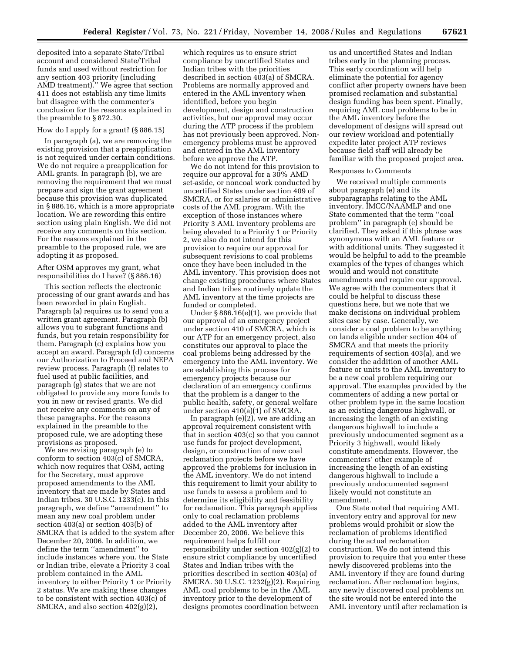deposited into a separate State/Tribal account and considered State/Tribal funds and used without restriction for any section 403 priority (including AMD treatment).'' We agree that section 411 does not establish any time limits but disagree with the commenter's conclusion for the reasons explained in the preamble to § 872.30.

## How do I apply for a grant? (§ 886.15)

In paragraph (a), we are removing the existing provision that a preapplication is not required under certain conditions. We do not require a preapplication for AML grants. In paragraph (b), we are removing the requirement that we must prepare and sign the grant agreement because this provision was duplicated in § 886.16, which is a more appropriate location. We are rewording this entire section using plain English. We did not receive any comments on this section. For the reasons explained in the preamble to the proposed rule, we are adopting it as proposed.

After OSM approves my grant, what responsibilities do I have? (§ 886.16)

This section reflects the electronic processing of our grant awards and has been reworded in plain English. Paragraph (a) requires us to send you a written grant agreement. Paragraph (b) allows you to subgrant functions and funds, but you retain responsibility for them. Paragraph (c) explains how you accept an award. Paragraph (d) concerns our Authorization to Proceed and NEPA review process. Paragraph (f) relates to fuel used at public facilities, and paragraph (g) states that we are not obligated to provide any more funds to you in new or revised grants. We did not receive any comments on any of these paragraphs. For the reasons explained in the preamble to the proposed rule, we are adopting these provisions as proposed.

We are revising paragraph (e) to conform to section 403(c) of SMCRA, which now requires that OSM, acting for the Secretary, must approve proposed amendments to the AML inventory that are made by States and Indian tribes. 30 U.S.C. 1233(c). In this paragraph, we define ''amendment'' to mean any new coal problem under section 403(a) or section 403(b) of SMCRA that is added to the system after December 20, 2006. In addition, we define the term ''amendment'' to include instances where you, the State or Indian tribe, elevate a Priority 3 coal problem contained in the AML inventory to either Priority 1 or Priority 2 status. We are making these changes to be consistent with section 403(c) of SMCRA, and also section 402(g)(2),

which requires us to ensure strict compliance by uncertified States and Indian tribes with the priorities described in section 403(a) of SMCRA. Problems are normally approved and entered in the AML inventory when identified, before you begin development, design and construction activities, but our approval may occur during the ATP process if the problem has not previously been approved. Nonemergency problems must be approved and entered in the AML inventory before we approve the ATP.

We do not intend for this provision to require our approval for a 30% AMD set-aside, or noncoal work conducted by uncertified States under section 409 of SMCRA, or for salaries or administrative costs of the AML program. With the exception of those instances where Priority 3 AML inventory problems are being elevated to a Priority 1 or Priority 2, we also do not intend for this provision to require our approval for subsequent revisions to coal problems once they have been included in the AML inventory. This provision does not change existing procedures where States and Indian tribes routinely update the AML inventory at the time projects are funded or completed.

Under § 886.16(e)(1), we provide that our approval of an emergency project under section 410 of SMCRA, which is our ATP for an emergency project, also constitutes our approval to place the coal problems being addressed by the emergency into the AML inventory. We are establishing this process for emergency projects because our declaration of an emergency confirms that the problem is a danger to the public health, safety, or general welfare under section 410(a)(1) of SMCRA.

In paragraph (e)(2), we are adding an approval requirement consistent with that in section 403(c) so that you cannot use funds for project development, design, or construction of new coal reclamation projects before we have approved the problems for inclusion in the AML inventory. We do not intend this requirement to limit your ability to use funds to assess a problem and to determine its eligibility and feasibility for reclamation. This paragraph applies only to coal reclamation problems added to the AML inventory after December 20, 2006. We believe this requirement helps fulfill our responsibility under section 402(g)(2) to ensure strict compliance by uncertified States and Indian tribes with the priorities described in section 403(a) of SMCRA. 30 U.S.C. 1232(g)(2). Requiring AML coal problems to be in the AML inventory prior to the development of designs promotes coordination between

us and uncertified States and Indian tribes early in the planning process. This early coordination will help eliminate the potential for agency conflict after property owners have been promised reclamation and substantial design funding has been spent. Finally, requiring AML coal problems to be in the AML inventory before the development of designs will spread out our review workload and potentially expedite later project ATP reviews because field staff will already be familiar with the proposed project area.

### Responses to Comments

We received multiple comments about paragraph (e) and its subparagraphs relating to the AML inventory. IMCC/NAAMLP and one State commented that the term ''coal problem'' in paragraph (e) should be clarified. They asked if this phrase was synonymous with an AML feature or with additional units. They suggested it would be helpful to add to the preamble examples of the types of changes which would and would not constitute amendments and require our approval. We agree with the commenters that it could be helpful to discuss these questions here, but we note that we make decisions on individual problem sites case by case. Generally, we consider a coal problem to be anything on lands eligible under section 404 of SMCRA and that meets the priority requirements of section 403(a), and we consider the addition of another AML feature or units to the AML inventory to be a new coal problem requiring our approval. The examples provided by the commenters of adding a new portal or other problem type in the same location as an existing dangerous highwall, or increasing the length of an existing dangerous highwall to include a previously undocumented segment as a Priority 3 highwall, would likely constitute amendments. However, the commenters' other example of increasing the length of an existing dangerous highwall to include a previously undocumented segment likely would not constitute an amendment.

One State noted that requiring AML inventory entry and approval for new problems would prohibit or slow the reclamation of problems identified during the actual reclamation construction. We do not intend this provision to require that you enter these newly discovered problems into the AML inventory if they are found during reclamation. After reclamation begins, any newly discovered coal problems on the site would not be entered into the AML inventory until after reclamation is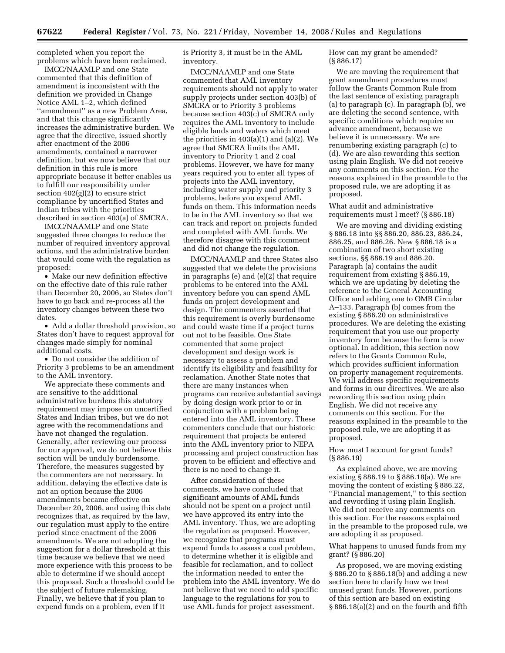completed when you report the problems which have been reclaimed.

IMCC/NAAMLP and one State commented that this definition of amendment is inconsistent with the definition we provided in Change Notice AML 1–2, which defined ''amendment'' as a new Problem Area, and that this change significantly increases the administrative burden. We agree that the directive, issued shortly after enactment of the 2006 amendments, contained a narrower definition, but we now believe that our definition in this rule is more appropriate because it better enables us to fulfill our responsibility under section  $402(g)(2)$  to ensure strict compliance by uncertified States and Indian tribes with the priorities described in section 403(a) of SMCRA.

IMCC/NAAMLP and one State suggested three changes to reduce the number of required inventory approval actions, and the administrative burden that would come with the regulation as proposed:

• Make our new definition effective on the effective date of this rule rather than December 20, 2006, so States don't have to go back and re-process all the inventory changes between these two dates.

• Add a dollar threshold provision, so States don't have to request approval for changes made simply for nominal additional costs.

• Do not consider the addition of Priority 3 problems to be an amendment to the AML inventory.

We appreciate these comments and are sensitive to the additional administrative burdens this statutory requirement may impose on uncertified States and Indian tribes, but we do not agree with the recommendations and have not changed the regulation. Generally, after reviewing our process for our approval, we do not believe this section will be unduly burdensome. Therefore, the measures suggested by the commenters are not necessary. In addition, delaying the effective date is not an option because the 2006 amendments became effective on December 20, 2006, and using this date recognizes that, as required by the law, our regulation must apply to the entire period since enactment of the 2006 amendments. We are not adopting the suggestion for a dollar threshold at this time because we believe that we need more experience with this process to be able to determine if we should accept this proposal. Such a threshold could be the subject of future rulemaking. Finally, we believe that if you plan to expend funds on a problem, even if it

is Priority 3, it must be in the AML inventory.

IMCC/NAAMLP and one State commented that AML inventory requirements should not apply to water supply projects under section 403(b) of SMCRA or to Priority 3 problems because section 403(c) of SMCRA only requires the AML inventory to include eligible lands and waters which meet the priorities in  $403(a)(1)$  and  $(a)(2)$ . We agree that SMCRA limits the AML inventory to Priority 1 and 2 coal problems. However, we have for many years required you to enter all types of projects into the AML inventory, including water supply and priority 3 problems, before you expend AML funds on them. This information needs to be in the AML inventory so that we can track and report on projects funded and completed with AML funds. We therefore disagree with this comment and did not change the regulation.

IMCC/NAAMLP and three States also suggested that we delete the provisions in paragraphs (e) and (e)(2) that require problems to be entered into the AML inventory before you can spend AML funds on project development and design. The commenters asserted that this requirement is overly burdensome and could waste time if a project turns out not to be feasible. One State commented that some project development and design work is necessary to assess a problem and identify its eligibility and feasibility for reclamation. Another State notes that there are many instances when programs can receive substantial savings by doing design work prior to or in conjunction with a problem being entered into the AML inventory. These commenters conclude that our historic requirement that projects be entered into the AML inventory prior to NEPA processing and project construction has proven to be efficient and effective and there is no need to change it.

After consideration of these comments, we have concluded that significant amounts of AML funds should not be spent on a project until we have approved its entry into the AML inventory. Thus, we are adopting the regulation as proposed. However, we recognize that programs must expend funds to assess a coal problem, to determine whether it is eligible and feasible for reclamation, and to collect the information needed to enter the problem into the AML inventory. We do not believe that we need to add specific language to the regulations for you to use AML funds for project assessment.

How can my grant be amended? (§ 886.17)

We are moving the requirement that grant amendment procedures must follow the Grants Common Rule from the last sentence of existing paragraph (a) to paragraph (c). In paragraph (b), we are deleting the second sentence, with specific conditions which require an advance amendment, because we believe it is unnecessary. We are renumbering existing paragraph (c) to (d). We are also rewording this section using plain English. We did not receive any comments on this section. For the reasons explained in the preamble to the proposed rule, we are adopting it as proposed.

What audit and administrative requirements must I meet? (§ 886.18)

We are moving and dividing existing § 886.18 into §§ 886.20, 886.23, 886.24, 886.25, and 886.26. New § 886.18 is a combination of two short existing sections, §§ 886.19 and 886.20. Paragraph (a) contains the audit requirement from existing § 886.19, which we are updating by deleting the reference to the General Accounting Office and adding one to OMB Circular A–133. Paragraph (b) comes from the existing § 886.20 on administrative procedures. We are deleting the existing requirement that you use our property inventory form because the form is now optional. In addition, this section now refers to the Grants Common Rule, which provides sufficient information on property management requirements. We will address specific requirements and forms in our directives. We are also rewording this section using plain English. We did not receive any comments on this section. For the reasons explained in the preamble to the proposed rule, we are adopting it as proposed.

How must I account for grant funds? (§ 886.19)

As explained above, we are moving existing § 886.19 to § 886.18(a). We are moving the content of existing § 886.22, ''Financial management,'' to this section and rewording it using plain English. We did not receive any comments on this section. For the reasons explained in the preamble to the proposed rule, we are adopting it as proposed.

What happens to unused funds from my grant? (§ 886.20)

As proposed, we are moving existing § 886.20 to § 886.18(b) and adding a new section here to clarify how we treat unused grant funds. However, portions of this section are based on existing § 886.18(a)(2) and on the fourth and fifth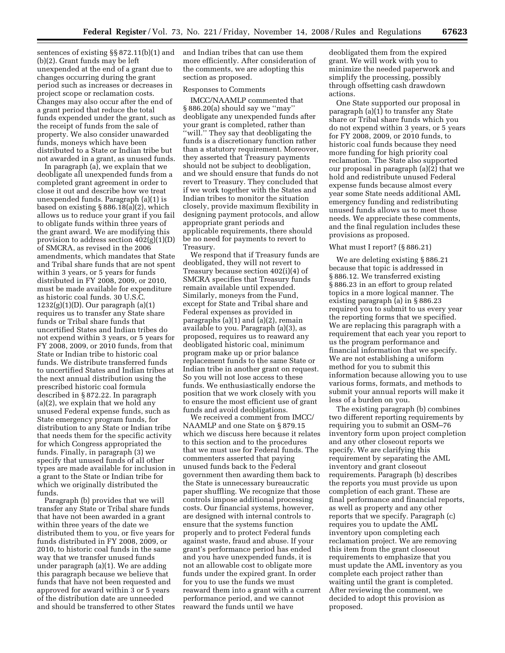sentences of existing §§ 872.11(b)(1) and (b)(2). Grant funds may be left unexpended at the end of a grant due to changes occurring during the grant period such as increases or decreases in project scope or reclamation costs. Changes may also occur after the end of a grant period that reduce the total funds expended under the grant, such as the receipt of funds from the sale of property. We also consider unawarded funds, moneys which have been distributed to a State or Indian tribe but not awarded in a grant, as unused funds.

In paragraph (a), we explain that we deobligate all unexpended funds from a completed grant agreement in order to close it out and describe how we treat unexpended funds. Paragraph (a)(1) is based on existing § 886.18(a)(2), which allows us to reduce your grant if you fail to obligate funds within three years of the grant award. We are modifying this provision to address section 402(g)(1)(D) of SMCRA, as revised in the 2006 amendments, which mandates that State and Tribal share funds that are not spent within 3 years, or 5 years for funds distributed in FY 2008, 2009, or 2010, must be made available for expenditure as historic coal funds. 30 U.S.C. 1232(g)(1)(D). Our paragraph (a)(1) requires us to transfer any State share funds or Tribal share funds that uncertified States and Indian tribes do not expend within 3 years, or 5 years for FY 2008, 2009, or 2010 funds, from that State or Indian tribe to historic coal funds. We distribute transferred funds to uncertified States and Indian tribes at the next annual distribution using the prescribed historic coal formula described in § 872.22. In paragraph (a)(2), we explain that we hold any unused Federal expense funds, such as State emergency program funds, for distribution to any State or Indian tribe that needs them for the specific activity for which Congress appropriated the funds. Finally, in paragraph (3) we specify that unused funds of all other types are made available for inclusion in a grant to the State or Indian tribe for which we originally distributed the funds.

Paragraph (b) provides that we will transfer any State or Tribal share funds that have not been awarded in a grant within three years of the date we distributed them to you, or five years for funds distributed in FY 2008, 2009, or 2010, to historic coal funds in the same way that we transfer unused funds under paragraph (a)(1). We are adding this paragraph because we believe that funds that have not been requested and approved for award within 3 or 5 years of the distribution date are unneeded and should be transferred to other States and Indian tribes that can use them more efficiently. After consideration of the comments, we are adopting this section as proposed.

# Responses to Comments

IMCC/NAAMLP commented that § 886.20(a) should say we ''may'' deobligate any unexpended funds after your grant is completed, rather than ''will.'' They say that deobligating the funds is a discretionary function rather than a statutory requirement. Moreover, they asserted that Treasury payments should not be subject to deobligation, and we should ensure that funds do not revert to Treasury. They concluded that if we work together with the States and Indian tribes to monitor the situation closely, provide maximum flexibility in designing payment protocols, and allow appropriate grant periods and applicable requirements, there should be no need for payments to revert to Treasury.

We respond that if Treasury funds are deobligated, they will not revert to Treasury because section 402(i)(4) of SMCRA specifies that Treasury funds remain available until expended. Similarly, moneys from the Fund, except for State and Tribal share and Federal expenses as provided in paragraphs (a)(1) and (a)(2), remain available to you. Paragraph (a)(3), as proposed, requires us to reaward any deobligated historic coal, minimum program make up or prior balance replacement funds to the same State or Indian tribe in another grant on request. So you will not lose access to these funds. We enthusiastically endorse the position that we work closely with you to ensure the most efficient use of grant funds and avoid deobligations.

We received a comment from IMCC/ NAAMLP and one State on § 879.15 which we discuss here because it relates to this section and to the procedures that we must use for Federal funds. The commenters asserted that paying unused funds back to the Federal government then awarding them back to the State is unnecessary bureaucratic paper shuffling. We recognize that those controls impose additional processing costs. Our financial systems, however, are designed with internal controls to ensure that the systems function properly and to protect Federal funds against waste, fraud and abuse. If your grant's performance period has ended and you have unexpended funds, it is not an allowable cost to obligate more funds under the expired grant. In order for you to use the funds we must reaward them into a grant with a current performance period, and we cannot reaward the funds until we have

deobligated them from the expired grant. We will work with you to minimize the needed paperwork and simplify the processing, possibly through offsetting cash drawdown actions.

One State supported our proposal in paragraph (a)(1) to transfer any State share or Tribal share funds which you do not expend within 3 years, or 5 years for FY 2008, 2009, or 2010 funds, to historic coal funds because they need more funding for high priority coal reclamation. The State also supported our proposal in paragraph (a)(2) that we hold and redistribute unused Federal expense funds because almost every year some State needs additional AML emergency funding and redistributing unused funds allows us to meet those needs. We appreciate these comments, and the final regulation includes these provisions as proposed.

### What must I report? (§ 886.21)

We are deleting existing § 886.21 because that topic is addressed in § 886.12. We transferred existing § 886.23 in an effort to group related topics in a more logical manner. The existing paragraph (a) in § 886.23 required you to submit to us every year the reporting forms that we specified. We are replacing this paragraph with a requirement that each year you report to us the program performance and financial information that we specify. We are not establishing a uniform method for you to submit this information because allowing you to use various forms, formats, and methods to submit your annual reports will make it less of a burden on you.

The existing paragraph (b) combines two different reporting requirements by requiring you to submit an OSM–76 inventory form upon project completion and any other closeout reports we specify. We are clarifying this requirement by separating the AML inventory and grant closeout requirements. Paragraph (b) describes the reports you must provide us upon completion of each grant. These are final performance and financial reports, as well as property and any other reports that we specify. Paragraph (c) requires you to update the AML inventory upon completing each reclamation project. We are removing this item from the grant closeout requirements to emphasize that you must update the AML inventory as you complete each project rather than waiting until the grant is completed. After reviewing the comment, we decided to adopt this provision as proposed.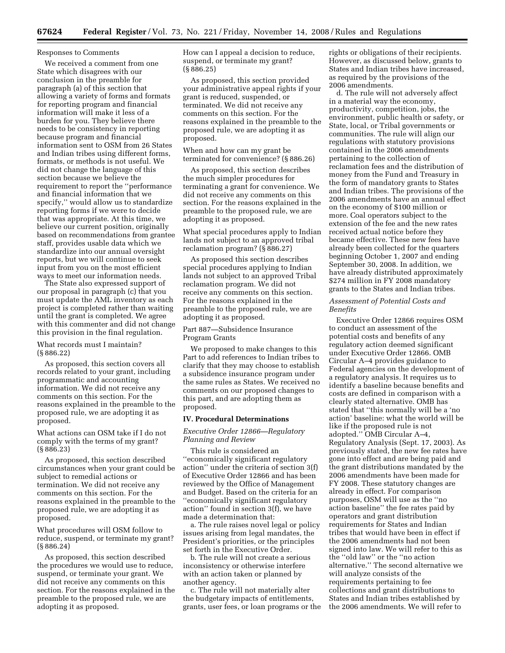### Responses to Comments

We received a comment from one State which disagrees with our conclusion in the preamble for paragraph (a) of this section that allowing a variety of forms and formats for reporting program and financial information will make it less of a burden for you. They believe there needs to be consistency in reporting because program and financial information sent to OSM from 26 States and Indian tribes using different forms, formats, or methods is not useful. We did not change the language of this section because we believe the requirement to report the ''performance and financial information that we specify,'' would allow us to standardize reporting forms if we were to decide that was appropriate. At this time, we believe our current position, originally based on recommendations from grantee staff, provides usable data which we standardize into our annual oversight reports, but we will continue to seek input from you on the most efficient ways to meet our information needs.

The State also expressed support of our proposal in paragraph (c) that you must update the AML inventory as each project is completed rather than waiting until the grant is completed. We agree with this commenter and did not change this provision in the final regulation.

# What records must I maintain? (§ 886.22)

As proposed, this section covers all records related to your grant, including programmatic and accounting information. We did not receive any comments on this section. For the reasons explained in the preamble to the proposed rule, we are adopting it as proposed.

What actions can OSM take if I do not comply with the terms of my grant? (§ 886.23)

As proposed, this section described circumstances when your grant could be subject to remedial actions or termination. We did not receive any comments on this section. For the reasons explained in the preamble to the proposed rule, we are adopting it as proposed.

What procedures will OSM follow to reduce, suspend, or terminate my grant? (§ 886.24)

As proposed, this section described the procedures we would use to reduce, suspend, or terminate your grant. We did not receive any comments on this section. For the reasons explained in the preamble to the proposed rule, we are adopting it as proposed.

How can I appeal a decision to reduce, suspend, or terminate my grant? (§ 886.25)

As proposed, this section provided your administrative appeal rights if your grant is reduced, suspended, or terminated. We did not receive any comments on this section. For the reasons explained in the preamble to the proposed rule, we are adopting it as proposed.

When and how can my grant be terminated for convenience? (§ 886.26)

As proposed, this section describes the much simpler procedures for terminating a grant for convenience. We did not receive any comments on this section. For the reasons explained in the preamble to the proposed rule, we are adopting it as proposed.

What special procedures apply to Indian lands not subject to an approved tribal reclamation program? (§ 886.27)

As proposed this section describes special procedures applying to Indian lands not subject to an approved Tribal reclamation program. We did not receive any comments on this section. For the reasons explained in the preamble to the proposed rule, we are adopting it as proposed.

Part 887—Subsidence Insurance Program Grants

We proposed to make changes to this Part to add references to Indian tribes to clarify that they may choose to establish a subsidence insurance program under the same rules as States. We received no comments on our proposed changes to this part, and are adopting them as proposed.

### **IV. Procedural Determinations**

# *Executive Order 12866—Regulatory Planning and Review*

This rule is considered an ''economically significant regulatory action'' under the criteria of section 3(f) of Executive Order 12866 and has been reviewed by the Office of Management and Budget. Based on the criteria for an ''economically significant regulatory action'' found in section 3(f), we have made a determination that:

a. The rule raises novel legal or policy issues arising from legal mandates, the President's priorities, or the principles set forth in the Executive Order.

b. The rule will not create a serious inconsistency or otherwise interfere with an action taken or planned by another agency.

c. The rule will not materially alter the budgetary impacts of entitlements, grants, user fees, or loan programs or the rights or obligations of their recipients. However, as discussed below, grants to States and Indian tribes have increased, as required by the provisions of the 2006 amendments.

d. The rule will not adversely affect in a material way the economy, productivity, competition, jobs, the environment, public health or safety, or State, local, or Tribal governments or communities. The rule will align our regulations with statutory provisions contained in the 2006 amendments pertaining to the collection of reclamation fees and the distribution of money from the Fund and Treasury in the form of mandatory grants to States and Indian tribes. The provisions of the 2006 amendments have an annual effect on the economy of \$100 million or more. Coal operators subject to the extension of the fee and the new rates received actual notice before they became effective. These new fees have already been collected for the quarters beginning October 1, 2007 and ending September 30, 2008. In addition, we have already distributed approximately \$274 million in FY 2008 mandatory grants to the States and Indian tribes.

### *Assessment of Potential Costs and Benefits*

Executive Order 12866 requires OSM to conduct an assessment of the potential costs and benefits of any regulatory action deemed significant under Executive Order 12866. OMB Circular A–4 provides guidance to Federal agencies on the development of a regulatory analysis. It requires us to identify a baseline because benefits and costs are defined in comparison with a clearly stated alternative. OMB has stated that ''this normally will be a 'no action' baseline: what the world will be like if the proposed rule is not adopted.'' OMB Circular A–4, Regulatory Analysis (Sept. 17, 2003). As previously stated, the new fee rates have gone into effect and are being paid and the grant distributions mandated by the 2006 amendments have been made for FY 2008. These statutory changes are already in effect. For comparison purposes, OSM will use as the ''no action baseline'' the fee rates paid by operators and grant distribution requirements for States and Indian tribes that would have been in effect if the 2006 amendments had not been signed into law. We will refer to this as the ''old law'' or the ''no action alternative.'' The second alternative we will analyze consists of the requirements pertaining to fee collections and grant distributions to States and Indian tribes established by the 2006 amendments. We will refer to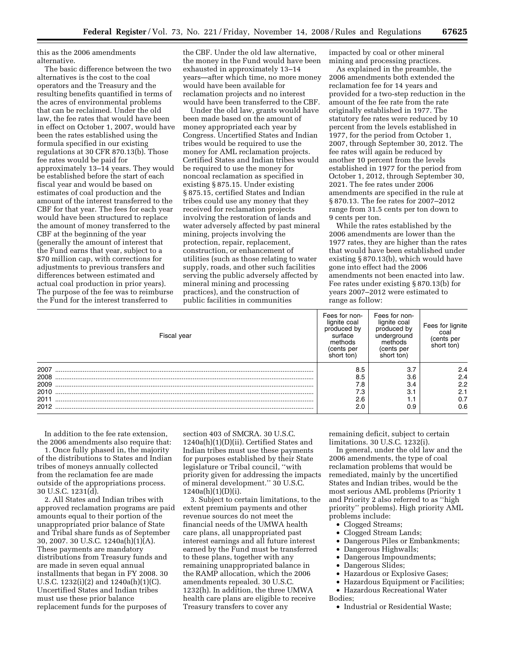this as the 2006 amendments alternative.

The basic difference between the two alternatives is the cost to the coal operators and the Treasury and the resulting benefits quantified in terms of the acres of environmental problems that can be reclaimed. Under the old law, the fee rates that would have been in effect on October 1, 2007, would have been the rates established using the formula specified in our existing regulations at 30 CFR 870.13(b). Those fee rates would be paid for approximately 13–14 years. They would be established before the start of each fiscal year and would be based on estimates of coal production and the amount of the interest transferred to the CBF for that year. The fees for each year would have been structured to replace the amount of money transferred to the CBF at the beginning of the year (generally the amount of interest that the Fund earns that year, subject to a \$70 million cap, with corrections for adjustments to previous transfers and differences between estimated and actual coal production in prior years). The purpose of the fee was to reimburse the Fund for the interest transferred to

the CBF. Under the old law alternative, the money in the Fund would have been exhausted in approximately 13–14 years—after which time, no more money would have been available for reclamation projects and no interest would have been transferred to the CBF.

Under the old law, grants would have been made based on the amount of money appropriated each year by Congress. Uncertified States and Indian tribes would be required to use the money for AML reclamation projects. Certified States and Indian tribes would be required to use the money for noncoal reclamation as specified in existing § 875.15. Under existing § 875.15, certified States and Indian tribes could use any money that they received for reclamation projects involving the restoration of lands and water adversely affected by past mineral mining, projects involving the protection, repair, replacement, construction, or enhancement of utilities (such as those relating to water supply, roads, and other such facilities serving the public adversely affected by mineral mining and processing practices), and the construction of public facilities in communities

impacted by coal or other mineral mining and processing practices.

As explained in the preamble, the 2006 amendments both extended the reclamation fee for 14 years and provided for a two-step reduction in the amount of the fee rate from the rate originally established in 1977. The statutory fee rates were reduced by 10 percent from the levels established in 1977, for the period from October 1, 2007, through September 30, 2012. The fee rates will again be reduced by another 10 percent from the levels established in 1977 for the period from October 1, 2012, through September 30, 2021. The fee rates under 2006 amendments are specified in the rule at § 870.13. The fee rates for 2007–2012 range from 31.5 cents per ton down to 9 cents per ton.

While the rates established by the 2006 amendments are lower than the 1977 rates, they are higher than the rates that would have been established under existing § 870.13(b), which would have gone into effect had the 2006 amendments not been enacted into law. Fee rates under existing § 870.13(b) for years 2007–2012 were estimated to range as follow:

| Fiscal year | Fees for non-<br>lignite coal<br>produced by<br>surface<br>methods<br>(cents per<br>short ton) | Fees for non-<br>lignite coal<br>produced by<br>underground<br>methods<br>(cents per<br>short ton) | Fees for lignite<br>coal<br>(cents per<br>short ton) |
|-------------|------------------------------------------------------------------------------------------------|----------------------------------------------------------------------------------------------------|------------------------------------------------------|
| 2007        | 8.5                                                                                            | 3.7                                                                                                | 2.4                                                  |
| 2008        | 8.5                                                                                            | 3.6                                                                                                | 2.4                                                  |
| 2009        | 7.8                                                                                            | 3.4                                                                                                | 2.2                                                  |
| 2010        | 7.3                                                                                            | 3.1                                                                                                | 2.1                                                  |
| 2011        | 2.6                                                                                            | 1. I                                                                                               | 0.7                                                  |
| 2012        | 2.0                                                                                            | 0.9                                                                                                | 0.6                                                  |

In addition to the fee rate extension, the 2006 amendments also require that:

1. Once fully phased in, the majority of the distributions to States and Indian tribes of moneys annually collected from the reclamation fee are made outside of the appropriations process. 30 U.S.C. 1231(d).

2. All States and Indian tribes with approved reclamation programs are paid amounts equal to their portion of the unappropriated prior balance of State and Tribal share funds as of September 30, 2007. 30 U.S.C. 1240a(h)(1)(A). These payments are mandatory distributions from Treasury funds and are made in seven equal annual installments that began in FY 2008. 30 U.S.C. 1232(i)(2) and 1240a(h)(1)(C). Uncertified States and Indian tribes must use these prior balance replacement funds for the purposes of

section 403 of SMCRA. 30 U.S.C. 1240a(h)(1)(D)(ii). Certified States and Indian tribes must use these payments for purposes established by their State legislature or Tribal council, ''with priority given for addressing the impacts of mineral development.'' 30 U.S.C.  $1240a(h)(1)(D)(i).$ 

3. Subject to certain limitations, to the extent premium payments and other revenue sources do not meet the financial needs of the UMWA health care plans, all unappropriated past interest earnings and all future interest earned by the Fund must be transferred to these plans, together with any remaining unappropriated balance in the RAMP allocation, which the 2006 amendments repealed. 30 U.S.C. 1232(h). In addition, the three UMWA health care plans are eligible to receive Treasury transfers to cover any

remaining deficit, subject to certain limitations. 30 U.S.C. 1232(i).

In general, under the old law and the 2006 amendments, the type of coal reclamation problems that would be remediated, mainly by the uncertified States and Indian tribes, would be the most serious AML problems (Priority 1 and Priority 2 also referred to as ''high priority'' problems). High priority AML problems include:

- Clogged Streams;
- Clogged Stream Lands;
- Dangerous Piles or Embankments;
- Dangerous Highwalls;
- Dangerous Impoundments;
- Dangerous Slides;
- Hazardous or Explosive Gases;
- Hazardous Equipment or Facilities;
- Hazardous Recreational Water Bodies;
	- Industrial or Residential Waste;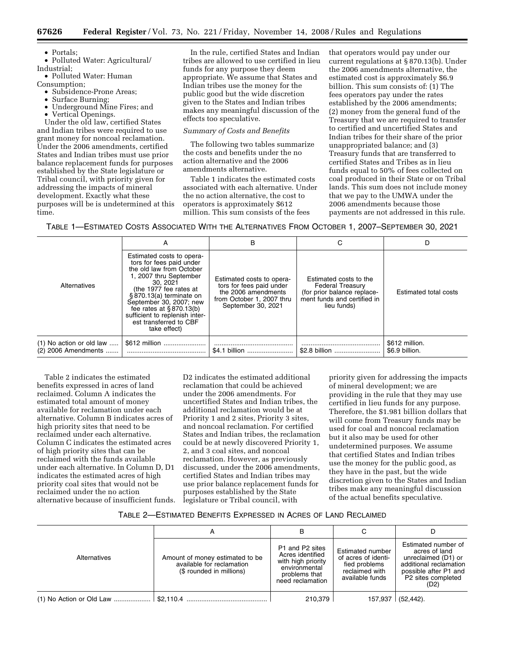• Portals;

• Polluted Water: Agricultural/ Industrial;

• Polluted Water: Human

Consumption;

- Subsidence-Prone Areas;
- Surface Burning;
- Underground Mine Fires; and
- Vertical Openings.

Under the old law, certified States and Indian tribes were required to use grant money for noncoal reclamation. Under the 2006 amendments, certified States and Indian tribes must use prior balance replacement funds for purposes established by the State legislature or Tribal council, with priority given for addressing the impacts of mineral development. Exactly what these purposes will be is undetermined at this time.

In the rule, certified States and Indian tribes are allowed to use certified in lieu funds for any purpose they deem appropriate. We assume that States and Indian tribes use the money for the public good but the wide discretion given to the States and Indian tribes makes any meaningful discussion of the effects too speculative.

# *Summary of Costs and Benefits*

The following two tables summarize the costs and benefits under the no action alternative and the 2006 amendments alternative.

Table 1 indicates the estimated costs associated with each alternative. Under the no action alternative, the cost to operators is approximately \$612 million. This sum consists of the fees

that operators would pay under our current regulations at § 870.13(b). Under the 2006 amendments alternative, the estimated cost is approximately \$6.9 billion. This sum consists of: (1) The fees operators pay under the rates established by the 2006 amendments; (2) money from the general fund of the Treasury that we are required to transfer to certified and uncertified States and Indian tribes for their share of the prior unappropriated balance; and (3) Treasury funds that are transferred to certified States and Tribes as in lieu funds equal to 50% of fees collected on coal produced in their State or on Tribal lands. This sum does not include money that we pay to the UMWA under the 2006 amendments because those payments are not addressed in this rule.

TABLE 1—ESTIMATED COSTS ASSOCIATED WITH THE ALTERNATIVES FROM OCTOBER 1, 2007–SEPTEMBER 30, 2021

|                                                 | А                                                                                                                                                                                                                                                                                                               | в                                                                                                                               | С                                                                                                                              | D                                |
|-------------------------------------------------|-----------------------------------------------------------------------------------------------------------------------------------------------------------------------------------------------------------------------------------------------------------------------------------------------------------------|---------------------------------------------------------------------------------------------------------------------------------|--------------------------------------------------------------------------------------------------------------------------------|----------------------------------|
| Alternatives                                    | Estimated costs to opera-<br>tors for fees paid under<br>the old law from October<br>1, 2007 thru September<br>30.2021<br>(the 1977 fee rates at<br>§870.13(a) terminate on<br>September 30, 2007; new<br>fee rates at $§870.13(b)$<br>sufficient to replenish inter-<br>est transferred to CBF<br>take effect) | Estimated costs to opera-<br>tors for fees paid under<br>the 2006 amendments<br>from October 1, 2007 thru<br>September 30, 2021 | Estimated costs to the<br><b>Federal Treasury</b><br>(for prior balance replace-<br>ment funds and certified in<br>lieu funds) | <b>Estimated total costs</b>     |
| (1) No action or old law<br>(2) 2006 Amendments | \$612 million                                                                                                                                                                                                                                                                                                   | \$4.1 billion                                                                                                                   | \$2.8 billion                                                                                                                  | \$612 million.<br>\$6.9 billion. |

Table 2 indicates the estimated benefits expressed in acres of land reclaimed. Column A indicates the estimated total amount of money available for reclamation under each alternative. Column B indicates acres of high priority sites that need to be reclaimed under each alternative. Column C indicates the estimated acres of high priority sites that can be reclaimed with the funds available under each alternative. In Column D, D1 indicates the estimated acres of high priority coal sites that would not be reclaimed under the no action alternative because of insufficient funds.

D2 indicates the estimated additional reclamation that could be achieved under the 2006 amendments. For uncertified States and Indian tribes, the additional reclamation would be at Priority 1 and 2 sites, Priority 3 sites, and noncoal reclamation. For certified States and Indian tribes, the reclamation could be at newly discovered Priority 1, 2, and 3 coal sites, and noncoal reclamation. However, as previously discussed, under the 2006 amendments, certified States and Indian tribes may use prior balance replacement funds for purposes established by the State legislature or Tribal council, with

priority given for addressing the impacts of mineral development; we are providing in the rule that they may use certified in lieu funds for any purpose. Therefore, the \$1.981 billion dollars that will come from Treasury funds may be used for coal and noncoal reclamation but it also may be used for other undetermined purposes. We assume that certified States and Indian tribes use the money for the public good, as they have in the past, but the wide discretion given to the States and Indian tribes make any meaningful discussion of the actual benefits speculative.

### TABLE 2—ESTIMATED BENEFITS EXPRESSED IN ACRES OF LAND RECLAIMED

|              | A                                                                                        | в                                                                                                               |                                                                                               |                                                                                                                                                          |
|--------------|------------------------------------------------------------------------------------------|-----------------------------------------------------------------------------------------------------------------|-----------------------------------------------------------------------------------------------|----------------------------------------------------------------------------------------------------------------------------------------------------------|
| Alternatives | Amount of money estimated to be<br>available for reclamation<br>(\$ rounded in millions) | P1 and P2 sites<br>Acres identified<br>with high priority<br>environmental<br>problems that<br>need reclamation | Estimated number<br>of acres of identi-<br>fied problems<br>reclaimed with<br>available funds | Estimated number of<br>acres of land<br>unreclaimed (D1) or<br>additional reclamation<br>possible after P1 and<br>P <sub>2</sub> sites completed<br>(D2) |
|              |                                                                                          | 210,379                                                                                                         | 157,937                                                                                       | $(52, 442)$ .                                                                                                                                            |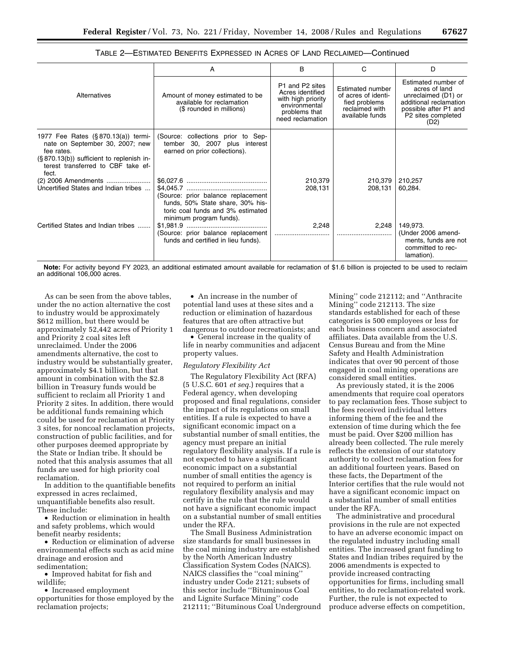|                                                                                                                                                                                | A                                                                                                                                      | B                                                                                                               | C                                                                                             | D                                                                                                                                            |
|--------------------------------------------------------------------------------------------------------------------------------------------------------------------------------|----------------------------------------------------------------------------------------------------------------------------------------|-----------------------------------------------------------------------------------------------------------------|-----------------------------------------------------------------------------------------------|----------------------------------------------------------------------------------------------------------------------------------------------|
| Alternatives                                                                                                                                                                   | Amount of money estimated to be<br>available for reclamation<br>(\$ rounded in millions)                                               | P1 and P2 sites<br>Acres identified<br>with high priority<br>environmental<br>problems that<br>need reclamation | Estimated number<br>of acres of identi-<br>fied problems<br>reclaimed with<br>available funds | Estimated number of<br>acres of land<br>unreclaimed (D1) or<br>additional reclamation<br>possible after P1 and<br>P2 sites completed<br>(D2) |
| 1977 Fee Rates (§870.13(a)) termi-<br>nate on September 30, 2007; new<br>fee rates.<br>(§870.13(b)) sufficient to replenish in-<br>terest transferred to CBF take ef-<br>fect. | (Source: collections prior to Sep-<br>tember 30, 2007 plus interest<br>earned on prior collections).                                   |                                                                                                                 |                                                                                               |                                                                                                                                              |
| (2)  2006 Amendments<br>Uncertified States and Indian tribes                                                                                                                   | (Source: prior balance replacement<br>funds, 50% State share, 30% his-<br>toric coal funds and 3% estimated<br>minimum program funds). | 210,379<br>208.131                                                                                              | 210,379<br>208,131                                                                            | 210,257<br>60,284.                                                                                                                           |
| Certified States and Indian tribes                                                                                                                                             | (Source: prior balance replacement<br>funds and certified in lieu funds).                                                              | 2,248                                                                                                           | 2,248                                                                                         | 149,973.<br>(Under 2006 amend-<br>ments, funds are not<br>committed to rec-<br>lamation).                                                    |

TABLE 2—ESTIMATED BENEFITS EXPRESSED IN ACRES OF LAND RECLAIMED—Continued

**Note:** For activity beyond FY 2023, an additional estimated amount available for reclamation of \$1.6 billion is projected to be used to reclaim an additional 106,000 acres.

As can be seen from the above tables, under the no action alternative the cost to industry would be approximately \$612 million, but there would be approximately 52,442 acres of Priority 1 and Priority 2 coal sites left unreclaimed. Under the 2006 amendments alternative, the cost to industry would be substantially greater, approximately \$4.1 billion, but that amount in combination with the \$2.8 billion in Treasury funds would be sufficient to reclaim all Priority 1 and Priority 2 sites. In addition, there would be additional funds remaining which could be used for reclamation at Priority 3 sites, for noncoal reclamation projects, construction of public facilities, and for other purposes deemed appropriate by the State or Indian tribe. It should be noted that this analysis assumes that all funds are used for high priority coal reclamation.

In addition to the quantifiable benefits expressed in acres reclaimed, unquantifiable benefits also result. These include:

• Reduction or elimination in health and safety problems, which would benefit nearby residents;

• Reduction or elimination of adverse environmental effects such as acid mine drainage and erosion and sedimentation;

• Improved habitat for fish and wildlife;

• Increased employment

opportunities for those employed by the reclamation projects;

• An increase in the number of potential land uses at these sites and a reduction or elimination of hazardous features that are often attractive but dangerous to outdoor recreationists; and

• General increase in the quality of life in nearby communities and adjacent property values.

## *Regulatory Flexibility Act*

The Regulatory Flexibility Act (RFA) (5 U.S.C. 601 *et seq.*) requires that a Federal agency, when developing proposed and final regulations, consider the impact of its regulations on small entities. If a rule is expected to have a significant economic impact on a substantial number of small entities, the agency must prepare an initial regulatory flexibility analysis. If a rule is not expected to have a significant economic impact on a substantial number of small entities the agency is not required to perform an initial regulatory flexibility analysis and may certify in the rule that the rule would not have a significant economic impact on a substantial number of small entities under the RFA.

The Small Business Administration size standards for small businesses in the coal mining industry are established by the North American Industry Classification System Codes (NAICS). NAICS classifies the ''coal mining'' industry under Code 2121; subsets of this sector include ''Bituminous Coal and Lignite Surface Mining'' code 212111; ''Bituminous Coal Underground

Mining'' code 212112; and ''Anthracite Mining'' code 212113. The size standards established for each of these categories is 500 employees or less for each business concern and associated affiliates. Data available from the U.S. Census Bureau and from the Mine Safety and Health Administration indicates that over 90 percent of those engaged in coal mining operations are considered small entities.

As previously stated, it is the 2006 amendments that require coal operators to pay reclamation fees. Those subject to the fees received individual letters informing them of the fee and the extension of time during which the fee must be paid. Over \$200 million has already been collected. The rule merely reflects the extension of our statutory authority to collect reclamation fees for an additional fourteen years. Based on these facts, the Department of the Interior certifies that the rule would not have a significant economic impact on a substantial number of small entities under the RFA.

The administrative and procedural provisions in the rule are not expected to have an adverse economic impact on the regulated industry including small entities. The increased grant funding to States and Indian tribes required by the 2006 amendments is expected to provide increased contracting opportunities for firms, including small entities, to do reclamation-related work. Further, the rule is not expected to produce adverse effects on competition,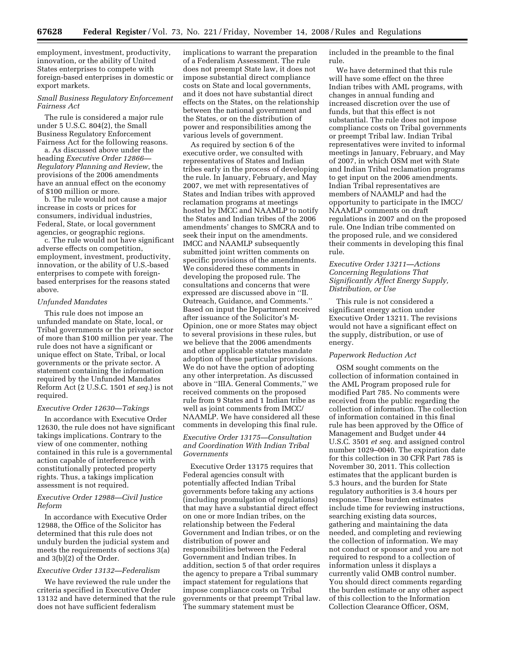employment, investment, productivity, innovation, or the ability of United States enterprises to compete with foreign-based enterprises in domestic or export markets.

## *Small Business Regulatory Enforcement Fairness Act*

The rule is considered a major rule under 5 U.S.C. 804(2), the Small Business Regulatory Enforcement Fairness Act for the following reasons.

a. As discussed above under the heading *Executive Order 12866— Regulatory Planning and Review*, the provisions of the 2006 amendments have an annual effect on the economy of \$100 million or more.

b. The rule would not cause a major increase in costs or prices for consumers, individual industries, Federal, State, or local government agencies, or geographic regions.

c. The rule would not have significant adverse effects on competition, employment, investment, productivity, innovation, or the ability of U.S.-based enterprises to compete with foreignbased enterprises for the reasons stated above.

### *Unfunded Mandates*

This rule does not impose an unfunded mandate on State, local, or Tribal governments or the private sector of more than \$100 million per year. The rule does not have a significant or unique effect on State, Tribal, or local governments or the private sector. A statement containing the information required by the Unfunded Mandates Reform Act (2 U.S.C. 1501 *et seq.*) is not required.

### *Executive Order 12630—Takings*

In accordance with Executive Order 12630, the rule does not have significant takings implications. Contrary to the view of one commenter, nothing contained in this rule is a governmental action capable of interference with constitutionally protected property rights. Thus, a takings implication assessment is not required.

## *Executive Order 12988—Civil Justice Reform*

In accordance with Executive Order 12988, the Office of the Solicitor has determined that this rule does not unduly burden the judicial system and meets the requirements of sections 3(a) and 3(b)(2) of the Order.

# *Executive Order 13132—Federalism*

We have reviewed the rule under the criteria specified in Executive Order 13132 and have determined that the rule does not have sufficient federalism

implications to warrant the preparation of a Federalism Assessment. The rule does not preempt State law, it does not impose substantial direct compliance costs on State and local governments, and it does not have substantial direct effects on the States, on the relationship between the national government and the States, or on the distribution of power and responsibilities among the various levels of government.

As required by section 6 of the executive order, we consulted with representatives of States and Indian tribes early in the process of developing the rule. In January, February, and May 2007, we met with representatives of States and Indian tribes with approved reclamation programs at meetings hosted by IMCC and NAAMLP to notify the States and Indian tribes of the 2006 amendments' changes to SMCRA and to seek their input on the amendments. IMCC and NAAMLP subsequently submitted joint written comments on specific provisions of the amendments. We considered these comments in developing the proposed rule. The consultations and concerns that were expressed are discussed above in ''II. Outreach, Guidance, and Comments.'' Based on input the Department received after issuance of the Solicitor's M-Opinion, one or more States may object to several provisions in these rules, but we believe that the 2006 amendments and other applicable statutes mandate adoption of these particular provisions. We do not have the option of adopting any other interpretation. As discussed above in ''IIIA. General Comments,'' we received comments on the proposed rule from 9 States and 1 Indian tribe as well as joint comments from IMCC/ NAAMLP. We have considered all these comments in developing this final rule.

# *Executive Order 13175—Consultation and Coordination With Indian Tribal Governments*

Executive Order 13175 requires that Federal agencies consult with potentially affected Indian Tribal governments before taking any actions (including promulgation of regulations) that may have a substantial direct effect on one or more Indian tribes, on the relationship between the Federal Government and Indian tribes, or on the distribution of power and responsibilities between the Federal Government and Indian tribes. In addition, section 5 of that order requires the agency to prepare a Tribal summary impact statement for regulations that impose compliance costs on Tribal governments or that preempt Tribal law. The summary statement must be

included in the preamble to the final rule.

We have determined that this rule will have some effect on the three Indian tribes with AML programs, with changes in annual funding and increased discretion over the use of funds, but that this effect is not substantial. The rule does not impose compliance costs on Tribal governments or preempt Tribal law. Indian Tribal representatives were invited to informal meetings in January, February, and May of 2007, in which OSM met with State and Indian Tribal reclamation programs to get input on the 2006 amendments. Indian Tribal representatives are members of NAAMLP and had the opportunity to participate in the IMCC/ NAAMLP comments on draft regulations in 2007 and on the proposed rule. One Indian tribe commented on the proposed rule, and we considered their comments in developing this final rule.

# *Executive Order 13211—Actions Concerning Regulations That Significantly Affect Energy Supply, Distribution, or Use*

This rule is not considered a significant energy action under Executive Order 13211. The revisions would not have a significant effect on the supply, distribution, or use of energy.

# *Paperwork Reduction Act*

OSM sought comments on the collection of information contained in the AML Program proposed rule for modified Part 785. No comments were received from the public regarding the collection of information. The collection of information contained in this final rule has been approved by the Office of Management and Budget under 44 U.S.C. 3501 *et seq.* and assigned control number 1029–0040. The expiration date for this collection in 30 CFR Part 785 is November 30, 2011. This collection estimates that the applicant burden is 5.3 hours, and the burden for State regulatory authorities is 3.4 hours per response. These burden estimates include time for reviewing instructions, searching existing data sources, gathering and maintaining the data needed, and completing and reviewing the collection of information. We may not conduct or sponsor and you are not required to respond to a collection of information unless it displays a currently valid OMB control number. You should direct comments regarding the burden estimate or any other aspect of this collection to the Information Collection Clearance Officer, OSM,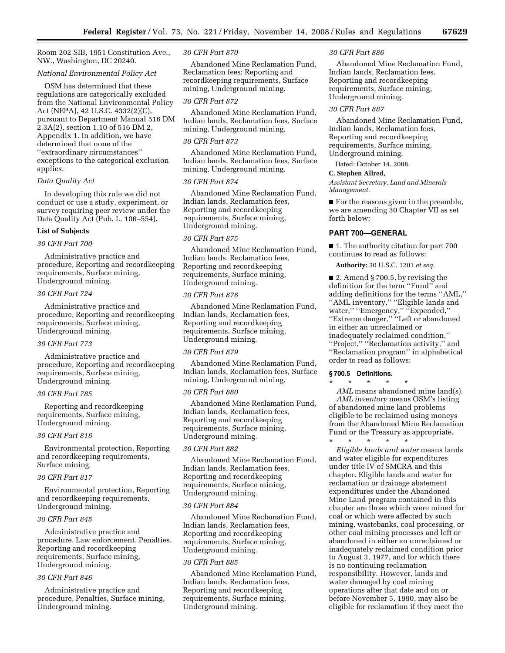Room 202 SIB, 1951 Constitution Ave., NW., Washington, DC 20240.

# *National Environmental Policy Act*

OSM has determined that these regulations are categorically excluded from the National Environmental Policy Act (NEPA), 42 U.S.C. 4332(2)(C), pursuant to Department Manual 516 DM 2.3A(2), section 1.10 of 516 DM 2, Appendix 1. In addition, we have determined that none of the ''extraordinary circumstances'' exceptions to the categorical exclusion applies.

# *Data Quality Act*

In developing this rule we did not conduct or use a study, experiment, or survey requiring peer review under the Data Quality Act (Pub. L. 106–554).

## **List of Subjects**

# *30 CFR Part 700*

Administrative practice and procedure, Reporting and recordkeeping requirements, Surface mining, Underground mining.

## *30 CFR Part 724*

Administrative practice and procedure, Reporting and recordkeeping requirements, Surface mining, Underground mining.

# *30 CFR Part 773*

Administrative practice and procedure, Reporting and recordkeeping requirements, Surface mining, Underground mining.

## *30 CFR Part 785*

Reporting and recordkeeping requirements, Surface mining, Underground mining.

## *30 CFR Part 816*

Environmental protection, Reporting and recordkeeping requirements, Surface mining.

### *30 CFR Part 817*

Environmental protection, Reporting and recordkeeping requirements, Underground mining.

## *30 CFR Part 845*

Administrative practice and procedure, Law enforcement, Penalties, Reporting and recordkeeping requirements, Surface mining, Underground mining.

## *30 CFR Part 846*

Administrative practice and procedure, Penalties, Surface mining, Underground mining.

### *30 CFR Part 870*

Abandoned Mine Reclamation Fund, Reclamation fees; Reporting and recordkeeping requirements, Surface mining, Underground mining.

### *30 CFR Part 872*

Abandoned Mine Reclamation Fund, Indian lands, Reclamation fees, Surface mining, Underground mining.

## *30 CFR Part 873*

Abandoned Mine Reclamation Fund, Indian lands, Reclamation fees, Surface mining, Underground mining.

# *30 CFR Part 874*

Abandoned Mine Reclamation Fund, Indian lands, Reclamation fees, Reporting and recordkeeping requirements, Surface mining, Underground mining.

### *30 CFR Part 875*

Abandoned Mine Reclamation Fund, Indian lands, Reclamation fees, Reporting and recordkeeping requirements, Surface mining, Underground mining.

### *30 CFR Part 876*

Abandoned Mine Reclamation Fund, Indian lands, Reclamation fees, Reporting and recordkeeping requirements, Surface mining, Underground mining.

### *30 CFR Part 879*

Abandoned Mine Reclamation Fund, Indian lands, Reclamation fees, Surface mining, Underground mining.

### *30 CFR Part 880*

Abandoned Mine Reclamation Fund, Indian lands, Reclamation fees, Reporting and recordkeeping requirements, Surface mining, Underground mining.

# *30 CFR Part 882*

Abandoned Mine Reclamation Fund, Indian lands, Reclamation fees, Reporting and recordkeeping requirements, Surface mining, Underground mining.

### *30 CFR Part 884*

Abandoned Mine Reclamation Fund, Indian lands, Reclamation fees, Reporting and recordkeeping requirements, Surface mining, Underground mining.

# *30 CFR Part 885*

Abandoned Mine Reclamation Fund, Indian lands, Reclamation fees, Reporting and recordkeeping requirements, Surface mining, Underground mining.

### *30 CFR Part 886*

Abandoned Mine Reclamation Fund, Indian lands, Reclamation fees, Reporting and recordkeeping requirements, Surface mining, Underground mining.

### *30 CFR Part 887*

Abandoned Mine Reclamation Fund, Indian lands, Reclamation fees, Reporting and recordkeeping requirements, Surface mining, Underground mining.

Dated: October 14, 2008.

## **C. Stephen Allred,**

*Assistant Secretary, Land and Minerals Management.* 

■ For the reasons given in the preamble, we are amending 30 Chapter VII as set forth below:

# **PART 700—GENERAL**

■ 1. The authority citation for part 700 continues to read as follows:

**Authority:** 30 U.S.C. 1201 *et seq.* 

■ 2. Amend § 700.5, by revising the definition for the term ''Fund'' and adding definitions for the terms ''AML,'' ''AML inventory,'' ''Eligible lands and water,'' ''Emergency,'' ''Expended,'' ''Extreme danger,'' ''Left or abandoned in either an unreclaimed or inadequately reclaimed condition,'' ''Project,'' ''Reclamation activity,'' and ''Reclamation program'' in alphabetical order to read as follows:

### **§ 700.5 Definitions.**

\* \* \* \* \* *AML* means abandoned mine land(s). *AML inventory* means OSM's listing of abandoned mine land problems eligible to be reclaimed using moneys from the Abandoned Mine Reclamation Fund or the Treasury as appropriate.

\* \* \* \* \* *Eligible lands and water* means lands and water eligible for expenditures under title IV of SMCRA and this chapter. Eligible lands and water for reclamation or drainage abatement expenditures under the Abandoned Mine Land program contained in this chapter are those which were mined for coal or which were affected by such mining, wastebanks, coal processing, or other coal mining processes and left or abandoned in either an unreclaimed or inadequately reclaimed condition prior to August 3, 1977, and for which there is no continuing reclamation responsibility. However, lands and water damaged by coal mining operations after that date and on or before November 5, 1990, may also be eligible for reclamation if they meet the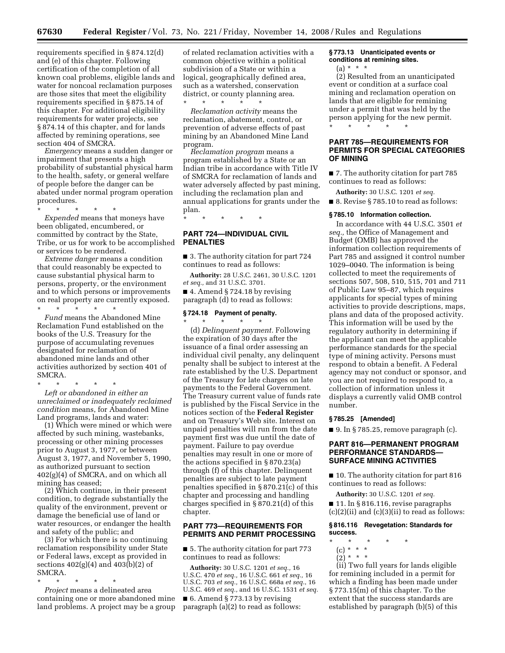requirements specified in § 874.12(d) and (e) of this chapter. Following certification of the completion of all known coal problems, eligible lands and water for noncoal reclamation purposes are those sites that meet the eligibility requirements specified in § 875.14 of this chapter. For additional eligibility requirements for water projects, see § 874.14 of this chapter, and for lands affected by remining operations, see section 404 of SMCRA.

*Emergency* means a sudden danger or impairment that presents a high probability of substantial physical harm to the health, safety, or general welfare of people before the danger can be abated under normal program operation procedures.

\* \* \* \* \*

*Expended* means that moneys have been obligated, encumbered, or committed by contract by the State, Tribe, or us for work to be accomplished or services to be rendered.

*Extreme danger* means a condition that could reasonably be expected to cause substantial physical harm to persons, property, or the environment and to which persons or improvements on real property are currently exposed.

\* \* \* \* \* *Fund* means the Abandoned Mine Reclamation Fund established on the books of the U.S. Treasury for the purpose of accumulating revenues designated for reclamation of abandoned mine lands and other activities authorized by section 401 of SMCRA.

\* \* \* \* \* *Left or abandoned in either an unreclaimed or inadequately reclaimed condition* means, for Abandoned Mine Land programs, lands and water:

(1) Which were mined or which were affected by such mining, wastebanks, processing or other mining processes prior to August 3, 1977, or between August 3, 1977, and November 5, 1990, as authorized pursuant to section 402(g)(4) of SMCRA, and on which all mining has ceased;

(2) Which continue, in their present condition, to degrade substantially the quality of the environment, prevent or damage the beneficial use of land or water resources, or endanger the health and safety of the public; and

(3) For which there is no continuing reclamation responsibility under State or Federal laws, except as provided in sections 402(g)(4) and 403(b)(2) of SMCRA.

\* \* \* \* \*

*Project* means a delineated area containing one or more abandoned mine land problems. A project may be a group

of related reclamation activities with a common objective within a political subdivision of a State or within a logical, geographically defined area, such as a watershed, conservation district, or county planning area. \* \* \* \* \*

*Reclamation activity* means the reclamation, abatement, control, or prevention of adverse effects of past mining by an Abandoned Mine Land program.

*Reclamation program* means a program established by a State or an Indian tribe in accordance with Title IV of SMCRA for reclamation of lands and water adversely affected by past mining, including the reclamation plan and annual applications for grants under the plan.

\* \* \* \* \*

# **PART 724—INDIVIDUAL CIVIL PENALTIES**

■ 3. The authority citation for part 724 continues to read as follows:

**Authority:** 28 U.S.C. 2461, 30 U.S.C. 1201 *et seq.,* and 31 U.S.C. 3701.

■ 4. Amend § 724.18 by revising paragraph (d) to read as follows:

# **§ 724.18 Payment of penalty.**

\* \* \* \* \* (d) *Delinquent payment.* Following the expiration of 30 days after the issuance of a final order assessing an individual civil penalty, any delinquent penalty shall be subject to interest at the rate established by the U.S. Department of the Treasury for late charges on late payments to the Federal Government. The Treasury current value of funds rate is published by the Fiscal Service in the notices section of the **Federal Register**  and on Treasury's Web site. Interest on unpaid penalties will run from the date payment first was due until the date of payment. Failure to pay overdue penalties may result in one or more of the actions specified in § 870.23(a) through (f) of this chapter. Delinquent penalties are subject to late payment penalties specified in § 870.21(c) of this chapter and processing and handling charges specified in § 870.21(d) of this chapter.

# **PART 773—REQUIREMENTS FOR PERMITS AND PERMIT PROCESSING**

■ 5. The authority citation for part 773 continues to read as follows:

**Authority:** 30 U.S.C. 1201 *et seq.,* 16 U.S.C. 470 *et seq.,* 16 U.S.C. 661 *et seq.,* 16 U.S.C. 703 *et seq.,* 16 U.S.C. 668a *et seq.*, 16 U.S.C. 469 *et seq.,* and 16 U.S.C. 1531 *et seq.*   $\blacksquare$  6. Amend § 773.13 by revising paragraph (a)(2) to read as follows:

## **§ 773.13 Unanticipated events or conditions at remining sites.**

(a) \* \* \*

(2) Resulted from an unanticipated event or condition at a surface coal mining and reclamation operation on lands that are eligible for remining under a permit that was held by the person applying for the new permit. \* \* \* \* \*

# **PART 785—REQUIREMENTS FOR PERMITS FOR SPECIAL CATEGORIES OF MINING**

■ 7. The authority citation for part 785 continues to read as follows:

**Authority:** 30 U.S.C. 1201 *et seq.*  ■ 8. Revise § 785.10 to read as follows:

### **§ 785.10 Information collection.**

In accordance with 44 U.S.C. 3501 *et seq.,* the Office of Management and Budget (OMB) has approved the information collection requirements of Part 785 and assigned it control number 1029–0040. The information is being collected to meet the requirements of sections 507, 508, 510, 515, 701 and 711 of Public Law 95–87, which requires applicants for special types of mining activities to provide descriptions, maps, plans and data of the proposed activity. This information will be used by the regulatory authority in determining if the applicant can meet the applicable performance standards for the special type of mining activity. Persons must respond to obtain a benefit. A Federal agency may not conduct or sponsor, and you are not required to respond to, a collection of information unless it displays a currently valid OMB control number.

### **§ 785.25 [Amended]**

 $\blacksquare$  9. In § 785.25, remove paragraph (c).

# **PART 816—PERMANENT PROGRAM PERFORMANCE STANDARDS SURFACE MINING ACTIVITIES**

■ 10. The authority citation for part 816 continues to read as follows:

**Authority:** 30 U.S.C. 1201 *et seq.*  ■ 11. In § 816.116, revise paragraphs  $(c)(2)(ii)$  and  $(c)(3)(ii)$  to read as follows:

# **§ 816.116 Revegetation: Standards for success.**

- \* \* \* \* \*
- (c) \* \* \*  $(2) * * * *$
- (ii) Two full years for lands eligible for remining included in a permit for which a finding has been made under § 773.15(m) of this chapter. To the extent that the success standards are established by paragraph (b)(5) of this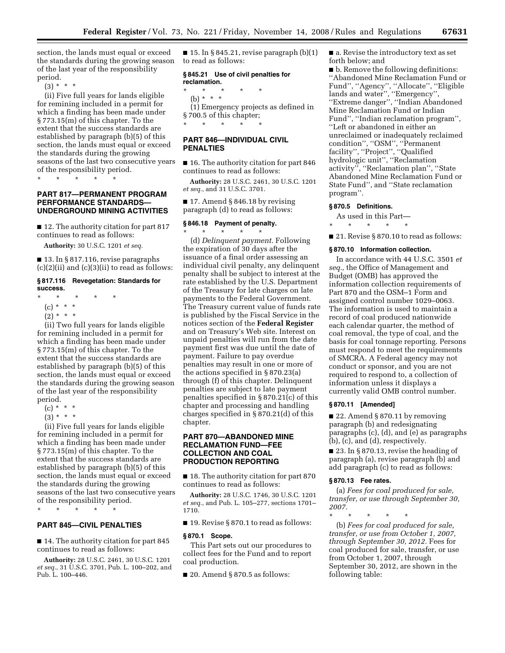section, the lands must equal or exceed the standards during the growing season of the last year of the responsibility period.

 $(3) * * * *$ 

(ii) Five full years for lands eligible for remining included in a permit for which a finding has been made under § 773.15(m) of this chapter. To the extent that the success standards are established by paragraph (b)(5) of this section, the lands must equal or exceed the standards during the growing seasons of the last two consecutive years of the responsibility period.

\* \* \* \* \*

# **PART 817—PERMANENT PROGRAM PERFORMANCE STANDARDS— UNDERGROUND MINING ACTIVITIES**

■ 12. The authority citation for part 817 continues to read as follows:

**Authority:** 30 U.S.C. 1201 *et seq.* 

■ 13. In § 817.116, revise paragraphs  $(c)(2)(ii)$  and  $(c)(3)(ii)$  to read as follows:

## **§ 817.116 Revegetation: Standards for success.**

- \* \* \* \* \*
	- (c) \* \* \*
- $(2) * * * *$

(ii) Two full years for lands eligible for remining included in a permit for which a finding has been made under § 773.15(m) of this chapter. To the extent that the success standards are established by paragraph (b)(5) of this section, the lands must equal or exceed the standards during the growing season of the last year of the responsibility period.

- $(c) * * * *$
- $(3) * * * *$

(ii) Five full years for lands eligible for remining included in a permit for which a finding has been made under § 773.15(m) of this chapter. To the extent that the success standards are established by paragraph (b)(5) of this section, the lands must equal or exceed the standards during the growing seasons of the last two consecutive years of the responsibility period.

\* \* \* \* \*

# **PART 845—CIVIL PENALTIES**

■ 14. The authority citation for part 845 continues to read as follows:

**Authority:** 28 U.S.C. 2461, 30 U.S.C. 1201 *et seq.*, 31 U.S.C. 3701, Pub. L. 100–202, and Pub. L. 100–446.

 $\blacksquare$  15. In § 845.21, revise paragraph  $(b)(1)$ to read as follows:

# **§ 845.21 Use of civil penalties for reclamation.**

\* \* \* \* \* (b) \* \* \* (1) Emergency projects as defined in § 700.5 of this chapter; \* \* \* \* \*

# **PART 846—INDIVIDUAL CIVIL PENALTIES**

■ 16. The authority citation for part 846 continues to read as follows:

**Authority:** 28 U.S.C. 2461, 30 U.S.C. 1201 *et seq.*, and 31 U.S.C. 3701.

 $\blacksquare$  17. Amend § 846.18 by revising paragraph (d) to read as follows:

# **§ 846.18 Payment of penalty.**  \* \* \* \* \*

(d) *Delinquent payment.* Following the expiration of 30 days after the issuance of a final order assessing an individual civil penalty, any delinquent penalty shall be subject to interest at the rate established by the U.S. Department of the Treasury for late charges on late payments to the Federal Government. The Treasury current value of funds rate is published by the Fiscal Service in the notices section of the **Federal Register**  and on Treasury's Web site. Interest on unpaid penalties will run from the date payment first was due until the date of payment. Failure to pay overdue penalties may result in one or more of the actions specified in § 870.23(a) through (f) of this chapter. Delinquent penalties are subject to late payment penalties specified in § 870.21(c) of this chapter and processing and handling charges specified in § 870.21(d) of this chapter.

# **PART 870—ABANDONED MINE RECLAMATION FUND—FEE COLLECTION AND COAL PRODUCTION REPORTING**

■ 18. The authority citation for part 870 continues to read as follows:

**Authority:** 28 U.S.C. 1746, 30 U.S.C. 1201 *et seq.*, and Pub. L. 105–277, sections 1701– 1710.

■ 19. Revise § 870.1 to read as follows:

### **§ 870.1 Scope.**

This Part sets out our procedures to collect fees for the Fund and to report coal production.

 $\blacksquare$  20. Amend § 870.5 as follows:

■ a. Revise the introductory text as set forth below; and

■ b. Remove the following definitions: ''Abandoned Mine Reclamation Fund or Fund'', ''Agency'', ''Allocate'', ''Eligible lands and water'', ''Emergency'', ''Extreme danger'', ''Indian Abandoned Mine Reclamation Fund or Indian Fund'', ''Indian reclamation program'', ''Left or abandoned in either an unreclaimed or inadequately reclaimed condition'', ''OSM'', ''Permanent facility'', ''Project'', ''Qualified hydrologic unit'', ''Reclamation activity'', ''Reclamation plan'', ''State Abandoned Mine Reclamation Fund or State Fund'', and ''State reclamation program''.

## **§ 870.5 Definitions.**

As used in this Part—

\* \* \* \* \*

■ 21. Revise § 870.10 to read as follows:

### **§ 870.10 Information collection.**

In accordance with 44 U.S.C. 3501 *et seq.,* the Office of Management and Budget (OMB) has approved the information collection requirements of Part 870 and the OSM–1 Form and assigned control number 1029–0063. The information is used to maintain a record of coal produced nationwide each calendar quarter, the method of coal removal, the type of coal, and the basis for coal tonnage reporting. Persons must respond to meet the requirements of SMCRA. A Federal agency may not conduct or sponsor, and you are not required to respond to, a collection of information unless it displays a currently valid OMB control number.

## **§ 870.11 [Amended]**

■ 22. Amend § 870.11 by removing paragraph (b) and redesignating paragraphs (c), (d), and (e) as paragraphs (b), (c), and (d), respectively.

■ 23. In § 870.13, revise the heading of paragraph (a), revise paragraph (b) and add paragraph (c) to read as follows:

### **§ 870.13 Fee rates.**

following table:

(a) *Fees for coal produced for sale, transfer, or use through September 30, 2007.* 

\* \* \* \* \* (b) *Fees for coal produced for sale, transfer, or use from October 1, 2007, through September 30, 2012.* Fees for coal produced for sale, transfer, or use from October 1, 2007, through September 30, 2012, are shown in the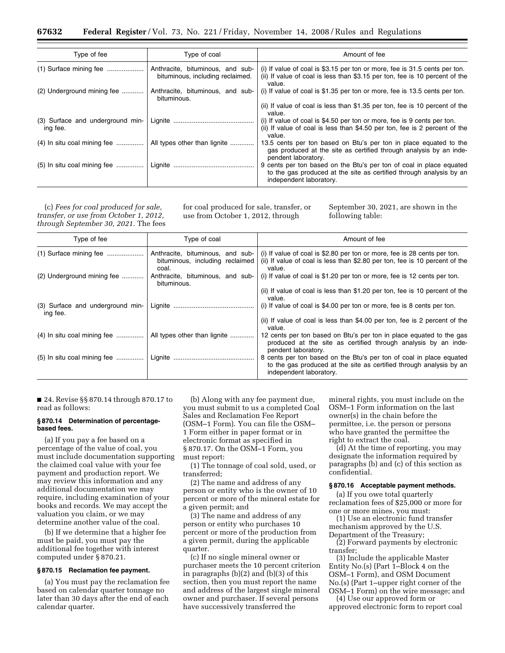| Type of fee                                  | Type of coal                                                         | Amount of fee                                                                                                                                                         |
|----------------------------------------------|----------------------------------------------------------------------|-----------------------------------------------------------------------------------------------------------------------------------------------------------------------|
| $(1)$ Surface mining fee                     | Anthracite, bituminous, and sub-<br>bituminous, including reclaimed. | (i) If value of coal is \$3.15 per ton or more, fee is 31.5 cents per ton.<br>(ii) If value of coal is less than \$3.15 per ton, fee is 10 percent of the<br>value.   |
| (2) Underground mining fee                   | Anthracite, bituminous, and sub-<br>bituminous.                      | (i) If value of coal is \$1.35 per ton or more, fee is 13.5 cents per ton.                                                                                            |
|                                              |                                                                      | (ii) If value of coal is less than \$1.35 per ton, fee is 10 percent of the<br>value.                                                                                 |
| (3) Surface and underground min-<br>ing fee. |                                                                      | (i) If value of coal is \$4.50 per ton or more, fee is 9 cents per ton.<br>(ii) If value of coal is less than \$4.50 per ton, fee is 2 percent of the<br>value.       |
| $(4)$ In situ coal mining fee                | All types other than lignite                                         | 13.5 cents per ton based on Btu's per ton in place equated to the<br>gas produced at the site as certified through analysis by an inde-<br>pendent laboratory.        |
| $(5)$ In situ coal mining fee                |                                                                      | 9 cents per ton based on the Btu's per ton of coal in place equated<br>to the gas produced at the site as certified through analysis by an<br>independent laboratory. |

(c) *Fees for coal produced for sale, transfer, or use from October 1, 2012, through September 30, 2021.* The fees for coal produced for sale, transfer, or use from October 1, 2012, through

September 30, 2021, are shown in the following table:

| Type of fee                                  | Type of coal                                                                 | Amount of fee                                                                                                                                                         |
|----------------------------------------------|------------------------------------------------------------------------------|-----------------------------------------------------------------------------------------------------------------------------------------------------------------------|
|                                              | Anthracite, bituminous, and sub-<br>bituminous, including reclaimed<br>coal. | (i) If value of coal is \$2.80 per ton or more, fee is 28 cents per ton.<br>(ii) If value of coal is less than \$2.80 per ton, fee is 10 percent of the<br>value.     |
| (2) Underground mining fee                   | Anthracite, bituminous, and sub-<br>bituminous.                              | (i) If value of coal is \$1.20 per ton or more, fee is 12 cents per ton.                                                                                              |
|                                              |                                                                              | (ii) If value of coal is less than \$1.20 per ton, fee is 10 percent of the<br>value.                                                                                 |
| (3) Surface and underground min-<br>ing fee. |                                                                              | (i) If value of coal is \$4.00 per ton or more, fee is 8 cents per ton.                                                                                               |
|                                              |                                                                              | (ii) If value of coal is less than \$4.00 per ton, fee is 2 percent of the<br>value.                                                                                  |
| $(4)$ In situ coal mining fee                | All types other than lignite                                                 | 12 cents per ton based on Btu's per ton in place equated to the gas<br>produced at the site as certified through analysis by an inde-<br>pendent laboratory.          |
| $(5)$ In situ coal mining fee                |                                                                              | 8 cents per ton based on the Btu's per ton of coal in place equated<br>to the gas produced at the site as certified through analysis by an<br>independent laboratory. |

■ 24. Revise §§ 870.14 through 870.17 to read as follows:

### **§ 870.14 Determination of percentagebased fees.**

(a) If you pay a fee based on a percentage of the value of coal, you must include documentation supporting the claimed coal value with your fee payment and production report. We may review this information and any additional documentation we may require, including examination of your books and records. We may accept the valuation you claim, or we may determine another value of the coal.

(b) If we determine that a higher fee must be paid, you must pay the additional fee together with interest computed under § 870.21.

### **§ 870.15 Reclamation fee payment.**

(a) You must pay the reclamation fee based on calendar quarter tonnage no later than 30 days after the end of each calendar quarter.

(b) Along with any fee payment due, you must submit to us a completed Coal Sales and Reclamation Fee Report (OSM–1 Form). You can file the OSM– 1 Form either in paper format or in electronic format as specified in § 870.17. On the OSM–1 Form, you must report:

(1) The tonnage of coal sold, used, or transferred;

(2) The name and address of any person or entity who is the owner of 10 percent or more of the mineral estate for a given permit; and

(3) The name and address of any person or entity who purchases 10 percent or more of the production from a given permit, during the applicable quarter.

(c) If no single mineral owner or purchaser meets the 10 percent criterion in paragraphs (b)(2) and (b)(3) of this section, then you must report the name and address of the largest single mineral owner and purchaser. If several persons have successively transferred the

mineral rights, you must include on the OSM–1 Form information on the last owner(s) in the chain before the permittee, i.e. the person or persons who have granted the permittee the right to extract the coal.

(d) At the time of reporting, you may designate the information required by paragraphs (b) and (c) of this section as confidential.

## **§ 870.16 Acceptable payment methods.**

(a) If you owe total quarterly reclamation fees of \$25,000 or more for one or more mines, you must:

(1) Use an electronic fund transfer mechanism approved by the U.S. Department of the Treasury;

(2) Forward payments by electronic transfer;

(3) Include the applicable Master Entity No.(s) (Part 1–Block 4 on the OSM–1 Form), and OSM Document No.(s) (Part 1–upper right corner of the OSM–1 Form) on the wire message; and

(4) Use our approved form or approved electronic form to report coal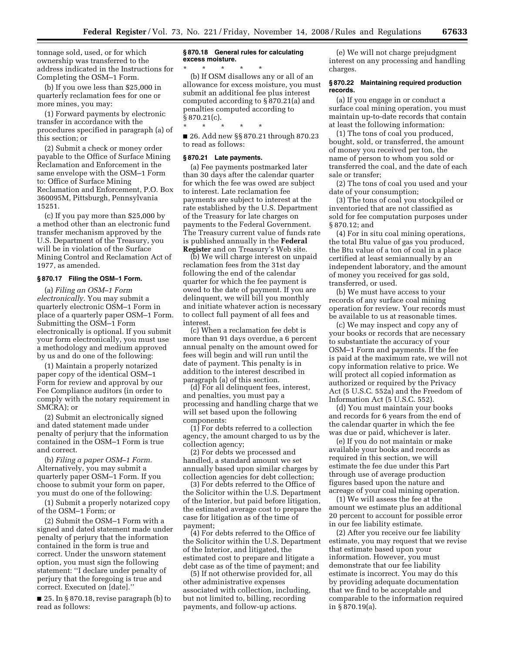tonnage sold, used, or for which ownership was transferred to the address indicated in the Instructions for Completing the OSM–1 Form.

(b) If you owe less than \$25,000 in quarterly reclamation fees for one or more mines, you may:

(1) Forward payments by electronic transfer in accordance with the procedures specified in paragraph (a) of this section; or

(2) Submit a check or money order payable to the Office of Surface Mining Reclamation and Enforcement in the same envelope with the OSM–1 Form to: Office of Surface Mining Reclamation and Enforcement, P.O. Box 360095M, Pittsburgh, Pennsylvania 15251.

(c) If you pay more than \$25,000 by a method other than an electronic fund transfer mechanism approved by the U.S. Department of the Treasury, you will be in violation of the Surface Mining Control and Reclamation Act of 1977, as amended.

## **§ 870.17 Filing the OSM–1 Form.**

(a) *Filing an OSM–1 Form electronically.* You may submit a quarterly electronic OSM–1 Form in place of a quarterly paper OSM–1 Form. Submitting the OSM–1 Form electronically is optional. If you submit your form electronically, you must use a methodology and medium approved by us and do one of the following:

(1) Maintain a properly notarized paper copy of the identical OSM–1 Form for review and approval by our Fee Compliance auditors (in order to comply with the notary requirement in SMCRA); or

(2) Submit an electronically signed and dated statement made under penalty of perjury that the information contained in the OSM–1 Form is true and correct.

(b) *Filing a paper OSM–1 Form.*  Alternatively, you may submit a quarterly paper OSM–1 Form. If you choose to submit your form on paper, you must do one of the following:

(1) Submit a properly notarized copy of the OSM–1 Form; or

(2) Submit the OSM–1 Form with a signed and dated statement made under penalty of perjury that the information contained in the form is true and correct. Under the unsworn statement option, you must sign the following statement: ''I declare under penalty of perjury that the foregoing is true and correct. Executed on [date].''

■ 25. In § 870.18, revise paragraph (b) to read as follows:

# **§ 870.18 General rules for calculating excess moisture.**

\* \* \* \* \* (b) If OSM disallows any or all of an allowance for excess moisture, you must submit an additional fee plus interest computed according to § 870.21(a) and penalties computed according to  $§ 870.21(c)$ .

\* \* \* \* \* ■ 26. Add new §§ 870.21 through 870.23 to read as follows:

### **§ 870.21 Late payments.**

(a) Fee payments postmarked later than 30 days after the calendar quarter for which the fee was owed are subject to interest. Late reclamation fee payments are subject to interest at the rate established by the U.S. Department of the Treasury for late charges on payments to the Federal Government. The Treasury current value of funds rate is published annually in the **Federal Register** and on Treasury's Web site.

(b) We will charge interest on unpaid reclamation fees from the 31st day following the end of the calendar quarter for which the fee payment is owed to the date of payment. If you are delinquent, we will bill you monthly and initiate whatever action is necessary to collect full payment of all fees and interest.

(c) When a reclamation fee debt is more than 91 days overdue, a 6 percent annual penalty on the amount owed for fees will begin and will run until the date of payment. This penalty is in addition to the interest described in paragraph (a) of this section.

(d) For all delinquent fees, interest, and penalties, you must pay a processing and handling charge that we will set based upon the following components:

(1) For debts referred to a collection agency, the amount charged to us by the collection agency;

(2) For debts we processed and handled, a standard amount we set annually based upon similar charges by collection agencies for debt collection;

(3) For debts referred to the Office of the Solicitor within the U.S. Department of the Interior, but paid before litigation, the estimated average cost to prepare the case for litigation as of the time of payment;

(4) For debts referred to the Office of the Solicitor within the U.S. Department of the Interior, and litigated, the estimated cost to prepare and litigate a debt case as of the time of payment; and

(5) If not otherwise provided for, all other administrative expenses associated with collection, including, but not limited to, billing, recording payments, and follow-up actions.

(e) We will not charge prejudgment interest on any processing and handling charges.

### **§ 870.22 Maintaining required production records.**

(a) If you engage in or conduct a surface coal mining operation, you must maintain up-to-date records that contain at least the following information:

(1) The tons of coal you produced, bought, sold, or transferred, the amount of money you received per ton, the name of person to whom you sold or transferred the coal, and the date of each sale or transfer;

(2) The tons of coal you used and your date of your consumption;

(3) The tons of coal you stockpiled or inventoried that are not classified as sold for fee computation purposes under § 870.12; and

(4) For in situ coal mining operations, the total Btu value of gas you produced, the Btu value of a ton of coal in a place certified at least semiannually by an independent laboratory, and the amount of money you received for gas sold, transferred, or used.

(b) We must have access to your records of any surface coal mining operation for review. Your records must be available to us at reasonable times.

(c) We may inspect and copy any of your books or records that are necessary to substantiate the accuracy of your OSM–1 Form and payments. If the fee is paid at the maximum rate, we will not copy information relative to price. We will protect all copied information as authorized or required by the Privacy Act (5 U.S.C. 552a) and the Freedom of Information Act (5 U.S.C. 552).

(d) You must maintain your books and records for 6 years from the end of the calendar quarter in which the fee was due or paid, whichever is later.

(e) If you do not maintain or make available your books and records as required in this section, we will estimate the fee due under this Part through use of average production figures based upon the nature and acreage of your coal mining operation.

(1) We will assess the fee at the amount we estimate plus an additional 20 percent to account for possible error in our fee liability estimate.

(2) After you receive our fee liability estimate, you may request that we revise that estimate based upon your information. However, you must demonstrate that our fee liability estimate is incorrect. You may do this by providing adequate documentation that we find to be acceptable and comparable to the information required in § 870.19(a).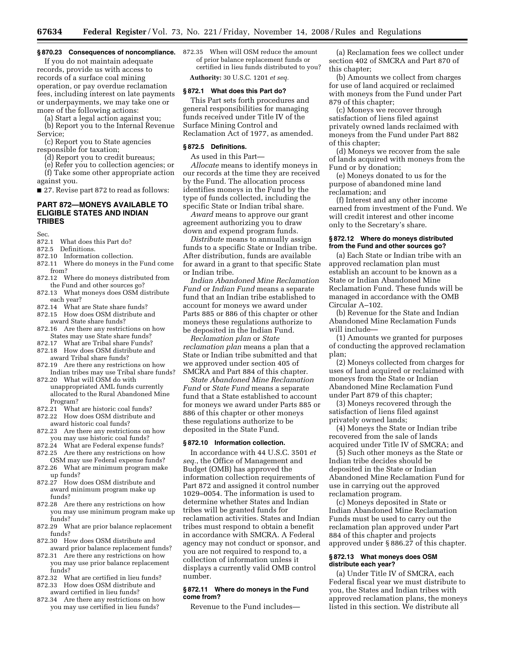If you do not maintain adequate records, provide us with access to records of a surface coal mining operation, or pay overdue reclamation fees, including interest on late payments or underpayments, we may take one or more of the following actions:

(a) Start a legal action against you; (b) Report you to the Internal Revenue Service;

(c) Report you to State agencies responsible for taxation;

(d) Report you to credit bureaus;

(e) Refer you to collection agencies; or

(f) Take some other appropriate action against you.

■ 27. Revise part 872 to read as follows:

## **PART 872—MONEYS AVAILABLE TO ELIGIBLE STATES AND INDIAN TRIBES**

Sec.

- 872.1 What does this Part do?
- 872.5 Definitions.
- 872.10 Information collection.
- 872.11 Where do moneys in the Fund come from?
- 872.12 Where do moneys distributed from the Fund and other sources go?
- 872.13 What moneys does OSM distribute each year?
- 872.14 What are State share funds?
- 872.15 How does OSM distribute and award State share funds?
- 872.16 Are there any restrictions on how States may use State share funds?
- 872.17 What are Tribal share Funds?
- 872.18 How does OSM distribute and
- award Tribal share funds?
- 872.19 Are there any restrictions on how Indian tribes may use Tribal share funds?
- 872.20 What will OSM do with unappropriated AML funds currently allocated to the Rural Abandoned Mine Program?
- 872.21 What are historic coal funds?
- 872.22 How does OSM distribute and
- award historic coal funds? 872.23 Are there any restrictions on how you may use historic coal funds?
- 872.24 What are Federal expense funds?
- 872.25 Are there any restrictions on how OSM may use Federal expense funds?
- 872.26 What are minimum program make up funds?
- 872.27 How does OSM distribute and award minimum program make up funds?
- 872.28 Are there any restrictions on how you may use minimum program make up funds?
- 872.29 What are prior balance replacement funds?
- 872.30 How does OSM distribute and award prior balance replacement funds?
- 872.31 Are there any restrictions on how you may use prior balance replacement funds?
- 872.32 What are certified in lieu funds?
- 872.33 How does OSM distribute and award certified in lieu funds?
- 872.34 Are there any restrictions on how you may use certified in lieu funds?

**§ 870.23 Consequences of noncompliance.**  872.35 When will OSM reduce the amount of prior balance replacement funds or certified in lieu funds distributed to you?

**Authority:** 30 U.S.C. 1201 *et seq.* 

### **§ 872.1 What does this Part do?**

This Part sets forth procedures and general responsibilities for managing funds received under Title IV of the Surface Mining Control and Reclamation Act of 1977, as amended.

### **§ 872.5 Definitions.**

As used in this Part—

*Allocate* means to identify moneys in our records at the time they are received by the Fund. The allocation process identifies moneys in the Fund by the type of funds collected, including the specific State or Indian tribal share.

*Award* means to approve our grant agreement authorizing you to draw down and expend program funds.

*Distribute* means to annually assign funds to a specific State or Indian tribe. After distribution, funds are available for award in a grant to that specific State or Indian tribe.

*Indian Abandoned Mine Reclamation Fund* or *Indian Fund* means a separate fund that an Indian tribe established to account for moneys we award under Parts 885 or 886 of this chapter or other moneys these regulations authorize to be deposited in the Indian Fund.

*Reclamation plan* or *State reclamation plan* means a plan that a State or Indian tribe submitted and that we approved under section 405 of SMCRA and Part 884 of this chapter.

*State Abandoned Mine Reclamation Fund* or *State Fund* means a separate fund that a State established to account for moneys we award under Parts 885 or 886 of this chapter or other moneys these regulations authorize to be deposited in the State Fund.

## **§ 872.10 Information collection.**

In accordance with 44 U.S.C. 3501 *et seq.*, the Office of Management and Budget (OMB) has approved the information collection requirements of Part 872 and assigned it control number 1029–0054. The information is used to determine whether States and Indian tribes will be granted funds for reclamation activities. States and Indian tribes must respond to obtain a benefit in accordance with SMCRA. A Federal agency may not conduct or sponsor, and you are not required to respond to, a collection of information unless it displays a currently valid OMB control number.

### **§ 872.11 Where do moneys in the Fund come from?**

Revenue to the Fund includes—

(a) Reclamation fees we collect under section 402 of SMCRA and Part 870 of this chapter;

(b) Amounts we collect from charges for use of land acquired or reclaimed with moneys from the Fund under Part 879 of this chapter;

(c) Moneys we recover through satisfaction of liens filed against privately owned lands reclaimed with moneys from the Fund under Part 882 of this chapter;

(d) Moneys we recover from the sale of lands acquired with moneys from the Fund or by donation;

(e) Moneys donated to us for the purpose of abandoned mine land reclamation; and

(f) Interest and any other income earned from investment of the Fund. We will credit interest and other income only to the Secretary's share.

## **§ 872.12 Where do moneys distributed from the Fund and other sources go?**

(a) Each State or Indian tribe with an approved reclamation plan must establish an account to be known as a State or Indian Abandoned Mine Reclamation Fund. These funds will be managed in accordance with the OMB Circular A–102.

(b) Revenue for the State and Indian Abandoned Mine Reclamation Funds will include—

(1) Amounts we granted for purposes of conducting the approved reclamation plan;

(2) Moneys collected from charges for uses of land acquired or reclaimed with moneys from the State or Indian Abandoned Mine Reclamation Fund under Part 879 of this chapter;

(3) Moneys recovered through the satisfaction of liens filed against privately owned lands;

(4) Moneys the State or Indian tribe recovered from the sale of lands acquired under Title IV of SMCRA; and

(5) Such other moneys as the State or Indian tribe decides should be deposited in the State or Indian Abandoned Mine Reclamation Fund for use in carrying out the approved reclamation program.

(c) Moneys deposited in State or Indian Abandoned Mine Reclamation Funds must be used to carry out the reclamation plan approved under Part 884 of this chapter and projects approved under § 886.27 of this chapter.

### **§ 872.13 What moneys does OSM distribute each year?**

(a) Under Title IV of SMCRA, each Federal fiscal year we must distribute to you, the States and Indian tribes with approved reclamation plans, the moneys listed in this section. We distribute all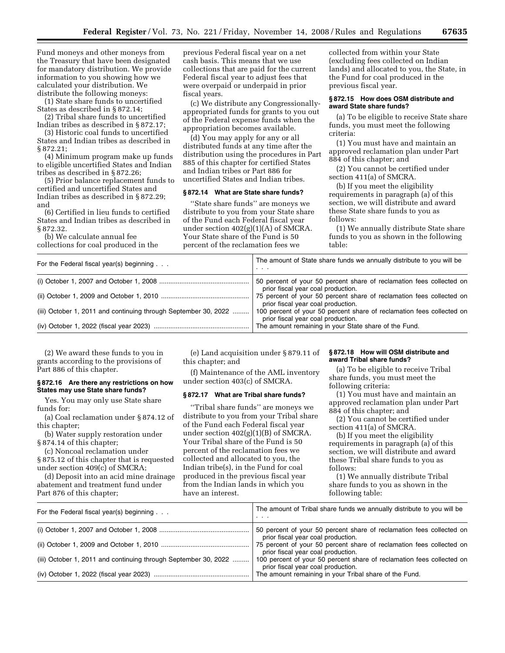Fund moneys and other moneys from the Treasury that have been designated for mandatory distribution. We provide information to you showing how we calculated your distribution. We distribute the following moneys:

(1) State share funds to uncertified States as described in § 872.14;

(2) Tribal share funds to uncertified Indian tribes as described in § 872.17;

(3) Historic coal funds to uncertified States and Indian tribes as described in § 872.21;

(4) Minimum program make up funds to eligible uncertified States and Indian tribes as described in § 872.26;

(5) Prior balance replacement funds to certified and uncertified States and Indian tribes as described in § 872.29; and

(6) Certified in lieu funds to certified States and Indian tribes as described in § 872.32.

(b) We calculate annual fee collections for coal produced in the previous Federal fiscal year on a net cash basis. This means that we use collections that are paid for the current Federal fiscal year to adjust fees that were overpaid or underpaid in prior fiscal years.

(c) We distribute any Congressionallyappropriated funds for grants to you out of the Federal expense funds when the appropriation becomes available.

(d) You may apply for any or all distributed funds at any time after the distribution using the procedures in Part 885 of this chapter for certified States and Indian tribes or Part 886 for uncertified States and Indian tribes.

### **§ 872.14 What are State share funds?**

''State share funds'' are moneys we distribute to you from your State share of the Fund each Federal fiscal year under section 402(g)(1)(A) of SMCRA. Your State share of the Fund is 50 percent of the reclamation fees we

collected from within your State (excluding fees collected on Indian lands) and allocated to you, the State, in the Fund for coal produced in the previous fiscal year.

## **§ 872.15 How does OSM distribute and award State share funds?**

(a) To be eligible to receive State share funds, you must meet the following criteria:

(1) You must have and maintain an approved reclamation plan under Part 884 of this chapter; and

(2) You cannot be certified under section 411(a) of SMCRA.

(b) If you meet the eligibility requirements in paragraph (a) of this section, we will distribute and award these State share funds to you as follows:

(1) We annually distribute State share funds to you as shown in the following table:

| For the Federal fiscal year(s) beginning $\ldots$               | The amount of State share funds we annually distribute to you will be<br>$\cdot$ $\cdot$ $\cdot$            |
|-----------------------------------------------------------------|-------------------------------------------------------------------------------------------------------------|
|                                                                 | 50 percent of your 50 percent share of reclamation fees collected on<br>prior fiscal year coal production.  |
|                                                                 | 75 percent of your 50 percent share of reclamation fees collected on<br>prior fiscal year coal production.  |
| (iii) October 1, 2011 and continuing through September 30, 2022 | 100 percent of your 50 percent share of reclamation fees collected on<br>prior fiscal year coal production. |
|                                                                 | The amount remaining in your State share of the Fund.                                                       |

(2) We award these funds to you in grants according to the provisions of Part 886 of this chapter.

## **§ 872.16 Are there any restrictions on how States may use State share funds?**

Yes. You may only use State share funds for:

(a) Coal reclamation under § 874.12 of this chapter;

(b) Water supply restoration under § 874.14 of this chapter;

(c) Noncoal reclamation under § 875.12 of this chapter that is requested under section 409(c) of SMCRA;

(d) Deposit into an acid mine drainage abatement and treatment fund under Part 876 of this chapter;

(e) Land acquisition under § 879.11 of this chapter; and

(f) Maintenance of the AML inventory under section 403(c) of SMCRA.

## **§ 872.17 What are Tribal share funds?**

''Tribal share funds'' are moneys we distribute to you from your Tribal share of the Fund each Federal fiscal year under section 402(g)(1)(B) of SMCRA. Your Tribal share of the Fund is 50 percent of the reclamation fees we collected and allocated to you, the Indian tribe(s), in the Fund for coal produced in the previous fiscal year from the Indian lands in which you have an interest.

## **§ 872.18 How will OSM distribute and award Tribal share funds?**

(a) To be eligible to receive Tribal share funds, you must meet the following criteria:

(1) You must have and maintain an approved reclamation plan under Part 884 of this chapter; and

(2) You cannot be certified under section 411(a) of SMCRA.

(b) If you meet the eligibility requirements in paragraph (a) of this section, we will distribute and award these Tribal share funds to you as follows:

(1) We annually distribute Tribal share funds to you as shown in the following table:

| For the Federal fiscal year(s) beginning $\ldots$               | The amount of Tribal share funds we annually distribute to you will be<br>$\cdot$ $\cdot$ $\cdot$           |
|-----------------------------------------------------------------|-------------------------------------------------------------------------------------------------------------|
|                                                                 | 50 percent of your 50 percent share of reclamation fees collected on<br>prior fiscal year coal production.  |
|                                                                 | 75 percent of your 50 percent share of reclamation fees collected on<br>prior fiscal year coal production.  |
| (iii) October 1, 2011 and continuing through September 30, 2022 | 100 percent of your 50 percent share of reclamation fees collected on<br>prior fiscal year coal production. |
|                                                                 | The amount remaining in your Tribal share of the Fund.                                                      |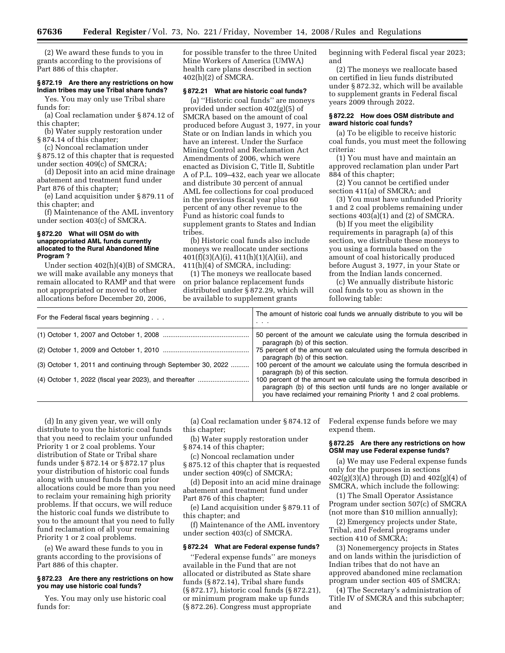(2) We award these funds to you in grants according to the provisions of Part 886 of this chapter.

# **§ 872.19 Are there any restrictions on how Indian tribes may use Tribal share funds?**

Yes. You may only use Tribal share funds for:

(a) Coal reclamation under § 874.12 of this chapter;

(b) Water supply restoration under § 874.14 of this chapter;

(c) Noncoal reclamation under § 875.12 of this chapter that is requested under section 409(c) of SMCRA;

(d) Deposit into an acid mine drainage abatement and treatment fund under Part 876 of this chapter;

(e) Land acquisition under § 879.11 of this chapter; and

(f) Maintenance of the AML inventory under section 403(c) of SMCRA.

### **§ 872.20 What will OSM do with unappropriated AML funds currently allocated to the Rural Abandoned Mine Program ?**

Under section 402(h)(4)(B) of SMCRA, we will make available any moneys that remain allocated to RAMP and that were not appropriated or moved to other allocations before December 20, 2006,

for possible transfer to the three United Mine Workers of America (UMWA) health care plans described in section 402(h)(2) of SMCRA.

## **§ 872.21 What are historic coal funds?**

(a) ''Historic coal funds'' are moneys provided under section 402(g)(5) of SMCRA based on the amount of coal produced before August 3, 1977, in your State or on Indian lands in which you have an interest. Under the Surface Mining Control and Reclamation Act Amendments of 2006, which were enacted as Division C, Title II, Subtitle A of P.L. 109–432, each year we allocate and distribute 30 percent of annual AML fee collections for coal produced in the previous fiscal year plus 60 percent of any other revenue to the Fund as historic coal funds to supplement grants to States and Indian tribes.

(b) Historic coal funds also include moneys we reallocate under sections  $401(f)(3)(A)(i)$ ,  $411(h)(1)(A)(ii)$ , and 411(h)(4) of SMCRA, including:

(1) The moneys we reallocate based on prior balance replacement funds distributed under § 872.29, which will be available to supplement grants

beginning with Federal fiscal year 2023; and

(2) The moneys we reallocate based on certified in lieu funds distributed under § 872.32, which will be available to supplement grants in Federal fiscal years 2009 through 2022.

## **§ 872.22 How does OSM distribute and award historic coal funds?**

(a) To be eligible to receive historic coal funds, you must meet the following criteria:

(1) You must have and maintain an approved reclamation plan under Part 884 of this chapter;

(2) You cannot be certified under section 411(a) of SMCRA; and

(3) You must have unfunded Priority 1 and 2 coal problems remaining under sections 403(a)(1) and (2) of SMCRA.

(b) If you meet the eligibility requirements in paragraph (a) of this section, we distribute these moneys to you using a formula based on the amount of coal historically produced before August 3, 1977, in your State or from the Indian lands concerned.

(c) We annually distribute historic coal funds to you as shown in the following table:

| For the Federal fiscal years beginning                        | The amount of historic coal funds we annually distribute to you will be<br>$\cdot$ $\cdot$ $\cdot$                                                                                                                 |
|---------------------------------------------------------------|--------------------------------------------------------------------------------------------------------------------------------------------------------------------------------------------------------------------|
|                                                               | 50 percent of the amount we calculate using the formula described in<br>paragraph (b) of this section.                                                                                                             |
|                                                               | 75 percent of the amount we calculated using the formula described in<br>paragraph (b) of this section.                                                                                                            |
| (3) October 1, 2011 and continuing through September 30, 2022 | 100 percent of the amount we calculate using the formula described in<br>paragraph (b) of this section.                                                                                                            |
| (4) October 1, 2022 (fiscal year 2023), and thereafter        | 100 percent of the amount we calculate using the formula described in<br>paragraph (b) of this section until funds are no longer available or<br>you have reclaimed your remaining Priority 1 and 2 coal problems. |

(d) In any given year, we will only distribute to you the historic coal funds that you need to reclaim your unfunded Priority 1 or 2 coal problems. Your distribution of State or Tribal share funds under § 872.14 or § 872.17 plus your distribution of historic coal funds along with unused funds from prior allocations could be more than you need to reclaim your remaining high priority problems. If that occurs, we will reduce the historic coal funds we distribute to you to the amount that you need to fully fund reclamation of all your remaining Priority 1 or 2 coal problems.

(e) We award these funds to you in grants according to the provisions of Part 886 of this chapter.

### **§ 872.23 Are there any restrictions on how you may use historic coal funds?**

Yes. You may only use historic coal funds for:

(a) Coal reclamation under § 874.12 of this chapter;

(b) Water supply restoration under § 874.14 of this chapter;

(c) Noncoal reclamation under § 875.12 of this chapter that is requested under section 409(c) of SMCRA;

(d) Deposit into an acid mine drainage abatement and treatment fund under Part 876 of this chapter;

(e) Land acquisition under § 879.11 of this chapter; and

(f) Maintenance of the AML inventory under section 403(c) of SMCRA.

# **§ 872.24 What are Federal expense funds?**

''Federal expense funds'' are moneys available in the Fund that are not allocated or distributed as State share funds (§ 872.14), Tribal share funds (§ 872.17), historic coal funds (§ 872.21), or minimum program make up funds (§ 872.26). Congress must appropriate

Federal expense funds before we may expend them.

### **§ 872.25 Are there any restrictions on how OSM may use Federal expense funds?**

(a) We may use Federal expense funds only for the purposes in sections  $402(g)(3)(A)$  through (D) and  $402(g)(4)$  of SMCRA, which include the following:

(1) The Small Operator Assistance Program under section 507(c) of SMCRA (not more than \$10 million annually);

(2) Emergency projects under State, Tribal, and Federal programs under section 410 of SMCRA;

(3) Nonemergency projects in States and on lands within the jurisdiction of Indian tribes that do not have an approved abandoned mine reclamation program under section 405 of SMCRA;

(4) The Secretary's administration of Title IV of SMCRA and this subchapter; and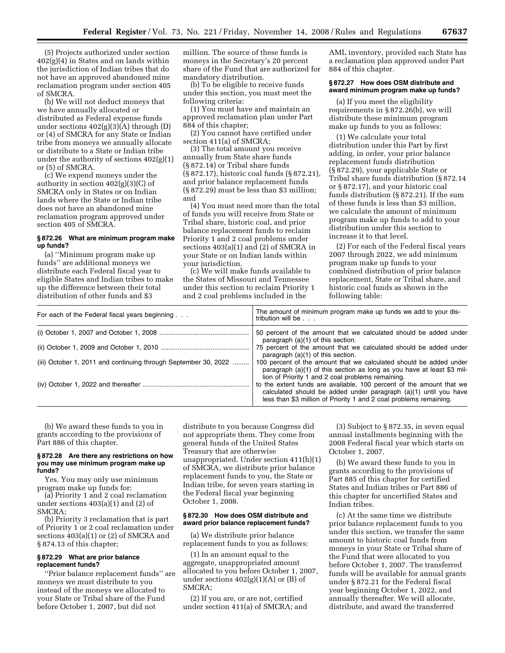(5) Projects authorized under section 402(g)(4) in States and on lands within the jurisdiction of Indian tribes that do not have an approved abandoned mine reclamation program under section 405 of SMCRA.

(b) We will not deduct moneys that we have annually allocated or distributed as Federal expense funds under sections 402(g)(3)(A) through (D) or (4) of SMCRA for any State or Indian tribe from moneys we annually allocate or distribute to a State or Indian tribe under the authority of sections 402(g)(1) or (5) of SMCRA.

(c) We expend moneys under the authority in section 402(g)(3)(C) of SMCRA only in States or on Indian lands where the State or Indian tribe does not have an abandoned mine reclamation program approved under section 405 of SMCRA.

# **§ 872.26 What are minimum program make up funds?**

(a) ''Minimum program make up funds'' are additional moneys we distribute each Federal fiscal year to eligible States and Indian tribes to make up the difference between their total distribution of other funds and \$3

million. The source of these funds is moneys in the Secretary's 20 percent share of the Fund that are authorized for mandatory distribution.

(b) To be eligible to receive funds under this section, you must meet the following criteria:

(1) You must have and maintain an approved reclamation plan under Part 884 of this chapter;

(2) You cannot have certified under section 411(a) of SMCRA;

(3) The total amount you receive annually from State share funds (§ 872.14) or Tribal share funds (§ 872.17), historic coal funds (§ 872.21), and prior balance replacement funds (§ 872.29) must be less than \$3 million; and

(4) You must need more than the total of funds you will receive from State or Tribal share, historic coal, and prior balance replacement funds to reclaim Priority 1 and 2 coal problems under sections 403(a)(1) and (2) of SMCRA in your State or on Indian lands within your jurisdiction.

(c) We will make funds available to the States of Missouri and Tennessee under this section to reclaim Priority 1 and 2 coal problems included in the

AML inventory, provided each State has a reclamation plan approved under Part 884 of this chapter.

### **§ 872.27 How does OSM distribute and award minimum program make up funds?**

(a) If you meet the eligibility requirements in § 872.26(b), we will distribute these minimum program make up funds to you as follows:

(1) We calculate your total distribution under this Part by first adding, in order, your prior balance replacement funds distribution (§ 872.29), your applicable State or Tribal share funds distribution (§ 872.14 or § 872.17), and your historic coal funds distribution (§ 872.21). If the sum of these funds is less than \$3 million, we calculate the amount of minimum program make up funds to add to your distribution under this section to increase it to that level.

(2) For each of the Federal fiscal years 2007 through 2022, we add minimum program make up funds to your combined distribution of prior balance replacement, State or Tribal share, and historic coal funds as shown in the following table:

| For each of the Federal fiscal years beginning                  | The amount of minimum program make up funds we add to your dis-<br>tribution will be                                                                                                                           |
|-----------------------------------------------------------------|----------------------------------------------------------------------------------------------------------------------------------------------------------------------------------------------------------------|
|                                                                 | 50 percent of the amount that we calculated should be added under<br>paragraph (a)(1) of this section.                                                                                                         |
|                                                                 | 75 percent of the amount that we calculated should be added under<br>paragraph $(a)(1)$ of this section.                                                                                                       |
| (iii) October 1, 2011 and continuing through September 30, 2022 | 100 percent of the amount that we calculated should be added under<br>paragraph $(a)(1)$ of this section as long as you have at least \$3 mil-<br>lion of Priority 1 and 2 coal problems remaining.            |
|                                                                 | to the extent funds are available, 100 percent of the amount that we<br>calculated should be added under paragraph (a)(1) until you have<br>less than \$3 million of Priority 1 and 2 coal problems remaining. |

(b) We award these funds to you in grants according to the provisions of Part 886 of this chapter.

### **§ 872.28 Are there any restrictions on how you may use minimum program make up funds?**

Yes. You may only use minimum program make up funds for:

(a) Priority 1 and 2 coal reclamation under sections 403(a)(1) and (2) of SMCRA;

(b) Priority 3 reclamation that is part of Priority 1 or 2 coal reclamation under sections 403(a)(1) or (2) of SMCRA and § 874.13 of this chapter;

## **§ 872.29 What are prior balance replacement funds?**

''Prior balance replacement funds'' are moneys we must distribute to you instead of the moneys we allocated to your State or Tribal share of the Fund before October 1, 2007, but did not

distribute to you because Congress did not appropriate them. They come from general funds of the United States Treasury that are otherwise unappropriated. Under section 411(h)(1) of SMCRA, we distribute prior balance replacement funds to you, the State or Indian tribe, for seven years starting in the Federal fiscal year beginning October 1, 2008.

## **§ 872.30 How does OSM distribute and award prior balance replacement funds?**

(a) We distribute prior balance replacement funds to you as follows:

(1) In an amount equal to the aggregate, unappropriated amount allocated to you before October 1, 2007, under sections  $402(g)(1)(A)$  or  $(B)$  of SMCRA;

(2) If you are, or are not, certified under section 411(a) of SMCRA; and

(3) Subject to § 872.35, in seven equal annual installments beginning with the 2008 Federal fiscal year which starts on October 1, 2007.

(b) We award these funds to you in grants according to the provisions of Part 885 of this chapter for certified States and Indian tribes or Part 886 of this chapter for uncertified States and Indian tribes.

(c) At the same time we distribute prior balance replacement funds to you under this section, we transfer the same amount to historic coal funds from moneys in your State or Tribal share of the Fund that were allocated to you before October 1, 2007. The transferred funds will be available for annual grants under § 872.21 for the Federal fiscal year beginning October 1, 2022, and annually thereafter. We will allocate, distribute, and award the transferred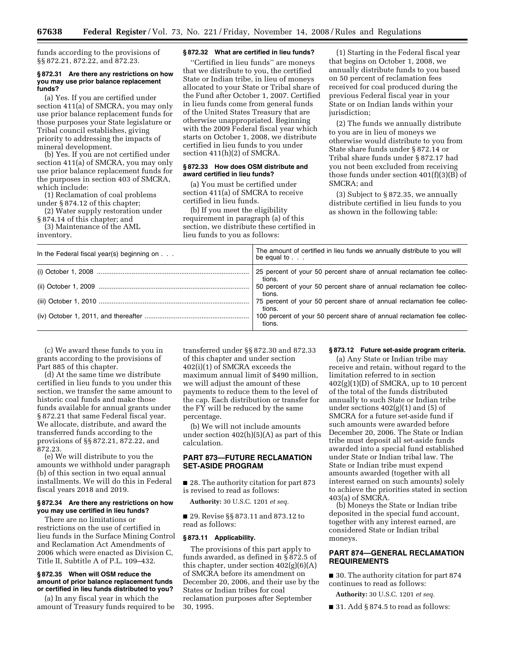funds according to the provisions of §§ 872.21, 872.22, and 872.23.

### **§ 872.31 Are there any restrictions on how you may use prior balance replacement funds?**

(a) Yes. If you are certified under section 411(a) of SMCRA, you may only use prior balance replacement funds for those purposes your State legislature or Tribal council establishes, giving priority to addressing the impacts of mineral development.

(b) Yes. If you are not certified under section 411(a) of SMCRA, you may only use prior balance replacement funds for the purposes in section 403 of SMCRA, which include:

(1) Reclamation of coal problems under § 874.12 of this chapter;

(2) Water supply restoration under § 874.14 of this chapter; and

(3) Maintenance of the AML inventory.

### **§ 872.32 What are certified in lieu funds?**

''Certified in lieu funds'' are moneys that we distribute to you, the certified State or Indian tribe, in lieu of moneys allocated to your State or Tribal share of the Fund after October 1, 2007. Certified in lieu funds come from general funds of the United States Treasury that are otherwise unappropriated. Beginning with the 2009 Federal fiscal year which starts on October 1, 2008, we distribute certified in lieu funds to you under section 411(h)(2) of SMCRA.

## **§ 872.33 How does OSM distribute and award certified in lieu funds?**

(a) You must be certified under section 411(a) of SMCRA to receive certified in lieu funds.

(b) If you meet the eligibility requirement in paragraph (a) of this section, we distribute these certified in lieu funds to you as follows:

(1) Starting in the Federal fiscal year that begins on October 1, 2008, we annually distribute funds to you based on 50 percent of reclamation fees received for coal produced during the previous Federal fiscal year in your State or on Indian lands within your jurisdiction;

(2) The funds we annually distribute to you are in lieu of moneys we otherwise would distribute to you from State share funds under § 872.14 or Tribal share funds under § 872.17 had you not been excluded from receiving those funds under section 401(f)(3)(B) of SMCRA; and

(3) Subject to § 872.35, we annually distribute certified in lieu funds to you as shown in the following table:

| In the Federal fiscal year(s) beginning on $\ldots$ | The amount of certified in lieu funds we annually distribute to you will<br>be equal to $\ldots$ |
|-----------------------------------------------------|--------------------------------------------------------------------------------------------------|
|                                                     | 25 percent of your 50 percent share of annual reclamation fee collec-<br>tions.                  |
|                                                     | 50 percent of your 50 percent share of annual reclamation fee collec-<br>tions.                  |
|                                                     | 75 percent of your 50 percent share of annual reclamation fee collec-<br>tions.                  |
|                                                     | 100 percent of your 50 percent share of annual reclamation fee collec-<br>tions.                 |

(c) We award these funds to you in grants according to the provisions of Part 885 of this chapter.

(d) At the same time we distribute certified in lieu funds to you under this section, we transfer the same amount to historic coal funds and make those funds available for annual grants under § 872.21 that same Federal fiscal year. We allocate, distribute, and award the transferred funds according to the provisions of §§ 872.21, 872.22, and 872.23.

(e) We will distribute to you the amounts we withhold under paragraph (b) of this section in two equal annual installments. We will do this in Federal fiscal years 2018 and 2019.

## **§ 872.34 Are there any restrictions on how you may use certified in lieu funds?**

There are no limitations or restrictions on the use of certified in lieu funds in the Surface Mining Control and Reclamation Act Amendments of 2006 which were enacted as Division C, Title II, Subtitle A of P.L. 109–432.

### **§ 872.35 When will OSM reduce the amount of prior balance replacement funds or certified in lieu funds distributed to you?**

(a) In any fiscal year in which the amount of Treasury funds required to be transferred under §§ 872.30 and 872.33 of this chapter and under section 402(i)(1) of SMCRA exceeds the maximum annual limit of \$490 million, we will adjust the amount of these payments to reduce them to the level of the cap. Each distribution or transfer for the FY will be reduced by the same percentage.

(b) We will not include amounts under section  $402(h)(5)(A)$  as part of this calculation.

# **PART 873—FUTURE RECLAMATION SET-ASIDE PROGRAM**

■ 28. The authority citation for part 873 is revised to read as follows:

**Authority:** 30 U.S.C. 1201 *et seq.* 

■ 29. Revise §§ 873.11 and 873.12 to read as follows:

## **§ 873.11 Applicability.**

The provisions of this part apply to funds awarded, as defined in  $\S$ 872.5 of this chapter, under section  $402(g)(6)(A)$ of SMCRA before its amendment on December 20, 2006, and their use by the States or Indian tribes for coal reclamation purposes after September 30, 1995.

### **§ 873.12 Future set-aside program criteria.**

(a) Any State or Indian tribe may receive and retain, without regard to the limitation referred to in section  $402(g)(1)(D)$  of SMCRA, up to 10 percent of the total of the funds distributed annually to such State or Indian tribe under sections 402(g)(1) and (5) of SMCRA for a future set-aside fund if such amounts were awarded before December 20, 2006. The State or Indian tribe must deposit all set-aside funds awarded into a special fund established under State or Indian tribal law. The State or Indian tribe must expend amounts awarded (together with all interest earned on such amounts) solely to achieve the priorities stated in section 403(a) of SMCRA.

(b) Moneys the State or Indian tribe deposited in the special fund account, together with any interest earned, are considered State or Indian tribal moneys.

# **PART 874—GENERAL RECLAMATION REQUIREMENTS**

■ 30. The authority citation for part 874 continues to read as follows:

**Authority:** 30 U.S.C. 1201 *et seq.* 

 $\blacksquare$  31. Add § 874.5 to read as follows: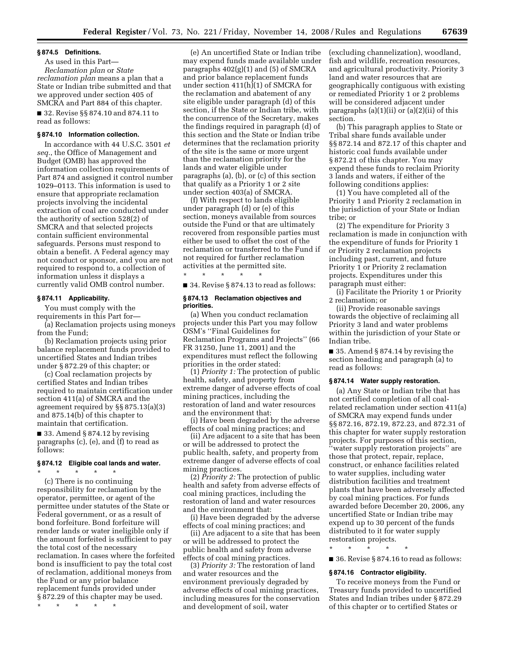### **§ 874.5 Definitions.**

As used in this Part— *Reclamation plan* or *State reclamation plan* means a plan that a State or Indian tribe submitted and that we approved under section 405 of SMCRA and Part 884 of this chapter. ■ 32. Revise §§ 874.10 and 874.11 to read as follows:

### **§ 874.10 Information collection.**

In accordance with 44 U.S.C. 3501 *et seq.*, the Office of Management and Budget (OMB) has approved the information collection requirements of Part 874 and assigned it control number 1029–0113. This information is used to ensure that appropriate reclamation projects involving the incidental extraction of coal are conducted under the authority of section 528(2) of SMCRA and that selected projects contain sufficient environmental safeguards. Persons must respond to obtain a benefit. A Federal agency may not conduct or sponsor, and you are not required to respond to, a collection of information unless it displays a currently valid OMB control number.

### **§ 874.11 Applicability.**

You must comply with the requirements in this Part for—

(a) Reclamation projects using moneys from the Fund;

(b) Reclamation projects using prior balance replacement funds provided to uncertified States and Indian tribes under § 872.29 of this chapter; or

(c) Coal reclamation projects by certified States and Indian tribes required to maintain certification under section 411(a) of SMCRA and the agreement required by §§ 875.13(a)(3) and 875.14(b) of this chapter to maintain that certification.

 $\blacksquare$  33. Amend § 874.12 by revising paragraphs (c), (e), and (f) to read as follows:

# **§ 874.12 Eligible coal lands and water.**

 $\star$   $\qquad$   $\star$   $\qquad$   $\star$ (c) There is no continuing responsibility for reclamation by the operator, permittee, or agent of the permittee under statutes of the State or Federal government, or as a result of bond forfeiture. Bond forfeiture will render lands or water ineligible only if the amount forfeited is sufficient to pay the total cost of the necessary reclamation. In cases where the forfeited bond is insufficient to pay the total cost of reclamation, additional moneys from the Fund or any prior balance replacement funds provided under § 872.29 of this chapter may be used.

\* \* \* \* \*

(e) An uncertified State or Indian tribe may expend funds made available under paragraphs 402(g)(1) and (5) of SMCRA and prior balance replacement funds under section  $411(h)(1)$  of SMCRA for the reclamation and abatement of any site eligible under paragraph (d) of this section, if the State or Indian tribe, with the concurrence of the Secretary, makes the findings required in paragraph (d) of this section and the State or Indian tribe determines that the reclamation priority of the site is the same or more urgent than the reclamation priority for the lands and water eligible under paragraphs (a), (b), or (c) of this section that qualify as a Priority 1 or 2 site under section 403(a) of SMCRA.

(f) With respect to lands eligible under paragraph (d) or (e) of this section, moneys available from sources outside the Fund or that are ultimately recovered from responsible parties must either be used to offset the cost of the reclamation or transferred to the Fund if not required for further reclamation activities at the permitted site.

■ 34. Revise § 874.13 to read as follows:

### **§ 874.13 Reclamation objectives and priorities.**

\* \* \* \* \*

(a) When you conduct reclamation projects under this Part you may follow OSM's ''Final Guidelines for Reclamation Programs and Projects'' (66 FR 31250, June 11, 2001) and the expenditures must reflect the following priorities in the order stated:

(1) *Priority 1:* The protection of public health, safety, and property from extreme danger of adverse effects of coal mining practices, including the restoration of land and water resources and the environment that:

(i) Have been degraded by the adverse effects of coal mining practices; and

(ii) Are adjacent to a site that has been or will be addressed to protect the public health, safety, and property from extreme danger of adverse effects of coal mining practices.

(2) *Priority 2:* The protection of public health and safety from adverse effects of coal mining practices, including the restoration of land and water resources and the environment that:

(i) Have been degraded by the adverse effects of coal mining practices; and

(ii) Are adjacent to a site that has been or will be addressed to protect the public health and safety from adverse effects of coal mining practices.

(3) *Priority 3:* The restoration of land and water resources and the environment previously degraded by adverse effects of coal mining practices, including measures for the conservation and development of soil, water

(excluding channelization), woodland, fish and wildlife, recreation resources, and agricultural productivity. Priority 3 land and water resources that are geographically contiguous with existing or remediated Priority 1 or 2 problems will be considered adjacent under paragraphs  $(a)(1)(ii)$  or  $(a)(2)(ii)$  of this section.

(b) This paragraph applies to State or Tribal share funds available under §§ 872.14 and 872.17 of this chapter and historic coal funds available under § 872.21 of this chapter. You may expend these funds to reclaim Priority 3 lands and waters, if either of the following conditions applies:

(1) You have completed all of the Priority 1 and Priority 2 reclamation in the jurisdiction of your State or Indian tribe; or

(2) The expenditure for Priority 3 reclamation is made in conjunction with the expenditure of funds for Priority 1 or Priority 2 reclamation projects including past, current, and future Priority 1 or Priority 2 reclamation projects. Expenditures under this paragraph must either:

(i) Facilitate the Priority 1 or Priority 2 reclamation; or

(ii) Provide reasonable savings towards the objective of reclaiming all Priority 3 land and water problems within the jurisdiction of your State or Indian tribe.

■ 35. Amend § 874.14 by revising the section heading and paragraph (a) to read as follows:

# **§ 874.14 Water supply restoration.**

(a) Any State or Indian tribe that has not certified completion of all coalrelated reclamation under section 411(a) of SMCRA may expend funds under §§ 872.16, 872.19, 872.23, and 872.31 of this chapter for water supply restoration projects. For purposes of this section, ''water supply restoration projects'' are those that protect, repair, replace, construct, or enhance facilities related to water supplies, including water distribution facilities and treatment plants that have been adversely affected by coal mining practices. For funds awarded before December 20, 2006, any uncertified State or Indian tribe may expend up to 30 percent of the funds distributed to it for water supply restoration projects.

\* \* \* \* \*

■ 36. Revise § 874.16 to read as follows:

### **§ 874.16 Contractor eligibility.**

To receive moneys from the Fund or Treasury funds provided to uncertified States and Indian tribes under § 872.29 of this chapter or to certified States or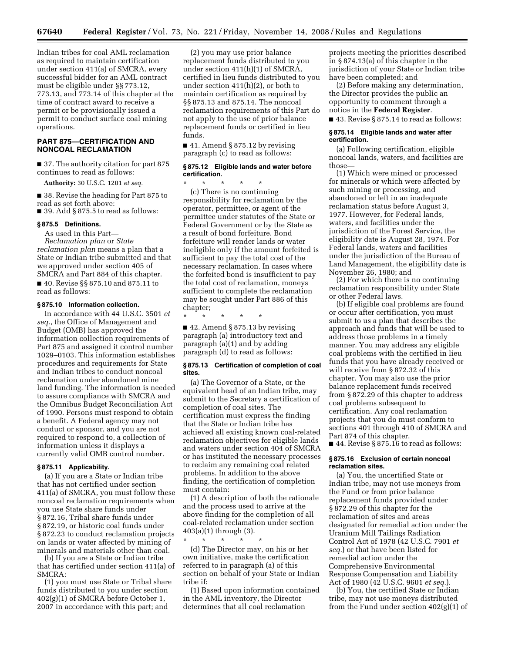Indian tribes for coal AML reclamation as required to maintain certification under section 411(a) of SMCRA, every successful bidder for an AML contract must be eligible under §§ 773.12, 773.13, and 773.14 of this chapter at the time of contract award to receive a permit or be provisionally issued a permit to conduct surface coal mining operations.

# **PART 875—CERTIFICATION AND NONCOAL RECLAMATION**

■ 37. The authority citation for part 875 continues to read as follows:

**Authority:** 30 U.S.C. 1201 *et seq.* 

■ 38. Revise the heading for Part 875 to read as set forth above:

 $\blacksquare$  39. Add § 875.5 to read as follows:

# **§ 875.5 Definitions.**

As used in this Part— *Reclamation plan* or *State reclamation plan* means a plan that a State or Indian tribe submitted and that we approved under section 405 of

SMCRA and Part 884 of this chapter. ■ 40. Revise §§ 875.10 and 875.11 to read as follows:

### **§ 875.10 Information collection.**

In accordance with 44 U.S.C. 3501 *et seq.*, the Office of Management and Budget (OMB) has approved the information collection requirements of Part 875 and assigned it control number 1029–0103. This information establishes procedures and requirements for State and Indian tribes to conduct noncoal reclamation under abandoned mine land funding. The information is needed to assure compliance with SMCRA and the Omnibus Budget Reconciliation Act of 1990. Persons must respond to obtain a benefit. A Federal agency may not conduct or sponsor, and you are not required to respond to, a collection of information unless it displays a currently valid OMB control number.

### **§ 875.11 Applicability.**

(a) If you are a State or Indian tribe that has not certified under section 411(a) of SMCRA, you must follow these noncoal reclamation requirements when you use State share funds under § 872.16, Tribal share funds under § 872.19, or historic coal funds under § 872.23 to conduct reclamation projects on lands or water affected by mining of minerals and materials other than coal.

(b) If you are a State or Indian tribe that has certified under section 411(a) of SMCRA:

(1) you must use State or Tribal share funds distributed to you under section 402(g)(1) of SMCRA before October 1, 2007 in accordance with this part; and

(2) you may use prior balance replacement funds distributed to you under section 411(h)(1) of SMCRA, certified in lieu funds distributed to you under section 411(h)(2), or both to maintain certification as required by §§ 875.13 and 875.14. The noncoal reclamation requirements of this Part do not apply to the use of prior balance replacement funds or certified in lieu funds.

■ 41. Amend § 875.12 by revising paragraph (c) to read as follows:

### **§ 875.12 Eligible lands and water before certification.**

\* \* \* \* \*

(c) There is no continuing responsibility for reclamation by the operator, permittee, or agent of the permittee under statutes of the State or Federal Government or by the State as a result of bond forfeiture. Bond forfeiture will render lands or water ineligible only if the amount forfeited is sufficient to pay the total cost of the necessary reclamation. In cases where the forfeited bond is insufficient to pay the total cost of reclamation, moneys sufficient to complete the reclamation may be sought under Part 886 of this chapter;

\* \* \* \* \*

 $\blacksquare$  42. Amend § 875.13 by revising paragraph (a) introductory text and paragraph (a)(1) and by adding paragraph (d) to read as follows:

### **§ 875.13 Certification of completion of coal sites.**

(a) The Governor of a State, or the equivalent head of an Indian tribe, may submit to the Secretary a certification of completion of coal sites. The certification must express the finding that the State or Indian tribe has achieved all existing known coal-related reclamation objectives for eligible lands and waters under section 404 of SMCRA or has instituted the necessary processes to reclaim any remaining coal related problems. In addition to the above finding, the certification of completion must contain:

(1) A description of both the rationale and the process used to arrive at the above finding for the completion of all coal-related reclamation under section 403(a)(1) through (3).

\* \* \* \* \* (d) The Director may, on his or her own initiative, make the certification referred to in paragraph (a) of this section on behalf of your State or Indian tribe if:

(1) Based upon information contained in the AML inventory, the Director determines that all coal reclamation

projects meeting the priorities described in § 874.13(a) of this chapter in the jurisdiction of your State or Indian tribe have been completed; and

(2) Before making any determination, the Director provides the public an opportunity to comment through a notice in the **Federal Register**.

■ 43. Revise § 875.14 to read as follows:

### **§ 875.14 Eligible lands and water after certification.**

(a) Following certification, eligible noncoal lands, waters, and facilities are those—

(1) Which were mined or processed for minerals or which were affected by such mining or processing, and abandoned or left in an inadequate reclamation status before August 3, 1977. However, for Federal lands, waters, and facilities under the jurisdiction of the Forest Service, the eligibility date is August 28, 1974. For Federal lands, waters and facilities under the jurisdiction of the Bureau of Land Management, the eligibility date is November 26, 1980; and

(2) For which there is no continuing reclamation responsibility under State or other Federal laws.

(b) If eligible coal problems are found or occur after certification, you must submit to us a plan that describes the approach and funds that will be used to address those problems in a timely manner. You may address any eligible coal problems with the certified in lieu funds that you have already received or will receive from § 872.32 of this chapter. You may also use the prior balance replacement funds received from § 872.29 of this chapter to address coal problems subsequent to certification. Any coal reclamation projects that you do must conform to sections 401 through 410 of SMCRA and Part 874 of this chapter.

■ 44. Revise § 875.16 to read as follows:

### **§ 875.16 Exclusion of certain noncoal reclamation sites.**

(a) You, the uncertified State or Indian tribe, may not use moneys from the Fund or from prior balance replacement funds provided under § 872.29 of this chapter for the reclamation of sites and areas designated for remedial action under the Uranium Mill Tailings Radiation Control Act of 1978 (42 U.S.C. 7901 *et seq.*) or that have been listed for remedial action under the Comprehensive Environmental Response Compensation and Liability Act of 1980 (42 U.S.C. 9601 *et seq.*).

(b) You, the certified State or Indian tribe, may not use moneys distributed from the Fund under section 402(g)(1) of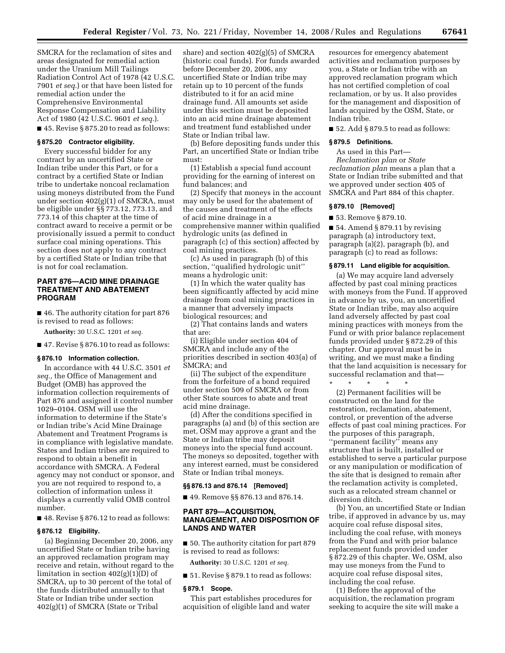SMCRA for the reclamation of sites and areas designated for remedial action under the Uranium Mill Tailings Radiation Control Act of 1978 (42 U.S.C. 7901 *et seq.*) or that have been listed for remedial action under the Comprehensive Environmental Response Compensation and Liability Act of 1980 (42 U.S.C. 9601 *et seq.*). ■ 45. Revise § 875.20 to read as follows:

# **§ 875.20 Contractor eligibility.**

Every successful bidder for any contract by an uncertified State or Indian tribe under this Part, or for a contract by a certified State or Indian tribe to undertake noncoal reclamation using moneys distributed from the Fund under section 402(g)(1) of SMCRA, must be eligible under §§ 773.12, 773.13, and 773.14 of this chapter at the time of contract award to receive a permit or be provisionally issued a permit to conduct surface coal mining operations. This section does not apply to any contract by a certified State or Indian tribe that is not for coal reclamation.

# **PART 876—ACID MINE DRAINAGE TREATMENT AND ABATEMENT PROGRAM**

■ 46. The authority citation for part 876 is revised to read as follows:

**Authority:** 30 U.S.C. 1201 *et seq.* 

■ 47. Revise § 876.10 to read as follows:

### **§ 876.10 Information collection.**

In accordance with 44 U.S.C. 3501 *et seq.,* the Office of Management and Budget (OMB) has approved the information collection requirements of Part 876 and assigned it control number 1029–0104. OSM will use the information to determine if the State's or Indian tribe's Acid Mine Drainage Abatement and Treatment Programs is in compliance with legislative mandate. States and Indian tribes are required to respond to obtain a benefit in accordance with SMCRA. A Federal agency may not conduct or sponsor, and you are not required to respond to, a collection of information unless it displays a currently valid OMB control number.

■ 48. Revise § 876.12 to read as follows:

### **§ 876.12 Eligibility.**

(a) Beginning December 20, 2006, any uncertified State or Indian tribe having an approved reclamation program may receive and retain, without regard to the limitation in section 402(g)(1)(D) of SMCRA, up to 30 percent of the total of the funds distributed annually to that State or Indian tribe under section 402(g)(1) of SMCRA (State or Tribal

share) and section 402(g)(5) of SMCRA (historic coal funds). For funds awarded before December 20, 2006, any uncertified State or Indian tribe may retain up to 10 percent of the funds distributed to it for an acid mine drainage fund. All amounts set aside under this section must be deposited into an acid mine drainage abatement and treatment fund established under State or Indian tribal law.

(b) Before depositing funds under this Part, an uncertified State or Indian tribe must:

(1) Establish a special fund account providing for the earning of interest on fund balances; and

(2) Specify that moneys in the account may only be used for the abatement of the causes and treatment of the effects of acid mine drainage in a comprehensive manner within qualified hydrologic units (as defined in paragraph (c) of this section) affected by coal mining practices.

(c) As used in paragraph (b) of this section, ''qualified hydrologic unit'' means a hydrologic unit:

(1) In which the water quality has been significantly affected by acid mine drainage from coal mining practices in a manner that adversely impacts biological resources; and

(2) That contains lands and waters that are:

(i) Eligible under section 404 of SMCRA and include any of the priorities described in section 403(a) of SMCRA; and

(ii) The subject of the expenditure from the forfeiture of a bond required under section 509 of SMCRA or from other State sources to abate and treat acid mine drainage.

(d) After the conditions specified in paragraphs (a) and (b) of this section are met, OSM may approve a grant and the State or Indian tribe may deposit moneys into the special fund account. The moneys so deposited, together with any interest earned, must be considered State or Indian tribal moneys.

### **§§ 876.13 and 876.14 [Removed]**

■ 49. Remove §§ 876.13 and 876.14.

# **PART 879—ACQUISITION, MANAGEMENT, AND DISPOSITION OF LANDS AND WATER**

■ 50. The authority citation for part 879 is revised to read as follows:

**Authority:** 30 U.S.C. 1201 *et seq.* 

■ 51. Revise § 879.1 to read as follows:

### **§ 879.1 Scope.**

This part establishes procedures for acquisition of eligible land and water

resources for emergency abatement activities and reclamation purposes by you, a State or Indian tribe with an approved reclamation program which has not certified completion of coal reclamation, or by us. It also provides for the management and disposition of lands acquired by the OSM, State, or Indian tribe.

■ 52. Add § 879.5 to read as follows:

## **§ 879.5 Definitions.**

As used in this Part— *Reclamation plan* or *State reclamation plan* means a plan that a State or Indian tribe submitted and that we approved under section 405 of SMCRA and Part 884 of this chapter.

### **§ 879.10 [Removed]**

■ 53. Remove § 879.10.

\* \* \* \* \*

■ 54. Amend § 879.11 by revising paragraph (a) introductory text, paragraph (a)(2), paragraph (b), and paragraph (c) to read as follows:

## **§ 879.11 Land eligible for acquisition.**

(a) We may acquire land adversely affected by past coal mining practices with moneys from the Fund. If approved in advance by us, you, an uncertified State or Indian tribe, may also acquire land adversely affected by past coal mining practices with moneys from the Fund or with prior balance replacement funds provided under § 872.29 of this chapter. Our approval must be in writing, and we must make a finding that the land acquisition is necessary for successful reclamation and that—

(2) Permanent facilities will be constructed on the land for the restoration, reclamation, abatement, control, or prevention of the adverse effects of past coal mining practices. For the purposes of this paragraph, ''permanent facility'' means any structure that is built, installed or established to serve a particular purpose or any manipulation or modification of the site that is designed to remain after the reclamation activity is completed, such as a relocated stream channel or diversion ditch.

(b) You, an uncertified State or Indian tribe, if approved in advance by us, may acquire coal refuse disposal sites, including the coal refuse, with moneys from the Fund and with prior balance replacement funds provided under § 872.29 of this chapter. We, OSM, also may use moneys from the Fund to acquire coal refuse disposal sites, including the coal refuse.

(1) Before the approval of the acquisition, the reclamation program seeking to acquire the site will make a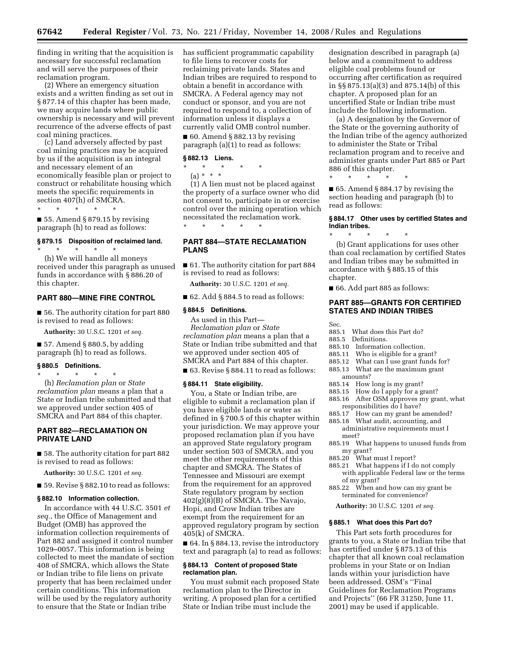finding in writing that the acquisition is necessary for successful reclamation and will serve the purposes of their reclamation program.

(2) Where an emergency situation exists and a written finding as set out in § 877.14 of this chapter has been made, we may acquire lands where public ownership is necessary and will prevent recurrence of the adverse effects of past coal mining practices.

(c) Land adversely affected by past coal mining practices may be acquired by us if the acquisition is an integral and necessary element of an economically feasible plan or project to construct or rehabilitate housing which meets the specific requirements in section 407(h) of SMCRA.

\* \* \* \* \*

 $\blacksquare$  55. Amend § 879.15 by revising paragraph (h) to read as follows:

\* \* \* \* \*

# **§ 879.15 Disposition of reclaimed land.**

(h) We will handle all moneys received under this paragraph as unused funds in accordance with § 886.20 of this chapter.

## **PART 880—MINE FIRE CONTROL**

■ 56. The authority citation for part 880 is revised to read as follows:

**Authority:** 30 U.S.C. 1201 *et seq.* 

 $\blacksquare$  57. Amend § 880.5, by adding paragraph (h) to read as follows.

### **§ 880.5 Definitions.**

\* \* \* \* \*

(h) *Reclamation plan* or *State reclamation plan* means a plan that a State or Indian tribe submitted and that we approved under section 405 of SMCRA and Part 884 of this chapter.

# **PART 882—RECLAMATION ON PRIVATE LAND**

■ 58. The authority citation for part 882 is revised to read as follows:

**Authority:** 30 U.S.C. 1201 *et seq.* 

■ 59. Revise § 882.10 to read as follows:

### **§ 882.10 Information collection.**

In accordance with 44 U.S.C. 3501 *et seq.*, the Office of Management and Budget (OMB) has approved the information collection requirements of Part 882 and assigned it control number 1029–0057. This information is being collected to meet the mandate of section 408 of SMCRA, which allows the State or Indian tribe to file liens on private property that has been reclaimed under certain conditions. This information will be used by the regulatory authority to ensure that the State or Indian tribe

has sufficient programmatic capability to file liens to recover costs for reclaiming private lands. States and Indian tribes are required to respond to obtain a benefit in accordance with SMCRA. A Federal agency may not conduct or sponsor, and you are not required to respond to, a collection of information unless it displays a currently valid OMB control number.

 $\blacksquare$  60. Amend § 882.13 by revising paragraph (a)(1) to read as follows:

## **§ 882.13 Liens.**

\* \* \* \* \* (a) \* \* \*

(1) A lien must not be placed against the property of a surface owner who did not consent to, participate in or exercise control over the mining operation which necessitated the reclamation work. \* \* \* \* \*

# **PART 884—STATE RECLAMATION PLANS**

■ 61. The authority citation for part 884 is revised to read as follows:

**Authority:** 30 U.S.C. 1201 *et seq.* 

 $\blacksquare$  62. Add § 884.5 to read as follows:

### **§ 884.5 Definitions.**

As used in this Part— *Reclamation plan* or *State reclamation plan* means a plan that a State or Indian tribe submitted and that we approved under section 405 of SMCRA and Part 884 of this chapter.

■ 63. Revise § 884.11 to read as follows:

### **§ 884.11 State eligibility.**

You, a State or Indian tribe, are eligible to submit a reclamation plan if you have eligible lands or water as defined in § 700.5 of this chapter within your jurisdiction. We may approve your proposed reclamation plan if you have an approved State regulatory program under section 503 of SMCRA, and you meet the other requirements of this chapter and SMCRA. The States of Tennessee and Missouri are exempt from the requirement for an approved State regulatory program by section 402(g)(8)(B) of SMCRA. The Navajo, Hopi, and Crow Indian tribes are exempt from the requirement for an approved regulatory program by section 405(k) of SMCRA.

■ 64. In § 884.13, revise the introductory text and paragraph (a) to read as follows:

### **§ 884.13 Content of proposed State reclamation plan.**

You must submit each proposed State reclamation plan to the Director in writing. A proposed plan for a certified State or Indian tribe must include the

designation described in paragraph (a) below and a commitment to address eligible coal problems found or occurring after certification as required in §§ 875.13(a)(3) and 875.14(b) of this chapter. A proposed plan for an uncertified State or Indian tribe must include the following information.

(a) A designation by the Governor of the State or the governing authority of the Indian tribe of the agency authorized to administer the State or Tribal reclamation program and to receive and administer grants under Part 885 or Part 886 of this chapter. \* \* \* \* \*

■ 65. Amend § 884.17 by revising the section heading and paragraph (b) to read as follows:

### **§ 884.17 Other uses by certified States and Indian tribes.**

\* \* \* \* \* (b) Grant applications for uses other than coal reclamation by certified States and Indian tribes may be submitted in accordance with § 885.15 of this chapter.

■ 66. Add part 885 as follows:

# **PART 885—GRANTS FOR CERTIFIED STATES AND INDIAN TRIBES**

- 885.1 What does this Part do?
- Definitions.

Sec.

- 885.10 Information collection.
- 885.11 Who is eligible for a grant?
- 885.12 What can I use grant funds for?
- 885.13 What are the maximum grant
- amounts?
- 885.14 How long is my grant?
- 885.15 How do I apply for a grant?
- 885.16 After OSM approves my grant, what responsibilities do I have?
- 885.17 How can my grant be amended?
- 885.18 What audit, accounting, and administrative requirements must I meet?
- 885.19 What happens to unused funds from my grant?
- 885.20 What must I report?
- 885.21 What happens if I do not comply with applicable Federal law or the terms of my grant?
- 885.22 When and how can my grant be terminated for convenience?
- **Authority:** 30 U.S.C. 1201 *et seq.*

### **§ 885.1 What does this Part do?**

This Part sets forth procedures for grants to you, a State or Indian tribe that has certified under § 875.13 of this chapter that all known coal reclamation problems in your State or on Indian lands within your jurisdiction have been addressed. OSM's ''Final Guidelines for Reclamation Programs and Projects'' (66 FR 31250, June 11, 2001) may be used if applicable.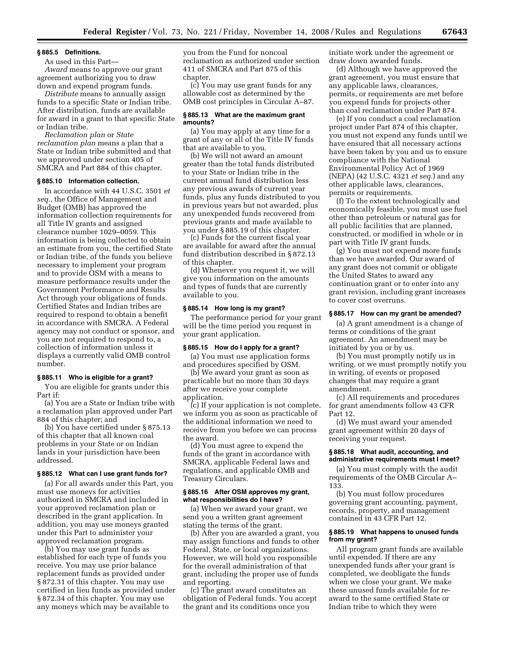### **§ 885.5 Definitions.**

As used in this Part—

*Award* means to approve our grant agreement authorizing you to draw down and expend program funds.

*Distribute* means to annually assign funds to a specific State or Indian tribe. After distribution, funds are available for award in a grant to that specific State or Indian tribe.

*Reclamation plan* or *State reclamation plan* means a plan that a State or Indian tribe submitted and that we approved under section 405 of SMCRA and Part 884 of this chapter.

### **§ 885.10 Information collection.**

In accordance with 44 U.S.C. 3501 *et seq.*, the Office of Management and Budget (OMB) has approved the information collection requirements for all Title IV grants and assigned clearance number 1029–0059. This information is being collected to obtain an estimate from you, the certified State or Indian tribe, of the funds you believe necessary to implement your program and to provide OSM with a means to measure performance results under the Government Performance and Results Act through your obligations of funds. Certified States and Indian tribes are required to respond to obtain a benefit in accordance with SMCRA. A Federal agency may not conduct or sponsor, and you are not required to respond to, a collection of information unless it displays a currently valid OMB control number.

### **§ 885.11 Who is eligible for a grant?**

You are eligible for grants under this Part if:

(a) You are a State or Indian tribe with a reclamation plan approved under Part 884 of this chapter; and

(b) You have certified under § 875.13 of this chapter that all known coal problems in your State or on Indian lands in your jurisdiction have been addressed.

### **§ 885.12 What can I use grant funds for?**

(a) For all awards under this Part, you must use moneys for activities authorized in SMCRA and included in your approved reclamation plan or described in the grant application. In addition, you may use moneys granted under this Part to administer your approved reclamation program.

(b) You may use grant funds as established for each type of funds you receive. You may use prior balance replacement funds as provided under § 872.31 of this chapter. You may use certified in lieu funds as provided under § 872.34 of this chapter. You may use any moneys which may be available to

you from the Fund for noncoal reclamation as authorized under section 411 of SMCRA and Part 875 of this chapter.

(c) You may use grant funds for any allowable cost as determined by the OMB cost principles in Circular A–87.

### **§ 885.13 What are the maximum grant amounts?**

(a) You may apply at any time for a grant of any or all of the Title IV funds that are available to you.

(b) We will not award an amount greater than the total funds distributed to your State or Indian tribe in the current annual fund distribution less any previous awards of current year funds, plus any funds distributed to you in previous years but not awarded, plus any unexpended funds recovered from previous grants and made available to you under § 885.19 of this chapter.

(c) Funds for the current fiscal year are available for award after the annual fund distribution described in § 872.13 of this chapter.

(d) Whenever you request it, we will give you information on the amounts and types of funds that are currently available to you.

### **§ 885.14 How long is my grant?**

The performance period for your grant will be the time period you request in your grant application.

### **§ 885.15 How do I apply for a grant?**

(a) You must use application forms and procedures specified by OSM.

(b) We award your grant as soon as practicable but no more than 30 days after we receive your complete application.

(c) If your application is not complete, we inform you as soon as practicable of the additional information we need to receive from you before we can process the award.

(d) You must agree to expend the funds of the grant in accordance with SMCRA, applicable Federal laws and regulations, and applicable OMB and Treasury Circulars.

## **§ 885.16 After OSM approves my grant, what responsibilities do I have?**

(a) When we award your grant, we send you a written grant agreement stating the terms of the grant.

(b) After you are awarded a grant, you may assign functions and funds to other Federal, State, or local organizations. However, we will hold you responsible for the overall administration of that grant, including the proper use of funds and reporting.

(c) The grant award constitutes an obligation of Federal funds. You accept the grant and its conditions once you

initiate work under the agreement or draw down awarded funds.

(d) Although we have approved the grant agreement, you must ensure that any applicable laws, clearances, permits, or requirements are met before you expend funds for projects other than coal reclamation under Part 874.

(e) If you conduct a coal reclamation project under Part 874 of this chapter, you must not expend any funds until we have ensured that all necessary actions have been taken by you and us to ensure compliance with the National Environmental Policy Act of 1969 (NEPA) (42 U.S.C. 4321 *et seq.*) and any other applicable laws, clearances, permits or requirements.

(f) To the extent technologically and economically feasible, you must use fuel other than petroleum or natural gas for all public facilities that are planned, constructed, or modified in whole or in part with Title IV grant funds.

(g) You must not expend more funds than we have awarded. Our award of any grant does not commit or obligate the United States to award any continuation grant or to enter into any grant revision, including grant increases to cover cost overruns.

## **§ 885.17 How can my grant be amended?**

(a) A grant amendment is a change of terms or conditions of the grant agreement. An amendment may be initiated by you or by us.

(b) You must promptly notify us in writing, or we must promptly notify you in writing, of events or proposed changes that may require a grant amendment.

(c) All requirements and procedures for grant amendments follow 43 CFR Part 12.

(d) We must award your amended grant agreement within 20 days of receiving your request.

### **§ 885.18 What audit, accounting, and administrative requirements must I meet?**

(a) You must comply with the audit requirements of the OMB Circular A– 133.

(b) You must follow procedures governing grant accounting, payment, records, property, and management contained in 43 CFR Part 12.

### **§ 885.19 What happens to unused funds from my grant?**

All program grant funds are available until expended. If there are any unexpended funds after your grant is completed, we deobligate the funds when we close your grant. We make these unused funds available for reaward to the same certified State or Indian tribe to which they were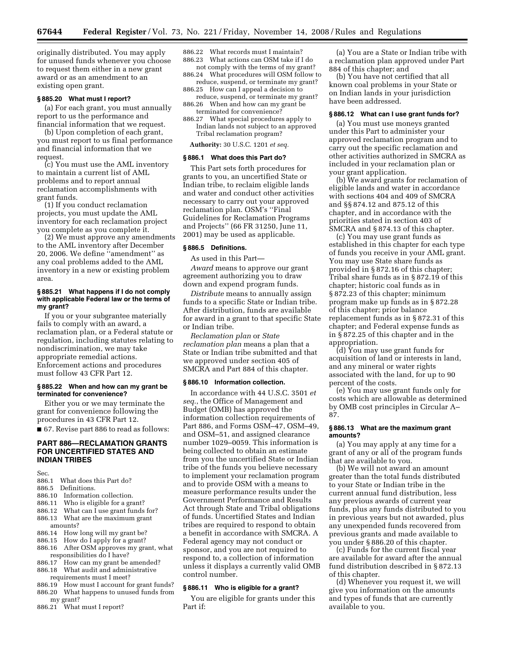originally distributed. You may apply for unused funds whenever you choose to request them either in a new grant award or as an amendment to an existing open grant.

## **§ 885.20 What must I report?**

(a) For each grant, you must annually report to us the performance and financial information that we request.

(b) Upon completion of each grant, you must report to us final performance and financial information that we request.

(c) You must use the AML inventory to maintain a current list of AML problems and to report annual reclamation accomplishments with grant funds.

(1) If you conduct reclamation projects, you must update the AML inventory for each reclamation project you complete as you complete it.

(2) We must approve any amendments to the AML inventory after December 20, 2006. We define ''amendment'' as any coal problems added to the AML inventory in a new or existing problem area.

### **§ 885.21 What happens if I do not comply with applicable Federal law or the terms of my grant?**

If you or your subgrantee materially fails to comply with an award, a reclamation plan, or a Federal statute or regulation, including statutes relating to nondiscrimination, we may take appropriate remedial actions. Enforcement actions and procedures must follow 43 CFR Part 12.

### **§ 885.22 When and how can my grant be terminated for convenience?**

Either you or we may terminate the grant for convenience following the procedures in 43 CFR Part 12. ■ 67. Revise part 886 to read as follows:

**PART 886—RECLAMATION GRANTS FOR UNCERTIFIED STATES AND INDIAN TRIBES** 

Sec.

- 886.1 What does this Part do?
- 886.5 Definitions.
- 886.10 Information collection.<br>886.11 Who is eligible for a gra
- 886.11 Who is eligible for a grant?<br>886.12 What can Luse grant funds
- 886.12 What can I use grant funds for?<br>886.13 What are the maximum grant
- What are the maximum grant amounts?
- 886.14 How long will my grant be?
- 886.15 How do I apply for a grant?<br>886.16 After OSM approves my gra
- After OSM approves my grant, what responsibilities do I have?<br>886.17 How can my grant be
- 886.17 How can my grant be amended?<br>886.18 What audit and administrative
- What audit and administrative
- requirements must I meet?
- 886.19 How must I account for grant funds? 886.20 What happens to unused funds from my grant?
- 886.21 What must I report?

886.22 What records must I maintain?

886.23 What actions can OSM take if I do not comply with the terms of my grant?

- 886.24 What procedures will OSM follow to reduce, suspend, or terminate my grant?
- 886.25 How can I appeal a decision to
- reduce, suspend, or terminate my grant? 886.26 When and how can my grant be
- terminated for convenience? 886.27 What special procedures apply to
- Indian lands not subject to an approved Tribal reclamation program?

**Authority:** 30 U.S.C. 1201 *et seq.* 

### **§ 886.1 What does this Part do?**

This Part sets forth procedures for grants to you, an uncertified State or Indian tribe, to reclaim eligible lands and water and conduct other activities necessary to carry out your approved reclamation plan. OSM's ''Final Guidelines for Reclamation Programs and Projects'' (66 FR 31250, June 11, 2001) may be used as applicable.

### **§ 886.5 Definitions.**

As used in this Part—

*Award* means to approve our grant agreement authorizing you to draw down and expend program funds.

*Distribute* means to annually assign funds to a specific State or Indian tribe. After distribution, funds are available for award in a grant to that specific State or Indian tribe.

*Reclamation plan* or *State reclamation plan* means a plan that a State or Indian tribe submitted and that we approved under section 405 of SMCRA and Part 884 of this chapter.

### **§ 886.10 Information collection.**

In accordance with 44 U.S.C. 3501 *et seq*., the Office of Management and Budget (OMB) has approved the information collection requirements of Part 886, and Forms OSM–47, OSM–49, and OSM–51, and assigned clearance number 1029–0059. This information is being collected to obtain an estimate from you the uncertified State or Indian tribe of the funds you believe necessary to implement your reclamation program and to provide OSM with a means to measure performance results under the Government Performance and Results Act through State and Tribal obligations of funds. Uncertified States and Indian tribes are required to respond to obtain a benefit in accordance with SMCRA. A Federal agency may not conduct or sponsor, and you are not required to respond to, a collection of information unless it displays a currently valid OMB control number.

# **§ 886.11 Who is eligible for a grant?**

You are eligible for grants under this Part if:

(a) You are a State or Indian tribe with a reclamation plan approved under Part 884 of this chapter; and

(b) You have not certified that all known coal problems in your State or on Indian lands in your jurisdiction have been addressed.

### **§ 886.12 What can I use grant funds for?**

(a) You must use moneys granted under this Part to administer your approved reclamation program and to carry out the specific reclamation and other activities authorized in SMCRA as included in your reclamation plan or your grant application.

(b) We award grants for reclamation of eligible lands and water in accordance with sections 404 and 409 of SMCRA and §§ 874.12 and 875.12 of this chapter, and in accordance with the priorities stated in section 403 of SMCRA and § 874.13 of this chapter.

(c) You may use grant funds as established in this chapter for each type of funds you receive in your AML grant. You may use State share funds as provided in § 872.16 of this chapter; Tribal share funds as in § 872.19 of this chapter; historic coal funds as in § 872.23 of this chapter; minimum program make up funds as in § 872.28 of this chapter; prior balance replacement funds as in § 872.31 of this chapter; and Federal expense funds as in § 872.25 of this chapter and in the appropriation.

(d) You may use grant funds for acquisition of land or interests in land, and any mineral or water rights associated with the land, for up to 90 percent of the costs.

(e) You may use grant funds only for costs which are allowable as determined by OMB cost principles in Circular A– 87.

### **§ 886.13 What are the maximum grant amounts?**

(a) You may apply at any time for a grant of any or all of the program funds that are available to you.

(b) We will not award an amount greater than the total funds distributed to your State or Indian tribe in the current annual fund distribution, less any previous awards of current year funds, plus any funds distributed to you in previous years but not awarded, plus any unexpended funds recovered from previous grants and made available to you under § 886.20 of this chapter.

(c) Funds for the current fiscal year are available for award after the annual fund distribution described in § 872.13 of this chapter.

(d) Whenever you request it, we will give you information on the amounts and types of funds that are currently available to you.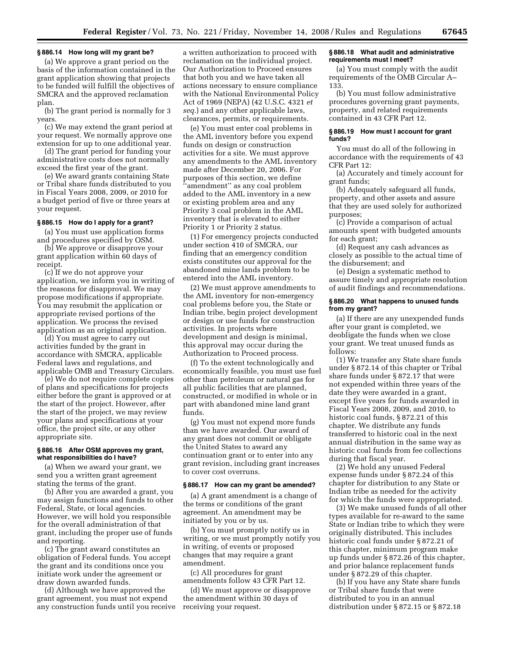## **§ 886.14 How long will my grant be?**

(a) We approve a grant period on the basis of the information contained in the grant application showing that projects to be funded will fulfill the objectives of SMCRA and the approved reclamation plan.

(b) The grant period is normally for 3 years.

(c) We may extend the grant period at your request. We normally approve one extension for up to one additional year.

(d) The grant period for funding your administrative costs does not normally exceed the first year of the grant.

(e) We award grants containing State or Tribal share funds distributed to you in Fiscal Years 2008, 2009, or 2010 for a budget period of five or three years at your request.

## **§ 886.15 How do I apply for a grant?**

(a) You must use application forms and procedures specified by OSM.

(b) We approve or disapprove your grant application within 60 days of receipt.

(c) If we do not approve your application, we inform you in writing of the reasons for disapproval. We may propose modifications if appropriate. You may resubmit the application or appropriate revised portions of the application. We process the revised application as an original application.

(d) You must agree to carry out activities funded by the grant in accordance with SMCRA, applicable Federal laws and regulations, and applicable OMB and Treasury Circulars.

(e) We do not require complete copies of plans and specifications for projects either before the grant is approved or at the start of the project. However, after the start of the project, we may review your plans and specifications at your office, the project site, or any other appropriate site.

### **§ 886.16 After OSM approves my grant, what responsibilities do I have?**

(a) When we award your grant, we send you a written grant agreement stating the terms of the grant.

(b) After you are awarded a grant, you may assign functions and funds to other Federal, State, or local agencies. However, we will hold you responsible for the overall administration of that grant, including the proper use of funds and reporting.

(c) The grant award constitutes an obligation of Federal funds. You accept the grant and its conditions once you initiate work under the agreement or draw down awarded funds.

(d) Although we have approved the grant agreement, you must not expend any construction funds until you receive

a written authorization to proceed with reclamation on the individual project. Our Authorization to Proceed ensures that both you and we have taken all actions necessary to ensure compliance with the National Environmental Policy Act of 1969 (NEPA) (42 U.S.C. 4321 *et seq.*) and any other applicable laws, clearances, permits, or requirements.

(e) You must enter coal problems in the AML inventory before you expend funds on design or construction activities for a site. We must approve any amendments to the AML inventory made after December 20, 2006. For purposes of this section, we define ''amendment'' as any coal problem added to the AML inventory in a new or existing problem area and any Priority 3 coal problem in the AML inventory that is elevated to either Priority 1 or Priority 2 status.

(1) For emergency projects conducted under section 410 of SMCRA, our finding that an emergency condition exists constitutes our approval for the abandoned mine lands problem to be entered into the AML inventory.

(2) We must approve amendments to the AML inventory for non-emergency coal problems before you, the State or Indian tribe, begin project development or design or use funds for construction activities. In projects where development and design is minimal, this approval may occur during the Authorization to Proceed process.

(f) To the extent technologically and economically feasible, you must use fuel other than petroleum or natural gas for all public facilities that are planned, constructed, or modified in whole or in part with abandoned mine land grant funds.

(g) You must not expend more funds than we have awarded. Our award of any grant does not commit or obligate the United States to award any continuation grant or to enter into any grant revision, including grant increases to cover cost overruns.

### **§ 886.17 How can my grant be amended?**

(a) A grant amendment is a change of the terms or conditions of the grant agreement. An amendment may be initiated by you or by us.

(b) You must promptly notify us in writing, or we must promptly notify you in writing, of events or proposed changes that may require a grant amendment.

(c) All procedures for grant amendments follow 43 CFR Part 12.

(d) We must approve or disapprove the amendment within 30 days of receiving your request.

### **§ 886.18 What audit and administrative requirements must I meet?**

(a) You must comply with the audit requirements of the OMB Circular A– 133.

(b) You must follow administrative procedures governing grant payments, property, and related requirements contained in 43 CFR Part 12.

### **§ 886.19 How must I account for grant funds?**

You must do all of the following in accordance with the requirements of 43 CFR Part 12:

(a) Accurately and timely account for grant funds;

(b) Adequately safeguard all funds, property, and other assets and assure that they are used solely for authorized purposes;

(c) Provide a comparison of actual amounts spent with budgeted amounts for each grant;

(d) Request any cash advances as closely as possible to the actual time of the disbursement; and

(e) Design a systematic method to assure timely and appropriate resolution of audit findings and recommendations.

## **§ 886.20 What happens to unused funds from my grant?**

(a) If there are any unexpended funds after your grant is completed, we deobligate the funds when we close your grant. We treat unused funds as follows:

(1) We transfer any State share funds under § 872.14 of this chapter or Tribal share funds under § 872.17 that were not expended within three years of the date they were awarded in a grant, except five years for funds awarded in Fiscal Years 2008, 2009, and 2010, to historic coal funds, § 872.21 of this chapter. We distribute any funds transferred to historic coal in the next annual distribution in the same way as historic coal funds from fee collections during that fiscal year.

(2) We hold any unused Federal expense funds under § 872.24 of this chapter for distribution to any State or Indian tribe as needed for the activity for which the funds were appropriated.

(3) We make unused funds of all other types available for re-award to the same State or Indian tribe to which they were originally distributed. This includes historic coal funds under § 872.21 of this chapter, minimum program make up funds under § 872.26 of this chapter, and prior balance replacement funds under § 872.29 of this chapter.

(b) If you have any State share funds or Tribal share funds that were distributed to you in an annual distribution under § 872.15 or § 872.18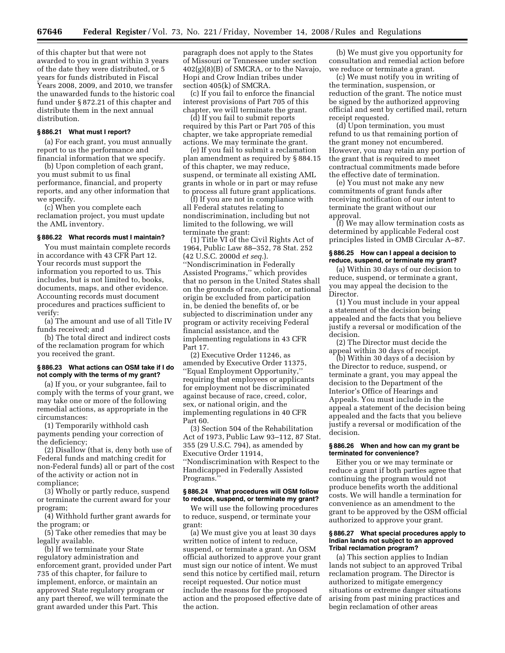of this chapter but that were not awarded to you in grant within 3 years of the date they were distributed, or 5 years for funds distributed in Fiscal Years 2008, 2009, and 2010, we transfer the unawarded funds to the historic coal fund under § 872.21 of this chapter and distribute them in the next annual distribution.

### **§ 886.21 What must I report?**

(a) For each grant, you must annually report to us the performance and financial information that we specify.

(b) Upon completion of each grant, you must submit to us final performance, financial, and property reports, and any other information that we specify.

(c) When you complete each reclamation project, you must update the AML inventory.

## **§ 886.22 What records must I maintain?**

You must maintain complete records in accordance with 43 CFR Part 12. Your records must support the information you reported to us. This includes, but is not limited to, books, documents, maps, and other evidence. Accounting records must document procedures and practices sufficient to verify:

(a) The amount and use of all Title IV funds received; and

(b) The total direct and indirect costs of the reclamation program for which you received the grant.

## **§ 886.23 What actions can OSM take if I do not comply with the terms of my grant?**

(a) If you, or your subgrantee, fail to comply with the terms of your grant, we may take one or more of the following remedial actions, as appropriate in the circumstances:

(1) Temporarily withhold cash payments pending your correction of the deficiency;

(2) Disallow (that is, deny both use of Federal funds and matching credit for non-Federal funds) all or part of the cost of the activity or action not in compliance;

(3) Wholly or partly reduce, suspend or terminate the current award for your program;

(4) Withhold further grant awards for the program; or

(5) Take other remedies that may be legally available.

(b) If we terminate your State regulatory administration and enforcement grant, provided under Part 735 of this chapter, for failure to implement, enforce, or maintain an approved State regulatory program or any part thereof, we will terminate the grant awarded under this Part. This

paragraph does not apply to the States of Missouri or Tennessee under section  $402(g)(8)(B)$  of SMCRA, or to the Navajo, Hopi and Crow Indian tribes under section 405(k) of SMCRA.

(c) If you fail to enforce the financial interest provisions of Part 705 of this chapter, we will terminate the grant.

(d) If you fail to submit reports required by this Part or Part 705 of this chapter, we take appropriate remedial actions. We may terminate the grant.

(e) If you fail to submit a reclamation plan amendment as required by § 884.15 of this chapter, we may reduce, suspend, or terminate all existing AML grants in whole or in part or may refuse to process all future grant applications.

(f) If you are not in compliance with all Federal statutes relating to nondiscrimination, including but not limited to the following, we will terminate the grant:

(1) Title VI of the Civil Rights Act of 1964, Public Law 88–352, 78 Stat. 252 (42 U.S.C. 2000d *et seq.*). ''Nondiscrimination in Federally Assisted Programs,'' which provides that no person in the United States shall on the grounds of race, color, or national origin be excluded from participation in, be denied the benefits of, or be subjected to discrimination under any program or activity receiving Federal financial assistance, and the implementing regulations in 43 CFR Part 17.

(2) Executive Order 11246, as amended by Executive Order 11375, ''Equal Employment Opportunity,'' requiring that employees or applicants for employment not be discriminated against because of race, creed, color, sex, or national origin, and the implementing regulations in 40 CFR Part 60.

(3) Section 504 of the Rehabilitation Act of 1973, Public Law 93–112, 87 Stat. 355 (29 U.S.C. 794), as amended by Executive Order 11914, ''Nondiscrimination with Respect to the Handicapped in Federally Assisted Programs.

## **§ 886.24 What procedures will OSM follow to reduce, suspend, or terminate my grant?**

We will use the following procedures to reduce, suspend, or terminate your grant:

(a) We must give you at least 30 days written notice of intent to reduce, suspend, or terminate a grant. An OSM official authorized to approve your grant must sign our notice of intent. We must send this notice by certified mail, return receipt requested. Our notice must include the reasons for the proposed action and the proposed effective date of the action.

(b) We must give you opportunity for consultation and remedial action before we reduce or terminate a grant.

(c) We must notify you in writing of the termination, suspension, or reduction of the grant. The notice must be signed by the authorized approving official and sent by certified mail, return receipt requested.

(d) Upon termination, you must refund to us that remaining portion of the grant money not encumbered. However, you may retain any portion of the grant that is required to meet contractual commitments made before the effective date of termination.

(e) You must not make any new commitments of grant funds after receiving notification of our intent to terminate the grant without our approval.

(f) We may allow termination costs as determined by applicable Federal cost principles listed in OMB Circular A–87.

### **§ 886.25 How can I appeal a decision to reduce, suspend, or terminate my grant?**

(a) Within 30 days of our decision to reduce, suspend, or terminate a grant, you may appeal the decision to the Director.

(1) You must include in your appeal a statement of the decision being appealed and the facts that you believe justify a reversal or modification of the decision.

(2) The Director must decide the appeal within 30 days of receipt.

(b) Within 30 days of a decision by the Director to reduce, suspend, or terminate a grant, you may appeal the decision to the Department of the Interior's Office of Hearings and Appeals. You must include in the appeal a statement of the decision being appealed and the facts that you believe justify a reversal or modification of the decision.

### **§ 886.26 When and how can my grant be terminated for convenience?**

Either you or we may terminate or reduce a grant if both parties agree that continuing the program would not produce benefits worth the additional costs. We will handle a termination for convenience as an amendment to the grant to be approved by the OSM official authorized to approve your grant.

### **§ 886.27 What special procedures apply to Indian lands not subject to an approved Tribal reclamation program?**

(a) This section applies to Indian lands not subject to an approved Tribal reclamation program. The Director is authorized to mitigate emergency situations or extreme danger situations arising from past mining practices and begin reclamation of other areas